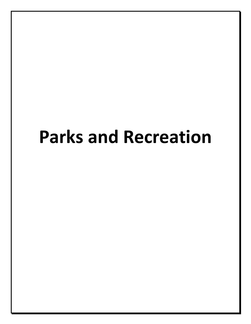# **Parks and Recreation**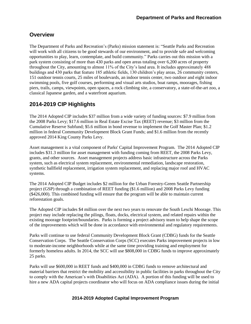# **Overview**

The Department of Parks and Recreation's (Parks) mission statement is: "Seattle Parks and Recreation will work with all citizens to be good stewards of our environment, and to provide safe and welcoming opportunities to play, learn, contemplate, and build community." Parks carries out this mission with a park system consisting of more than 430 parks and open areas totaling over 6,200 acres of property throughout the City, amounting to almost 11% of the City's land area. It includes approximately 488 buildings and 430 parks that feature 185 athletic fields, 130 children's play areas, 26 community centers, 151 outdoor tennis courts, 25 miles of boulevards, an indoor tennis center, two outdoor and eight indoor swimming pools, five golf courses, performing and visual arts studios, boat ramps, moorages, fishing piers, trails, camps, viewpoints, open spaces, a rock climbing site, a conservatory, a state-of-the-art zoo, a classical Japanese garden, and a waterfront aquarium.

# **2014-2019 CIP Highlights**

The 2014 Adopted CIP includes \$37 million from a wide variety of funding sources: \$7.9 million from the 2008 Parks Levy; \$17.6 million in Real Estate Excise Tax (REET) revenue; \$3 million from the Cumulative Reserve Subfund; \$5.6 million in bond revenue to implement the Golf Master Plan; \$1.2 million in federal Community Development Block Grant Funds; and \$1.6 million from the recently approved 2014 King County Parks Levy.

Asset management is a vital component of Parks' Capital Improvement Program. The 2014 Adopted CIP includes \$31.3 million for asset management with funding coming from REET, the 2008 Parks Levy, grants, and other sources. Asset management projects address basic infrastructure across the Parks system, such as electrical system replacement, environmental remediation, landscape restoration, synthetic ballfield replacement, irrigation system replacement, and replacing major roof and HVAC systems.

The 2014 Adopted CIP Budget includes \$2 million for the Urban Forestry-Green Seattle Partnership project (GSP) through a combination of REET funding (\$1.6 million) and 2008 Parks Levy funding (\$426,000). This combined funding will ensure that the program will be able to maintain current reforestation goals.

The Adopted CIP includes \$4 million over the next two years to renovate the South Leschi Moorage. This project may include replacing the pilings, floats, docks, electrical system, and related repairs within the existing moorage footprint/boundaries. Parks is forming a project advisory team to help shape the scope of the improvements which will be done in accordance with environmental and regulatory requirements.

Parks will continue to use federal Community Development Block Grant (CDBG) funds for the Seattle Conservation Corps. The Seattle Conservation Corps (SCC) executes Parks improvement projects in low to moderate-income neighborhoods while at the same time providing training and employment for formerly homeless adults. In 2014, the SCC will use \$808,000 in CDBG funds to improve approximately 25 parks.

Parks will use \$600,000 in REET funds and \$400,000 in CDBG funds to remove architectural and material barriers that restrict the mobility and accessibility in public facilities in parks throughout the City to comply with the American's with Disabilities Act (ADA). A portion of this funding will be used to hire a new ADA capital projects coordinator who will focus on ADA compliance issues during the initial

#### **2014-2019 Adopted Capital Improvement Program**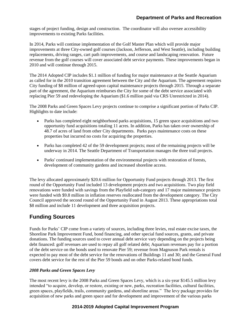stages of project funding, design and construction. The coordinator will also oversee accessibility improvements to existing Parks facilities.

In 2014, Parks will continue implementation of the Golf Master Plan which will provide major improvements at three City-owned golf courses (Jackson, Jefferson, and West Seattle), including building replacements, driving ranges, cart path improvements, and course and landscaping renovation. Future revenue from the golf courses will cover associated debt service payments. These improvements began in 2010 and will continue through 2015.

The 2014 Adopted CIP includes \$1.1 million of funding for major maintenance at the Seattle Aquarium as called for in the 2010 transition agreement between the City and the Aquarium. The agreement requires City funding of \$8 million of agreed-upon capital maintenance projects through 2015. Through a separate part of the agreement, the Aquarium reimburses the City for some of the debt service associated with replacing Pier 59 and redeveloping the Aquarium (\$1.6 million paid via CRS Unrestricted in 2014).

The 2008 Parks and Green Spaces Levy projects continue to comprise a significant portion of Parks CIP. Highlights to date include:

- Parks has completed eight neighborhood parks acquisitions, 15 green space acquisitions and two opportunity fund acquisitions totaling 11 acres. In addition, Parks has taken over ownership of 48.7 of acres of land from other City departments. Parks pays maintenance costs on these properties but incurred no costs for acquiring the properties.
- Parks has completed 42 of the 59 development projects; most of the remaining projects will be underway in 2014. The Seattle Department of Transportation manages the three trail projects.
- Parks' continued implementation of the environmental projects with restoration of forests, development of community gardens and increased shoreline access.

The levy allocated approximately \$20.6 million for Opportunity Fund projects through 2013. The first round of the Opportunity Fund included 13 development projects and two acquisitions. Two play field renovations were funded with savings from the Playfield sub-category and 17 major maintenance projects were funded with \$9.8 million in inflation reserves reallocated from the development category. The City Council approved the second round of the Opportunity Fund in August 2013. These appropriations total \$8 million and include 11 development and three acquisition projects.

# **Funding Sources**

Funds for Parks' CIP come from a variety of sources, including three levies, real estate excise taxes, the Shoreline Park Improvement Fund, bond financing, and other special fund sources, grants, and private donations. The funding sources used to cover annual debt service vary depending on the projects being debt financed: golf revenues are used to repay all golf related debt; Aquarium revenues pay for a portion of the debt service on the bonds used to renovate Pier 59; revenue from Magnuson Park rentals is expected to pay most of the debt service for the renovations of Buildings 11 and 30; and the General Fund covers debt service for the rest of the Pier 59 bonds and on other Parks-related bond funds.

#### *2008 Parks and Green Spaces Levy*

The most recent levy is the 2008 Parks and Green Spaces Levy, which is a six-year \$145.5 million levy intended "to acquire, develop, or restore, existing or new, parks, recreation facilities, cultural facilities, green spaces, playfields, trails, community gardens, and shoreline areas." The levy package provides for acquisition of new parks and green space and for development and improvement of the various parks

#### **2014-2019 Adopted Capital Improvement Program**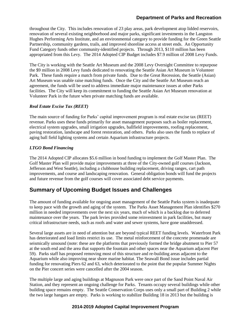throughout the City. This includes renovation of 23 play areas, park development atop lidded reservoirs, renovation of several existing neighborhood and major parks, significant investments in the Langston Hughes Performing Arts Institute, and an environmental category to provide funding for the Green Seattle Partnership, community gardens, trails, and improved shoreline access at street ends. An Opportunity Fund Category funds other community-identified projects. Through 2013, \$110 million has been appropriated from this Levy. The 2014 Adopted CIP Budget includes \$7.9 million of 2008 Levy Funds.

The City is working with the Seattle Art Museum and the 2008 Levy Oversight Committee to repurpose the \$9 million in 2008 Levy funds dedicated to renovating the Seattle Asian Art Museum in Volunteer Park. These funds require a match from private funds. Due to the Great Recession, the Seattle (Asian) Art Museum was unable raise matching funds. Once the City and the Seattle Art Museum reach an agreement, the funds will be used to address immediate major maintenance issues at other Parks facilities. The City will keep its commitment to funding the Seattle Asian Art Museum renovation at Volunteer Park in the future when private matching funds are available.

#### *Real Estate Excise Tax (REET)*

The main source of funding for Parks' capital improvement program is real estate excise tax (REET) revenue. Parks uses these funds primarily for asset management purposes such as boiler replacement, electrical system upgrades, small irrigation upgrades, ballfield improvements, roofing replacement, paving restoration, landscape and forest restoration, and others. Parks also uses the funds to replace of aging ball field lighting systems and certain Aquarium infrastructure projects.

#### *LTGO Bond Financing*

The 2014 Adopted CIP allocates \$5.6 million in bond funding to implement the Golf Master Plan. The Golf Master Plan will provide major improvements at three of the City-owned golf courses (Jackson, Jefferson and West Seattle), including a clubhouse building replacement, driving ranges, cart path improvements, and course and landscaping renovation. General obligation bonds will fund the projects and future revenue from the golf courses will cover associated debt service payments.

# **Summary of Upcoming Budget Issues and Challenges**

The amount of funding available for ongoing asset management of the Seattle Parks system is inadequate to keep pace with the growth and aging of the system. The Parks Asset Management Plan identifies \$270 million in needed improvements over the next six years, much of which is a backlog due to deferred maintenance over the years. The park levies provided some reinvestment in park facilities, but many critical infrastructure needs, such as roofs and water and sewer systems, have gone unaddressed.

Several large assets are in need of attention but are beyond typical REET funding levels. Waterfront Park has deteriorated and load limits restrict its use. The metal reinforcement of the concrete promenade are seismically unsound (note: these are the platforms that previously formed the bridge abutment to Pier 57 at the south end and the area that supports the fountain and other spaces near the Aquarium adjacent Pier 59). Parks staff has proposed removing most of this structure and re-building areas adjacent to the Aquarium while also improving near shore marine habitat. The Seawall Bond issue includes partial funding for renovating Piers 62 and 63, which deteriorated to the point that the popular Summer Nights on the Pier concert series were cancelled after the 2004 season.

The multiple large and aging buildings at Magnuson Park were once part of the Sand Point Naval Air Station, and they represent an ongoing challenge for Parks. Tenants occupy several buildings while other building space remains empty. The Seattle Conservation Corps uses only a small part of Building 2 while the two large hangars are empty. Parks is working to stabilize Building 18 in 2013 but the building is

#### **2014-2019 Adopted Capital Improvement Program**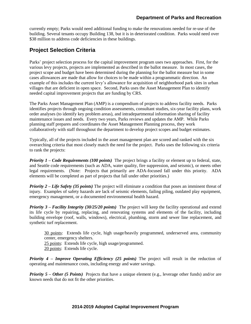currently empty; Parks would need additional funding to make the renovations needed for re-use of the building. Several tenants occupy Building 138, but it is in deteriorated condition. Parks would need over \$38 million to address code deficiencies in these buildings.

# **Project Selection Criteria**

Parks' project selection process for the capital improvement program uses two approaches. First, for the various levy projects, projects are implemented as described in the ballot measure. In most cases, the project scope and budget have been determined during the planning for the ballot measure but in some cases allowances are made that allow for choices to be made within a programmatic direction. An example of this includes the current levy's allowance for acquisition of neighborhood park sites in urban villages that are deficient in open space. Second, Parks uses the Asset Management Plan to identify needed capital improvement projects that are funding by CRS.

The Parks Asset Management Plan (AMP) is a compendium of projects to address facility needs. Parks identifies projects through ongoing condition assessments, consultant studies, six-year facility plans, work order analyses (to identify key problem areas), and intradepartmental information sharing of facility maintenance issues and needs. Every two years, Parks reviews and updates the AMP. While Parks planning staff prepares and coordinates the Asset Management Planning process, they work collaboratively with staff throughout the department to develop project scopes and budget estimates.

Typically, all of the projects included in the asset management plan are scored and ranked with the six overarching criteria that most closely match the need for the project. Parks uses the following six criteria to rank the projects:

*Priority 1 – Code Requirements (100 points)* The project brings a facility or element up to federal, state, and Seattle code requirements (such as ADA, water quality, fire suppression, and seismic), or meets other legal requirements. (Note: Projects that primarily are ADA-focused fall under this priority. ADA elements will be completed as part of projects that fall under other priorities.)

*Priority 2 – Life Safety (35 points)* The project will eliminate a condition that poses an imminent threat of injury. Examples of safety hazards are lack of seismic elements, failing piling, outdated play equipment, emergency management, or a documented environmental health hazard.

*Priority 3 – Facility Integrity (30/25/20 points)* The project will keep the facility operational and extend its life cycle by repairing, replacing, and renovating systems and elements of the facility, including building envelope (roof, walls, windows), electrical, plumbing, storm and sewer line replacement, and synthetic turf replacement.

30 points: Extends life cycle, high usage/heavily programmed, underserved area, community center, emergency shelters.

25 points: Extends life cycle, high usage/programmed.

20 points: Extends life cycle.

*Priority 4 – Improve Operating Efficiency (25 points)* The project will result in the reduction of operating and maintenance costs, including energy and water savings.

*Priority 5 – Other (5 Points)* Projects that have a unique element (e.g., leverage other funds) and/or are known needs that do not fit the other priorities.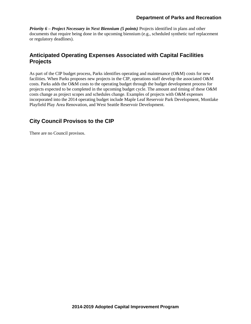*Priority 6 – Project Necessary in Next Biennium (5 points)* Projects identified in plans and other documents that require being done in the upcoming biennium (e.g., scheduled synthetic turf replacement or regulatory deadlines).

# **Anticipated Operating Expenses Associated with Capital Facilities Projects**

As part of the CIP budget process, Parks identifies operating and maintenance (O&M) costs for new facilities. When Parks proposes new projects in the CIP, operations staff develop the associated O&M costs. Parks adds the O&M costs to the operating budget through the budget development process for projects expected to be completed in the upcoming budget cycle. The amount and timing of these O&M costs change as project scopes and schedules change. Examples of projects with O&M expenses incorporated into the 2014 operating budget include Maple Leaf Reservoir Park Development, Montlake Playfield Play Area Renovation, and West Seattle Reservoir Development.

### **City Council Provisos to the CIP**

There are no Council provisos.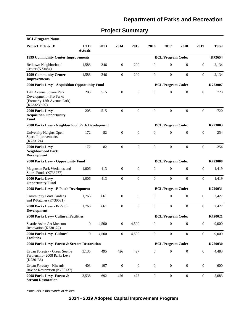# **Project Summary**

| <b>BCL/Program Name</b>                                                                             |                              |       |                  |                  |                  |                          |                  |                  |              |
|-----------------------------------------------------------------------------------------------------|------------------------------|-------|------------------|------------------|------------------|--------------------------|------------------|------------------|--------------|
| Project Title & ID                                                                                  | <b>LTD</b><br><b>Actuals</b> | 2013  | 2014             | 2015             | 2016             | 2017                     | 2018             | 2019             | <b>Total</b> |
| <b>1999 Community Center Improvements</b>                                                           |                              |       |                  |                  |                  | <b>BCL/Program Code:</b> |                  |                  | K72654       |
| Belltown Neighborhood<br>Center (K73484)                                                            | 1,588                        | 346   | $\boldsymbol{0}$ | 200              | $\overline{0}$   | $\mathbf{0}$             | $\mathbf{0}$     | $\boldsymbol{0}$ | 2,134        |
| <b>1999 Community Center</b><br><b>Improvements</b>                                                 | 1,588                        | 346   | $\mathbf{0}$     | 200              | $\overline{0}$   | $\mathbf{0}$             | $\theta$         | $\mathbf{0}$     | 2,134        |
| <b>2000 Parks Levy - Acquisition Opportunity Fund</b>                                               |                              |       |                  |                  |                  | <b>BCL/Program Code:</b> |                  |                  | K723007      |
| 12th Avenue Square Park<br>Development - Pro Parks<br>(Formerly 12th Avenue Park)<br>$(K733239-02)$ | 205                          | 515   | $\mathbf{0}$     | $\theta$         | $\overline{0}$   | $\mathbf{0}$             | $\mathbf{0}$     | $\boldsymbol{0}$ | 720          |
| 2000 Parks Levy -<br><b>Acquisition Opportunity</b><br>Fund                                         | 205                          | 515   | $\overline{0}$   | $\mathbf{0}$     | $\overline{0}$   | $\mathbf{0}$             | $\theta$         | $\mathbf{0}$     | 720          |
| 2000 Parks Levy - Neighborhood Park Development                                                     |                              |       |                  |                  |                  | <b>BCL/Program Code:</b> |                  |                  | K723003      |
| University Heights Open<br>Space Improvements<br>(K733124)                                          | 172                          | 82    | $\mathbf{0}$     | $\theta$         | $\mathbf{0}$     | $\mathbf{0}$             | $\mathbf{0}$     | $\boldsymbol{0}$ | 254          |
| 2000 Parks Levy -<br><b>Neighborhood Park</b><br><b>Development</b>                                 | 172                          | 82    | $\overline{0}$   | $\boldsymbol{0}$ | $\overline{0}$   | $\Omega$                 | $\theta$         | $\boldsymbol{0}$ | 254          |
| 2000 Parks Levy - Opportunity Fund                                                                  |                              |       |                  |                  |                  | <b>BCL/Program Code:</b> |                  |                  | K723008      |
| Magnuson Park Wetlands and<br>Shore Ponds (K733277)                                                 | 1,006                        | 413   | $\mathbf{0}$     | $\boldsymbol{0}$ | $\boldsymbol{0}$ | $\mathbf{0}$             | $\mathbf{0}$     | $\boldsymbol{0}$ | 1,419        |
| 2000 Parks Levy -<br><b>Opportunity Fund</b>                                                        | 1,006                        | 413   | $\overline{0}$   | $\mathbf{0}$     | $\overline{0}$   | $\mathbf{0}$             | $\overline{0}$   | $\boldsymbol{0}$ | 1,419        |
| 2008 Parks Levy - P-Patch Development                                                               |                              |       |                  |                  |                  | <b>BCL/Program Code:</b> |                  |                  | K720031      |
| <b>Community Food Gardens</b><br>and P-Patches (K730031)                                            | 1,766                        | 661   | $\boldsymbol{0}$ | $\boldsymbol{0}$ | $\boldsymbol{0}$ | $\mathbf{0}$             | $\boldsymbol{0}$ | $\boldsymbol{0}$ | 2,427        |
| 2008 Parks Levy - P-Patch<br><b>Development</b>                                                     | 1,766                        | 661   | $\mathbf{0}$     | $\overline{0}$   | $\theta$         | $\mathbf{0}$             | $\theta$         | $\mathbf{0}$     | 2,427        |
| 2008 Parks Levy- Cultural Facilities                                                                |                              |       |                  |                  |                  | <b>BCL/Program Code:</b> |                  |                  | K720021      |
| Seattle Asian Art Museum<br>Renovation (K730122)                                                    | $\boldsymbol{0}$             | 4,500 | $\boldsymbol{0}$ | 4,500            | $\boldsymbol{0}$ | $\mathbf{0}$             | $\mathbf{0}$     | $\boldsymbol{0}$ | 9,000        |
| 2008 Parks Levy- Cultural<br><b>Facilities</b>                                                      | $\boldsymbol{0}$             | 4,500 | $\boldsymbol{0}$ | 4,500            | $\boldsymbol{0}$ | $\boldsymbol{0}$         | $\boldsymbol{0}$ | $\boldsymbol{0}$ | 9,000        |
| 2008 Parks Levy- Forest & Stream Restoration                                                        |                              |       |                  |                  |                  | <b>BCL/Program Code:</b> |                  |                  | K720030      |
| Urban Forestry - Green Seattle<br>Partnership-2008 Parks Levy<br>(K730136)                          | 3,135                        | 495   | 426              | 427              | $\boldsymbol{0}$ | $\boldsymbol{0}$         | $\mathbf{0}$     | $\boldsymbol{0}$ | 4,483        |
| Urban Forestry - Kiwanis<br>Ravine Restoration (K730137)                                            | 403                          | 197   | $\boldsymbol{0}$ | $\boldsymbol{0}$ | $\boldsymbol{0}$ | $\mathbf{0}$             | $\mathbf{0}$     | $\boldsymbol{0}$ | 600          |
| 2008 Parks Levy- Forest &<br><b>Stream Restoration</b>                                              | 3,538                        | 692   | 426              | 427              | $\boldsymbol{0}$ | $\boldsymbol{0}$         | $\boldsymbol{0}$ | $\boldsymbol{0}$ | 5,083        |

\*Amounts in thousands of dollars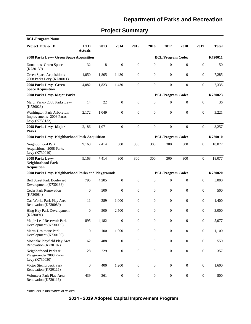# **Project Summary**

| <b>BCL/Program Name</b>                                                |                              |                          |                  |                  |                                                                                                                   |                          |                  |                  |              |
|------------------------------------------------------------------------|------------------------------|--------------------------|------------------|------------------|-------------------------------------------------------------------------------------------------------------------|--------------------------|------------------|------------------|--------------|
| Project Title & ID                                                     | <b>LTD</b><br><b>Actuals</b> | 2013                     | 2014             | 2015             | 2016                                                                                                              | 2017                     | 2018             | 2019             | <b>Total</b> |
| 2008 Parks Levy- Green Space Acquisition                               |                              |                          |                  |                  |                                                                                                                   | <b>BCL/Program Code:</b> |                  |                  | K720011      |
| Donations- Green Space<br>(K730139)                                    | 32                           | 18                       | $\boldsymbol{0}$ | $\boldsymbol{0}$ | $\boldsymbol{0}$                                                                                                  | $\mathbf{0}$             | $\boldsymbol{0}$ | $\boldsymbol{0}$ | 50           |
| Green Space Acquisitions-<br>2008 Parks Levy (K730011)                 | 4,050                        | 1,805                    | 1,430            | $\mathbf{0}$     | $\boldsymbol{0}$                                                                                                  | $\mathbf{0}$             | $\overline{0}$   | $\mathbf{0}$     | 7,285        |
| 2008 Parks Levy- Green<br><b>Space Acquisition</b>                     | 4,082                        | 1,823                    | 1,430            | $\boldsymbol{0}$ | $\boldsymbol{0}$                                                                                                  | $\mathbf{0}$             | $\overline{0}$   | $\mathbf{0}$     | 7,335        |
| 2008 Parks Levy- Major Parks                                           |                              |                          |                  |                  |                                                                                                                   | <b>BCL/Program Code:</b> |                  |                  | K720023      |
| Major Parks-2008 Parks Levy<br>(K730023)                               | 14                           | 22                       | $\boldsymbol{0}$ | $\mathbf{0}$     | $\overline{0}$                                                                                                    | $\mathbf{0}$             | $\overline{0}$   | $\boldsymbol{0}$ | 36           |
| Washington Park Arboretum<br>Improvements-2008 Parks<br>Levy (K730132) | 2,172                        | 1,049                    | $\boldsymbol{0}$ | $\theta$         | $\mathbf{0}$                                                                                                      | $\mathbf{0}$             | $\overline{0}$   | $\mathbf{0}$     | 3,221        |
| 2008 Parks Levy-Major<br><b>Parks</b>                                  | 2,186                        | 1,071                    | $\boldsymbol{0}$ | $\overline{0}$   | $\mathbf{0}$                                                                                                      | $\overline{0}$           | $\theta$         | $\boldsymbol{0}$ | 3,257        |
| 2008 Parks Levy- Neighborhood Park Acquisition                         |                              | <b>BCL/Program Code:</b> |                  |                  | K720010<br>$\mathbf{0}$<br>$\boldsymbol{0}$<br>$\mathbf{0}$<br>$\boldsymbol{0}$<br>$\mathbf{0}$<br>$\overline{0}$ |                          |                  |                  |              |
| Neighborhood Park<br>Acquisitions-2008 Parks<br>Levy (K730010)         | 9,163                        | 7,414                    | 300              | 300              | 300                                                                                                               | 300                      | 300              |                  | 18,077       |
| 2008 Parks Levy-<br><b>Neighborhood Park</b><br><b>Acquisition</b>     | 9,163                        | 7,414                    | 300              | 300              | 300                                                                                                               | 300                      | 300              |                  | 18,077       |
| 2008 Parks Levy- Neighborhood Parks and Playgrounds                    |                              |                          |                  |                  |                                                                                                                   | <b>BCL/Program Code:</b> |                  |                  | K720020      |
| <b>Bell Street Park Boulevard</b><br>Development (K730138)             | 795                          | 4,205                    | $\mathbf{0}$     | $\boldsymbol{0}$ | $\overline{0}$                                                                                                    | $\mathbf{0}$             | $\overline{0}$   |                  | 5,000        |
| <b>Cedar Park Renovation</b><br>(K730084)                              | $\boldsymbol{0}$             | 500                      | $\boldsymbol{0}$ | $\boldsymbol{0}$ | $\boldsymbol{0}$                                                                                                  | $\boldsymbol{0}$         | 0                |                  | 500          |
| Gas Works Park Play Area<br>Renovation (K730089)                       | 11                           | 389                      | 1,000            | $\boldsymbol{0}$ | $\mathbf{0}$                                                                                                      | $\mathbf{0}$             | $\boldsymbol{0}$ |                  | 1,400        |
| Hing Hay Park Development<br>(K730091)                                 | $\boldsymbol{0}$             | 500                      | 2,500            | $\theta$         | $\mathbf{0}$                                                                                                      | $\mathbf{0}$             | $\overline{0}$   |                  | 3,000        |
| Maple Leaf Reservoir Park<br>Development (K730099)                     | 895                          | 4,182                    | $\boldsymbol{0}$ | $\boldsymbol{0}$ | $\boldsymbol{0}$                                                                                                  | $\boldsymbol{0}$         | $\boldsymbol{0}$ | $\boldsymbol{0}$ | 5,077        |
| Marra-Desimone Park<br>Development (K730100)                           | $\boldsymbol{0}$             | 100                      | 1,000            | $\boldsymbol{0}$ | $\boldsymbol{0}$                                                                                                  | $\boldsymbol{0}$         | $\boldsymbol{0}$ | $\boldsymbol{0}$ | 1,100        |
| Montlake Playfield Play Area<br>Renovation (K730102)                   | 62                           | 488                      | $\boldsymbol{0}$ | $\boldsymbol{0}$ | $\boldsymbol{0}$                                                                                                  | $\boldsymbol{0}$         | $\boldsymbol{0}$ | $\boldsymbol{0}$ | 550          |
| Neighborhood Parks &<br>Playgrounds-2008 Parks<br>Levy (K730020)       | 128                          | 229                      | $\boldsymbol{0}$ | $\boldsymbol{0}$ | $\boldsymbol{0}$                                                                                                  | $\boldsymbol{0}$         | $\boldsymbol{0}$ | $\boldsymbol{0}$ | 357          |
| Victor Steinbrueck Park<br>Renovation (K730115)                        | $\boldsymbol{0}$             | 400                      | 1,200            | $\boldsymbol{0}$ | $\boldsymbol{0}$                                                                                                  | $\mathbf{0}$             | $\boldsymbol{0}$ | $\boldsymbol{0}$ | 1,600        |
| Volunteer Park Play Area<br>Renovation (K730116)                       | 439                          | 361                      | $\boldsymbol{0}$ | $\boldsymbol{0}$ | $\boldsymbol{0}$                                                                                                  | $\boldsymbol{0}$         | $\boldsymbol{0}$ | $\boldsymbol{0}$ | 800          |

\*Amounts in thousands of dollars

### **2014 - 2019 Adopted Capital Improvement Program**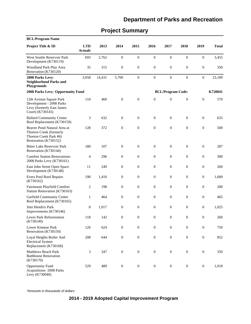# **Project Summary**

| <b>BCL/Program Name</b>                                                                                   |                              |        |                  |                  |                  |                          |                  |                  |              |
|-----------------------------------------------------------------------------------------------------------|------------------------------|--------|------------------|------------------|------------------|--------------------------|------------------|------------------|--------------|
| Project Title & ID                                                                                        | <b>LTD</b><br><b>Actuals</b> | 2013   | 2014             | 2015             | 2016             | 2017                     | 2018             | 2019             | <b>Total</b> |
| West Seattle Reservoir Park<br>Development (K730119)                                                      | 693                          | 2,762  | $\boldsymbol{0}$ | $\boldsymbol{0}$ | $\boldsymbol{0}$ | $\boldsymbol{0}$         | $\boldsymbol{0}$ | $\boldsymbol{0}$ | 3,455        |
| Woodland Park Play Area<br>Renovation (K730120)                                                           | 35                           | 315    | $\boldsymbol{0}$ | $\boldsymbol{0}$ | $\mathbf{0}$     | $\boldsymbol{0}$         | $\mathbf{0}$     | $\boldsymbol{0}$ | 350          |
| 2008 Parks Levy-<br><b>Neighborhood Parks and</b><br><b>Playgrounds</b>                                   | 3,058                        | 14,431 | 5,700            | $\overline{0}$   | $\boldsymbol{0}$ | $\mathbf{0}$             | $\boldsymbol{0}$ | $\boldsymbol{0}$ | 23,189       |
| <b>2008 Parks Levy- Opportunity Fund</b>                                                                  |                              |        |                  |                  |                  | <b>BCL/Program Code:</b> |                  |                  | K720041      |
| 12th Avenue Square Park<br>Development - 2008 Parks<br>Levy (formerly East James<br>Court) (K730145)      | 110                          | 460    | $\boldsymbol{0}$ | $\boldsymbol{0}$ | $\mathbf{0}$     | $\boldsymbol{0}$         | $\boldsymbol{0}$ | $\boldsymbol{0}$ | 570          |
| <b>Ballard Community Center</b><br>Roof Replacement (K730159)                                             | 3                            | 632    | $\boldsymbol{0}$ | $\boldsymbol{0}$ | $\mathbf{0}$     | $\boldsymbol{0}$         | $\mathbf{0}$     | $\boldsymbol{0}$ | 635          |
| Beaver Pond Natural Area at<br>Thorton Creek (formerly<br>Thorton Creek Park #6)<br>Restoration (K730152) | 128                          | 372    | $\boldsymbol{0}$ | $\overline{0}$   | $\theta$         | $\mathbf{0}$             | $\overline{0}$   | $\mathbf{0}$     | 500          |
| <b>Bitter Lake Reservoir Park</b><br>Renovation (K730144)                                                 | 180                          | 107    | $\boldsymbol{0}$ | $\boldsymbol{0}$ | $\mathbf{0}$     | $\boldsymbol{0}$         | $\boldsymbol{0}$ | $\boldsymbol{0}$ | 287          |
| <b>Comfort Station Renovations-</b><br>2008 Parks Levy (K730161)                                          | 4                            | 296    | $\boldsymbol{0}$ | $\boldsymbol{0}$ | $\boldsymbol{0}$ | $\boldsymbol{0}$         | $\mathbf{0}$     | $\boldsymbol{0}$ | 300          |
| East John Street Open Space<br>Development (K730148)                                                      | 11                           | 249    | $\boldsymbol{0}$ | $\boldsymbol{0}$ | $\mathbf{0}$     | $\boldsymbol{0}$         | $\mathbf{0}$     | $\boldsymbol{0}$ | 260          |
| Evers Pool Roof Repairs<br>(K730162)                                                                      | 190                          | 1,410  | $\boldsymbol{0}$ | $\boldsymbol{0}$ | $\mathbf{0}$     | $\boldsymbol{0}$         | $\overline{0}$   | $\boldsymbol{0}$ | 1,600        |
| Fairmount Playfield Comfort<br>Station Renovation (K730163)                                               | 2                            | 198    | $\boldsymbol{0}$ | $\boldsymbol{0}$ | $\boldsymbol{0}$ | $\boldsymbol{0}$         | $\boldsymbol{0}$ | $\boldsymbol{0}$ | 200          |
| Garfield Community Center<br>Roof Replacement (K730165)                                                   | 1                            | 464    | $\boldsymbol{0}$ | $\boldsymbol{0}$ | $\boldsymbol{0}$ | $\boldsymbol{0}$         | $\boldsymbol{0}$ | $\boldsymbol{0}$ | 465          |
| Jimi Hendrix Park<br>Improvements (K730146)                                                               | 8                            | 1,017  | $\boldsymbol{0}$ | $\boldsymbol{0}$ | $\mathbf{0}$     | $\boldsymbol{0}$         | $\boldsymbol{0}$ | $\boldsymbol{0}$ | 1,025        |
| Lewis Park Reforestation<br>(K730149)                                                                     | 118                          | 142    | $\boldsymbol{0}$ | $\boldsymbol{0}$ | $\mathbf{0}$     | $\boldsymbol{0}$         | $\overline{0}$   | $\boldsymbol{0}$ | 260          |
| Lower Kinnear Park<br>Renovation (K730150)                                                                | 126                          | 624    | $\boldsymbol{0}$ | $\mathbf{0}$     | $\theta$         | $\boldsymbol{0}$         | $\mathbf{0}$     | $\boldsymbol{0}$ | 750          |
| Loyal Heights Boiler And<br><b>Electrical System</b><br>Replacement (K730168)                             | 208                          | 644    | $\boldsymbol{0}$ | $\boldsymbol{0}$ | $\boldsymbol{0}$ | $\boldsymbol{0}$         | $\boldsymbol{0}$ | $\boldsymbol{0}$ | 852          |
| Matthews Beach Park<br><b>Bathhouse Renovation</b><br>(K730170)                                           | 3                            | 347    | $\boldsymbol{0}$ | $\boldsymbol{0}$ | $\boldsymbol{0}$ | $\boldsymbol{0}$         | $\boldsymbol{0}$ | $\boldsymbol{0}$ | 350          |
| <b>Opportunity Fund</b><br>Acquisitions-2008 Parks<br>Levy (K730040)                                      | 529                          | 489    | $\boldsymbol{0}$ | $\boldsymbol{0}$ | $\boldsymbol{0}$ | $\boldsymbol{0}$         | $\boldsymbol{0}$ | $\boldsymbol{0}$ | 1,018        |

\*Amounts in thousands of dollars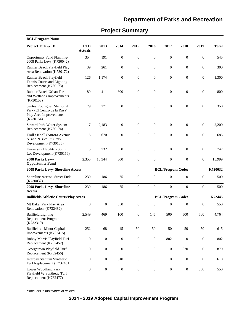| <b>BCL/Program Name</b>                                                                         |                              |                  |                  |                  |                  |                          |                  |                  |              |
|-------------------------------------------------------------------------------------------------|------------------------------|------------------|------------------|------------------|------------------|--------------------------|------------------|------------------|--------------|
| Project Title & ID                                                                              | <b>LTD</b><br><b>Actuals</b> | 2013             | 2014             | 2015             | 2016             | 2017                     | 2018             | 2019             | <b>Total</b> |
| <b>Opportunity Fund Planning-</b><br>2008 Parks Levy (K730042)                                  | 354                          | 191              | $\boldsymbol{0}$ | $\boldsymbol{0}$ | $\boldsymbol{0}$ | $\boldsymbol{0}$         | $\boldsymbol{0}$ | $\boldsymbol{0}$ | 545          |
| Rainier Beach Playfield Play<br>Area Renovation (K730172)                                       | 39                           | 261              | $\boldsymbol{0}$ | $\boldsymbol{0}$ | $\boldsymbol{0}$ | $\boldsymbol{0}$         | $\boldsymbol{0}$ | $\boldsymbol{0}$ | 300          |
| Rainier Beach Playfield<br>Tennis Courts and Lighting<br>Replacement (K730173)                  | 126                          | 1,174            | $\boldsymbol{0}$ | $\boldsymbol{0}$ | $\boldsymbol{0}$ | $\boldsymbol{0}$         | $\mathbf{0}$     | $\boldsymbol{0}$ | 1,300        |
| Rainier Beach Urban Farm<br>and Wetlands Improvements<br>(K730153)                              | 89                           | 411              | 300              | $\boldsymbol{0}$ | $\mathbf{0}$     | $\mathbf{0}$             | $\boldsymbol{0}$ | $\boldsymbol{0}$ | 800          |
| Santos Rodriguez Memorial<br>Park (El Centro de la Raza)<br>Play Area Improvements<br>(K730154) | 79                           | 271              | $\boldsymbol{0}$ | $\boldsymbol{0}$ | $\boldsymbol{0}$ | $\mathbf{0}$             | $\mathbf{0}$     | $\boldsymbol{0}$ | 350          |
| Seward Park Water System<br>Replacement (K730174)                                               | 17                           | 2,183            | $\boldsymbol{0}$ | $\boldsymbol{0}$ | $\mathbf{0}$     | $\mathbf{0}$             | $\boldsymbol{0}$ | $\boldsymbol{0}$ | 2,200        |
| Troll's Knoll (Aurora Avenue<br>N. and N 36th St.) Park<br>Development (K730155)                | 15                           | 670              | $\boldsymbol{0}$ | $\boldsymbol{0}$ | $\boldsymbol{0}$ | $\mathbf{0}$             | $\boldsymbol{0}$ | $\boldsymbol{0}$ | 685          |
| University Heights - South<br>Lot Development (K730156)                                         | 15                           | 732              | $\boldsymbol{0}$ | $\boldsymbol{0}$ | $\mathbf{0}$     | $\mathbf{0}$             | $\boldsymbol{0}$ | $\boldsymbol{0}$ | 747          |
| 2008 Parks Levy-<br><b>Opportunity Fund</b>                                                     | 2,355                        | 13,344           | 300              | $\boldsymbol{0}$ | $\boldsymbol{0}$ | $\boldsymbol{0}$         | $\mathbf{0}$     | $\boldsymbol{0}$ | 15,999       |
| 2008 Parks Levy- Shoreline Access                                                               |                              |                  |                  |                  |                  | <b>BCL/Program Code:</b> |                  |                  | K720032      |
| Shoreline Access- Street Ends<br>(K730032)                                                      | 239                          | 186              | 75               | $\mathbf{0}$     | $\boldsymbol{0}$ | $\boldsymbol{0}$         | $\mathbf{0}$     | $\boldsymbol{0}$ | 500          |
| 2008 Parks Levy- Shoreline<br><b>Access</b>                                                     | 239                          | 186              | 75               | $\boldsymbol{0}$ | $\boldsymbol{0}$ | $\boldsymbol{0}$         | $\boldsymbol{0}$ | $\boldsymbol{0}$ | 500          |
| <b>Ballfields/Athletic Courts/Play Areas</b>                                                    |                              |                  |                  |                  |                  | <b>BCL/Program Code:</b> |                  |                  | K72445       |
| Mt Baker Park Play Area<br>Renovation (K732482)                                                 | $\boldsymbol{0}$             | $\boldsymbol{0}$ | 550              | $\boldsymbol{0}$ | $\boldsymbol{0}$ | $\boldsymbol{0}$         | $\boldsymbol{0}$ | $\boldsymbol{0}$ | 550          |
| <b>Ballfield Lighting</b><br>Replacement Program<br>(K732310)                                   | 2,549                        | 469              | 100              | $\boldsymbol{0}$ | 146              | 500                      | 500              | 500              | 4,764        |
| Ballfields - Minor Capital<br>Improvements (K732415)                                            | 252                          | 68               | 45               | 50               | 50               | 50                       | 50               | $50\,$           | 615          |
| Bobby Morris Playfield Turf<br>Replacement (K732452)                                            | $\boldsymbol{0}$             | $\boldsymbol{0}$ | $\boldsymbol{0}$ | $\boldsymbol{0}$ | $\boldsymbol{0}$ | 802                      | $\boldsymbol{0}$ | $\boldsymbol{0}$ | 802          |
| Georgetown Playfield Turf<br>Replacement (K732456)                                              | $\boldsymbol{0}$             | $\boldsymbol{0}$ | $\boldsymbol{0}$ | $\boldsymbol{0}$ | $\boldsymbol{0}$ | $\boldsymbol{0}$         | 870              | $\boldsymbol{0}$ | 870          |
| Interbay Stadium Synthetic<br>Turf Replacement (K732451)                                        | $\boldsymbol{0}$             | $\boldsymbol{0}$ | 610              | $\boldsymbol{0}$ | $\boldsymbol{0}$ | $\boldsymbol{0}$         | $\boldsymbol{0}$ | $\boldsymbol{0}$ | 610          |
| Lower Woodland Park<br>Playfield #2 Synthetic Turf<br>Replacement (K732477)                     | $\boldsymbol{0}$             | $\boldsymbol{0}$ | $\boldsymbol{0}$ | $\boldsymbol{0}$ | $\boldsymbol{0}$ | $\boldsymbol{0}$         | $\boldsymbol{0}$ | 550              | 550          |

# **Project Summary**

\*Amounts in thousands of dollars

### **2014 - 2019 Adopted Capital Improvement Program**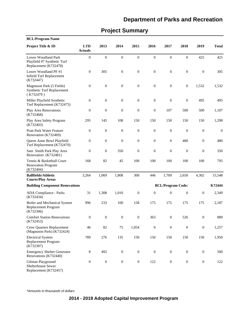| <b>BCL/Program Name</b>                                                            |                              |                  |                  |                  |                  |                          |                  |                  |                  |
|------------------------------------------------------------------------------------|------------------------------|------------------|------------------|------------------|------------------|--------------------------|------------------|------------------|------------------|
| Project Title & ID                                                                 | <b>LTD</b><br><b>Actuals</b> | 2013             | 2014             | 2015             | 2016             | 2017                     | 2018             | 2019             | <b>Total</b>     |
| <b>Lower Woodland Park</b><br>Playfield #7 Synthetic Turf<br>Replacement (K732478) | $\boldsymbol{0}$             | $\boldsymbol{0}$ | $\boldsymbol{0}$ | $\boldsymbol{0}$ | $\boldsymbol{0}$ | $\boldsymbol{0}$         | $\boldsymbol{0}$ | 425              | 425              |
| Lower Woodland PF #1<br><b>Infield Turf Replacement</b><br>(K732447)               | $\boldsymbol{0}$             | 305              | $\boldsymbol{0}$ | $\boldsymbol{0}$ | $\boldsymbol{0}$ | $\boldsymbol{0}$         | $\boldsymbol{0}$ | $\mathbf{0}$     | 305              |
| Magnuson Park (5 Fields)<br>Synthetic Turf Replacement<br>(K732479)                | 0                            | $\boldsymbol{0}$ | $\boldsymbol{0}$ | $\boldsymbol{0}$ | $\boldsymbol{0}$ | $\boldsymbol{0}$         | $\mathbf{0}$     | 1,532            | 1,532            |
| Miller Playfield Synthetic<br>Turf Replacement (K732475)                           | $\boldsymbol{0}$             | $\boldsymbol{0}$ | $\boldsymbol{0}$ | $\boldsymbol{0}$ | $\boldsymbol{0}$ | $\boldsymbol{0}$         | $\mathbf{0}$     | 495              | 495              |
| Play Area Renovations<br>(K732468)                                                 | 0                            | $\boldsymbol{0}$ | $\boldsymbol{0}$ | $\boldsymbol{0}$ | $\mathbf{0}$     | 107                      | 500              | 500              | 1,107            |
| Play Area Safety Program<br>(K732403)                                              | 295                          | 145              | 108              | 150              | 150              | 150                      | 150              | 150              | 1,298            |
| <b>Pratt Park Water Feature</b><br>Renovation (K732469)                            | $\boldsymbol{0}$             | $\boldsymbol{0}$ | $\boldsymbol{0}$ | $\boldsymbol{0}$ | $\boldsymbol{0}$ | $\boldsymbol{0}$         | $\boldsymbol{0}$ | $\boldsymbol{0}$ | $\boldsymbol{0}$ |
| Queen Anne Bowl Playfield<br>Turf Replacement (K732470)                            | $\boldsymbol{0}$             | $\boldsymbol{0}$ | $\boldsymbol{0}$ | $\boldsymbol{0}$ | $\boldsymbol{0}$ | $\boldsymbol{0}$         | 480              | $\boldsymbol{0}$ | 480              |
| Sam Smith Park Play Area<br>Renovation (K732481)                                   | $\mathbf{0}$                 | $\boldsymbol{0}$ | 350              | $\boldsymbol{0}$ | $\boldsymbol{0}$ | $\boldsymbol{0}$         | $\boldsymbol{0}$ | $\theta$         | 350              |
| Tennis & Basketball Court<br><b>Renovation Program</b><br>(K732404)                | 168                          | 82               | 45               | 100              | 100              | 100                      | 100              | 100              | 795              |
| <b>Ballfields/Athletic</b><br><b>Courts/Play Areas</b>                             | 3,264                        | 1,069            | 1,808            | 300              | 446              | 1,709                    | 2,650            | 4,302            | 15,548           |
| <b>Building Component Renovations</b>                                              |                              |                  |                  |                  |                  | <b>BCL/Program Code:</b> |                  |                  | K72444           |
| ADA Compliance - Parks<br>(K732434)                                                | 31                           | 1,308            | 1,010            | $\boldsymbol{0}$ | $\mathbf{0}$     | $\boldsymbol{0}$         | $\boldsymbol{0}$ | $\boldsymbol{0}$ | 2,349            |
| Boiler and Mechanical System<br>Replacement Program<br>(K732306)                   | 996                          | 233              | 100              | 158              | 175              | 175                      | 175              | 175              | 2,187            |
| <b>Comfort Station Renovations</b><br>(K732453)                                    | 0                            | $\boldsymbol{0}$ | $\boldsymbol{0}$ | $\boldsymbol{0}$ | 363              | $\boldsymbol{0}$         | 526              | $\boldsymbol{0}$ | 889              |
| <b>Crew Quarters Replacement</b><br>(Magnuson Park) (K732424)                      | 46                           | 82               | 75               | 1,054            | $\boldsymbol{0}$ | $\boldsymbol{0}$         | $\mathbf{0}$     | $\boldsymbol{0}$ | 1,257            |
| <b>Electrical System</b><br>Replacement Program<br>(K732307)                       | 789                          | 276              | 135              | 150              | 150              | 150                      | 150              | 150              | 1,950            |
| <b>Emergency Shelter Generator</b><br>Renovations (K732440)                        | 8                            | 492              | $\boldsymbol{0}$ | $\boldsymbol{0}$ | $\boldsymbol{0}$ | $\boldsymbol{0}$         | $\boldsymbol{0}$ | $\boldsymbol{0}$ | 500              |
| Gilman Playground<br>Shelterhouse Sewer<br>Replacement (K732457)                   | $\boldsymbol{0}$             | $\boldsymbol{0}$ | $\boldsymbol{0}$ | $\boldsymbol{0}$ | 122              | $\boldsymbol{0}$         | $\boldsymbol{0}$ | $\boldsymbol{0}$ | 122              |

# **Project Summary**

\*Amounts in thousands of dollars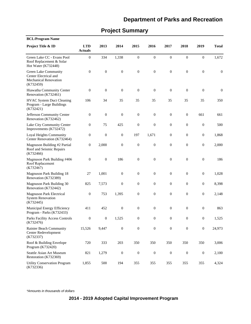# **Project Summary**

| <b>BCL/Program Name</b>                                                                    |                              |                  |                  |                  |                  |                  |                  |                  |                  |
|--------------------------------------------------------------------------------------------|------------------------------|------------------|------------------|------------------|------------------|------------------|------------------|------------------|------------------|
| Project Title & ID                                                                         | <b>LTD</b><br><b>Actuals</b> | 2013             | 2014             | 2015             | 2016             | 2017             | 2018             | 2019             | <b>Total</b>     |
| Green Lake CC - Evans Pool<br>Roof Replacement & Solar<br>Hot Water (K732448)              | $\boldsymbol{0}$             | 334              | 1,338            | $\boldsymbol{0}$ | $\boldsymbol{0}$ | $\boldsymbol{0}$ | $\boldsymbol{0}$ | $\boldsymbol{0}$ | 1,672            |
| Green Lake Community<br>Center Electrical and<br><b>Mechanical Renovation</b><br>(K732459) | $\boldsymbol{0}$             | $\boldsymbol{0}$ | $\boldsymbol{0}$ | $\boldsymbol{0}$ | $\boldsymbol{0}$ | $\boldsymbol{0}$ | $\boldsymbol{0}$ | $\boldsymbol{0}$ | $\boldsymbol{0}$ |
| Hiawatha Community Center<br>Renovation (K732461)                                          | $\boldsymbol{0}$             | $\boldsymbol{0}$ | $\boldsymbol{0}$ | $\boldsymbol{0}$ | $\boldsymbol{0}$ | $\boldsymbol{0}$ | $\boldsymbol{0}$ | $\boldsymbol{0}$ | $\boldsymbol{0}$ |
| <b>HVAC System Duct Cleaning</b><br>Program - Large Buildings<br>(K732421)                 | 106                          | 34               | 35               | 35               | 35               | 35               | 35               | 35               | 350              |
| Jefferson Community Center<br>Renovation (K732462)                                         | $\boldsymbol{0}$             | $\boldsymbol{0}$ | $\boldsymbol{0}$ | $\boldsymbol{0}$ | $\boldsymbol{0}$ | $\boldsymbol{0}$ | $\boldsymbol{0}$ | 661              | 661              |
| Lake City Community Center<br>Improvements (K732472)                                       | $\boldsymbol{0}$             | 75               | 425              | $\boldsymbol{0}$ | $\boldsymbol{0}$ | $\boldsymbol{0}$ | $\mathbf{0}$     | $\boldsymbol{0}$ | 500              |
| Loyal Heights Community<br>Center Renovation (K732464)                                     | $\boldsymbol{0}$             | $\boldsymbol{0}$ | $\boldsymbol{0}$ | 197              | 1,671            | 0                | $\mathbf{0}$     | $\boldsymbol{0}$ | 1,868            |
| Magnuson Building #2 Partial<br>Roof and Seismic Repairs<br>(K732466)                      | $\boldsymbol{0}$             | 2,000            | $\boldsymbol{0}$ | $\boldsymbol{0}$ | $\boldsymbol{0}$ | 0                | $\mathbf{0}$     | $\boldsymbol{0}$ | 2,000            |
| Magnuson Park Building #406<br>Roof Replacement<br>(K732467)                               | $\boldsymbol{0}$             | $\boldsymbol{0}$ | 186              | $\boldsymbol{0}$ | $\boldsymbol{0}$ | $\boldsymbol{0}$ | $\mathbf{0}$     | $\boldsymbol{0}$ | 186              |
| <b>Magnuson Park Building 18</b><br>Renovation (K732389)                                   | 27                           | 1,001            | $\boldsymbol{0}$ | $\boldsymbol{0}$ | $\boldsymbol{0}$ | $\boldsymbol{0}$ | $\mathbf{0}$     | $\boldsymbol{0}$ | 1,028            |
| Magnuson Park Building 30<br>Renovation (K732442)                                          | 825                          | 7,573            | $\boldsymbol{0}$ | $\boldsymbol{0}$ | $\boldsymbol{0}$ | 0                | $\mathbf{0}$     | $\boldsymbol{0}$ | 8,398            |
| <b>Magnuson Park Electrical</b><br><b>System Renovation</b><br>(K732445)                   | $\boldsymbol{0}$             | 753              | 1,395            | $\boldsymbol{0}$ | $\boldsymbol{0}$ | $\boldsymbol{0}$ | $\mathbf{0}$     | $\boldsymbol{0}$ | 2,148            |
| Municipal Energy Efficiency<br>Program - Parks (K732433)                                   | 411                          | 452              | $\boldsymbol{0}$ | $\boldsymbol{0}$ | $\mathbf{0}$     | $\boldsymbol{0}$ | $\mathbf{0}$     | $\boldsymbol{0}$ | 863              |
| Parks Facility Access Controls<br>(K732476)                                                | $\boldsymbol{0}$             | $\boldsymbol{0}$ | 1,525            | $\boldsymbol{0}$ | $\mathbf{0}$     | $\mathbf{0}$     | $\mathbf{0}$     | $\boldsymbol{0}$ | 1,525            |
| Rainier Beach Community<br>Center Redevelopment<br>(K732337)                               | 15,526                       | 9,447            | $\boldsymbol{0}$ | $\overline{0}$   | $\boldsymbol{0}$ | $\boldsymbol{0}$ | $\boldsymbol{0}$ | $\boldsymbol{0}$ | 24,973           |
| Roof & Building Envelope<br>Program (K732420)                                              | 720                          | 333              | 203              | 350              | 350              | 350              | 350              | 350              | 3,006            |
| Seattle Asian Art Museum<br>Restoration (K732369)                                          | 821                          | 1,279            | $\boldsymbol{0}$ | $\boldsymbol{0}$ | $\boldsymbol{0}$ | $\boldsymbol{0}$ | $\mathbf{0}$     | $\boldsymbol{0}$ | 2,100            |
| <b>Utility Conservation Program</b><br>(K732336)                                           | 1,855                        | 500              | 194              | 355              | 355              | 355              | 355              | 355              | 4,324            |

\*Amounts in thousands of dollars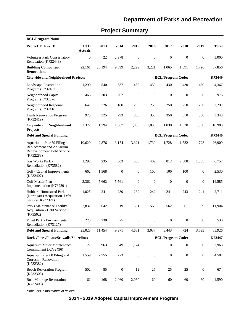# **Project Summary**

| <b>BCL/Program Name</b>                                                                          |                              |        |                  |                  |                  |                          |                  |                  |              |
|--------------------------------------------------------------------------------------------------|------------------------------|--------|------------------|------------------|------------------|--------------------------|------------------|------------------|--------------|
| Project Title & ID                                                                               | <b>LTD</b><br><b>Actuals</b> | 2013   | 2014             | 2015             | 2016             | 2017                     | 2018             | 2019             | <b>Total</b> |
| <b>Volunteer Park Conservatory</b><br>Renovation (K732443)                                       | 0                            | 22     | 2,978            | $\mathbf{0}$     | $\mathbf{0}$     | $\boldsymbol{0}$         | $\mathbf{0}$     | $\boldsymbol{0}$ | 3,000        |
| <b>Building Component</b><br><b>Renovations</b>                                                  | 22,161                       | 26,194 | 9,599            | 2,299            | 3,221            | 1,065                    | 1,591            | 1,726            | 67,856       |
| <b>Citywide and Neighborhood Projects</b>                                                        |                              |        |                  |                  |                  | <b>BCL/Program Code:</b> |                  |                  | K72449       |
| <b>Landscape Restoration</b><br>Program (K732402)                                                | 1,290                        | 540    | 387              | 430              | 430              | 430                      | 430              | 430              | 4,367        |
| Neighborhood Capital<br>Program (K732376)                                                        | 466                          | 303    | 207              | $\boldsymbol{0}$ | $\boldsymbol{0}$ | $\mathbf{0}$             | $\boldsymbol{0}$ | $\boldsymbol{0}$ | 976          |
| Neighborhood Response<br>Program (K732416)                                                       | 641                          | 226    | 180              | 250              | 250              | 250                      | 250              | 250              | 2,297        |
| <b>Trails Renovation Program</b><br>(K732419)                                                    | 975                          | 325    | 293              | 350              | 350              | 350                      | 350              | 350              | 3,343        |
| <b>Citywide and Neighborhood</b><br><b>Projects</b>                                              | 3,372                        | 1,394  | 1,067            | 1,030            | 1,030            | 1,030                    | 1,030            | 1,030            | 10,983       |
| <b>Debt and Special Funding</b>                                                                  |                              |        |                  |                  |                  | <b>BCL/Program Code:</b> |                  |                  | K72440       |
| Aquarium - Pier 59 Piling<br>Replacement and Aquarium<br>Redevelopment Debt Service<br>(K732283) | 10,620                       | 2,876  | 3,174            | 3,321            | 1,730            | 1,728                    | 1,732            | 1,728            | 26,909       |
| Gas Works Park -<br>Remediation (K73582)                                                         | 1,292                        | 235    | 303              | 560              | 402              | 812                      | 2,088            | 1,065            | 6,757        |
| Golf - Capital Improvements<br>(K732407)                                                         | 662                          | 1,568  | $\boldsymbol{0}$ | $\boldsymbol{0}$ | 100              | 100                      | 100              | $\boldsymbol{0}$ | 2,530        |
| Golf Master Plan<br>Implementation (K732391)                                                     | 3,362                        | 5,662  | 5,561            | $\boldsymbol{0}$ | $\boldsymbol{0}$ | $\boldsymbol{0}$         | $\mathbf{0}$     | $\boldsymbol{0}$ | 14,585       |
| Hubbard Homestead Park<br>(Northgate) Acquisition- Debt<br>Service (K732321)                     | 1,025                        | 241    | 239              | 239              | 242              | 241                      | 243              | 241              | 2,711        |
| Parks Maintenance Facility<br><b>Acquisition - Debt Service</b><br>(K73502)                      | 7,837                        | 642    | 619              | 561              | 563              | 562                      | 561              | 559              | 11,904       |
| Puget Park - Environmental<br>Remediation (K73127)                                               | 225                          | 230    | 75               | $\mathbf{0}$     | $\overline{0}$   | $\overline{0}$           | $\overline{0}$   | $\overline{0}$   | 530          |
| <b>Debt and Special Funding</b>                                                                  | 25,023                       | 11,454 | 9,971            | 4,681            | 3,037            | 3,443                    | 4,724            | 3,593            | 65,926       |
| Docks/Piers/Floats/Seawalls/Shorelines                                                           |                              |        |                  |                  |                  | <b>BCL/Program Code:</b> |                  |                  | K72447       |
| Aquarium Major Maintenance<br>Commitment (K732436)                                               | 27                           | 963    | 849              | 1,124            | $\boldsymbol{0}$ | $\boldsymbol{0}$         | $\mathbf{0}$     | $\boldsymbol{0}$ | 2,963        |
| Aquarium Pier 60 Piling and<br><b>Corrosion Renovation</b><br>(K732382)                          | 1,559                        | 2,755  | 273              | $\boldsymbol{0}$ | $\boldsymbol{0}$ | $\boldsymbol{0}$         | $\boldsymbol{0}$ | $\boldsymbol{0}$ | 4,587        |
| <b>Beach Restoration Program</b><br>(K732303)                                                    | 502                          | 85     | $\boldsymbol{0}$ | 12               | $25\,$           | 25                       | 25               | $\boldsymbol{0}$ | 674          |
| <b>Boat Moorage Restoration</b><br>(K732408)                                                     | 62                           | 168    | 2,060            | 2,060            | 60               | $60\,$                   | 60               | 60               | 4,590        |

\*Amounts in thousands of dollars

### **2014 - 2019 Adopted Capital Improvement Program**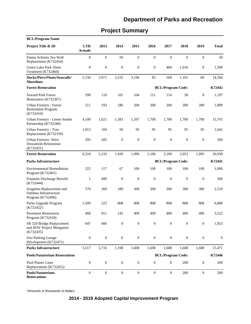#### Pool Plaster Liner Replacements (K732455) 0 0 0 0 0 0 200 0 200 **Pools/Natatorium Renovations** 0 0 0 0 0 0 200 0 200 **Pools/Natatorium Renovations BCL/Program Code: K72446** Irrigation Replacement and Outdoor Infrastructure Program (K732406) 570 260 180 300 300 300 300 300 2,510 Environmental Remediation Program (K732401) 322 117 67 100 100 100 100 100 1,006 Parks Upgrade Program (K732422) 1,509 523 808 808 808 808 808 808 6,880 Zoo Parking Garage Development (K732471) 0 0 0 0 0 0 0 0 0 SR 520 Bridge Replacement and HOV Project Mitigation (K732435) 647 406 0 0 0 0 0 0 1,053 Pavement Restoration Program (K732418) 468 911 143 400 400 400 400 400 3,522 Fountain Discharge Retrofit (K732444) 1 499 0 0 0 0 0 0 500 **Parks Infrastructure** 3,517 2,716 1,198 1,608 1,608 1,608 1,608 1,608 15,471 **Parks Infrastructure BCL/Program Code: K72441** Urban Forestry - Forest Restoration Program (K732410) 511 193 186 200 200 200 200 200 1,890 Seward Park Forest Restoration (K732367) 599 110 101 104 111 114 58 0 1,197 Urban Forestry- West Duwamish Restoration (K732431) 295 205 0 0 0 0 0 0 500 Urban Forestry - Tree Replacement (K732339) 1,013 104 50 95 95 95 95 95 1,642 Urban Forestry - Green Seattle Partnership (K732340) 4,100 1,621 1,583 1,597 1,700 1,700 1,700 1,700 15,701 **Forest Restoration** 6,518 2,233 1,920 1,996 2,106 2,109 2,053 1,995 20,930 **Forest Restoration BCL/Program Code: K72442** Emma Schmitz Sea Wall Replacement (K732454) 0 0 50 0 0 0 0 0 50 Green Lake Park Alum Treatment (K732460) 0 0 0 0 0 484 1,016 0 1,500 **Docks/Piers/Floats/Seawalls/ Shorelines** 2,150 3,971 3,232 3,196 85 569 1,101 60 14,364 **Project Title & ID LTD Actuals 2013 2014 2015 2016 2017 2018 2019 Total BCL/Program Name**

#### **Project Summary**

\*Amounts in thousands of dollars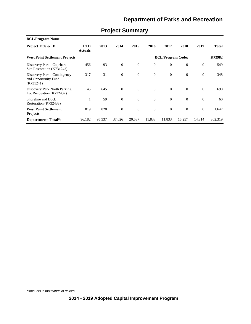| <b>BCL/Program Name</b>                                           |                              |        |              |                |              |                          |          |              |              |
|-------------------------------------------------------------------|------------------------------|--------|--------------|----------------|--------------|--------------------------|----------|--------------|--------------|
| <b>Project Title &amp; ID</b>                                     | <b>LTD</b><br><b>Actuals</b> | 2013   | 2014         | 2015           | 2016         | 2017                     | 2018     | 2019         | <b>Total</b> |
| <b>West Point Settlement Projects</b>                             |                              |        |              |                |              | <b>BCL/Program Code:</b> |          |              | K72982       |
| Discovery Park - Capehart<br>Site Restoration (K731242)           | 456                          | 93     | $\mathbf{0}$ | $\mathbf{0}$   | $\mathbf{0}$ | $\overline{0}$           | $\theta$ | $\mathbf{0}$ | 549          |
| Discovery Park - Contingency<br>and Opportunity Fund<br>(K731241) | 317                          | 31     | $\theta$     | $\theta$       | $\mathbf{0}$ | $\overline{0}$           | $\Omega$ | $\theta$     | 348          |
| Discovery Park North Parking<br>Lot Renovation (K732437)          | 45                           | 645    | $\theta$     | $\theta$       | $\Omega$     | $\Omega$                 | $\Omega$ | $\theta$     | 690          |
| Shoreline and Dock<br>Restoration (K732438)                       | 1                            | 59     | $\mathbf{0}$ | $\theta$       | $\mathbf{0}$ | $\overline{0}$           | $\Omega$ | $\mathbf{0}$ | 60           |
| <b>West Point Settlement</b><br><b>Projects</b>                   | 819                          | 828    | $\theta$     | $\overline{0}$ | $\mathbf{0}$ | $\Omega$                 | $\Omega$ | $\Omega$     | 1,647        |
| <b>Department Total*:</b>                                         | 96,182                       | 95,337 | 37,026       | 20,537         | 11,833       | 11,833                   | 15,257   | 14,314       | 302,319      |

# **Project Summary**

\*Amounts in thousands of dollars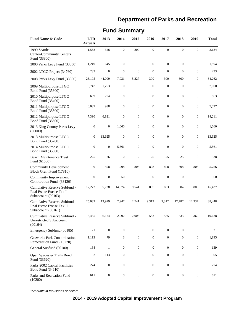#### Community Improvement Contribution Fund (33120) 0 0 50 0 0 0 0 0 50 Cumulative Reserve Subfund - Real Estate Excise Tax I Subaccount (00163) 12,272 5,738 14,674 9,541 805 803 804 800 45,437 Cumulative Reserve Subfund - Real Estate Excise Tax II Subaccount (00161) 25,032 13,979 2,947 2,741 9,313 9,312 12,787 12,337 88,448 2014 Multipurpose LTGO Bond Fund (35800) 0 0 5,561 0 0 0 0 0 5,561 Parks and Recreation Fund (10200) 611 0 0 0 0 0 0 0 611 Community Development Block Grant Fund (17810) 0 508 1,208 808 808 808 808 808 5,756 General Subfund (00100) 138 1 0 0 0 0 0 0 0 139 Open Spaces & Trails Bond Fund (33620) 192 113 0 0 0 0 0 0 305 Parks 2002 Capital Facilities Bond Fund (34610) 274 0 0 0 0 0 0 0 274 Cumulative Reserve Subfund - Unrestricted Subaccount (00164) 6,435 6,124 2,992 2,008 582 585 533 369 19,628 Emergency Subfund (00185) 21 0 0 0 0 0 0 0 21 Gasworks Park Contamination Remediation Fund (10220) 1,113 79 3 0 0 0 0 0 1,195 2013 Multipurpose LTGO Bond Fund (35700) 0 13,625 0 0 0 0 0 0 13,625 1999 Seattle Center/Community Centers Fund (33800) 1,588 346 0 200 0 0 0 0 2,134 2000 Parks Levy Fund (33850) 1,249 645 0 0 0 0 0 0 1,894 2002 LTGO Project (34760) 233 0 0 0 0 0 0 0 233 Beach Maintenance Trust Fund (61500) 225 26 0 12 25 25 25 0 338 2011 Multipurpose LTGO Bond Fund (35500) 6,039 988 0 0 0 0 0 0 7,027 2012 Multipurpose LTGO Bond Fund (35600) 7,390 6,821 0 0 0 0 0 0 14,211 2013 King County Parks Levy (36000) 0 0 1,660 0 0 0 0 0 1,660 2008 Parks Levy Fund (33860) 26,195 44,009 7,931 5,227 300 300 300 0 84,262 2009 Multipurpose LTGO Bond Fund (35300) 5,747 1,253 0 0 0 0 0 0 7,000 2010 Multipurpose LTGO Bond Fund (35400) 609 254 0 0 0 0 0 0 863 **Fund Name & Code LTD Actuals 2013 2014 2015 2016 2017 2018 2019 Total**

#### **Fund Summary**

\*Amounts in thousands of dollars

#### **2014 - 2019 Adopted Capital Improvement Program**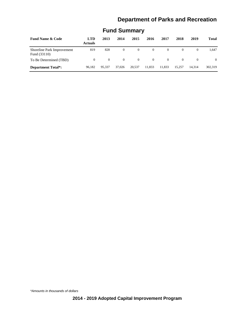| <b>Fund Name &amp; Code</b>                | <b>LTD</b><br><b>Actuals</b> | 2013     | 2014     | 2015           | 2016     | 2017     | 2018     | 2019     | <b>Total</b> |
|--------------------------------------------|------------------------------|----------|----------|----------------|----------|----------|----------|----------|--------------|
| Shoreline Park Improvement<br>Fund (33110) | 819                          | 828      | $\theta$ | $\overline{0}$ | $\theta$ | $\Omega$ | $\Omega$ |          | 1.647        |
| To Be Determined (TBD)                     | $\Omega$                     | $\Omega$ | $\Omega$ | $\Omega$       | $\Omega$ | $\Omega$ | $\Omega$ | $\Omega$ | $\Omega$     |
| <b>Department Total*:</b>                  | 96.182                       | 95.337   | 37,026   | 20.537         | 11,833   | 11,833   | 15.257   | 14.314   | 302,319      |

# **Fund Summary**

\*Amounts in thousands of dollars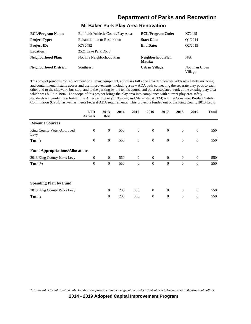# **Mt Baker Park Play Area Renovation**

| <b>BCL/Program Name:</b>      | Ballfields/Athletic Courts/Play Areas | <b>BCL/Program Code:</b>     | K72445                     |
|-------------------------------|---------------------------------------|------------------------------|----------------------------|
| <b>Project Type:</b>          | <b>Rehabilitation or Restoration</b>  | <b>Start Date:</b>           | O1/2014                    |
| <b>Project ID:</b>            | K732482                               | <b>End Date:</b>             | O <sub>2</sub> /2015       |
| <b>Location:</b>              | 2521 Lake Park DR S                   |                              |                            |
| Neighborhood Plan:            | Not in a Neighborhood Plan            | Neighborhood Plan<br>Matrix: | N/A                        |
| <b>Neighborhood District:</b> | Southeast                             | <b>Urban Village:</b>        | Not in an Urban<br>Village |

This project provides for replacement of all play equipment, addresses fall zone area deficiencies, adds new safety surfacing and containment, installs access and use improvements, including a new ADA path connecting the separate play pods to each other and to the sidewalk, bus stop, and to the parking by the tennis courts, and other associated work at the existing play area which was built in 1994. The scope of this project brings the play area into compliance with current play area safety standards and guideline efforts of the American Society of Testing and Materials (ASTM) and the Consumer Product Safety Commission (CPSC) as well as meets Federal ADA requirements. This project is funded out of the King County 2013 Levy.

|                                        | <b>LTD</b><br><b>Actuals</b> | 2013<br>Rev      | 2014 | 2015           | 2016             | 2017           | 2018           | 2019             | <b>Total</b> |
|----------------------------------------|------------------------------|------------------|------|----------------|------------------|----------------|----------------|------------------|--------------|
| <b>Revenue Sources</b>                 |                              |                  |      |                |                  |                |                |                  |              |
| King County Voter-Approved<br>Levy     | $\overline{0}$               | $\theta$         | 550  | $\mathbf{0}$   | $\mathbf{0}$     | $\overline{0}$ | $\mathbf{0}$   | $\mathbf{0}$     | 550          |
| <b>Total:</b>                          | $\boldsymbol{0}$             | $\mathbf{0}$     | 550  | $\mathbf{0}$   | $\mathbf{0}$     | $\mathbf{0}$   | $\mathbf{0}$   | $\boldsymbol{0}$ | 550          |
| <b>Fund Appropriations/Allocations</b> |                              |                  |      |                |                  |                |                |                  |              |
| 2013 King County Parks Levy            | $\overline{0}$               | $\theta$         | 550  | $\theta$       | $\theta$         | $\overline{0}$ | $\overline{0}$ | $\theta$         | 550          |
| Total*:                                | $\overline{0}$               | $\theta$         | 550  | $\overline{0}$ | $\theta$         | $\theta$       | $\Omega$       | $\overline{0}$   | 550          |
| <b>Spending Plan by Fund</b>           |                              |                  |      |                |                  |                |                |                  |              |
| 2013 King County Parks Levy            |                              | $\theta$         | 200  | 350            | $\boldsymbol{0}$ | $\overline{0}$ | $\mathbf{0}$   | $\boldsymbol{0}$ | 550          |
| <b>Total:</b>                          |                              | $\boldsymbol{0}$ | 200  | 350            | $\boldsymbol{0}$ | $\mathbf{0}$   | $\theta$       | $\boldsymbol{0}$ | 550          |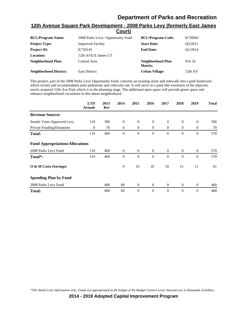|                               | <u>Court)</u>                     |                              |         |
|-------------------------------|-----------------------------------|------------------------------|---------|
| <b>BCL/Program Name:</b>      | 2008 Parks Levy- Opportunity Fund | <b>BCL/Program Code:</b>     | K720041 |
| <b>Project Type:</b>          | <b>Improved Facility</b>          | <b>Start Date:</b>           | O2/2011 |
| <b>Project ID:</b>            | K730145                           | <b>End Date:</b>             | O1/2014 |
| Location:                     | 12th AVE/E James CT               |                              |         |
| Neighborhood Plan:            | Central Area                      | Neighborhood Plan<br>Matrix: | NA-16   |
| <b>Neighborhood District:</b> | <b>East District</b>              | <b>Urban Village:</b>        | 12th AV |

# **12th Avenue Square Park Development - 2008 Parks Levy (formerly East James**

This project, part of the 2008 Parks Levy Opportunity Fund, converts an existing street and sidewalk into a park boulevard which invites and accommodates joint pedestrian and vehicular use. It will serve as a park-like extension of the adjacent, newly-acquired 12th Ave Park which is in the planning stage. The additional open space will provide green space and enhance neighborhood circulation in this dense neighborhood.

|                                        | <b>LTD</b><br><b>Actuals</b> | 2013<br>Rev | 2014           | 2015           | 2016           | 2017           | 2018         | 2019           | <b>Total</b> |
|----------------------------------------|------------------------------|-------------|----------------|----------------|----------------|----------------|--------------|----------------|--------------|
| <b>Revenue Sources</b>                 |                              |             |                |                |                |                |              |                |              |
| Seattle Voter-Approved Levy            | 110                          | 390         | $\theta$       | $\mathbf{0}$   | $\theta$       | $\overline{0}$ | $\theta$     | $\theta$       | 500          |
| Private Funding/Donations              | $\theta$                     | 70          | $\overline{0}$ | $\theta$       | $\overline{0}$ | $\overline{0}$ | $\mathbf{0}$ | $\overline{0}$ | 70           |
| <b>Total:</b>                          | 110                          | 460         | $\theta$       | $\overline{0}$ | $\theta$       | $\theta$       | $\mathbf{0}$ | $\overline{0}$ | 570          |
| <b>Fund Appropriations/Allocations</b> |                              |             |                |                |                |                |              |                |              |
| 2008 Parks Levy Fund                   | 110                          | 460         | $\theta$       | $\theta$       | $\theta$       | $\overline{0}$ | $\mathbf{0}$ | $\mathbf{0}$   | 570          |
| Total <sup>*</sup> :                   | 110                          | 460         | $\theta$       | $\overline{0}$ | $\theta$       | $\theta$       | $\theta$     | $\overline{0}$ | 570          |
| O & M Costs (Savings)                  |                              |             | 9              | 10             | 10             | 10             | 11           | 11             | 61           |
| <b>Spending Plan by Fund</b>           |                              |             |                |                |                |                |              |                |              |
| 2008 Parks Levy Fund                   |                              | 400         | 60             | $\mathbf{0}$   | $\mathbf{0}$   | $\overline{0}$ | $\mathbf{0}$ | $\mathbf{0}$   | 460          |
| <b>Total:</b>                          |                              | 400         | 60             | $\overline{0}$ | $\theta$       | $\theta$       | $\theta$     | $\overline{0}$ | 460          |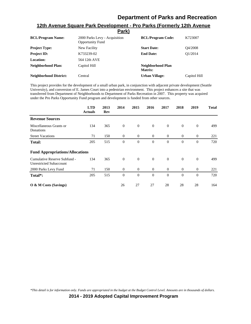|                               | <u>rark)</u>                                             |                              |              |
|-------------------------------|----------------------------------------------------------|------------------------------|--------------|
| <b>BCL/Program Name:</b>      | 2000 Parks Levy - Acquisition<br><b>Opportunity Fund</b> | <b>BCL/Program Code:</b>     | K723007      |
| <b>Project Type:</b>          | New Facility                                             | <b>Start Date:</b>           | O4/2008      |
| <b>Project ID:</b>            | K733239-02                                               | <b>End Date:</b>             | O1/2014      |
| Location:                     | 564 12th AVE                                             |                              |              |
| <b>Neighborhood Plan:</b>     | Capitol Hill                                             | Neighborhood Plan<br>Matrix: |              |
| <b>Neighborhood District:</b> | Central                                                  | <b>Urban Village:</b>        | Capitol Hill |

#### **12th Avenue Square Park Development - Pro Parks (Formerly 12th Avenue Park)**

This project provides for the development of a small urban park, in conjunction with adjacent private development (Seattle University), and conversion of E. James Court into a pedestrian environment. This project enhances a site that was transferred from Department of Neighborhoods to Department of Parks Recreation in 2007. This property was acquired under the Pro Parks Opportunity Fund program and development is funded from other sources.

|                                                                | <b>LTD</b><br><b>Actuals</b> | 2013<br>Rev | 2014         | 2015             | 2016           | 2017           | 2018         | 2019           | <b>Total</b> |
|----------------------------------------------------------------|------------------------------|-------------|--------------|------------------|----------------|----------------|--------------|----------------|--------------|
| <b>Revenue Sources</b>                                         |                              |             |              |                  |                |                |              |                |              |
| Miscellaneous Grants or<br>Donations                           | 134                          | 365         | $\mathbf{0}$ | $\overline{0}$   | $\overline{0}$ | $\overline{0}$ | $\theta$     | $\theta$       | 499          |
| <b>Street Vacations</b>                                        | 71                           | 150         | $\theta$     | $\theta$         | $\theta$       | $\overline{0}$ | $\theta$     | $\overline{0}$ | 221          |
| <b>Total:</b>                                                  | 205                          | 515         | $\mathbf{0}$ | $\boldsymbol{0}$ | $\theta$       | $\theta$       | $\mathbf{0}$ | $\overline{0}$ | 720          |
| <b>Fund Appropriations/Allocations</b>                         |                              |             |              |                  |                |                |              |                |              |
| Cumulative Reserve Subfund -<br><b>Unrestricted Subaccount</b> | 134                          | 365         | $\theta$     | $\mathbf{0}$     | $\mathbf{0}$   | $\theta$       | $\Omega$     | $\mathbf{0}$   | 499          |
| 2000 Parks Levy Fund                                           | 71                           | 150         | $\theta$     | $\overline{0}$   | $\theta$       | $\overline{0}$ | $\mathbf{0}$ | $\mathbf{0}$   | 221          |
| Total*:                                                        | 205                          | 515         | $\theta$     | $\overline{0}$   | $\theta$       | $\Omega$       | $\mathbf{0}$ | $\overline{0}$ | 720          |
| O & M Costs (Savings)                                          |                              |             | 26           | 27               | 27             | 28             | 28           | 28             | 164          |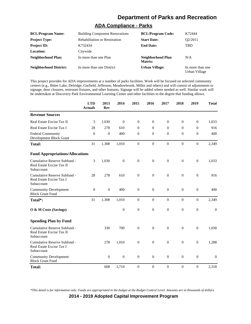# **ADA Compliance - Parks**

| <b>BCL/Program Name:</b>      | <b>Building Component Renovations</b> | <b>BCL/Program Code:</b>     | K72444                            |
|-------------------------------|---------------------------------------|------------------------------|-----------------------------------|
| <b>Project Type:</b>          | Rehabilitation or Restoration         | <b>Start Date:</b>           | O <sub>2</sub> /2011              |
| <b>Project ID:</b>            | K732434                               | <b>End Date:</b>             | TBD                               |
| <b>Location:</b>              | Citywide                              |                              |                                   |
| Neighborhood Plan:            | In more than one Plan                 | Neighborhood Plan<br>Matrix: | N/A                               |
| <b>Neighborhood District:</b> | In more than one District             | <b>Urban Village:</b>        | In more than one<br>Urban Village |

This project provides for ADA improvements at a number of parks facilities. Work will be focused on selected community centers (e.g., Bitter Lake, Delridge, Garfield, Jefferson, Meadowbrook, Miller and others) and will consist of adjustments to signage, door closures, restroom fixtures, and other features. Signage will be added where needed as well. Similar work will be undertaken at Discovery Park Environmental Learning Center and other facilities to the degree that funding allows.

|                                                                         | <b>LTD</b><br><b>Actuals</b> | 2013<br><b>Rev</b> | 2014             | 2015             | 2016             | 2017             | 2018             | 2019             | <b>Total</b> |
|-------------------------------------------------------------------------|------------------------------|--------------------|------------------|------------------|------------------|------------------|------------------|------------------|--------------|
| <b>Revenue Sources</b>                                                  |                              |                    |                  |                  |                  |                  |                  |                  |              |
| Real Estate Excise Tax II                                               | 3                            | 1,030              | $\overline{0}$   | $\Omega$         | $\theta$         | $\Omega$         | $\theta$         | $\mathbf{0}$     | 1,033        |
| Real Estate Excise Tax I                                                | 28                           | 278                | 610              | $\overline{0}$   | $\mathbf{0}$     | $\overline{0}$   | $\mathbf{0}$     | $\mathbf{0}$     | 916          |
| Federal Community<br>Development Block Grant                            | $\theta$                     | $\mathbf{0}$       | 400              | $\mathbf{0}$     | $\theta$         | $\overline{0}$   | $\mathbf{0}$     | $\boldsymbol{0}$ | 400          |
| <b>Total:</b>                                                           | 31                           | 1,308              | 1,010            | $\boldsymbol{0}$ | $\mathbf{0}$     | $\theta$         | $\Omega$         | $\mathbf{0}$     | 2,349        |
| <b>Fund Appropriations/Allocations</b>                                  |                              |                    |                  |                  |                  |                  |                  |                  |              |
| Cumulative Reserve Subfund -<br>Real Estate Excise Tax II<br>Subaccount | 3                            | 1,030              | $\boldsymbol{0}$ | $\mathbf{0}$     | $\theta$         | $\theta$         | $\mathbf{0}$     | $\mathbf{0}$     | 1,033        |
| Cumulative Reserve Subfund -<br>Real Estate Excise Tax I<br>Subaccount  | 28                           | 278                | 610              | $\boldsymbol{0}$ | $\boldsymbol{0}$ | $\overline{0}$   | $\boldsymbol{0}$ | $\mathbf{0}$     | 916          |
| <b>Community Development</b><br><b>Block Grant Fund</b>                 | $\mathbf{0}$                 | $\mathbf{0}$       | 400              | $\mathbf{0}$     | $\theta$         | $\overline{0}$   | $\mathbf{0}$     | $\overline{0}$   | 400          |
| Total*:                                                                 | 31                           | 1,308              | 1,010            | $\boldsymbol{0}$ | $\boldsymbol{0}$ | $\boldsymbol{0}$ | $\boldsymbol{0}$ | $\boldsymbol{0}$ | 2,349        |
| O & M Costs (Savings)                                                   |                              |                    | $\boldsymbol{0}$ | $\overline{0}$   | $\overline{0}$   | $\overline{0}$   | $\boldsymbol{0}$ | $\mathbf{0}$     | $\mathbf{0}$ |
| <b>Spending Plan by Fund</b>                                            |                              |                    |                  |                  |                  |                  |                  |                  |              |
| Cumulative Reserve Subfund -<br>Real Estate Excise Tax II<br>Subaccount |                              | 330                | 700              | $\overline{0}$   | $\overline{0}$   | $\overline{0}$   | $\mathbf{0}$     | $\boldsymbol{0}$ | 1,030        |
| Cumulative Reserve Subfund -<br>Real Estate Excise Tax I<br>Subaccount  |                              | 278                | 1,010            | $\theta$         | $\theta$         | $\boldsymbol{0}$ | $\boldsymbol{0}$ | $\mathbf{0}$     | 1,288        |
| <b>Community Development</b><br><b>Block Grant Fund</b>                 |                              | $\boldsymbol{0}$   | $\boldsymbol{0}$ | $\theta$         | $\theta$         | $\overline{0}$   | $\overline{0}$   | $\overline{0}$   | $\mathbf{0}$ |
| <b>Total:</b>                                                           |                              | 608                | 1,710            | $\mathbf{0}$     | $\overline{0}$   | $\overline{0}$   | $\overline{0}$   | $\overline{0}$   | 2,318        |

*\*This detail is for information only. Funds are appropriated in the budget at the Budget Control Level. Amounts are in thousands of dollars.*

**2014 - 2019 Adopted Capital Improvement Program**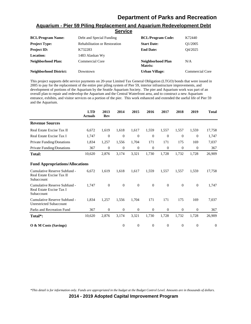|                               | OGI VIGG                             |                                     |                        |
|-------------------------------|--------------------------------------|-------------------------------------|------------------------|
| <b>BCL/Program Name:</b>      | Debt and Special Funding             | <b>BCL/Program Code:</b>            | K72440                 |
| <b>Project Type:</b>          | <b>Rehabilitation or Restoration</b> | <b>Start Date:</b>                  | O1/2005                |
| <b>Project ID:</b>            | K732283                              | <b>End Date:</b>                    | O4/2025                |
| <b>Location:</b>              | 1483 Alaskan Wy                      |                                     |                        |
| <b>Neighborhood Plan:</b>     | <b>Commercial Core</b>               | Neighborhood Plan<br><b>Matrix:</b> | N/A                    |
| <b>Neighborhood District:</b> | Downtown                             | <b>Urban Village:</b>               | <b>Commercial Core</b> |

#### **Aquarium - Pier 59 Piling Replacement and Aquarium Redevelopment Debt Service**

This project supports debt service payments on 20-year Limited Tax General Obligation (LTGO) bonds that were issued in 2005 to pay for the replacement of the entire pier piling system of Pier 59, interior infrastructure improvements, and development of portions of the Aquarium by the Seattle Aquarium Society. The pier and Aquarium work was part of an overall plan to repair and redevelop the Aquarium and the Central Waterfront area, and to construct a new Aquarium entrance, exhibits, and visitor services on a portion of the pier. This work enhanced and extended the useful life of Pier 59 and the Aquarium.

|                                                                         | <b>LTD</b><br><b>Actuals</b> | 2013<br>Rev      | 2014     | 2015             | 2016         | 2017           | 2018         | 2019           | <b>Total</b>   |
|-------------------------------------------------------------------------|------------------------------|------------------|----------|------------------|--------------|----------------|--------------|----------------|----------------|
| <b>Revenue Sources</b>                                                  |                              |                  |          |                  |              |                |              |                |                |
| Real Estate Excise Tax II                                               | 6,672                        | 1,619            | 1,618    | 1,617            | 1,559        | 1,557          | 1,557        | 1,559          | 17,758         |
| Real Estate Excise Tax I                                                | 1,747                        | $\theta$         | $\theta$ | $\mathbf{0}$     | $\theta$     | $\theta$       | $\mathbf{0}$ | $\overline{0}$ | 1,747          |
| Private Funding/Donations                                               | 1,834                        | 1,257            | 1,556    | 1,704            | 171          | 171            | 175          | 169            | 7,037          |
| Private Funding/Donations                                               | 367                          | $\boldsymbol{0}$ | $\theta$ | $\boldsymbol{0}$ | $\theta$     | $\overline{0}$ | $\mathbf{0}$ | $\overline{0}$ | 367            |
| <b>Total:</b>                                                           | 10,620                       | 2,876            | 3,174    | 3,321            | 1,730        | 1,728          | 1,732        | 1,728          | 26,909         |
| <b>Fund Appropriations/Allocations</b>                                  |                              |                  |          |                  |              |                |              |                |                |
| Cumulative Reserve Subfund -<br>Real Estate Excise Tax II<br>Subaccount | 6,672                        | 1,619            | 1,618    | 1,617            | 1,559        | 1,557          | 1,557        | 1,559          | 17,758         |
| Cumulative Reserve Subfund -<br>Real Estate Excise Tax I<br>Subaccount  | 1,747                        | $\theta$         | $\theta$ | $\theta$         | $\theta$     | $\overline{0}$ | $\mathbf{0}$ | $\theta$       | 1,747          |
| Cumulative Reserve Subfund -<br><b>Unrestricted Subaccount</b>          | 1,834                        | 1,257            | 1,556    | 1,704            | 171          | 171            | 175          | 169            | 7,037          |
| Parks and Recreation Fund                                               | 367                          | $\theta$         | $\theta$ | $\mathbf{0}$     | $\mathbf{0}$ | $\overline{0}$ | $\mathbf{0}$ | $\mathbf{0}$   | 367            |
| Total <sup>*</sup> :                                                    | 10,620                       | 2,876            | 3,174    | 3,321            | 1,730        | 1,728          | 1,732        | 1,728          | 26,909         |
| O & M Costs (Savings)                                                   |                              |                  | $\theta$ | $\overline{0}$   | $\theta$     | $\theta$       | $\mathbf{0}$ | $\overline{0}$ | $\overline{0}$ |

*\*This detail is for information only. Funds are appropriated in the budget at the Budget Control Level. Amounts are in thousands of dollars.*

**2014 - 2019 Adopted Capital Improvement Program**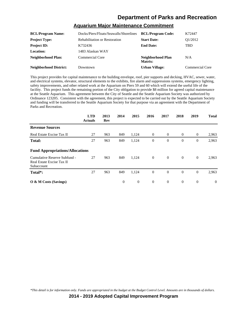#### **Aquarium Major Maintenance Commitment**

| <b>BCL/Program Name:</b>      | Docks/Piers/Floats/Seawalls/Shorelines | <b>BCL/Program Code:</b>     | K72447          |
|-------------------------------|----------------------------------------|------------------------------|-----------------|
| <b>Project Type:</b>          | Rehabilitation or Restoration          | <b>Start Date:</b>           | O1/2012         |
| <b>Project ID:</b>            | K732436                                | <b>End Date:</b>             | <b>TBD</b>      |
| <b>Location:</b>              | 1483 Alaskan WAY                       |                              |                 |
| Neighborhood Plan:            | <b>Commercial Core</b>                 | Neighborhood Plan<br>Matrix: | N/A             |
| <b>Neighborhood District:</b> | Downtown                               | <b>Urban Village:</b>        | Commercial Core |

This project provides for capital maintenance to the building envelope, roof, pier supports and decking, HVAC, sewer, water, and electrical systems, elevator, structural elements to the exhibits, fire alarm and suppressions systems, emergency lighting, safety improvements, and other related work at the Aquarium on Piers 59 and 60 which will extend the useful life of the facility. This project funds the remaining portion of the City obligation to provide \$8 million for agreed capital maintenance at the Seattle Aquarium. This agreement between the City of Seattle and the Seattle Aquarium Society was authorized by Ordinance 123205. Consistent with the agreement, this project is expected to be carried out by the Seattle Aquarium Society and funding will be transferred to the Seattle Aquarium Society for that purpose via an agreement with the Department of Parks and Recreation.

|                                                                         | <b>LTD</b><br><b>Actuals</b> | 2013<br>Rev | 2014     | 2015           | 2016           | 2017           | 2018           | 2019           | <b>Total</b> |
|-------------------------------------------------------------------------|------------------------------|-------------|----------|----------------|----------------|----------------|----------------|----------------|--------------|
| <b>Revenue Sources</b>                                                  |                              |             |          |                |                |                |                |                |              |
| Real Estate Excise Tax II                                               | 27                           | 963         | 849      | 1,124          | $\overline{0}$ | $\overline{0}$ | $\overline{0}$ | $\overline{0}$ | 2,963        |
| <b>Total:</b>                                                           | 27                           | 963         | 849      | 1,124          | $\theta$       | $\theta$       | $\theta$       | $\mathbf{0}$   | 2,963        |
| <b>Fund Appropriations/Allocations</b>                                  |                              |             |          |                |                |                |                |                |              |
| Cumulative Reserve Subfund -<br>Real Estate Excise Tax II<br>Subaccount | 27                           | 963         | 849      | 1,124          | $\overline{0}$ | $\overline{0}$ | $\overline{0}$ | $\overline{0}$ | 2,963        |
| Total*:                                                                 | 27                           | 963         | 849      | 1,124          | $\overline{0}$ | $\Omega$       | $\Omega$       | $\mathbf{0}$   | 2,963        |
| O & M Costs (Savings)                                                   |                              |             | $\theta$ | $\overline{0}$ | $\theta$       | $\theta$       | $\theta$       | $\theta$       | $\Omega$     |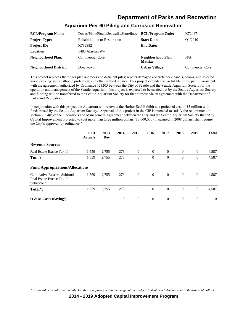| <b>BCL/Program Name:</b>      | Docks/Piers/Floats/Seawalls/Shorelines | <b>BCL/Program Code:</b>            | K72447                 |
|-------------------------------|----------------------------------------|-------------------------------------|------------------------|
| <b>Project Type:</b>          | <b>Rehabilitation or Restoration</b>   | <b>Start Date:</b>                  | O1/2010                |
| <b>Project ID:</b>            | K732382                                | <b>End Date:</b>                    |                        |
| <b>Location:</b>              | 1483 Alaskan Wy                        |                                     |                        |
| Neighborhood Plan:            | <b>Commercial Core</b>                 | Neighborhood Plan<br><b>Matrix:</b> | N/A                    |
| <b>Neighborhood District:</b> | Downtown                               | <b>Urban Village:</b>               | <b>Commercial Core</b> |

#### **Aquarium Pier 60 Piling and Corrosion Renovation**

This project replaces the finger pier X-braces and deficient piles; repairs damaged concrete deck panels, beams, and selected wood decking, adds cathodic protection; and other related repairs. This project extends the useful life of the pier. Consistent with the agreement authorized by Ordinance 123205 between the City of Seattle and the Seattle Aquarium Society for the operation and management of the Seattle Aquarium, this project is expected to be carried out by the Seattle Aquarium Society and funding will be transferred to the Seattle Aquarium Society for that purpose via an agreement with the Department of Parks and Recreation.

In conjunction with this project the Aquarium will renovate the Harbor Seal Exhibit at a projected cost of \$3 million with funds raised by the Seattle Aquarium Society. Approval of this project in the CIP is intended to satisfy the requirement in section 7.2.4(b)of the Operations and Management Agreement between the City and the Seattle Aquarium Society that "Any Capital Improvement projected to cost more than three million dollars (\$3,000,000), measured in 2008 dollars, shall require the City's approval, by ordinance."

|                                                                         | <b>LTD</b><br><b>Actuals</b> | 2013<br>Rev | 2014     | 2015           | 2016           | 2017           | 2018           | 2019           | <b>Total</b> |
|-------------------------------------------------------------------------|------------------------------|-------------|----------|----------------|----------------|----------------|----------------|----------------|--------------|
| <b>Revenue Sources</b>                                                  |                              |             |          |                |                |                |                |                |              |
| Real Estate Excise Tax II                                               | 1,559                        | 2,755       | 273      | $\overline{0}$ | $\theta$       | $\overline{0}$ | $\overline{0}$ | $\mathbf{0}$   | 4,587        |
| <b>Total:</b>                                                           | 1,559                        | 2,755       | 273      | $\mathbf{0}$   | $\theta$       | $\theta$       | $\mathbf{0}$   | $\overline{0}$ | 4,587        |
| <b>Fund Appropriations/Allocations</b>                                  |                              |             |          |                |                |                |                |                |              |
| Cumulative Reserve Subfund -<br>Real Estate Excise Tax II<br>Subaccount | 1,559                        | 2,755       | 273      | $\overline{0}$ | $\overline{0}$ | $\theta$       | $\overline{0}$ | $\theta$       | 4,587        |
| Total*:                                                                 | 1,559                        | 2,755       | 273      | $\overline{0}$ | $\theta$       | $\Omega$       | $\overline{0}$ | $\overline{0}$ | 4,587        |
| O & M Costs (Savings)                                                   |                              |             | $\theta$ | $\mathbf{0}$   | $\theta$       | $\theta$       | $\overline{0}$ | $\overline{0}$ | $\Omega$     |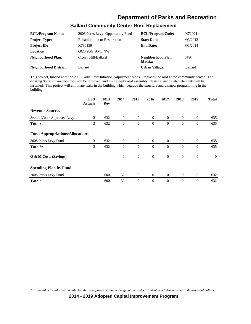| <b>BCL/Program Name:</b> | 2008 Parks Levy- Opportunity Fund    | <b>BCL/Program Code:</b>     | K720041        |
|--------------------------|--------------------------------------|------------------------------|----------------|
| <b>Project Type:</b>     | <b>Rehabilitation or Restoration</b> | <b>Start Date:</b>           | Q3/2012        |
| <b>Project ID:</b>       | K730159                              | <b>End Date:</b>             | O1/2014        |
| <b>Location:</b>         | 6020 28th AVE NW                     |                              |                |
| Neighborhood Plan:       | Crown Hill/Ballard                   | Neighborhood Plan<br>Matrix: | N/A            |
| Neighborhood District:   | <b>Ballard</b>                       | <b>Urban Village:</b>        | <b>Ballard</b> |

### **Ballard Community Center Roof Replacement**

This project, funded with the 2008 Parks Levy Inflation Adjustment funds, , replaces the roof at the community center. The existing 8,250 square foot roof will be removed, and a single-ply roof assembly, flashing, and related elements will be installed. This project will eliminate leaks in the building which degrade the structure and disrupts programming in the building.

|                                        | <b>LTD</b><br><b>Actuals</b> | 2013<br>Rev | 2014           | 2015             | 2016           | 2017           | 2018           | 2019             | <b>Total</b> |
|----------------------------------------|------------------------------|-------------|----------------|------------------|----------------|----------------|----------------|------------------|--------------|
| <b>Revenue Sources</b>                 |                              |             |                |                  |                |                |                |                  |              |
| Seattle Voter-Approved Levy            | 3                            | 632         | $\overline{0}$ | $\overline{0}$   | $\overline{0}$ | $\overline{0}$ | $\overline{0}$ | $\mathbf{0}$     | 635          |
| <b>Total:</b>                          | 3                            | 632         | $\theta$       | $\overline{0}$   | $\theta$       | $\theta$       | $\mathbf{0}$   | $\overline{0}$   | 635          |
| <b>Fund Appropriations/Allocations</b> |                              |             |                |                  |                |                |                |                  |              |
| 2008 Parks Levy Fund                   | 3                            | 632         | $\overline{0}$ | $\overline{0}$   | $\overline{0}$ | $\overline{0}$ | $\overline{0}$ | $\theta$         | 635          |
| Total*:                                | 3                            | 632         | $\theta$       | $\overline{0}$   | $\theta$       | $\Omega$       | $\mathbf{0}$   | $\theta$         | 635          |
| O & M Costs (Savings)                  |                              |             | $\theta$       | $\boldsymbol{0}$ | $\overline{0}$ | $\theta$       | $\mathbf{0}$   | $\mathbf{0}$     | $\theta$     |
| <b>Spending Plan by Fund</b>           |                              |             |                |                  |                |                |                |                  |              |
| 2008 Parks Levy Fund                   |                              | 600         | 32             | $\mathbf{0}$     | $\mathbf{0}$   | $\overline{0}$ | $\mathbf{0}$   | $\boldsymbol{0}$ | 632          |
| <b>Total:</b>                          |                              | 600         | 32             | $\mathbf{0}$     | $\Omega$       | $\Omega$       | $\mathbf{0}$   | $\overline{0}$   | 632          |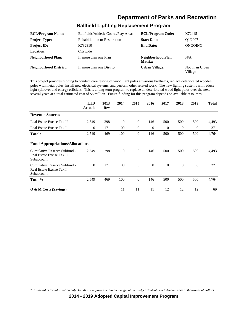# **Ballfield Lighting Replacement Program**

| <b>BCL/Program Name:</b>      | Ballfields/Athletic Courts/Play Areas | <b>BCL/Program Code:</b>     | K72445                     |
|-------------------------------|---------------------------------------|------------------------------|----------------------------|
| <b>Project Type:</b>          | <b>Rehabilitation or Restoration</b>  | <b>Start Date:</b>           | O1/2007                    |
| <b>Project ID:</b>            | K732310                               | <b>End Date:</b>             | ONGOING                    |
| <b>Location:</b>              | Citywide                              |                              |                            |
| Neighborhood Plan:            | In more than one Plan                 | Neighborhood Plan<br>Matrix: | N/A                        |
| <b>Neighborhood District:</b> | In more than one District             | <b>Urban Village:</b>        | Not in an Urban<br>Village |

This project provides funding to conduct core testing of wood light poles at various ballfields, replace deteriorated wooden poles with metal poles, install new electrical systems, and perform other related work. The new lighting systems will reduce light spillover and energy efficient. This is a long-term program to replace all deteriorated wood light poles over the next several years at a total estimated cost of \$6 million. Future funding for this program depends on available resources.

|                                                                         | <b>LTD</b><br><b>Actuals</b> | 2013<br>Rev | 2014     | 2015           | 2016           | 2017           | 2018         | 2019           | <b>Total</b> |
|-------------------------------------------------------------------------|------------------------------|-------------|----------|----------------|----------------|----------------|--------------|----------------|--------------|
| <b>Revenue Sources</b>                                                  |                              |             |          |                |                |                |              |                |              |
| Real Estate Excise Tax II                                               | 2,549                        | 298         | $\theta$ | $\overline{0}$ | 146            | 500            | 500          | 500            | 4,493        |
| Real Estate Excise Tax I                                                | $\theta$                     | 171         | 100      | $\overline{0}$ | $\overline{0}$ | $\theta$       | $\theta$     | $\overline{0}$ | 271          |
| <b>Total:</b>                                                           | 2,549                        | 469         | 100      | $\overline{0}$ | 146            | 500            | 500          | 500            | 4,764        |
| <b>Fund Appropriations/Allocations</b>                                  |                              |             |          |                |                |                |              |                |              |
| Cumulative Reserve Subfund -<br>Real Estate Excise Tax II<br>Subaccount | 2,549                        | 298         | $\theta$ | $\mathbf{0}$   | 146            | 500            | 500          | 500            | 4,493        |
| Cumulative Reserve Subfund -<br>Real Estate Excise Tax I<br>Subaccount  | $\theta$                     | 171         | 100      | $\mathbf{0}$   | $\mathbf{0}$   | $\overline{0}$ | $\mathbf{0}$ | $\mathbf{0}$   | 271          |
| Total*:                                                                 | 2,549                        | 469         | 100      | $\theta$       | 146            | 500            | 500          | 500            | 4,764        |
| $\overline{O}$ & M Costs (Savings)                                      |                              |             | 11       | 11             | 11             | 12             | 12           | 12             | 69           |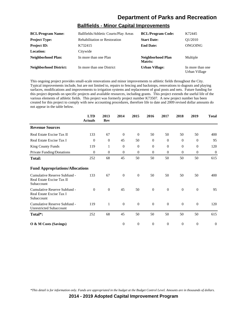### **Ballfields - Minor Capital Improvements**

| <b>BCL/Program Name:</b>      | Ballfields/Athletic Courts/Play Areas | <b>BCL/Program Code:</b>     | K72445                            |
|-------------------------------|---------------------------------------|------------------------------|-----------------------------------|
| <b>Project Type:</b>          | <b>Rehabilitation or Restoration</b>  | <b>Start Date:</b>           | O1/2010                           |
| <b>Project ID:</b>            | K732415                               | <b>End Date:</b>             | ONGOING                           |
| Location:                     | Citywide                              |                              |                                   |
| Neighborhood Plan:            | In more than one Plan                 | Neighborhood Plan<br>Matrix: | Multiple                          |
| <b>Neighborhood District:</b> | In more than one District             | <b>Urban Village:</b>        | In more than one<br>Urban Village |

This ongoing project provides small-scale renovations and minor improvements to athletic fields throughout the City. Typical improvements include, but are not limited to, repairs to fencing and backstops, renovations to dugouts and playing surfaces, modifications and improvements to irrigation systems and replacement of goal posts and nets. Future funding for this project depends on specific projects and available resources, including grants. This project extends the useful life of the various elements of athletic fields. This project was formerly project number K73507. A new project number has been created for this project to comply with new accounting procedures, therefore life to date and 2009 revised dollar amounts do not appear in the table below.

|                                                                         | <b>LTD</b><br><b>Actuals</b> | 2013<br>Rev  | 2014     | 2015             | 2016         | 2017             | 2018         | 2019           | <b>Total</b>   |
|-------------------------------------------------------------------------|------------------------------|--------------|----------|------------------|--------------|------------------|--------------|----------------|----------------|
| <b>Revenue Sources</b>                                                  |                              |              |          |                  |              |                  |              |                |                |
| Real Estate Excise Tax II                                               | 133                          | 67           | $\theta$ | $\overline{0}$   | 50           | 50               | 50           | 50             | 400            |
| Real Estate Excise Tax I                                                | $\Omega$                     | $\theta$     | 45       | 50               | $\mathbf{0}$ | $\Omega$         | $\Omega$     | $\overline{0}$ | 95             |
| King County Funds                                                       | 119                          | 1            | $\theta$ | $\boldsymbol{0}$ | $\mathbf{0}$ | $\Omega$         | $\mathbf{0}$ | $\mathbf{0}$   | 120            |
| Private Funding/Donations                                               | $\Omega$                     | $\theta$     | $\theta$ | $\overline{0}$   | $\mathbf{0}$ | $\Omega$         | $\mathbf{0}$ | $\mathbf{0}$   | $\overline{0}$ |
| <b>Total:</b>                                                           | 252                          | 68           | 45       | 50               | 50           | 50               | 50           | 50             | 615            |
| <b>Fund Appropriations/Allocations</b>                                  |                              |              |          |                  |              |                  |              |                |                |
| Cumulative Reserve Subfund -<br>Real Estate Excise Tax II<br>Subaccount | 133                          | 67           | $\theta$ | $\theta$         | 50           | 50               | 50           | 50             | 400            |
| Cumulative Reserve Subfund -<br>Real Estate Excise Tax I<br>Subaccount  | $\mathbf{0}$                 | $\mathbf{0}$ | 45       | 50               | $\mathbf{0}$ | $\boldsymbol{0}$ | $\mathbf{0}$ | $\mathbf{0}$   | 95             |
| Cumulative Reserve Subfund -<br><b>Unrestricted Subaccount</b>          | 119                          | 1            | $\theta$ | $\theta$         | $\theta$     | $\overline{0}$   | $\mathbf{0}$ | $\mathbf{0}$   | 120            |
| Total*:                                                                 | 252                          | 68           | 45       | 50               | 50           | 50               | 50           | 50             | 615            |
| O & M Costs (Savings)                                                   |                              |              | $\theta$ | $\theta$         | $\theta$     | $\overline{0}$   | $\mathbf{0}$ | $\theta$       | $\theta$       |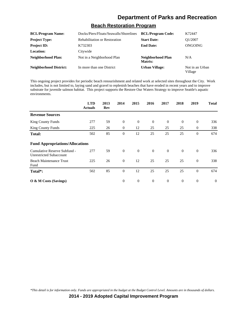# **Beach Restoration Program**

| <b>BCL/Program Name:</b>      | Docks/Piers/Floats/Seawalls/Shorelines | <b>BCL/Program Code:</b>     | K72447                     |
|-------------------------------|----------------------------------------|------------------------------|----------------------------|
| <b>Project Type:</b>          | <b>Rehabilitation or Restoration</b>   | <b>Start Date:</b>           | O1/2007                    |
| <b>Project ID:</b>            | K732303                                | <b>End Date:</b>             | ONGOING                    |
| <b>Location:</b>              | Citywide                               |                              |                            |
| Neighborhood Plan:            | Not in a Neighborhood Plan             | Neighborhood Plan<br>Matrix: | N/A                        |
| <b>Neighborhood District:</b> | In more than one District              | <b>Urban Village:</b>        | Not in an Urban<br>Village |

This ongoing project provides for periodic beach renourishment and related work at selected sites throughout the City. Work includes, but is not limited to, laying sand and gravel to replenish beaches that have eroded in recent years and to improve substrate for juvenile salmon habitat. This project supports the Restore Our Waters Strategy to improve Seattle's aquatic environments.

|                                                                | <b>LTD</b><br><b>Actuals</b> | 2013<br>Rev | 2014     | 2015           | 2016           | 2017           | 2018           | 2019           | <b>Total</b>   |
|----------------------------------------------------------------|------------------------------|-------------|----------|----------------|----------------|----------------|----------------|----------------|----------------|
| <b>Revenue Sources</b>                                         |                              |             |          |                |                |                |                |                |                |
| <b>King County Funds</b>                                       | 277                          | 59          | $\theta$ | $\overline{0}$ | $\theta$       | $\overline{0}$ | $\overline{0}$ | $\theta$       | 336            |
| <b>King County Funds</b>                                       | 225                          | 26          | $\theta$ | 12             | 25             | 25             | 25             | $\mathbf{0}$   | 338            |
| <b>Total:</b>                                                  | 502                          | 85          | $\theta$ | 12             | 25             | 25             | 25             | $\overline{0}$ | 674            |
| <b>Fund Appropriations/Allocations</b>                         |                              |             |          |                |                |                |                |                |                |
| Cumulative Reserve Subfund -<br><b>Unrestricted Subaccount</b> | 277                          | 59          | $\theta$ | $\overline{0}$ | $\overline{0}$ | $\overline{0}$ | $\overline{0}$ | $\theta$       | 336            |
| <b>Beach Maintenance Trust</b><br>Fund                         | 225                          | 26          | $\theta$ | 12             | 25             | 25             | 25             | $\theta$       | 338            |
| Total*:                                                        | 502                          | 85          | $\theta$ | 12             | 25             | 25             | 25             | $\theta$       | 674            |
| $\overline{O}$ & M Costs (Savings)                             |                              |             | $\theta$ | $\mathbf{0}$   | $\theta$       | $\overline{0}$ | $\mathbf{0}$   | $\overline{0}$ | $\overline{0}$ |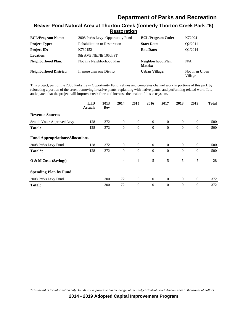#### **Beaver Pond Natural Area at Thorton Creek (formerly Thorton Creek Park #6) Restoration**

| <b>BCL/Program Name:</b>      | 2008 Parks Levy- Opportunity Fund    | <b>BCL/Program Code:</b>     | K720041                    |
|-------------------------------|--------------------------------------|------------------------------|----------------------------|
| <b>Project Type:</b>          | <b>Rehabilitation or Restoration</b> | <b>Start Date:</b>           | O2/2011                    |
| <b>Project ID:</b>            | K730152                              | <b>End Date:</b>             | O1/2014                    |
| <b>Location:</b>              | 9th AVE NE/NE 105th ST               |                              |                            |
| <b>Neighborhood Plan:</b>     | Not in a Neighborhood Plan           | Neighborhood Plan<br>Matrix: | N/A                        |
| <b>Neighborhood District:</b> | In more than one District            | <b>Urban Village:</b>        | Not in an Urban<br>Village |

This project, part of the 2008 Parks Levy Opportunity Fund, refines and completes channel work in portions of this park by relocating a portion of the creek, removing invasive plants, replanting with native plants, and performing related work. It is anticipated that the project will improve creek flow and increase the health of this ecosystem.

|                                        | <b>LTD</b><br><b>Actuals</b> | 2013<br>Rev | 2014           | 2015           | 2016           | 2017     | 2018           | 2019           | <b>Total</b> |
|----------------------------------------|------------------------------|-------------|----------------|----------------|----------------|----------|----------------|----------------|--------------|
| <b>Revenue Sources</b>                 |                              |             |                |                |                |          |                |                |              |
| Seattle Voter-Approved Levy            | 128                          | 372         | $\theta$       | $\overline{0}$ | $\theta$       | $\theta$ | $\overline{0}$ | $\theta$       | 500          |
| <b>Total:</b>                          | 128                          | 372         | $\theta$       | $\theta$       | $\overline{0}$ | $\theta$ | $\mathbf{0}$   | $\overline{0}$ | 500          |
| <b>Fund Appropriations/Allocations</b> |                              |             |                |                |                |          |                |                |              |
| 2008 Parks Levy Fund                   | 128                          | 372         | $\theta$       | $\overline{0}$ | $\overline{0}$ | $\Omega$ | $\overline{0}$ | $\theta$       | 500          |
| Total*:                                | 128                          | 372         | $\theta$       | $\theta$       | $\theta$       | $\Omega$ | $\mathbf{0}$   | $\overline{0}$ | 500          |
| O & M Costs (Savings)                  |                              |             | $\overline{4}$ | $\overline{4}$ | 5              | 5        | 5              | 5              | 28           |
| <b>Spending Plan by Fund</b>           |                              |             |                |                |                |          |                |                |              |
| 2008 Parks Levy Fund                   |                              | 300         | 72             | $\mathbf{0}$   | $\overline{0}$ | $\theta$ | $\mathbf{0}$   | $\theta$       | 372          |
| <b>Total:</b>                          |                              | 300         | 72             | $\theta$       | $\overline{0}$ | $\theta$ | $\mathbf{0}$   | $\overline{0}$ | 372          |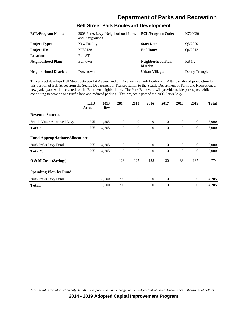| <b>BCL/Program Name:</b>      | 2008 Parks Levy- Neighborhood Parks<br>and Playgrounds | <b>BCL/Program Code:</b>     | K720020        |
|-------------------------------|--------------------------------------------------------|------------------------------|----------------|
| <b>Project Type:</b>          | New Facility                                           | <b>Start Date:</b>           | O3/2009        |
| <b>Project ID:</b>            | K730138                                                | <b>End Date:</b>             | O4/2013        |
| <b>Location:</b>              | <b>Bell ST</b>                                         |                              |                |
| <b>Neighborhood Plan:</b>     | Belltown                                               | Neighborhood Plan<br>Matrix: | KS 1.2         |
| <b>Neighborhood District:</b> | Downtown                                               | <b>Urban Village:</b>        | Denny Triangle |

#### **Bell Street Park Boulevard Development**

This project develops Bell Street between 1st Avenue and 5th Avenue as a Park Boulevard. After transfer of jurisdiction for this portion of Bell Street from the Seattle Department of Transportation to the Seattle Department of Parks and Recreation, a new park space will be created for the Belltown neighborhood. The Park Boulevard will provide usable park space while continuing to provide one traffic lane and reduced parking. This project is part of the 2008 Parks Levy.

|                                        | <b>LTD</b><br><b>Actuals</b> | 2013<br>Rev | 2014         | 2015           | 2016             | 2017           | 2018           | 2019             | <b>Total</b> |
|----------------------------------------|------------------------------|-------------|--------------|----------------|------------------|----------------|----------------|------------------|--------------|
| <b>Revenue Sources</b>                 |                              |             |              |                |                  |                |                |                  |              |
| Seattle Voter-Approved Levy            | 795                          | 4,205       | $\mathbf{0}$ | $\mathbf{0}$   | $\boldsymbol{0}$ | $\overline{0}$ | $\overline{0}$ | $\mathbf{0}$     | 5,000        |
| Total:                                 | 795                          | 4,205       | $\mathbf{0}$ | $\mathbf{0}$   | $\theta$         | $\theta$       | $\mathbf{0}$   | $\mathbf{0}$     | 5,000        |
| <b>Fund Appropriations/Allocations</b> |                              |             |              |                |                  |                |                |                  |              |
| 2008 Parks Levy Fund                   | 795                          | 4,205       | $\theta$     | $\overline{0}$ | $\overline{0}$   | $\overline{0}$ | $\theta$       | $\boldsymbol{0}$ | 5,000        |
| Total*:                                | 795                          | 4,205       | $\theta$     | $\mathbf{0}$   | $\theta$         | $\theta$       | $\mathbf{0}$   | $\mathbf{0}$     | 5,000        |
| O & M Costs (Savings)                  |                              |             | 123          | 125            | 128              | 130            | 133            | 135              | 774          |
| <b>Spending Plan by Fund</b>           |                              |             |              |                |                  |                |                |                  |              |
| 2008 Parks Levy Fund                   |                              | 3,500       | 705          | $\mathbf{0}$   | $\overline{0}$   | $\overline{0}$ | $\theta$       | $\mathbf{0}$     | 4,205        |
| <b>Total:</b>                          |                              | 3,500       | 705          | $\mathbf{0}$   | $\theta$         | $\theta$       | $\mathbf{0}$   | $\mathbf{0}$     | 4,205        |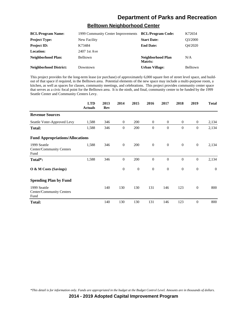### **Belltown Neighborhood Center**

| <b>BCL/Program Name:</b>      | 1999 Community Center Improvements | <b>BCL/Program Code:</b>     | K72654          |
|-------------------------------|------------------------------------|------------------------------|-----------------|
| <b>Project Type:</b>          | New Facility                       | <b>Start Date:</b>           | O3/2000         |
| <b>Project ID:</b>            | K73484                             | <b>End Date:</b>             | O4/2020         |
| <b>Location:</b>              | 2407 1st Ave                       |                              |                 |
| Neighborhood Plan:            | <b>Belltown</b>                    | Neighborhood Plan<br>Matrix: | N/A             |
| <b>Neighborhood District:</b> | Downtown                           | <b>Urban Village:</b>        | <b>Belltown</b> |

This project provides for the long-term lease (or purchase) of approximately 6,000 square feet of street level space, and buildout of that space if required, in the Belltown area. Potential elements of the new space may include a multi-purpose room, a kitchen, as well as spaces for classes, community meetings, and celebrations. This project provides community center space that serves as a civic focal point for the Belltown area. It is the ninth, and final, community center to be funded by the 1999 Seattle Center and Community Centers Levy.

|                                                  | <b>LTD</b><br><b>Actuals</b> | 2013<br><b>Rev</b> | 2014           | 2015           | 2016           | 2017           | 2018           | 2019             | <b>Total</b> |
|--------------------------------------------------|------------------------------|--------------------|----------------|----------------|----------------|----------------|----------------|------------------|--------------|
| <b>Revenue Sources</b>                           |                              |                    |                |                |                |                |                |                  |              |
| Seattle Voter-Approved Levy                      | 1,588                        | 346                | $\mathbf{0}$   | 200            | $\overline{0}$ | $\overline{0}$ | $\overline{0}$ | $\mathbf{0}$     | 2,134        |
| <b>Total:</b>                                    | 1,588                        | 346                | $\theta$       | 200            | $\mathbf{0}$   | $\theta$       | $\mathbf{0}$   | $\overline{0}$   | 2,134        |
| <b>Fund Appropriations/Allocations</b>           |                              |                    |                |                |                |                |                |                  |              |
| 1999 Seattle<br>Center/Community Centers<br>Fund | 1,588                        | 346                | $\mathbf{0}$   | 200            | $\mathbf{0}$   | $\mathbf{0}$   | $\mathbf{0}$   | $\mathbf{0}$     | 2,134        |
| Total*:                                          | 1,588                        | 346                | $\overline{0}$ | 200            | $\theta$       | $\theta$       | $\mathbf{0}$   | $\boldsymbol{0}$ | 2,134        |
| O & M Costs (Savings)                            |                              |                    | $\overline{0}$ | $\overline{0}$ | $\overline{0}$ | $\theta$       | $\overline{0}$ | $\overline{0}$   | $\theta$     |
| <b>Spending Plan by Fund</b>                     |                              |                    |                |                |                |                |                |                  |              |
| 1999 Seattle<br>Center/Community Centers<br>Fund |                              | 140                | 130            | 130            | 131            | 146            | 123            | $\boldsymbol{0}$ | 800          |
| Total:                                           |                              | 140                | 130            | 130            | 131            | 146            | 123            | $\theta$         | 800          |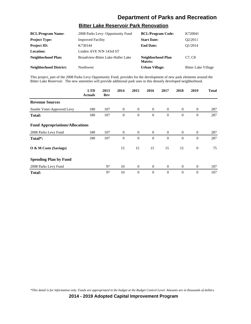# **Bitter Lake Reservoir Park Renovation**

| <b>BCL/Program Name:</b>      | 2008 Parks Levy- Opportunity Fund | <b>BCL/Program Code:</b>     | K720041                         |
|-------------------------------|-----------------------------------|------------------------------|---------------------------------|
| <b>Project Type:</b>          | <b>Improved Facility</b>          | <b>Start Date:</b>           | O2/2011                         |
| <b>Project ID:</b>            | K730144                           | <b>End Date:</b>             | O1/2014                         |
| <b>Location:</b>              | Linden AVE N/N 143rd ST           |                              |                                 |
| <b>Neighborhood Plan:</b>     | Broadview-Bitter Lake-Haller Lake | Neighborhood Plan<br>Matrix: | C <sub>7</sub> . C <sub>8</sub> |
| <b>Neighborhood District:</b> | Northwest                         | <b>Urban Village:</b>        | <b>Bitter Lake Village</b>      |

This project, part of the 2008 Parks Levy Opportunity Fund, provides for the development of new park elements around the Bitter Lake Reservoir. The new amenities will provide additional park uses in this densely developed neighborhood.

|                                        | <b>LTD</b><br><b>Actuals</b> | 2013<br>Rev | 2014             | 2015           | 2016             | 2017             | 2018             | 2019             | <b>Total</b> |
|----------------------------------------|------------------------------|-------------|------------------|----------------|------------------|------------------|------------------|------------------|--------------|
| <b>Revenue Sources</b>                 |                              |             |                  |                |                  |                  |                  |                  |              |
| Seattle Voter-Approved Levy            | 180                          | 107         | $\mathbf{0}$     | $\mathbf{0}$   | $\overline{0}$   | $\overline{0}$   | $\mathbf{0}$     | $\boldsymbol{0}$ | 287          |
| <b>Total:</b>                          | 180                          | 107         | $\boldsymbol{0}$ | $\mathbf{0}$   | $\mathbf{0}$     | $\mathbf{0}$     | $\mathbf{0}$     | $\boldsymbol{0}$ | 287          |
| <b>Fund Appropriations/Allocations</b> |                              |             |                  |                |                  |                  |                  |                  |              |
| 2008 Parks Levy Fund                   | 180                          | 107         | $\overline{0}$   | $\overline{0}$ | $\overline{0}$   | $\overline{0}$   | $\overline{0}$   | $\mathbf{0}$     | 287          |
| Total*:                                | 180                          | 107         | $\boldsymbol{0}$ | $\mathbf{0}$   | $\theta$         | $\theta$         | $\theta$         | $\boldsymbol{0}$ | 287          |
| O & M Costs (Savings)                  |                              |             | 15               | 15             | 15               | 15               | 15               | $\boldsymbol{0}$ | 75           |
| <b>Spending Plan by Fund</b>           |                              |             |                  |                |                  |                  |                  |                  |              |
| 2008 Parks Levy Fund                   |                              | 97          | 10               | $\mathbf{0}$   | $\boldsymbol{0}$ | $\boldsymbol{0}$ | $\boldsymbol{0}$ | $\boldsymbol{0}$ | 107          |
| <b>Total:</b>                          |                              | 97          | 10               | $\theta$       | $\theta$         | $\overline{0}$   | $\theta$         | $\overline{0}$   | 107          |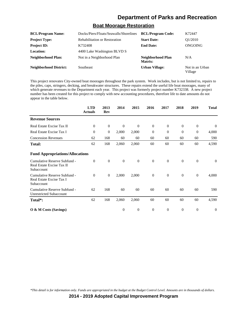### **Boat Moorage Restoration**

| <b>BCL/Program Name:</b>      | Docks/Piers/Floats/Seawalls/Shorelines | <b>BCL/Program Code:</b>     | K72447                     |
|-------------------------------|----------------------------------------|------------------------------|----------------------------|
| <b>Project Type:</b>          | <b>Rehabilitation or Restoration</b>   | <b>Start Date:</b>           | O1/2010                    |
| <b>Project ID:</b>            | K732408                                | <b>End Date:</b>             | ONGOING                    |
| <b>Location:</b>              | 4400 Lake Washington BLVD S            |                              |                            |
| Neighborhood Plan:            | Not in a Neighborhood Plan             | Neighborhood Plan<br>Matrix: | N/A                        |
| <b>Neighborhood District:</b> | <b>Southeast</b>                       | <b>Urban Village:</b>        | Not in an Urban<br>Village |

This project renovates City-owned boat moorages throughout the park system. Work includes, but is not limited to, repairs to the piles, caps, stringers, decking, and breakwater structures. These repairs extend the useful life boat moorages, many of which generate revenues to the Department each year. This project was formerly project number K732338. A new project number has been created for this project to comply with new accounting procedures, therefore life to date amounts do not appear in the table below.

|                                                                         | <b>LTD</b><br><b>Actuals</b> | 2013<br><b>Rev</b> | 2014           | 2015         | 2016           | 2017     | 2018           | 2019           | <b>Total</b> |
|-------------------------------------------------------------------------|------------------------------|--------------------|----------------|--------------|----------------|----------|----------------|----------------|--------------|
| <b>Revenue Sources</b>                                                  |                              |                    |                |              |                |          |                |                |              |
| Real Estate Excise Tax II                                               | $\theta$                     | $\overline{0}$     | $\theta$       | $\theta$     | $\theta$       | $\theta$ | $\mathbf{0}$   | $\theta$       | $\theta$     |
| Real Estate Excise Tax I                                                | $\Omega$                     | $\overline{0}$     | 2,000          | 2,000        | $\Omega$       | $\Omega$ | $\Omega$       | $\overline{0}$ | 4,000        |
| <b>Concession Revenues</b>                                              | 62                           | 168                | 60             | 60           | 60             | 60       | 60             | 60             | 590          |
| <b>Total:</b>                                                           | 62                           | 168                | 2,060          | 2,060        | 60             | 60       | 60             | 60             | 4,590        |
| <b>Fund Appropriations/Allocations</b>                                  |                              |                    |                |              |                |          |                |                |              |
| Cumulative Reserve Subfund -<br>Real Estate Excise Tax II<br>Subaccount | $\Omega$                     | $\overline{0}$     | $\theta$       | $\mathbf{0}$ | $\mathbf{0}$   | $\Omega$ | $\overline{0}$ | $\overline{0}$ | $\theta$     |
| Cumulative Reserve Subfund -<br>Real Estate Excise Tax I<br>Subaccount  | $\Omega$                     | $\theta$           | 2,000          | 2,000        | $\theta$       | $\theta$ | $\overline{0}$ | $\theta$       | 4,000        |
| Cumulative Reserve Subfund -<br><b>Unrestricted Subaccount</b>          | 62                           | 168                | 60             | 60           | 60             | 60       | 60             | 60             | 590          |
| Total*:                                                                 | 62                           | 168                | 2,060          | 2,060        | 60             | 60       | 60             | 60             | 4,590        |
| $\overline{O}$ & M Costs (Savings)                                      |                              |                    | $\overline{0}$ | $\mathbf{0}$ | $\overline{0}$ | $\theta$ | $\mathbf{0}$   | $\overline{0}$ | $\Omega$     |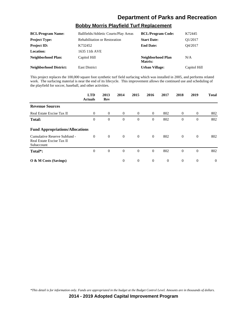# **Bobby Morris Playfield Turf Replacement**

| <b>BCL/Program Name:</b>      | Ballfields/Athletic Courts/Play Areas | <b>BCL/Program Code:</b>     | K72445       |
|-------------------------------|---------------------------------------|------------------------------|--------------|
| <b>Project Type:</b>          | <b>Rehabilitation or Restoration</b>  | <b>Start Date:</b>           | Q1/2017      |
| <b>Project ID:</b>            | K732452                               | <b>End Date:</b>             | O4/2017      |
| Location:                     | 1635 11th AVE                         |                              |              |
| Neighborhood Plan:            | Capitol Hill                          | Neighborhood Plan<br>Matrix: | N/A          |
| <b>Neighborhood District:</b> | <b>East District</b>                  | <b>Urban Village:</b>        | Capitol Hill |

This project replaces the 100,000 square foot synthetic turf field surfacing which was installed in 2005, and performs related work. The surfacing material is near the end of its lifecycle. This improvement allows the continued use and scheduling of the playfield for soccer, baseball, and other activities.

|                                                                         | <b>LTD</b><br><b>Actuals</b> | 2013<br>Rev      | 2014           | 2015             | 2016           | 2017           | 2018           | 2019             | <b>Total</b> |
|-------------------------------------------------------------------------|------------------------------|------------------|----------------|------------------|----------------|----------------|----------------|------------------|--------------|
| <b>Revenue Sources</b>                                                  |                              |                  |                |                  |                |                |                |                  |              |
| Real Estate Excise Tax II                                               | $\Omega$                     | $\theta$         | $\overline{0}$ | $\overline{0}$   | $\overline{0}$ | 802            | $\overline{0}$ | $\theta$         | 802          |
| <b>Total:</b>                                                           | $\boldsymbol{0}$             | $\boldsymbol{0}$ | $\mathbf{0}$   | $\boldsymbol{0}$ | $\overline{0}$ | 802            | $\mathbf{0}$   | $\boldsymbol{0}$ | 802          |
| <b>Fund Appropriations/Allocations</b>                                  |                              |                  |                |                  |                |                |                |                  |              |
| Cumulative Reserve Subfund -<br>Real Estate Excise Tax II<br>Subaccount | $\overline{0}$               | $\mathbf{0}$     | $\overline{0}$ | $\overline{0}$   | $\overline{0}$ | 802            | $\overline{0}$ | $\theta$         | 802          |
| Total*:                                                                 | $\Omega$                     | $\theta$         | $\theta$       | $\theta$         | $\Omega$       | 802            | $\mathbf{0}$   | $\overline{0}$   | 802          |
| $\overline{O}$ & M Costs (Savings)                                      |                              |                  | $\theta$       | $\mathbf{0}$     | $\overline{0}$ | $\overline{0}$ | $\overline{0}$ | $\overline{0}$   | $\Omega$     |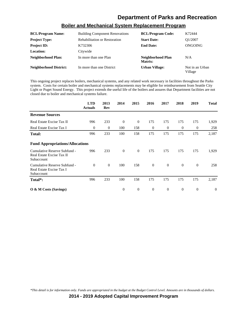| <b>BCL/Program Name:</b>      | <b>Building Component Renovations</b> | <b>BCL/Program Code:</b>     | K72444                     |
|-------------------------------|---------------------------------------|------------------------------|----------------------------|
| <b>Project Type:</b>          | <b>Rehabilitation or Restoration</b>  | <b>Start Date:</b>           | O1/2007                    |
| <b>Project ID:</b>            | K732306                               | <b>End Date:</b>             | ONGOING                    |
| Location:                     | Citywide                              |                              |                            |
| <b>Neighborhood Plan:</b>     | In more than one Plan                 | Neighborhood Plan<br>Matrix: | N/A                        |
| <b>Neighborhood District:</b> | In more than one District             | <b>Urban Village:</b>        | Not in an Urban<br>Village |

### **Boiler and Mechanical System Replacement Program**

This ongoing project replaces boilers, mechanical systems, and any related work necessary in facilities throughout the Parks system. Costs for certain boiler and mechanical systems replacements may be eligible for reimbursement from Seattle City Light or Puget Sound Energy. This project extends the useful life of the boilers and assures that Department facilities are not closed due to boiler and mechanical systems failure.

|                                                                         | <b>LTD</b><br><b>Actuals</b> | 2013<br>Rev | 2014     | 2015           | 2016     | 2017           | 2018         | 2019           | <b>Total</b>   |
|-------------------------------------------------------------------------|------------------------------|-------------|----------|----------------|----------|----------------|--------------|----------------|----------------|
| <b>Revenue Sources</b>                                                  |                              |             |          |                |          |                |              |                |                |
| Real Estate Excise Tax II                                               | 996                          | 233         | $\theta$ | $\mathbf{0}$   | 175      | 175            | 175          | 175            | 1,929          |
| Real Estate Excise Tax I                                                | $\theta$                     | $\theta$    | 100      | 158            | $\theta$ | $\overline{0}$ | $\mathbf{0}$ | $\mathbf{0}$   | 258            |
| Total:                                                                  | 996                          | 233         | 100      | 158            | 175      | 175            | 175          | 175            | 2,187          |
| <b>Fund Appropriations/Allocations</b>                                  |                              |             |          |                |          |                |              |                |                |
| Cumulative Reserve Subfund -<br>Real Estate Excise Tax II<br>Subaccount | 996                          | 233         | $\theta$ | $\overline{0}$ | 175      | 175            | 175          | 175            | 1,929          |
| Cumulative Reserve Subfund -<br>Real Estate Excise Tax I<br>Subaccount  | $\Omega$                     | $\theta$    | 100      | 158            | $\theta$ | $\overline{0}$ | $\mathbf{0}$ | $\overline{0}$ | 258            |
| Total*:                                                                 | 996                          | 233         | 100      | 158            | 175      | 175            | 175          | 175            | 2,187          |
| $\overline{O}$ & M Costs (Savings)                                      |                              |             | $\theta$ | $\overline{0}$ | $\theta$ | $\overline{0}$ | $\theta$     | $\theta$       | $\overline{0}$ |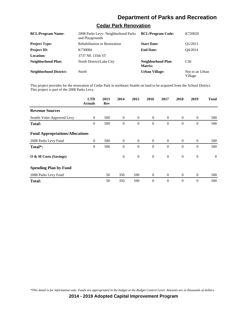# **Cedar Park Renovation**

| <b>BCL/Program Name:</b>      | 2008 Parks Levy- Neighborhood Parks<br>and Playgrounds | <b>BCL/Program Code:</b>     | K720020                    |
|-------------------------------|--------------------------------------------------------|------------------------------|----------------------------|
| <b>Project Type:</b>          | <b>Rehabilitation or Restoration</b>                   | <b>Start Date:</b>           | O <sub>1</sub> /2013       |
| <b>Project ID:</b>            | K730084                                                | <b>End Date:</b>             | O4/2014                    |
| <b>Location:</b>              | 3737 NE 135th ST                                       |                              |                            |
| Neighborhood Plan:            | North District/Lake City                               | Neighborhood Plan<br>Matrix: | C <sub>36</sub>            |
| <b>Neighborhood District:</b> | North                                                  | <b>Urban Village:</b>        | Not in an Urban<br>Village |

This project provides for the renovation of Cedar Park in northeast Seattle on land to be acquired from the School District. This project is part of the 2008 Parks Levy.

|                                        | <b>LTD</b><br><b>Actuals</b> | 2013<br>Rev | 2014           | 2015           | 2016           | 2017           | 2018           | 2019           | <b>Total</b>   |
|----------------------------------------|------------------------------|-------------|----------------|----------------|----------------|----------------|----------------|----------------|----------------|
| <b>Revenue Sources</b>                 |                              |             |                |                |                |                |                |                |                |
| Seattle Voter-Approved Levy            | $\theta$                     | 500         | $\overline{0}$ | $\overline{0}$ | $\theta$       | $\overline{0}$ | $\mathbf{0}$   | $\theta$       | 500            |
| <b>Total:</b>                          | $\boldsymbol{0}$             | 500         | $\theta$       | $\overline{0}$ | $\theta$       | $\theta$       | $\theta$       | $\overline{0}$ | 500            |
| <b>Fund Appropriations/Allocations</b> |                              |             |                |                |                |                |                |                |                |
| 2008 Parks Levy Fund                   | $\overline{0}$               | 500         | $\overline{0}$ | $\overline{0}$ | $\overline{0}$ | $\overline{0}$ | $\overline{0}$ | $\mathbf{0}$   | 500            |
| Total*:                                | $\mathbf{0}$                 | 500         | $\theta$       | $\overline{0}$ | $\theta$       | $\Omega$       | $\mathbf{0}$   | $\mathbf{0}$   | 500            |
| O & M Costs (Savings)                  |                              |             | $\theta$       | $\mathbf{0}$   | $\theta$       | $\overline{0}$ | $\mathbf{0}$   | $\mathbf{0}$   | $\overline{0}$ |
| <b>Spending Plan by Fund</b>           |                              |             |                |                |                |                |                |                |                |
| 2008 Parks Levy Fund                   |                              | 50          | 350            | 100            | $\overline{0}$ | $\overline{0}$ | $\overline{0}$ | $\mathbf{0}$   | 500            |
| <b>Total:</b>                          |                              | 50          | 350            | 100            | $\theta$       | $\theta$       | $\theta$       | $\theta$       | 500            |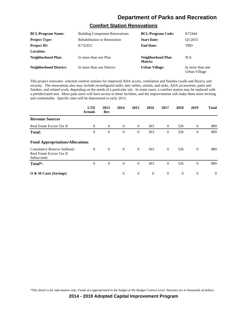## **Comfort Station Renovations**

| <b>BCL/Program Name:</b>      | <b>Building Component Renovations</b> | <b>BCL/Program Code:</b>     | K72444                            |
|-------------------------------|---------------------------------------|------------------------------|-----------------------------------|
| <b>Project Type:</b>          | <b>Rehabilitation or Restoration</b>  | <b>Start Date:</b>           | O1/2015                           |
| <b>Project ID:</b>            | K732453                               | <b>End Date:</b>             | <b>TBD</b>                        |
| Location:                     |                                       |                              |                                   |
| Neighborhood Plan:            | In more than one Plan                 | Neighborhood Plan<br>Matrix: | N/A                               |
| <b>Neighborhood District:</b> | In more than one District             | <b>Urban Village:</b>        | In more than one<br>Urban Village |

This project renovates selected comfort stations for improved ADA access, ventilation and finishes (walls and floors), and security. The renovations also may include reconfigured stalls, new toilets, urinals, and sinks, ADA accessories, paint and finishes, and related work, depending on the needs of a particular site. In some cases, a comfort station may be replaced with a prefabricated unit. More park users will have access to these facilities, and the improvements will make them more inviting and comfortable. Specific sites will be determined in early 2013.

|                                                                         | <b>LTD</b><br><b>Actuals</b> | 2013<br>Rev | 2014           | 2015           | 2016     | 2017           | 2018           | 2019           | <b>Total</b> |
|-------------------------------------------------------------------------|------------------------------|-------------|----------------|----------------|----------|----------------|----------------|----------------|--------------|
| <b>Revenue Sources</b>                                                  |                              |             |                |                |          |                |                |                |              |
| Real Estate Excise Tax II                                               | $\theta$                     | $\theta$    | $\overline{0}$ | $\overline{0}$ | 363      | $\overline{0}$ | 526            | $\theta$       | 889          |
| <b>Total:</b>                                                           | $\overline{0}$               | $\theta$    | $\theta$       | $\mathbf{0}$   | 363      | $\theta$       | 526            | $\overline{0}$ | 889          |
| <b>Fund Appropriations/Allocations</b>                                  |                              |             |                |                |          |                |                |                |              |
| Cumulative Reserve Subfund -<br>Real Estate Excise Tax II<br>Subaccount | $\Omega$                     | $\theta$    | $\theta$       | $\mathbf{0}$   | 363      | $\Omega$       | 526            | $\overline{0}$ | 889          |
| Total*:                                                                 | $\mathbf{0}$                 | $\theta$    | $\theta$       | $\theta$       | 363      | $\theta$       | 526            | $\overline{0}$ | 889          |
| $\overline{O}$ & M Costs (Savings)                                      |                              |             | $\theta$       | $\theta$       | $\theta$ | $\overline{0}$ | $\overline{0}$ | $\overline{0}$ | $\Omega$     |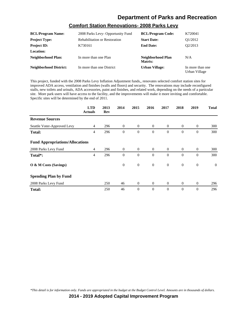## **Comfort Station Renovations- 2008 Parks Levy**

| <b>BCL/Program Name:</b>      | 2008 Parks Levy- Opportunity Fund    | <b>BCL/Program Code:</b>     | K720041                           |
|-------------------------------|--------------------------------------|------------------------------|-----------------------------------|
| <b>Project Type:</b>          | <b>Rehabilitation or Restoration</b> | <b>Start Date:</b>           | O1/2012                           |
| <b>Project ID:</b>            | K730161                              | <b>End Date:</b>             | O <sub>2</sub> /2013              |
| Location:                     |                                      |                              |                                   |
| Neighborhood Plan:            | In more than one Plan                | Neighborhood Plan<br>Matrix: | N/A                               |
| <b>Neighborhood District:</b> | In more than one District            | <b>Urban Village:</b>        | In more than one<br>Urban Village |

This project, funded with the 2008 Parks Levy Inflation Adjustment funds,, renovates selected comfort station sites for improved ADA access, ventilation and finishes (walls and floors) and security. The renovations may include reconfigured stalls, new toilets and urinals, ADA accessories, paint and finishes, and related work, depending on the needs of a particular site. More park users will have access to the facility, and the improvements will make it more inviting and comfortable. Specific sites will be determined by the end of 2011.

|                                        | <b>LTD</b><br><b>Actuals</b> | 2013<br>Rev | 2014         | 2015           | 2016           | 2017           | 2018           | 2019             | <b>Total</b> |
|----------------------------------------|------------------------------|-------------|--------------|----------------|----------------|----------------|----------------|------------------|--------------|
| <b>Revenue Sources</b>                 |                              |             |              |                |                |                |                |                  |              |
| Seattle Voter-Approved Levy            | $\overline{4}$               | 296         | $\theta$     | $\overline{0}$ | $\overline{0}$ | $\overline{0}$ | $\theta$       | $\theta$         | 300          |
| <b>Total:</b>                          | 4                            | 296         | $\mathbf{0}$ | $\mathbf{0}$   | $\theta$       | $\theta$       | $\theta$       | $\boldsymbol{0}$ | 300          |
| <b>Fund Appropriations/Allocations</b> |                              |             |              |                |                |                |                |                  |              |
| 2008 Parks Levy Fund                   | $\overline{4}$               | 296         | $\theta$     | $\overline{0}$ | $\overline{0}$ | $\overline{0}$ | $\overline{0}$ | $\overline{0}$   | 300          |
| Total*:                                | $\overline{4}$               | 296         | $\theta$     | $\mathbf{0}$   | $\theta$       | $\theta$       | $\theta$       | $\mathbf{0}$     | 300          |
| O & M Costs (Savings)                  |                              |             | $\mathbf{0}$ | $\mathbf{0}$   | $\mathbf{0}$   | $\mathbf{0}$   | $\mathbf{0}$   | $\mathbf{0}$     | $\mathbf{0}$ |
| <b>Spending Plan by Fund</b>           |                              |             |              |                |                |                |                |                  |              |
| 2008 Parks Levy Fund                   |                              | 250         | 46           | $\mathbf{0}$   | $\mathbf{0}$   | $\overline{0}$ | $\mathbf{0}$   | $\overline{0}$   | 296          |
| <b>Total:</b>                          |                              | 250         | 46           | $\theta$       | $\theta$       | $\theta$       | $\theta$       | $\mathbf{0}$     | 296          |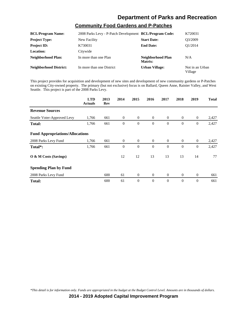#### **Community Food Gardens and P-Patches**

| <b>BCL/Program Name:</b>      | 2008 Parks Levy - P-Patch Development <b>BCL/Program Code:</b> |                              | K720031                    |
|-------------------------------|----------------------------------------------------------------|------------------------------|----------------------------|
| <b>Project Type:</b>          | New Facility                                                   | <b>Start Date:</b>           | O3/2009                    |
| <b>Project ID:</b>            | K730031                                                        | <b>End Date:</b>             | O1/2014                    |
| <b>Location:</b>              | Citywide                                                       |                              |                            |
| Neighborhood Plan:            | In more than one Plan                                          | Neighborhood Plan<br>Matrix: | N/A                        |
| <b>Neighborhood District:</b> | In more than one District                                      | <b>Urban Village:</b>        | Not in an Urban<br>Village |

This project provides for acquisition and development of new sites and development of new community gardens or P-Patches on existing City-owned property. The primary (but not exclusive) focus is on Ballard, Queen Anne, Rainier Valley, and West Seattle. This project is part of the 2008 Parks Levy.

|                                        | <b>LTD</b><br><b>Actuals</b> | 2013<br>Rev | 2014           | 2015             | 2016           | 2017           | 2018           | 2019             | <b>Total</b> |
|----------------------------------------|------------------------------|-------------|----------------|------------------|----------------|----------------|----------------|------------------|--------------|
| <b>Revenue Sources</b>                 |                              |             |                |                  |                |                |                |                  |              |
| Seattle Voter-Approved Levy            | 1,766                        | 661         | $\overline{0}$ | $\theta$         | $\overline{0}$ | $\overline{0}$ | $\overline{0}$ | $\theta$         | 2,427        |
| <b>Total:</b>                          | 1,766                        | 661         | $\theta$       | $\boldsymbol{0}$ | $\theta$       | $\theta$       | $\theta$       | $\boldsymbol{0}$ | 2,427        |
| <b>Fund Appropriations/Allocations</b> |                              |             |                |                  |                |                |                |                  |              |
| 2008 Parks Levy Fund                   | 1,766                        | 661         | $\overline{0}$ | $\theta$         | $\overline{0}$ | $\overline{0}$ | $\overline{0}$ | $\overline{0}$   | 2,427        |
| Total*:                                | 1,766                        | 661         | $\theta$       | $\overline{0}$   | $\theta$       | $\theta$       | $\Omega$       | $\mathbf{0}$     | 2,427        |
| O & M Costs (Savings)                  |                              |             | 12             | 12               | 13             | 13             | 13             | 14               | 77           |
| <b>Spending Plan by Fund</b>           |                              |             |                |                  |                |                |                |                  |              |
| 2008 Parks Levy Fund                   |                              | 600         | 61             | $\mathbf{0}$     | $\mathbf{0}$   | $\overline{0}$ | $\mathbf{0}$   | $\overline{0}$   | 661          |
| <b>Total:</b>                          |                              | 600         | 61             | $\overline{0}$   | $\theta$       | $\theta$       | $\mathbf{0}$   | $\overline{0}$   | 661          |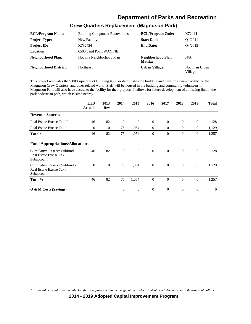## **Crew Quarters Replacement (Magnuson Park)**

| <b>BCL/Program Name:</b>      | <b>Building Component Renovations</b> | <b>BCL/Program Code:</b>     | K72444                     |
|-------------------------------|---------------------------------------|------------------------------|----------------------------|
| <b>Project Type:</b>          | New Facility                          | <b>Start Date:</b>           | O <sub>1</sub> /2011       |
| <b>Project ID:</b>            | K732424                               | <b>End Date:</b>             | O4/2015                    |
| Location:                     | 6500 Sand Point WAY NE                |                              |                            |
| Neighborhood Plan:            | Not in a Neighborhood Plan            | Neighborhood Plan<br>Matrix: | N/A                        |
| <b>Neighborhood District:</b> | Northeast                             | <b>Urban Village:</b>        | Not in an Urban<br>Village |

This project renovates the 9,000 square foot Building #308 or demolishes the building and develops a new facility for the Magnuson Crew Quarters, and other related work. Staff will be housed in the building and community volunteers in Magnuson Park will also have access to the facility for their projects. It allows for future development of a missing link in the park pedestrian path, which is sited nearby.

|                                                                         | <b>LTD</b><br><b>Actuals</b> | 2013<br>Rev | 2014           | 2015           | 2016           | 2017           | 2018           | 2019             | <b>Total</b>   |
|-------------------------------------------------------------------------|------------------------------|-------------|----------------|----------------|----------------|----------------|----------------|------------------|----------------|
| <b>Revenue Sources</b>                                                  |                              |             |                |                |                |                |                |                  |                |
| Real Estate Excise Tax II                                               | 46                           | 82          | $\theta$       | $\overline{0}$ | $\theta$       | $\overline{0}$ | $\mathbf{0}$   | $\mathbf{0}$     | 128            |
| Real Estate Excise Tax I                                                | $\mathbf{0}$                 | $\theta$    | 75             | 1,054          | $\overline{0}$ | $\overline{0}$ | $\overline{0}$ | $\mathbf{0}$     | 1,129          |
| <b>Total:</b>                                                           | 46                           | 82          | 75             | 1,054          | $\theta$       | $\Omega$       | $\theta$       | $\mathbf{0}$     | 1,257          |
| <b>Fund Appropriations/Allocations</b>                                  |                              |             |                |                |                |                |                |                  |                |
| Cumulative Reserve Subfund -<br>Real Estate Excise Tax II<br>Subaccount | 46                           | 82          | $\overline{0}$ | $\mathbf{0}$   | $\overline{0}$ | $\overline{0}$ | $\overline{0}$ | $\mathbf{0}$     | 128            |
| Cumulative Reserve Subfund -<br>Real Estate Excise Tax I<br>Subaccount  | $\mathbf{0}$                 | $\theta$    | 75             | 1,054          | $\overline{0}$ | $\overline{0}$ | $\mathbf{0}$   | $\mathbf{0}$     | 1,129          |
| Total*:                                                                 | 46                           | 82          | 75             | 1,054          | $\theta$       | $\theta$       | $\mathbf{0}$   | $\boldsymbol{0}$ | 1,257          |
| $\overline{O}$ & M Costs (Savings)                                      |                              |             | $\theta$       | $\overline{0}$ | $\theta$       | $\overline{0}$ | $\mathbf{0}$   | $\theta$         | $\overline{0}$ |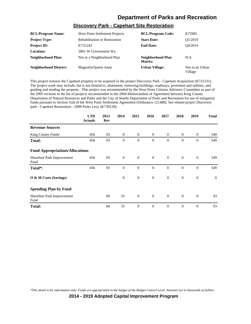### **Discovery Park - Capehart Site Restoration**

| <b>BCL/Program Name:</b>      | West Point Settlement Projects       | <b>BCL/Program Code:</b>     | K72982                     |
|-------------------------------|--------------------------------------|------------------------------|----------------------------|
| <b>Project Type:</b>          | <b>Rehabilitation or Restoration</b> | <b>Start Date:</b>           | O1/2010                    |
| <b>Project ID:</b>            | K731242                              | <b>End Date:</b>             | O4/2014                    |
| Location:                     | 3801 W Government Wy                 |                              |                            |
| Neighborhood Plan:            | Not in a Neighborhood Plan           | Neighborhood Plan<br>Matrix: | N/A                        |
| <b>Neighborhood District:</b> | Magnolia/Oueen Anne                  | <b>Urban Village:</b>        | Not in an Urban<br>Village |

This project restores the Capehart property to be acquired in the project Discovery Park - Capehart Acquisition (K731231). The project work may include, but is not limited to, abatement, removing buildings, roadways, pavement and utilities, and grading and seeding the property. This project was recommended by the West Point Citizens Advisory Committee as part of the 2005 revision to the list of projects recommended in the 2004 Memorandum of Agreement between King County Department of Natural Resources and Parks and the City of Seattle Department of Parks and Recreation for use of mitigation funds pursuant to Section 1(d) of the West Point Settlement Agreement (Ordinance 121488). See related project Discovery park - Capehart Restoration - 2008 Parks Levy (K730128).

|                                        | <b>LTD</b><br><b>Actuals</b> | 2013<br>Rev | 2014           | 2015           | 2016           | 2017           | 2018           | 2019           | <b>Total</b> |
|----------------------------------------|------------------------------|-------------|----------------|----------------|----------------|----------------|----------------|----------------|--------------|
| <b>Revenue Sources</b>                 |                              |             |                |                |                |                |                |                |              |
| King County Funds                      | 456                          | 93          | $\overline{0}$ | $\overline{0}$ | $\overline{0}$ | $\overline{0}$ | $\overline{0}$ | $\overline{0}$ | 549          |
| <b>Total:</b>                          | 456                          | 93          | $\theta$       | $\theta$       | $\theta$       | $\Omega$       | $\Omega$       | $\overline{0}$ | 549          |
| <b>Fund Appropriations/Allocations</b> |                              |             |                |                |                |                |                |                |              |
| Shoreline Park Improvement<br>Fund     | 456                          | 93          | $\overline{0}$ | $\mathbf{0}$   | $\mathbf{0}$   | $\overline{0}$ | $\mathbf{0}$   | $\mathbf{0}$   | 549          |
| Total*:                                | 456                          | 93          | $\theta$       | $\overline{0}$ | $\theta$       | $\theta$       | $\Omega$       | $\overline{0}$ | 549          |
| O & M Costs (Savings)                  |                              |             | $\mathbf{0}$   | $\mathbf{0}$   | $\mathbf{0}$   | $\mathbf{0}$   | $\mathbf{0}$   | $\mathbf{0}$   | $\mathbf{0}$ |
| <b>Spending Plan by Fund</b>           |                              |             |                |                |                |                |                |                |              |
| Shoreline Park Improvement<br>Fund     |                              | 60          | 33             | $\mathbf{0}$   | $\overline{0}$ | $\overline{0}$ | $\mathbf{0}$   | $\theta$       | 93           |
| <b>Total:</b>                          |                              | 60          | 33             | $\overline{0}$ | $\theta$       | $\theta$       | $\mathbf{0}$   | $\theta$       | 93           |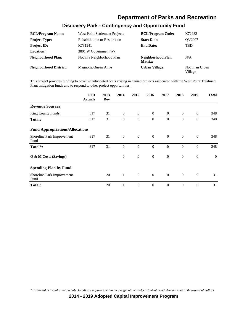| <b>BCL/Program Name:</b>      | West Point Settlement Projects       | <b>BCL/Program Code:</b>     | K72982                     |
|-------------------------------|--------------------------------------|------------------------------|----------------------------|
| <b>Project Type:</b>          | <b>Rehabilitation or Restoration</b> | <b>Start Date:</b>           | O3/2007                    |
| <b>Project ID:</b>            | K731241                              | <b>End Date:</b>             | TBD.                       |
| <b>Location:</b>              | 3801 W Government Wy                 |                              |                            |
| Neighborhood Plan:            | Not in a Neighborhood Plan           | Neighborhood Plan<br>Matrix: | N/A                        |
| <b>Neighborhood District:</b> | Magnolia/Oueen Anne                  | <b>Urban Village:</b>        | Not in an Urban<br>Village |

#### **Discovery Park - Contingency and Opportunity Fund**

This project provides funding to cover unanticipated costs arising in named projects associated with the West Point Treatment Plant mitigation funds and to respond to other project opportunities.

|                                        | <b>LTD</b><br><b>Actuals</b> | 2013<br>Rev | 2014           | 2015           | 2016           | 2017           | 2018           | 2019         | <b>Total</b> |
|----------------------------------------|------------------------------|-------------|----------------|----------------|----------------|----------------|----------------|--------------|--------------|
| <b>Revenue Sources</b>                 |                              |             |                |                |                |                |                |              |              |
| <b>King County Funds</b>               | 317                          | 31          | $\theta$       | $\overline{0}$ | $\overline{0}$ | $\overline{0}$ | $\overline{0}$ | $\mathbf{0}$ | 348          |
| <b>Total:</b>                          | 317                          | 31          | $\theta$       | $\mathbf{0}$   | $\mathbf{0}$   | $\theta$       | $\mathbf{0}$   | $\mathbf{0}$ | 348          |
| <b>Fund Appropriations/Allocations</b> |                              |             |                |                |                |                |                |              |              |
| Shoreline Park Improvement<br>Fund     | 317                          | 31          | $\overline{0}$ | $\overline{0}$ | $\overline{0}$ | $\theta$       | $\theta$       | $\mathbf{0}$ | 348          |
| Total*:                                | 317                          | 31          | $\overline{0}$ | $\mathbf{0}$   | $\theta$       | $\theta$       | $\mathbf{0}$   | $\mathbf{0}$ | 348          |
| O & M Costs (Savings)                  |                              |             | $\mathbf{0}$   | $\mathbf{0}$   | $\mathbf{0}$   | $\mathbf{0}$   | $\mathbf{0}$   | $\mathbf{0}$ | $\mathbf{0}$ |
| <b>Spending Plan by Fund</b>           |                              |             |                |                |                |                |                |              |              |
| Shoreline Park Improvement<br>Fund     |                              | 20          | 11             | $\overline{0}$ | $\overline{0}$ | $\overline{0}$ | $\mathbf{0}$   | $\mathbf{0}$ | 31           |
| <b>Total:</b>                          |                              | 20          | 11             | $\mathbf{0}$   | $\theta$       | $\theta$       | $\mathbf{0}$   | $\mathbf{0}$ | 31           |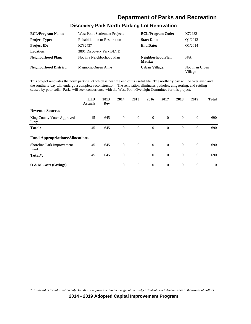## **Discovery Park North Parking Lot Renovation**

| <b>BCL/Program Name:</b>      | West Point Settlement Projects       | <b>BCL/Program Code:</b>     | K72982                     |
|-------------------------------|--------------------------------------|------------------------------|----------------------------|
| <b>Project Type:</b>          | <b>Rehabilitation or Restoration</b> | <b>Start Date:</b>           | O1/2012                    |
| <b>Project ID:</b>            | K732437                              | <b>End Date:</b>             | O1/2014                    |
| <b>Location:</b>              | 3801 Discovery Park BLVD             |                              |                            |
| Neighborhood Plan:            | Not in a Neighborhood Plan           | Neighborhood Plan<br>Matrix: | N/A                        |
| <b>Neighborhood District:</b> | Magnolia/Oueen Anne                  | <b>Urban Village:</b>        | Not in an Urban<br>Village |

This project renovates the north parking lot which is near the end of its useful life. The northerly bay will be overlayed and the southerly bay will undergo a complete reconstruction. The renovation eliminates potholes, alligatoring, and settling caused by poor soils. Parks will seek concurrence with the West Point Oversight Committee for this project.

|                                        | <b>LTD</b><br><b>Actuals</b> | 2013<br>Rev | 2014     | 2015           | 2016           | 2017           | 2018           | 2019           | <b>Total</b>   |
|----------------------------------------|------------------------------|-------------|----------|----------------|----------------|----------------|----------------|----------------|----------------|
| <b>Revenue Sources</b>                 |                              |             |          |                |                |                |                |                |                |
| King County Voter-Approved<br>Levy     | 45                           | 645         | $\theta$ | $\overline{0}$ | $\overline{0}$ | $\overline{0}$ | $\overline{0}$ | $\overline{0}$ | 690            |
| <b>Total:</b>                          | 45                           | 645         | $\theta$ | $\mathbf{0}$   | $\theta$       | $\theta$       | $\overline{0}$ | $\mathbf{0}$   | 690            |
| <b>Fund Appropriations/Allocations</b> |                              |             |          |                |                |                |                |                |                |
| Shoreline Park Improvement<br>Fund     | 45                           | 645         | $\theta$ | $\overline{0}$ | $\overline{0}$ | $\overline{0}$ | $\overline{0}$ | $\mathbf{0}$   | 690            |
| Total*:                                | 45                           | 645         | $\theta$ | $\overline{0}$ | $\overline{0}$ | $\overline{0}$ | $\mathbf{0}$   | $\mathbf{0}$   | 690            |
| O & M Costs (Savings)                  |                              |             | $\theta$ | $\overline{0}$ | $\overline{0}$ | $\overline{0}$ | $\mathbf{0}$   | $\mathbf{0}$   | $\overline{0}$ |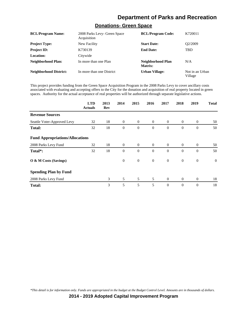#### **Donations- Green Space**

| <b>BCL/Program Name:</b>      | 2008 Parks Levy- Green Space<br>Acquisition | <b>BCL/Program Code:</b>     | K720011                    |
|-------------------------------|---------------------------------------------|------------------------------|----------------------------|
| <b>Project Type:</b>          | New Facility                                | <b>Start Date:</b>           | O <sub>2</sub> /2009       |
| <b>Project ID:</b>            | K730139                                     | <b>End Date:</b>             | <b>TBD</b>                 |
| Location:                     | Citywide                                    |                              |                            |
| <b>Neighborhood Plan:</b>     | In more than one Plan                       | Neighborhood Plan<br>Matrix: | N/A                        |
| <b>Neighborhood District:</b> | In more than one District                   | Urban Village:               | Not in an Urban<br>Village |

This project provides funding from the Green Space Acquisition Program in the 2008 Parks Levy to cover ancillary costs associated with evaluating and accepting offers to the City for the donation and acquisition of real property located in green spaces. Authority for the actual acceptance of real properties will be authorized through separate legislative actions.

|                                        | <b>LTD</b><br><b>Actuals</b> | 2013<br>Rev | 2014           | 2015           | 2016           | 2017           | 2018           | 2019             | <b>Total</b> |
|----------------------------------------|------------------------------|-------------|----------------|----------------|----------------|----------------|----------------|------------------|--------------|
| <b>Revenue Sources</b>                 |                              |             |                |                |                |                |                |                  |              |
| Seattle Voter-Approved Levy            | 32                           | 18          | $\overline{0}$ | $\overline{0}$ | $\overline{0}$ | $\overline{0}$ | $\overline{0}$ | $\theta$         | 50           |
| <b>Total:</b>                          | 32                           | 18          | $\mathbf{0}$   | $\overline{0}$ | $\theta$       | $\Omega$       | $\mathbf{0}$   | $\overline{0}$   | 50           |
| <b>Fund Appropriations/Allocations</b> |                              |             |                |                |                |                |                |                  |              |
| 2008 Parks Levy Fund                   | 32                           | 18          | $\overline{0}$ | $\overline{0}$ | $\overline{0}$ | $\overline{0}$ | $\overline{0}$ | $\overline{0}$   | 50           |
| Total <sup>*</sup> :                   | 32                           | 18          | $\mathbf{0}$   | $\overline{0}$ | $\Omega$       | $\Omega$       | $\mathbf{0}$   | $\theta$         | 50           |
| O & M Costs (Savings)                  |                              |             | $\mathbf{0}$   | $\mathbf{0}$   | $\mathbf{0}$   | $\overline{0}$ | $\mathbf{0}$   | $\boldsymbol{0}$ | $\mathbf{0}$ |
| <b>Spending Plan by Fund</b>           |                              |             |                |                |                |                |                |                  |              |
| 2008 Parks Levy Fund                   |                              | 3           | 5              | 5              | 5              | $\theta$       | $\overline{0}$ | $\overline{0}$   | 18           |
| <b>Total:</b>                          |                              | 3           | 5              | 5              | 5              | $\theta$       | $\mathbf{0}$   | $\overline{0}$   | 18           |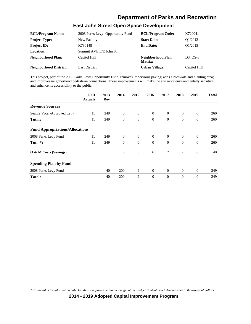#### **East John Street Open Space Development**

| <b>BCL/Program Name:</b>      | 2008 Parks Levy- Opportunity Fund | <b>BCL/Program Code:</b>     | K720041                            |
|-------------------------------|-----------------------------------|------------------------------|------------------------------------|
| <b>Project Type:</b>          | New Facility                      | <b>Start Date:</b>           | O1/2012                            |
| <b>Project ID:</b>            | K730148                           | <b>End Date:</b>             | O1/2015                            |
| Location:                     | Summit AVE E/E John ST            |                              |                                    |
| Neighborhood Plan:            | Capitol Hill                      | Neighborhood Plan<br>Matrix: | D <sub>3</sub> . O <sub>S</sub> -6 |
| <b>Neighborhood District:</b> | <b>East District</b>              | <b>Urban Village:</b>        | Capitol Hill                       |

This project, part of the 2008 Parks Levy Opportunity Fund, removes impervious paving; adds a bioswale and planting area; and improves neighborhood pedestrian connections. These improvements will make the site more environmentally sensitive and enhance its accessibility to the public.

|                                        | <b>LTD</b><br><b>Actuals</b> | 2013<br>Rev | 2014           | 2015           | 2016           | 2017           | 2018           | 2019         | <b>Total</b> |
|----------------------------------------|------------------------------|-------------|----------------|----------------|----------------|----------------|----------------|--------------|--------------|
| <b>Revenue Sources</b>                 |                              |             |                |                |                |                |                |              |              |
| Seattle Voter-Approved Levy            | 11                           | 249         | $\overline{0}$ | $\overline{0}$ | $\overline{0}$ | $\overline{0}$ | $\mathbf{0}$   | $\mathbf{0}$ | 260          |
| <b>Total:</b>                          | 11                           | 249         | $\theta$       | $\mathbf{0}$   | $\overline{0}$ | $\overline{0}$ | $\mathbf{0}$   | $\mathbf{0}$ | 260          |
| <b>Fund Appropriations/Allocations</b> |                              |             |                |                |                |                |                |              |              |
| 2008 Parks Levy Fund                   | 11                           | 249         | $\theta$       | $\overline{0}$ | $\overline{0}$ | $\overline{0}$ | $\overline{0}$ | $\theta$     | 260          |
| Total*:                                | 11                           | 249         | $\theta$       | $\mathbf{0}$   | $\theta$       | $\Omega$       | $\mathbf{0}$   | $\theta$     | 260          |
| O & M Costs (Savings)                  |                              |             | 6              | 6              | 6              | $\tau$         | $\tau$         | 8            | 40           |
| <b>Spending Plan by Fund</b>           |                              |             |                |                |                |                |                |              |              |
| 2008 Parks Levy Fund                   |                              | 40          | 200            | 9              | $\theta$       | $\theta$       | $\overline{0}$ | $\mathbf{0}$ | 249          |
| <b>Total:</b>                          |                              | 40          | 200            | 9              | $\overline{0}$ | $\theta$       | $\mathbf{0}$   | $\theta$     | 249          |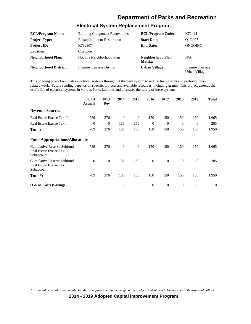#### **Electrical System Replacement Program**

| <b>BCL/Program Name:</b>      | <b>Building Component Renovations</b> | <b>BCL/Program Code:</b>     | K72444                            |
|-------------------------------|---------------------------------------|------------------------------|-----------------------------------|
| <b>Project Type:</b>          | <b>Rehabilitation or Restoration</b>  | <b>Start Date:</b>           | O1/2007                           |
| <b>Project ID:</b>            | K732307                               | <b>End Date:</b>             | ONGOING                           |
| <b>Location:</b>              | Citywide                              |                              |                                   |
| Neighborhood Plan:            | Not in a Neighborhood Plan            | Neighborhood Plan<br>Matrix: | N/A                               |
| <b>Neighborhood District:</b> | In more than one District             | <b>Urban Village:</b>        | In more than one<br>Urban Village |

This ongoing project renovates electrical systems throughout the park system to reduce fire hazards and performs other related work. Future funding depends on specific projects and available resources, including grants. This project extends the useful life of electrical systems in various Parks facilities and increases the safety of these systems.

|                                                                         | <b>LTD</b><br><b>Actuals</b> | 2013<br>Rev    | 2014         | 2015           | 2016             | 2017             | 2018         | 2019             | <b>Total</b>     |
|-------------------------------------------------------------------------|------------------------------|----------------|--------------|----------------|------------------|------------------|--------------|------------------|------------------|
| <b>Revenue Sources</b>                                                  |                              |                |              |                |                  |                  |              |                  |                  |
| Real Estate Excise Tax II                                               | 789                          | 276            | $\theta$     | $\overline{0}$ | 150              | 150              | 150          | 150              | 1,665            |
| Real Estate Excise Tax I                                                | $\theta$                     | $\mathbf{0}$   | 135          | 150            | $\theta$         | $\theta$         | $\theta$     | $\boldsymbol{0}$ | 285              |
| <b>Total:</b>                                                           | 789                          | 276            | 135          | 150            | 150              | 150              | 150          | 150              | 1,950            |
| <b>Fund Appropriations/Allocations</b>                                  |                              |                |              |                |                  |                  |              |                  |                  |
| Cumulative Reserve Subfund -<br>Real Estate Excise Tax II<br>Subaccount | 789                          | 276            | $\theta$     | $\mathbf{0}$   | 150              | 150              | 150          | 150              | 1,665            |
| Cumulative Reserve Subfund -<br>Real Estate Excise Tax I<br>Subaccount  | $\Omega$                     | $\overline{0}$ | 135          | 150            | $\overline{0}$   | $\overline{0}$   | $\theta$     | $\mathbf{0}$     | 285              |
| Total*:                                                                 | 789                          | 276            | 135          | 150            | 150              | 150              | 150          | 150              | 1,950            |
| $\overline{O}$ & M Costs (Savings)                                      |                              |                | $\mathbf{0}$ | $\mathbf{0}$   | $\boldsymbol{0}$ | $\boldsymbol{0}$ | $\mathbf{0}$ | $\boldsymbol{0}$ | $\boldsymbol{0}$ |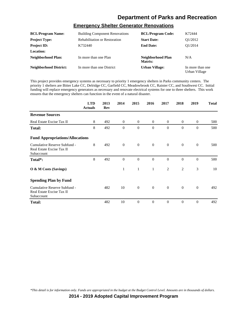#### **Emergency Shelter Generator Renovations**

| <b>BCL/Program Name:</b>      | <b>Building Component Renovations</b> | <b>BCL/Program Code:</b>     | K72444                            |
|-------------------------------|---------------------------------------|------------------------------|-----------------------------------|
| <b>Project Type:</b>          | <b>Rehabilitation or Restoration</b>  | <b>Start Date:</b>           | O1/2012                           |
| <b>Project ID:</b>            | K732440                               | <b>End Date:</b>             | O1/2014                           |
| Location:                     |                                       |                              |                                   |
| Neighborhood Plan:            | In more than one Plan                 | Neighborhood Plan<br>Matrix: | N/A                               |
| <b>Neighborhood District:</b> | In more than one District             | <b>Urban Village:</b>        | In more than one<br>Urban Village |

This project provides emergency systems as necessary to priority 1 emergency shelters in Parks community centers. The priority 1 shelters are Bitter Lake CC, Delridge CC, Garfield CC, Meadowbrook CC, Rainier CC, and Southwest CC. Initial funding will replace emergency generators as necessary and renovate electrical systems for one to three shelters. This work ensures that the emergency shelters can function in the event of a natural disaster.

|                                                                         | <b>LTD</b><br><b>Actuals</b> | 2013<br>Rev | 2014           | 2015           | 2016             | 2017           | 2018           | 2019         | <b>Total</b> |
|-------------------------------------------------------------------------|------------------------------|-------------|----------------|----------------|------------------|----------------|----------------|--------------|--------------|
| <b>Revenue Sources</b>                                                  |                              |             |                |                |                  |                |                |              |              |
| Real Estate Excise Tax II                                               | 8                            | 492         | $\overline{0}$ | $\overline{0}$ | $\overline{0}$   | $\overline{0}$ | $\overline{0}$ | $\mathbf{0}$ | 500          |
| <b>Total:</b>                                                           | 8                            | 492         | $\theta$       | $\overline{0}$ | $\theta$         | $\Omega$       | $\Omega$       | $\Omega$     | 500          |
| <b>Fund Appropriations/Allocations</b>                                  |                              |             |                |                |                  |                |                |              |              |
| Cumulative Reserve Subfund -<br>Real Estate Excise Tax II<br>Subaccount | 8                            | 492         | $\mathbf{0}$   | $\mathbf{0}$   | $\boldsymbol{0}$ | $\overline{0}$ | $\mathbf{0}$   | $\mathbf{0}$ | 500          |
| Total*:                                                                 | 8                            | 492         | $\theta$       | $\mathbf{0}$   | $\overline{0}$   | $\overline{0}$ | $\mathbf{0}$   | $\theta$     | 500          |
| O & M Costs (Savings)                                                   |                              |             | $\mathbf{1}$   | $\mathbf{1}$   | $\mathbf{1}$     | 2              | 2              | 3            | 10           |
| <b>Spending Plan by Fund</b>                                            |                              |             |                |                |                  |                |                |              |              |
| Cumulative Reserve Subfund -<br>Real Estate Excise Tax II<br>Subaccount |                              | 482         | 10             | $\mathbf{0}$   | $\overline{0}$   | $\overline{0}$ | $\overline{0}$ | $\mathbf{0}$ | 492          |
| <b>Total:</b>                                                           |                              | 482         | 10             | $\overline{0}$ | $\theta$         | $\Omega$       | $\theta$       | $\Omega$     | 492          |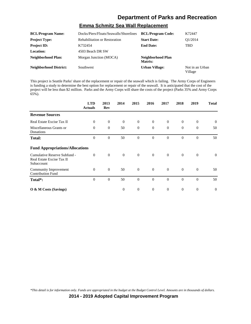#### **Emma Schmitz Sea Wall Replacement**

| <b>BCL/Program Name:</b>      | Docks/Piers/Floats/Seawalls/Shorelines | <b>BCL/Program Code:</b>     | K72447                     |
|-------------------------------|----------------------------------------|------------------------------|----------------------------|
| <b>Project Type:</b>          | <b>Rehabilitation or Restoration</b>   | <b>Start Date:</b>           | O1/2014                    |
| <b>Project ID:</b>            | K732454                                | <b>End Date:</b>             | TBD                        |
| <b>Location:</b>              | 4503 Beach DR SW                       |                              |                            |
| <b>Neighborhood Plan:</b>     | Morgan Junction (MOCA)                 | Neighborhood Plan<br>Matrix: |                            |
| <b>Neighborhood District:</b> | <b>Southwest</b>                       | <b>Urban Village:</b>        | Not in an Urban<br>Village |

This project is Seattle Parks' share of the replacement or repair of the seawall which is failing. The Army Corps of Engineers is funding a study to determine the best option for replacement or repair of the seawall. It is anticipated that the cost of the project will be less than \$2 million. Parks and the Army Corps will share the costs of the project (Parks 35% and Army Corps 65%).

|                                                                         | <b>LTD</b><br><b>Actuals</b> | 2013<br>Rev    | 2014           | 2015             | 2016           | 2017         | 2018             | 2019             | <b>Total</b>   |
|-------------------------------------------------------------------------|------------------------------|----------------|----------------|------------------|----------------|--------------|------------------|------------------|----------------|
| <b>Revenue Sources</b>                                                  |                              |                |                |                  |                |              |                  |                  |                |
| Real Estate Excise Tax II                                               | $\theta$                     | $\theta$       | $\overline{0}$ | $\mathbf{0}$     | $\overline{0}$ | $\theta$     | $\overline{0}$   | $\mathbf{0}$     | $\overline{0}$ |
| Miscellaneous Grants or<br>Donations                                    | $\theta$                     | $\theta$       | 50             | $\overline{0}$   | $\overline{0}$ | $\theta$     | $\mathbf{0}$     | $\mathbf{0}$     | 50             |
| <b>Total:</b>                                                           | $\Omega$                     | $\theta$       | 50             | $\overline{0}$   | $\theta$       | $\Omega$     | $\mathbf{0}$     | $\overline{0}$   | 50             |
| <b>Fund Appropriations/Allocations</b>                                  |                              |                |                |                  |                |              |                  |                  |                |
| Cumulative Reserve Subfund -<br>Real Estate Excise Tax II<br>Subaccount | $\mathbf{0}$                 | $\overline{0}$ | $\overline{0}$ | $\overline{0}$   | $\overline{0}$ | $\mathbf{0}$ | $\overline{0}$   | $\mathbf{0}$     | $\overline{0}$ |
| Community Improvement<br><b>Contribution Fund</b>                       | $\theta$                     | $\theta$       | 50             | $\mathbf{0}$     | $\overline{0}$ | $\theta$     | $\mathbf{0}$     | $\mathbf{0}$     | 50             |
| Total*:                                                                 | $\theta$                     | $\mathbf{0}$   | 50             | $\overline{0}$   | $\theta$       | $\theta$     | $\mathbf{0}$     | $\overline{0}$   | 50             |
| O & M Costs (Savings)                                                   |                              |                | $\mathbf{0}$   | $\boldsymbol{0}$ | $\overline{0}$ | $\mathbf{0}$ | $\boldsymbol{0}$ | $\boldsymbol{0}$ | $\theta$       |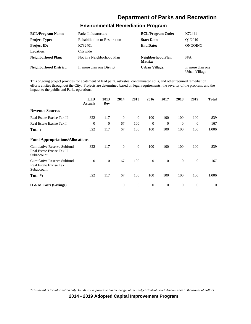#### **Environmental Remediation Program**

| <b>BCL/Program Name:</b>      | Parks Infrastructure                 | <b>BCL/Program Code:</b>     | K72441                            |
|-------------------------------|--------------------------------------|------------------------------|-----------------------------------|
| <b>Project Type:</b>          | <b>Rehabilitation or Restoration</b> | <b>Start Date:</b>           | O1/2010                           |
| <b>Project ID:</b>            | K732401                              | <b>End Date:</b>             | ONGOING                           |
| <b>Location:</b>              | Citywide                             |                              |                                   |
| Neighborhood Plan:            | Not in a Neighborhood Plan           | Neighborhood Plan<br>Matrix: | N/A                               |
| <b>Neighborhood District:</b> | In more than one District            | <b>Urban Village:</b>        | In more than one<br>Urban Village |

This ongoing project provides for abatement of lead paint, asbestos, contaminated soils, and other required remediation efforts at sites throughout the City. Projects are determined based on legal requirements, the severity of the problem, and the impact to the public and Parks operations.

|                                                                         | <b>LTD</b><br><b>Actuals</b> | 2013<br>Rev | 2014     | 2015             | 2016         | 2017             | 2018             | 2019             | <b>Total</b>     |
|-------------------------------------------------------------------------|------------------------------|-------------|----------|------------------|--------------|------------------|------------------|------------------|------------------|
| <b>Revenue Sources</b>                                                  |                              |             |          |                  |              |                  |                  |                  |                  |
| Real Estate Excise Tax II                                               | 322                          | 117         | $\theta$ | $\mathbf{0}$     | 100          | 100              | 100              | 100              | 839              |
| Real Estate Excise Tax I                                                | $\overline{0}$               | $\theta$    | 67       | 100              | $\theta$     | $\theta$         | $\theta$         | $\overline{0}$   | 167              |
| <b>Total:</b>                                                           | 322                          | 117         | 67       | 100              | 100          | 100              | 100              | 100              | 1,006            |
| <b>Fund Appropriations/Allocations</b>                                  |                              |             |          |                  |              |                  |                  |                  |                  |
| Cumulative Reserve Subfund -<br>Real Estate Excise Tax II<br>Subaccount | 322                          | 117         | $\theta$ | $\overline{0}$   | 100          | 100              | 100              | 100              | 839              |
| Cumulative Reserve Subfund -<br>Real Estate Excise Tax I<br>Subaccount  | $\theta$                     | $\theta$    | 67       | 100              | $\theta$     | $\overline{0}$   | $\mathbf{0}$     | $\theta$         | 167              |
| Total*:                                                                 | 322                          | 117         | 67       | 100              | 100          | 100              | 100              | 100              | 1,006            |
| $\overline{O}$ & M Costs (Savings)                                      |                              |             | $\theta$ | $\boldsymbol{0}$ | $\mathbf{0}$ | $\boldsymbol{0}$ | $\boldsymbol{0}$ | $\boldsymbol{0}$ | $\boldsymbol{0}$ |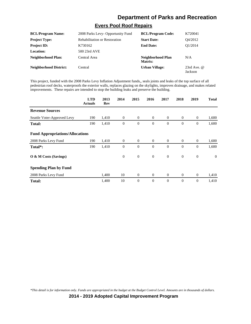#### **Evers Pool Roof Repairs**

| <b>BCL/Program Name:</b>      | 2008 Parks Levy- Opportunity Fund    | <b>BCL/Program Code:</b>     | K720041                  |
|-------------------------------|--------------------------------------|------------------------------|--------------------------|
| <b>Project Type:</b>          | <b>Rehabilitation or Restoration</b> | <b>Start Date:</b>           | O4/2012                  |
| <b>Project ID:</b>            | K730162                              | <b>End Date:</b>             | O1/2014                  |
| Location:                     | 500 23rd AVE                         |                              |                          |
| Neighborhood Plan:            | Central Area                         | Neighborhood Plan<br>Matrix: | N/A                      |
| <b>Neighborhood District:</b> | Central                              | <b>Urban Village:</b>        | 23rd Ave. $@$<br>Jackson |

This project, funded with the 2008 Parks Levy Inflation Adjustment funds,, seals joints and leaks of the top surface of all pedestrian roof decks, waterproofs the exterior walls, replaces glazing on the skylights, improves drainage, and makes related improvements. These repairs are intended to stop the building leaks and preserve the building.

|                                        | <b>LTD</b><br><b>Actuals</b> | 2013<br>Rev | 2014           | 2015             | 2016           | 2017           | 2018           | 2019         | <b>Total</b> |
|----------------------------------------|------------------------------|-------------|----------------|------------------|----------------|----------------|----------------|--------------|--------------|
| <b>Revenue Sources</b>                 |                              |             |                |                  |                |                |                |              |              |
| Seattle Voter-Approved Levy            | 190                          | 1,410       | $\mathbf{0}$   | $\overline{0}$   | $\overline{0}$ | $\overline{0}$ | $\overline{0}$ | $\theta$     | 1,600        |
| <b>Total:</b>                          | 190                          | 1,410       | $\mathbf{0}$   | $\boldsymbol{0}$ | $\theta$       | $\theta$       | $\mathbf{0}$   | $\mathbf{0}$ | 1,600        |
| <b>Fund Appropriations/Allocations</b> |                              |             |                |                  |                |                |                |              |              |
| 2008 Parks Levy Fund                   | 190                          | 1,410       | $\overline{0}$ | $\theta$         | $\overline{0}$ | $\overline{0}$ | $\overline{0}$ | $\mathbf{0}$ | 1,600        |
| Total*:                                | 190                          | 1,410       | $\theta$       | $\mathbf{0}$     | $\theta$       | $\Omega$       | $\mathbf{0}$   | $\theta$     | 1,600        |
| O & M Costs (Savings)                  |                              |             | $\mathbf{0}$   | $\boldsymbol{0}$ | $\mathbf{0}$   | $\mathbf{0}$   | $\mathbf{0}$   | $\mathbf{0}$ | $\theta$     |
| <b>Spending Plan by Fund</b>           |                              |             |                |                  |                |                |                |              |              |
| 2008 Parks Levy Fund                   |                              | 1,400       | 10             | $\mathbf{0}$     | $\overline{0}$ | $\overline{0}$ | $\overline{0}$ | $\mathbf{0}$ | 1,410        |
| <b>Total:</b>                          |                              | 1,400       | 10             | $\mathbf{0}$     | $\theta$       | $\theta$       | $\mathbf{0}$   | $\theta$     | 1,410        |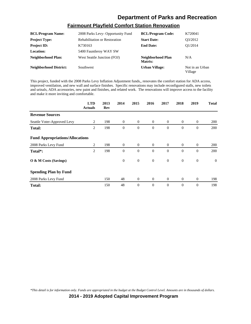#### **Fairmount Playfield Comfort Station Renovation**

| <b>BCL/Program Name:</b>      | 2008 Parks Levy- Opportunity Fund    | <b>BCL/Program Code:</b>     | K720041                    |
|-------------------------------|--------------------------------------|------------------------------|----------------------------|
| <b>Project Type:</b>          | <b>Rehabilitation or Restoration</b> | <b>Start Date:</b>           | O3/2012                    |
| <b>Project ID:</b>            | K730163                              | <b>End Date:</b>             | O1/2014                    |
| Location:                     | 5400 Fauntleroy WAY SW               |                              |                            |
| <b>Neighborhood Plan:</b>     | West Seattle Junction (FOJ)          | Neighborhood Plan<br>Matrix: | N/A                        |
| <b>Neighborhood District:</b> | <b>Southwest</b>                     | <b>Urban Village:</b>        | Not in an Urban<br>Village |

This project, funded with the 2008 Parks Levy Inflation Adjustment funds,, renovates the comfort station for ADA access, improved ventilation, and new wall and surface finishes. Specific renovations may include reconfigured stalls, new toilets and urinals, ADA accessories, new paint and finishes, and related work. The renovations will improve access to the facility and make it more inviting and comfortable.

|                                        | <b>LTD</b><br><b>Actuals</b> | 2013<br>Rev | 2014           | 2015             | 2016           | 2017           | 2018             | 2019             | <b>Total</b> |
|----------------------------------------|------------------------------|-------------|----------------|------------------|----------------|----------------|------------------|------------------|--------------|
| <b>Revenue Sources</b>                 |                              |             |                |                  |                |                |                  |                  |              |
| Seattle Voter-Approved Levy            | 2                            | 198         | $\mathbf{0}$   | $\mathbf{0}$     | $\overline{0}$ | $\overline{0}$ | $\overline{0}$   | $\theta$         | 200          |
| <b>Total:</b>                          | 2                            | 198         | $\theta$       | $\overline{0}$   | $\theta$       | $\theta$       | $\theta$         | $\overline{0}$   | 200          |
| <b>Fund Appropriations/Allocations</b> |                              |             |                |                  |                |                |                  |                  |              |
| 2008 Parks Levy Fund                   | 2                            | 198         | $\overline{0}$ | $\overline{0}$   | $\overline{0}$ | $\overline{0}$ | $\overline{0}$   | $\theta$         | 200          |
| Total*:                                | 2                            | 198         | $\theta$       | $\overline{0}$   | $\theta$       | $\Omega$       | $\mathbf{0}$     | $\overline{0}$   | 200          |
| O & M Costs (Savings)                  |                              |             | $\mathbf{0}$   | $\boldsymbol{0}$ | $\theta$       | $\theta$       | $\mathbf{0}$     | $\boldsymbol{0}$ | $\theta$     |
| <b>Spending Plan by Fund</b>           |                              |             |                |                  |                |                |                  |                  |              |
| 2008 Parks Levy Fund                   |                              | 150         | 48             | $\mathbf{0}$     | $\mathbf{0}$   | $\overline{0}$ | $\boldsymbol{0}$ | $\theta$         | 198          |
| <b>Total:</b>                          |                              | 150         | 48             | $\theta$         | $\theta$       | $\theta$       | $\theta$         | $\overline{0}$   | 198          |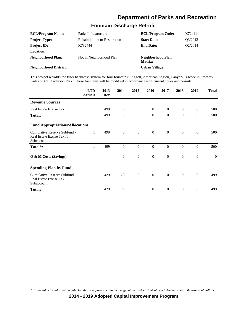#### **Fountain Discharge Retrofit**

| <b>BCL/Program Name:</b>      | Parks Infrastructure          | <b>BCL/Program Code:</b>     | K72441               |
|-------------------------------|-------------------------------|------------------------------|----------------------|
| <b>Project Type:</b>          | Rehabilitation or Restoration | <b>Start Date:</b>           | 03/2012              |
| <b>Project ID:</b>            | K732444                       | <b>End Date:</b>             | O <sub>2</sub> /2014 |
| <b>Location:</b>              |                               |                              |                      |
| Neighborhood Plan:            | Not in Neighborhood Plan      | Neighborhood Plan<br>Matrix: |                      |
| <b>Neighborhood District:</b> |                               | Urban Village:               |                      |

This project retrofits the filter backwash system for four fountains: Piggott, American Legion, Canyon-Cascade in Freeway Park and Cal Anderson Park. These fountains will be modified in accordance with current codes and permits.

|                                                                         | <b>LTD</b><br><b>Actuals</b> | 2013<br>Rev | 2014           | 2015           | 2016           | 2017           | 2018             | 2019         | <b>Total</b> |
|-------------------------------------------------------------------------|------------------------------|-------------|----------------|----------------|----------------|----------------|------------------|--------------|--------------|
| <b>Revenue Sources</b>                                                  |                              |             |                |                |                |                |                  |              |              |
| Real Estate Excise Tax II                                               | 1                            | 499         | $\mathbf{0}$   | $\overline{0}$ | $\overline{0}$ | $\overline{0}$ | $\overline{0}$   | $\theta$     | 500          |
| <b>Total:</b>                                                           | 1                            | 499         | $\theta$       | $\theta$       | $\Omega$       | $\Omega$       | $\mathbf{0}$     | $\theta$     | 500          |
| <b>Fund Appropriations/Allocations</b>                                  |                              |             |                |                |                |                |                  |              |              |
| Cumulative Reserve Subfund -<br>Real Estate Excise Tax II<br>Subaccount | 1                            | 499         | $\mathbf{0}$   | $\mathbf{0}$   | $\mathbf{0}$   | $\theta$       | $\boldsymbol{0}$ | $\mathbf{0}$ | 500          |
| Total*:                                                                 | 1                            | 499         | $\theta$       | $\theta$       | $\mathbf{0}$   | $\theta$       | $\overline{0}$   | $\theta$     | 500          |
| O & M Costs (Savings)                                                   |                              |             | $\overline{0}$ | $\mathbf{0}$   | $\mathbf{0}$   | $\theta$       | $\overline{0}$   | $\theta$     | $\theta$     |
| <b>Spending Plan by Fund</b>                                            |                              |             |                |                |                |                |                  |              |              |
| Cumulative Reserve Subfund -<br>Real Estate Excise Tax II<br>Subaccount |                              | 429         | 70             | $\overline{0}$ | $\mathbf{0}$   | $\theta$       | $\overline{0}$   | $\mathbf{0}$ | 499          |
| <b>Total:</b>                                                           |                              | 429         | 70             | $\theta$       | $\theta$       | $\Omega$       | $\mathbf{0}$     | $\Omega$     | 499          |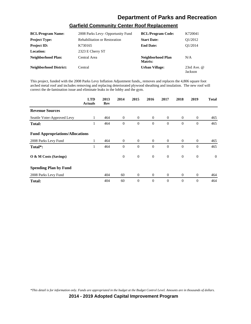#### **Garfield Community Center Roof Replacement**

| <b>BCL/Program Name:</b>      | 2008 Parks Levy- Opportunity Fund    | <b>BCL/Program Code:</b>     | K720041                  |
|-------------------------------|--------------------------------------|------------------------------|--------------------------|
| <b>Project Type:</b>          | <b>Rehabilitation or Restoration</b> | <b>Start Date:</b>           | O1/2012                  |
| <b>Project ID:</b>            | K730165                              | <b>End Date:</b>             | O1/2014                  |
| Location:                     | 2323 E Cherry ST                     |                              |                          |
| Neighborhood Plan:            | Central Area                         | Neighborhood Plan<br>Matrix: | N/A                      |
| <b>Neighborhood District:</b> | Central                              | <b>Urban Village:</b>        | 23rd Ave. $@$<br>Jackson |

This project, funded with the 2008 Parks Levy Inflation Adjustment funds,, removes and replaces the 4,806 square foot arched metal roof and includes removing and replacing deteriorated plywood sheathing and insulation. The new roof will correct the de-lamination issue and eliminate leaks in the lobby and the gym.

|                                        | <b>LTD</b><br><b>Actuals</b> | 2013<br>Rev | 2014         | 2015           | 2016           | 2017           | 2018           | 2019           | <b>Total</b> |
|----------------------------------------|------------------------------|-------------|--------------|----------------|----------------|----------------|----------------|----------------|--------------|
| <b>Revenue Sources</b>                 |                              |             |              |                |                |                |                |                |              |
| Seattle Voter-Approved Levy            | 1                            | 464         | $\mathbf{0}$ | $\overline{0}$ | $\overline{0}$ | $\overline{0}$ | $\overline{0}$ | $\theta$       | 465          |
| <b>Total:</b>                          | 1                            | 464         | $\theta$     | $\theta$       | $\theta$       | $\theta$       | $\mathbf{0}$   | $\overline{0}$ | 465          |
| <b>Fund Appropriations/Allocations</b> |                              |             |              |                |                |                |                |                |              |
| 2008 Parks Levy Fund                   | 1                            | 464         | $\Omega$     | $\overline{0}$ | $\overline{0}$ | $\Omega$       | $\overline{0}$ | $\mathbf{0}$   | 465          |
| Total*:                                | 1                            | 464         | $\theta$     | $\theta$       | $\theta$       | $\Omega$       | $\mathbf{0}$   | $\theta$       | 465          |
| O & M Costs (Savings)                  |                              |             | $\mathbf{0}$ | $\mathbf{0}$   | $\overline{0}$ | $\theta$       | $\mathbf{0}$   | $\mathbf{0}$   | $\theta$     |
| <b>Spending Plan by Fund</b>           |                              |             |              |                |                |                |                |                |              |
| 2008 Parks Levy Fund                   |                              | 404         | 60           | $\overline{0}$ | $\overline{0}$ | $\theta$       | $\overline{0}$ | $\mathbf{0}$   | 464          |
| <b>Total:</b>                          |                              | 404         | 60           | $\mathbf{0}$   | $\theta$       | $\theta$       | $\mathbf{0}$   | $\overline{0}$ | 464          |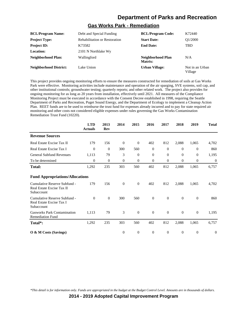#### **Gas Works Park - Remediation**

| <b>BCL/Program Name:</b>      | Debt and Special Funding             | <b>BCL/Program Code:</b>     | K72440                     |
|-------------------------------|--------------------------------------|------------------------------|----------------------------|
| <b>Project Type:</b>          | <b>Rehabilitation or Restoration</b> | <b>Start Date:</b>           | O1/2000                    |
| <b>Project ID:</b>            | K73582                               | <b>End Date:</b>             | <b>TBD</b>                 |
| <b>Location:</b>              | 2101 N Northlake Wy                  |                              |                            |
| <b>Neighborhood Plan:</b>     | Wallingford                          | Neighborhood Plan<br>Matrix: | N/A                        |
| <b>Neighborhood District:</b> | Lake Union                           | <b>Urban Village:</b>        | Not in an Urban<br>Village |

This project provides ongoing monitoring efforts to ensure the measures constructed for remediation of soils at Gas Works Park were effective. Monitoring activities include maintenance and operation of the air sparging, SVE systems, soil cap, and other institutional controls; groundwater testing; quarterly reports; and other related work. The project also provides for ongoing monitoring for as long as 20 years from installation, effectively until 2021. All measures of the Compliance Monitoring Project must be executed in accordance with the Consent Decree established in 1998, requiring the Seattle Department of Parks and Recreation, Puget Sound Energy, and the Department of Ecology to implement a Cleanup Action Plan. REET funds are to be used to reimburse the trust fund for expenses already incurred and to pay for state required air monitoring and other costs not considered eligible expenses under rules governing the Gas Works Contamination Remediation Trust Fund (10220).

|                                                                         | <b>LTD</b><br><b>Actuals</b> | 2013<br>Rev      | 2014         | 2015           | 2016             | 2017             | 2018             | 2019             | <b>Total</b>     |
|-------------------------------------------------------------------------|------------------------------|------------------|--------------|----------------|------------------|------------------|------------------|------------------|------------------|
| <b>Revenue Sources</b>                                                  |                              |                  |              |                |                  |                  |                  |                  |                  |
| Real Estate Excise Tax II                                               | 179                          | 156              | $\theta$     | $\overline{0}$ | 402              | 812              | 2,088            | 1,065            | 4,702            |
| Real Estate Excise Tax I                                                | $\boldsymbol{0}$             | $\boldsymbol{0}$ | 300          | 560            | $\boldsymbol{0}$ | $\theta$         | $\mathbf{0}$     | $\boldsymbol{0}$ | 860              |
| <b>General Subfund Revenues</b>                                         | 1,113                        | 79               | 3            | $\overline{0}$ | $\mathbf{0}$     | $\theta$         | $\mathbf{0}$     | $\mathbf{0}$     | 1,195            |
| To be determined                                                        | $\boldsymbol{0}$             | $\mathbf{0}$     | $\mathbf{0}$ | $\mathbf{0}$   | $\mathbf{0}$     | $\mathbf{0}$     | $\boldsymbol{0}$ | 0                | $\boldsymbol{0}$ |
| <b>Total:</b>                                                           | 1,292                        | 235              | 303          | 560            | 402              | 812              | 2,088            | 1,065            | 6,757            |
| <b>Fund Appropriations/Allocations</b>                                  |                              |                  |              |                |                  |                  |                  |                  |                  |
| Cumulative Reserve Subfund -<br>Real Estate Excise Tax II<br>Subaccount | 179                          | 156              | $\Omega$     | $\Omega$       | 402              | 812              | 2,088            | 1,065            | 4,702            |
| Cumulative Reserve Subfund -<br>Real Estate Excise Tax I<br>Subaccount  | $\Omega$                     | $\theta$         | 300          | 560            | $\overline{0}$   | $\Omega$         | $\Omega$         | $\mathbf{0}$     | 860              |
| <b>Gasworks Park Contamination</b><br><b>Remediation Fund</b>           | 1,113                        | 79               | 3            | $\mathbf{0}$   | $\theta$         | $\theta$         | $\mathbf{0}$     | $\mathbf{0}$     | 1,195            |
| Total*:                                                                 | 1,292                        | 235              | 303          | 560            | 402              | 812              | 2,088            | 1,065            | 6,757            |
| $\overline{O}$ & M Costs (Savings)                                      |                              |                  | $\theta$     | $\mathbf{0}$   | $\boldsymbol{0}$ | $\boldsymbol{0}$ | $\boldsymbol{0}$ | $\boldsymbol{0}$ | $\boldsymbol{0}$ |

*\*This detail is for information only. Funds are appropriated in the budget at the Budget Control Level. Amounts are in thousands of dollars.*

**2014 - 2019 Adopted Capital Improvement Program**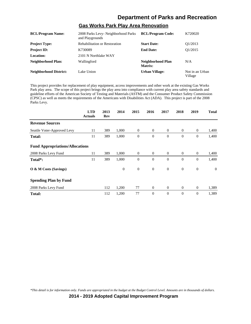#### **Gas Works Park Play Area Renovation**

| <b>BCL/Program Name:</b>      | 2008 Parks Levy- Neighborhood Parks<br>and Playgrounds | <b>BCL/Program Code:</b>     | K720020                    |
|-------------------------------|--------------------------------------------------------|------------------------------|----------------------------|
| <b>Project Type:</b>          | <b>Rehabilitation or Restoration</b>                   | <b>Start Date:</b>           | O <sub>1</sub> /2013       |
| <b>Project ID:</b>            | K730089                                                | <b>End Date:</b>             | O1/2015                    |
| Location:                     | 2101 N Northlake WAY                                   |                              |                            |
| <b>Neighborhood Plan:</b>     | Wallingford                                            | Neighborhood Plan<br>Matrix: | N/A                        |
| <b>Neighborhood District:</b> | Lake Union                                             | <b>Urban Village:</b>        | Not in an Urban<br>Village |

This project provides for replacement of play equipment, access improvements and other work at the existing Gas Works Park play area. The scope of this project brings the play area into compliance with current play area safety standards and guideline efforts of the American Society of Testing and Materials (ASTM) and the Consumer Product Safety Commission (CPSC) as well as meets the requirements of the Americans with Disabilities Act (ADA). This project is part of the 2008 Parks Levy.

|                                        | <b>LTD</b><br><b>Actuals</b> | 2013<br>Rev | 2014         | 2015           | 2016           | 2017           | 2018           | 2019             | <b>Total</b>   |
|----------------------------------------|------------------------------|-------------|--------------|----------------|----------------|----------------|----------------|------------------|----------------|
| <b>Revenue Sources</b>                 |                              |             |              |                |                |                |                |                  |                |
| Seattle Voter-Approved Levy            | 11                           | 389         | 1,000        | $\overline{0}$ | $\overline{0}$ | $\overline{0}$ | $\overline{0}$ | $\overline{0}$   | 1,400          |
| <b>Total:</b>                          | 11                           | 389         | 1,000        | $\mathbf{0}$   | $\theta$       | $\theta$       | $\theta$       | $\mathbf{0}$     | 1,400          |
| <b>Fund Appropriations/Allocations</b> |                              |             |              |                |                |                |                |                  |                |
| 2008 Parks Levy Fund                   | 11                           | 389         | 1,000        | $\overline{0}$ | $\mathbf{0}$   | $\overline{0}$ | $\theta$       | $\boldsymbol{0}$ | 1,400          |
| Total*:                                | 11                           | 389         | 1,000        | $\theta$       | $\theta$       | $\theta$       | $\theta$       | $\mathbf{0}$     | 1,400          |
| O & M Costs (Savings)                  |                              |             | $\mathbf{0}$ | $\mathbf{0}$   | $\overline{0}$ | $\overline{0}$ | $\theta$       | $\mathbf{0}$     | $\overline{0}$ |
| <b>Spending Plan by Fund</b>           |                              |             |              |                |                |                |                |                  |                |
| 2008 Parks Levy Fund                   |                              | 112         | 1,200        | 77             | $\overline{0}$ | $\overline{0}$ | $\theta$       | $\theta$         | 1,389          |
| <b>Total:</b>                          |                              | 112         | 1,200        | 77             | $\theta$       | $\theta$       | $\theta$       | $\mathbf{0}$     | 1,389          |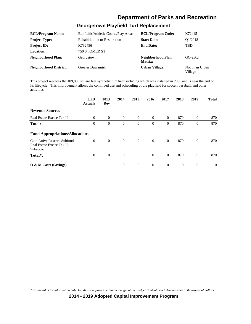#### **Georgetown Playfield Turf Replacement**

| <b>BCL/Program Name:</b>      | Ballfields/Athletic Courts/Play Areas | <b>BCL/Program Code:</b>     | K72445                     |
|-------------------------------|---------------------------------------|------------------------------|----------------------------|
| <b>Project Type:</b>          | <b>Rehabilitation or Restoration</b>  | <b>Start Date:</b>           | O1/2018                    |
| <b>Project ID:</b>            | K732456                               | <b>End Date:</b>             | <b>TBD</b>                 |
| Location:                     | 750 S hOMER ST                        |                              |                            |
| <b>Neighborhood Plan:</b>     | Georgetown                            | Neighborhood Plan<br>Matrix: | $GC-2B.2$                  |
| <b>Neighborhood District:</b> | <b>Greater Duwamish</b>               | <b>Urban Village:</b>        | Not in an Urban<br>Village |

This project replaces the 109,000 square feet synthetic turf field surfacing which was installed in 2008 and is near the end of its lifecycle. This improvement allows the continued use and scheduling of the playfield for soccer, baseball, and other activities.

|                                                                         | <b>LTD</b><br><b>Actuals</b> | 2013<br>Rev    | 2014           | 2015           | 2016           | 2017           | 2018           | 2019           | <b>Total</b> |
|-------------------------------------------------------------------------|------------------------------|----------------|----------------|----------------|----------------|----------------|----------------|----------------|--------------|
| <b>Revenue Sources</b>                                                  |                              |                |                |                |                |                |                |                |              |
| Real Estate Excise Tax II                                               | $\overline{0}$               | $\overline{0}$ | $\overline{0}$ | $\overline{0}$ | $\overline{0}$ | $\Omega$       | 870            | $\overline{0}$ | 870          |
| <b>Total:</b>                                                           | $\overline{0}$               | $\theta$       | $\theta$       | $\mathbf{0}$   | $\theta$       | $\overline{0}$ | 870            | $\overline{0}$ | 870          |
| <b>Fund Appropriations/Allocations</b>                                  |                              |                |                |                |                |                |                |                |              |
| Cumulative Reserve Subfund -<br>Real Estate Excise Tax II<br>Subaccount | $\Omega$                     | $\overline{0}$ | $\overline{0}$ | $\overline{0}$ | $\overline{0}$ | $\Omega$       | 870            | $\theta$       | 870          |
| Total*:                                                                 | $\overline{0}$               | $\theta$       | $\theta$       | $\mathbf{0}$   | $\theta$       | $\theta$       | 870            | $\overline{0}$ | 870          |
| $\overline{O}$ & M Costs (Savings)                                      |                              |                | $\theta$       | $\overline{0}$ | $\theta$       | $\overline{0}$ | $\overline{0}$ | $\overline{0}$ | $\Omega$     |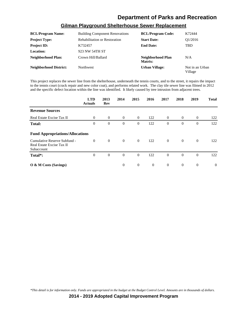| <b>BCL/Program Name:</b>      | <b>Building Component Renovations</b> | <b>BCL/Program Code:</b>     | K72444                     |
|-------------------------------|---------------------------------------|------------------------------|----------------------------|
| <b>Project Type:</b>          | <b>Rehabilitation or Restoration</b>  | <b>Start Date:</b>           | O1/2016                    |
| <b>Project ID:</b>            | K732457                               | <b>End Date:</b>             | <b>TBD</b>                 |
| Location:                     | 923 NW 54TH ST                        |                              |                            |
| Neighborhood Plan:            | Crown Hill/Ballard                    | Neighborhood Plan<br>Matrix: | N/A                        |
| <b>Neighborhood District:</b> | Northwest                             | <b>Urban Village:</b>        | Not in an Urban<br>Village |

#### **Gilman Playground Shelterhouse Sewer Replacement**

This project replaces the sewer line from the shelterhouse, underneath the tennis courts, and to the street, it repairs the impact to the tennis court (crack repair and new color coat), and performs related work. The clay tile sewer line was filmed in 2012 and the specific defect location within the line was identified. It likely caused by tree intrusion from adjacent trees.

|                                                                         | <b>LTD</b><br><b>Actuals</b> | 2013<br>Rev    | 2014     | 2015           | 2016     | 2017           | 2018           | 2019           | <b>Total</b> |
|-------------------------------------------------------------------------|------------------------------|----------------|----------|----------------|----------|----------------|----------------|----------------|--------------|
| <b>Revenue Sources</b>                                                  |                              |                |          |                |          |                |                |                |              |
| Real Estate Excise Tax II                                               | $\overline{0}$               | $\theta$       | $\theta$ | $\overline{0}$ | 122      | $\overline{0}$ | $\overline{0}$ | $\theta$       | 122          |
| <b>Total:</b>                                                           | $\overline{0}$               | $\theta$       | $\theta$ | $\overline{0}$ | 122      | $\theta$       | $\mathbf{0}$   | $\mathbf{0}$   | 122          |
| <b>Fund Appropriations/Allocations</b>                                  |                              |                |          |                |          |                |                |                |              |
| Cumulative Reserve Subfund -<br>Real Estate Excise Tax II<br>Subaccount | $\Omega$                     | $\overline{0}$ | $\theta$ | $\overline{0}$ | 122      | $\overline{0}$ | $\overline{0}$ | $\theta$       | 122          |
| Total*:                                                                 | $\mathbf{0}$                 | $\overline{0}$ | $\theta$ | $\mathbf{0}$   | 122      | $\overline{0}$ | $\overline{0}$ | $\theta$       | 122          |
| O & M Costs (Savings)                                                   |                              |                | $\Omega$ | $\mathbf{0}$   | $\theta$ | $\overline{0}$ | $\overline{0}$ | $\overline{0}$ | $\Omega$     |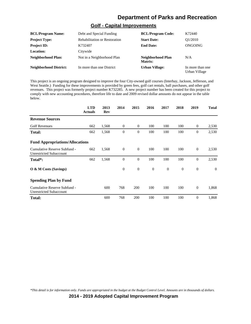#### **Golf - Capital Improvements**

| <b>BCL/Program Name:</b>      | Debt and Special Funding      | <b>BCL/Program Code:</b>     | K72440                            |
|-------------------------------|-------------------------------|------------------------------|-----------------------------------|
| <b>Project Type:</b>          | Rehabilitation or Restoration | <b>Start Date:</b>           | O1/2010                           |
| <b>Project ID:</b>            | K732407                       | <b>End Date:</b>             | ONGOING                           |
| <b>Location:</b>              | Citywide                      |                              |                                   |
| <b>Neighborhood Plan:</b>     | Not in a Neighborhood Plan    | Neighborhood Plan<br>Matrix: | N/A                               |
| <b>Neighborhood District:</b> | In more than one District     | <b>Urban Village:</b>        | In more than one<br>Urban Village |

This project is an ongoing program designed to improve the four City-owned golf courses (Interbay, Jackson, Jefferson, and West Seattle.) Funding for these improvements is provided by green fees, golf cart rentals, ball purchases, and other golf revenues. This project was formerly project number K732285. A new project number has been created for this project to comply with new accounting procedures, therefore life to date and 2009 revised dollar amounts do not appear in the table below.

|                                                                | <b>LTD</b><br><b>Actuals</b> | 2013<br>Rev | 2014         | 2015           | 2016         | 2017     | 2018         | 2019             | <b>Total</b>   |
|----------------------------------------------------------------|------------------------------|-------------|--------------|----------------|--------------|----------|--------------|------------------|----------------|
| <b>Revenue Sources</b>                                         |                              |             |              |                |              |          |              |                  |                |
| <b>Golf Revenues</b>                                           | 662                          | 1,568       | $\theta$     | $\overline{0}$ | 100          | 100      | 100          | $\theta$         | 2,530          |
| <b>Total:</b>                                                  | 662                          | 1,568       | $\mathbf{0}$ | 0              | 100          | 100      | 100          | $\boldsymbol{0}$ | 2,530          |
| <b>Fund Appropriations/Allocations</b>                         |                              |             |              |                |              |          |              |                  |                |
| Cumulative Reserve Subfund -<br><b>Unrestricted Subaccount</b> | 662                          | 1,568       | $\theta$     | $\mathbf{0}$   | 100          | 100      | 100          | $\mathbf{0}$     | 2,530          |
| Total*:                                                        | 662                          | 1,568       | $\theta$     | $\theta$       | 100          | 100      | 100          | $\mathbf{0}$     | 2,530          |
| $\overline{O}$ & M Costs (Savings)                             |                              |             | $\theta$     | $\mathbf{0}$   | $\mathbf{0}$ | $\theta$ | $\mathbf{0}$ | $\mathbf{0}$     | $\overline{0}$ |
| <b>Spending Plan by Fund</b>                                   |                              |             |              |                |              |          |              |                  |                |
| Cumulative Reserve Subfund -<br><b>Unrestricted Subaccount</b> |                              | 600         | 768          | 200            | 100          | 100      | 100          | $\mathbf{0}$     | 1,868          |
| <b>Total:</b>                                                  |                              | 600         | 768          | 200            | 100          | 100      | 100          | $\theta$         | 1,868          |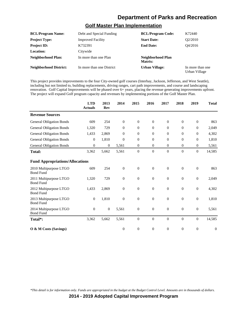#### **Golf Master Plan Implementation**

| <b>BCL/Program Name:</b>      | Debt and Special Funding  | <b>BCL/Program Code:</b>     | K72440                            |
|-------------------------------|---------------------------|------------------------------|-----------------------------------|
| <b>Project Type:</b>          | <b>Improved Facility</b>  | <b>Start Date:</b>           | O2/2010                           |
| <b>Project ID:</b>            | K732391                   | <b>End Date:</b>             | O4/2016                           |
| <b>Location:</b>              | Citywide                  |                              |                                   |
| Neighborhood Plan:            | In more than one Plan     | Neighborhood Plan<br>Matrix: |                                   |
| <b>Neighborhood District:</b> | In more than one District | <b>Urban Village:</b>        | In more than one<br>Urban Village |

This project provides improvements to the four City-owned golf courses (Interbay, Jackson, Jefferson, and West Seattle), including but not limited to, building replacements, driving ranges, cart path improvements, and course and landscaping renovation. Golf Capital Improvements will be phased over 6+ years, placing the revenue generating improvements upfront. The project will expand Golf program capacity and revenues by implementing portions of the Golf Master Plan.

|                                            | <b>LTD</b><br><b>Actuals</b> | 2013<br><b>Rev</b> | 2014             | 2015             | 2016             | 2017             | 2018             | 2019             | <b>Total</b>     |
|--------------------------------------------|------------------------------|--------------------|------------------|------------------|------------------|------------------|------------------|------------------|------------------|
| <b>Revenue Sources</b>                     |                              |                    |                  |                  |                  |                  |                  |                  |                  |
| <b>General Obligation Bonds</b>            | 609                          | 254                | $\overline{0}$   | $\boldsymbol{0}$ | $\theta$         | $\theta$         | $\mathbf{0}$     | $\boldsymbol{0}$ | 863              |
| <b>General Obligation Bonds</b>            | 1,320                        | 729                | $\overline{0}$   | $\mathbf{0}$     | $\Omega$         | $\Omega$         | $\Omega$         | $\theta$         | 2,049            |
| <b>General Obligation Bonds</b>            | 1,433                        | 2,869              | $\theta$         | $\theta$         | $\overline{0}$   | $\overline{0}$   | $\mathbf{0}$     | $\overline{0}$   | 4,302            |
| <b>General Obligation Bonds</b>            | $\theta$                     | 1,810              | $\overline{0}$   | $\mathbf{0}$     | $\overline{0}$   | $\theta$         | $\mathbf{0}$     | $\overline{0}$   | 1,810            |
| <b>General Obligation Bonds</b>            | $\theta$                     | $\theta$           | 5,561            | $\theta$         | $\overline{0}$   | $\theta$         | $\mathbf{0}$     | $\theta$         | 5,561            |
| <b>Total:</b>                              | 3,362                        | 5,662              | 5,561            | $\mathbf{0}$     | $\theta$         | $\theta$         | $\mathbf{0}$     | $\theta$         | 14,585           |
| <b>Fund Appropriations/Allocations</b>     |                              |                    |                  |                  |                  |                  |                  |                  |                  |
| 2010 Multipurpose LTGO<br><b>Bond Fund</b> | 609                          | 254                | $\theta$         | $\overline{0}$   | $\theta$         | $\theta$         | $\mathbf{0}$     | $\theta$         | 863              |
| 2011 Multipurpose LTGO<br><b>Bond Fund</b> | 1,320                        | 729                | $\boldsymbol{0}$ | $\boldsymbol{0}$ | $\boldsymbol{0}$ | $\boldsymbol{0}$ | $\boldsymbol{0}$ | $\boldsymbol{0}$ | 2,049            |
| 2012 Multipurpose LTGO<br><b>Bond Fund</b> | 1,433                        | 2,869              | $\boldsymbol{0}$ | $\boldsymbol{0}$ | $\mathbf{0}$     | $\mathbf{0}$     | $\mathbf{0}$     | $\boldsymbol{0}$ | 4,302            |
| 2013 Multipurpose LTGO<br><b>Bond Fund</b> | $\mathbf{0}$                 | 1,810              | $\boldsymbol{0}$ | $\boldsymbol{0}$ | $\boldsymbol{0}$ | $\theta$         | $\mathbf{0}$     | $\boldsymbol{0}$ | 1,810            |
| 2014 Multipurpose LTGO<br><b>Bond Fund</b> | $\theta$                     | $\mathbf{0}$       | 5,561            | $\boldsymbol{0}$ | $\theta$         | $\theta$         | $\mathbf{0}$     | $\boldsymbol{0}$ | 5,561            |
| Total*:                                    | 3,362                        | 5,662              | 5,561            | $\mathbf{0}$     | $\overline{0}$   | $\overline{0}$   | $\mathbf{0}$     | $\boldsymbol{0}$ | 14,585           |
| $\overline{O}$ & M Costs (Savings)         |                              |                    | $\boldsymbol{0}$ | $\boldsymbol{0}$ | $\overline{0}$   | $\theta$         | $\mathbf{0}$     | $\overline{0}$   | $\boldsymbol{0}$ |

*\*This detail is for information only. Funds are appropriated in the budget at the Budget Control Level. Amounts are in thousands of dollars.*

**2014 - 2019 Adopted Capital Improvement Program**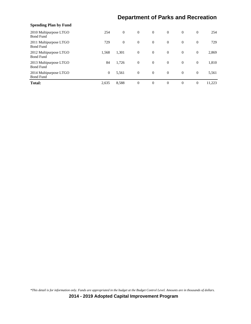| <b>Spending Plan by Fund</b>               |              |              |                |                |                |                |                |        |
|--------------------------------------------|--------------|--------------|----------------|----------------|----------------|----------------|----------------|--------|
| 2010 Multipurpose LTGO<br><b>Bond Fund</b> | 254          | $\theta$     | $\overline{0}$ | $\overline{0}$ | $\overline{0}$ | $\theta$       | $\theta$       | 254    |
| 2011 Multipurpose LTGO<br><b>Bond Fund</b> | 729          | $\mathbf{0}$ | $\overline{0}$ | $\overline{0}$ | $\overline{0}$ | $\theta$       | $\overline{0}$ | 729    |
| 2012 Multipurpose LTGO<br><b>Bond Fund</b> | 1,568        | 1,301        | $\overline{0}$ | $\overline{0}$ | $\overline{0}$ | $\overline{0}$ | $\overline{0}$ | 2,869  |
| 2013 Multipurpose LTGO<br><b>Bond Fund</b> | 84           | 1,726        | $\overline{0}$ | $\overline{0}$ | $\overline{0}$ | $\overline{0}$ | $\overline{0}$ | 1,810  |
| 2014 Multipurpose LTGO<br><b>Bond Fund</b> | $\mathbf{0}$ | 5,561        | $\overline{0}$ | $\overline{0}$ | $\overline{0}$ | $\theta$       | $\overline{0}$ | 5,561  |
| <b>Total:</b>                              | 2,635        | 8,588        | $\theta$       | $\theta$       | $\theta$       | $\Omega$       | $\mathbf{0}$   | 11.223 |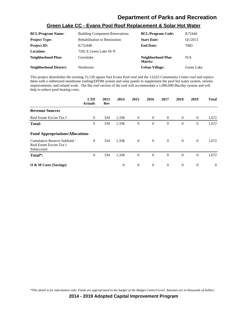| <u> Green Lake CC - Evans Fooi Rooi Replacement &amp; Solar Hot Water</u> |                                       |                          |         |  |  |  |  |
|---------------------------------------------------------------------------|---------------------------------------|--------------------------|---------|--|--|--|--|
| <b>BCL/Program Name:</b>                                                  | <b>Building Component Renovations</b> | <b>BCL/Program Code:</b> | K72444  |  |  |  |  |
| <b>Project Type:</b>                                                      | <b>Rehabilitation or Restoration</b>  | <b>Start Date:</b>       | Q1/2013 |  |  |  |  |
| <b>Project ID:</b>                                                        | K732448                               | <b>End Date:</b>         | TBD     |  |  |  |  |
| <b>Location:</b>                                                          | 7201 E Green Lake Dr N                |                          |         |  |  |  |  |
| Neighborhood Plan:                                                        | Greenlake                             | Neighborhood Plan        | N/A     |  |  |  |  |

**Neighborhood District:** Northwest **Urban Village:** Green Lake

#### **Green Lake CC - Evans Pool Roof Replacement & Solar Hot Water**

**Matrix:**

This project demolishes the existing 15,130 square foot Evans Pool roof and the 13,625 Community Center roof and replace them with a rubberized membrane roofing/EPDM system and solar panels to supplement the pool hot water system, seismic improvements, and related work. The flat roof section of the roof will accommodate a 1,000,000 Btu/day system and will help to reduce pool heating costs.

|                                                                        | <b>LTD</b><br><b>Actuals</b> | 2013<br>Rev | 2014     | 2015           | 2016           | 2017           | 2018           | 2019           | <b>Total</b> |
|------------------------------------------------------------------------|------------------------------|-------------|----------|----------------|----------------|----------------|----------------|----------------|--------------|
| <b>Revenue Sources</b>                                                 |                              |             |          |                |                |                |                |                |              |
| Real Estate Excise Tax I                                               | $\theta$                     | 334         | 1,338    | $\theta$       | $\theta$       | $\overline{0}$ | $\theta$       | $\theta$       | 1,672        |
| <b>Total:</b>                                                          | 0                            | 334         | 1,338    | $\overline{0}$ | $\theta$       | $\theta$       | $\theta$       | $\mathbf{0}$   | 1,672        |
| <b>Fund Appropriations/Allocations</b>                                 |                              |             |          |                |                |                |                |                |              |
| Cumulative Reserve Subfund -<br>Real Estate Excise Tax I<br>Subaccount | $\theta$                     | 334         | 1,338    | $\overline{0}$ | $\overline{0}$ | $\overline{0}$ | $\overline{0}$ | $\overline{0}$ | 1,672        |
| Total*:                                                                | $\boldsymbol{0}$             | 334         | 1,338    | $\theta$       | $\theta$       | $\overline{0}$ | $\theta$       | $\overline{0}$ | 1,672        |
| $\overline{O}$ & M Costs (Savings)                                     |                              |             | $\theta$ | $\theta$       | $\theta$       | $\overline{0}$ | $\theta$       | $\overline{0}$ | $\theta$     |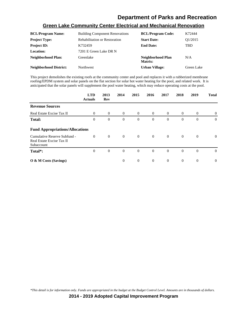#### **Green Lake Community Center Electrical and Mechanical Renovation**

| <b>BCL/Program Name:</b>      | <b>Building Component Renovations</b> | <b>BCL/Program Code:</b>     | K72444     |
|-------------------------------|---------------------------------------|------------------------------|------------|
| <b>Project Type:</b>          | <b>Rehabilitation or Restoration</b>  | <b>Start Date:</b>           | O1/2015    |
| <b>Project ID:</b>            | K732459                               | <b>End Date:</b>             | TBD        |
| Location:                     | 7201 E Green Lake DR N                |                              |            |
| Neighborhood Plan:            | Greenlake                             | Neighborhood Plan<br>Matrix: | N/A        |
| <b>Neighborhood District:</b> | <b>Northwest</b>                      | <b>Urban Village:</b>        | Green Lake |

This project demolishes the existing roofs at the community center and pool and replaces it with a rubberized membrane roofing/EPDM system and solar panels on the flat section for solar hot water heating for the pool, and related work. It is anticipated that the solar panels will supplement the pool water heating, which may reduce operating costs at the pool.

|                                                                         | <b>LTD</b><br><b>Actuals</b> | 2013<br>Rev    | 2014         | 2015           | 2016           | 2017           | 2018           | 2019           | <b>Total</b> |
|-------------------------------------------------------------------------|------------------------------|----------------|--------------|----------------|----------------|----------------|----------------|----------------|--------------|
| <b>Revenue Sources</b>                                                  |                              |                |              |                |                |                |                |                |              |
| Real Estate Excise Tax II                                               | $\overline{0}$               | $\overline{0}$ | $\theta$     | $\overline{0}$ | $\overline{0}$ | $\overline{0}$ | $\overline{0}$ | $\mathbf{0}$   | $\theta$     |
| <b>Total:</b>                                                           | $\boldsymbol{0}$             | $\theta$       | $\theta$     | $\mathbf{0}$   | $\overline{0}$ | $\theta$       | $\mathbf{0}$   | $\overline{0}$ | $\theta$     |
| <b>Fund Appropriations/Allocations</b>                                  |                              |                |              |                |                |                |                |                |              |
| Cumulative Reserve Subfund -<br>Real Estate Excise Tax II<br>Subaccount | $\theta$                     | $\overline{0}$ | $\mathbf{0}$ | $\overline{0}$ | $\overline{0}$ | $\overline{0}$ | $\overline{0}$ | $\mathbf{0}$   | $\theta$     |
| Total*:                                                                 | $\boldsymbol{0}$             | $\theta$       | $\theta$     | $\mathbf{0}$   | $\overline{0}$ | $\Omega$       | $\overline{0}$ | $\theta$       | $\theta$     |
| O & M Costs (Savings)                                                   |                              |                | $\theta$     | $\overline{0}$ | $\overline{0}$ | $\overline{0}$ | $\overline{0}$ | $\overline{0}$ | $\Omega$     |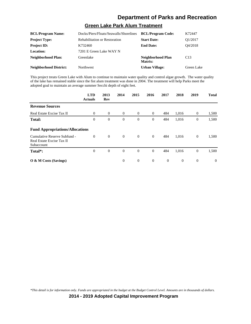# **Green Lake Park Alum Treatment**

| <b>BCL/Program Name:</b>      | Docks/Piers/Floats/Seawalls/Shorelines | <b>BCL/Program Code:</b>     | K72447     |
|-------------------------------|----------------------------------------|------------------------------|------------|
| <b>Project Type:</b>          | <b>Rehabilitation or Restoration</b>   | <b>Start Date:</b>           | Q1/2017    |
| <b>Project ID:</b>            | K732460                                | <b>End Date:</b>             | O4/2018    |
| Location:                     | 7201 E Green Lake WAY N                |                              |            |
| Neighborhood Plan:            | Greenlake                              | Neighborhood Plan<br>Matrix: | C13        |
| <b>Neighborhood District:</b> | <b>Northwest</b>                       | <b>Urban Village:</b>        | Green Lake |

This project treats Green Lake with Alum to continue to maintain water quality and control algae growth. The water quality of the lake has remained stable since the fist alum treatment was done in 2004. The treatment will help Parks meet the adopted goal to maintain an average summer Secchi depth of eight feet.

|                                                                         | <b>LTD</b><br><b>Actuals</b> | 2013<br>Rev    | 2014     | 2015           | 2016           | 2017           | 2018           | 2019           | <b>Total</b> |
|-------------------------------------------------------------------------|------------------------------|----------------|----------|----------------|----------------|----------------|----------------|----------------|--------------|
| <b>Revenue Sources</b>                                                  |                              |                |          |                |                |                |                |                |              |
| Real Estate Excise Tax II                                               | $\theta$                     | $\overline{0}$ | $\theta$ | $\overline{0}$ | $\theta$       | 484            | 1,016          | $\overline{0}$ | 1,500        |
| <b>Total:</b>                                                           | $\mathbf{0}$                 | $\theta$       | $\theta$ | $\mathbf{0}$   | $\mathbf{0}$   | 484            | 1,016          | 0              | 1,500        |
| <b>Fund Appropriations/Allocations</b>                                  |                              |                |          |                |                |                |                |                |              |
| Cumulative Reserve Subfund -<br>Real Estate Excise Tax II<br>Subaccount | $\mathbf{0}$                 | $\theta$       | $\theta$ | $\overline{0}$ | $\overline{0}$ | 484            | 1,016          | $\overline{0}$ | 1,500        |
| Total*:                                                                 | $\mathbf{0}$                 | $\theta$       | $\theta$ | $\overline{0}$ | $\mathbf{0}$   | 484            | 1,016          | $\mathbf{0}$   | 1,500        |
| $\overline{O}$ & M Costs (Savings)                                      |                              |                | $\theta$ | $\overline{0}$ | $\theta$       | $\overline{0}$ | $\overline{0}$ | $\mathbf{0}$   | $\Omega$     |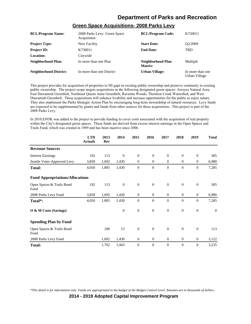| <b>BCL/Program Name:</b>      | 2008 Parks Levy- Green Space<br>Acquisition | <b>BCL/Program Code:</b>     | K720011                           |
|-------------------------------|---------------------------------------------|------------------------------|-----------------------------------|
| <b>Project Type:</b>          | New Facility                                | <b>Start Date:</b>           | O <sub>2</sub> /2009              |
| <b>Project ID:</b>            | K730011                                     | <b>End Date:</b>             | TBD                               |
| Location:                     | Citywide                                    |                              |                                   |
| Neighborhood Plan:            | In more than one Plan                       | Neighborhood Plan<br>Matrix: | Multiple                          |
| <b>Neighborhood District:</b> | In more than one District                   | Urban Village:               | In more than one<br>Urban Village |

#### **Green Space Acquisitions- 2008 Parks Levy**

This project provides for acquisition of properties to fill gaps in existing public ownership and preserve continuity in existing public ownership. The project scope targets acquisitions in the following designated green spaces: Arroyos Natural Area, East Duwamish Greenbelt, Northeast Oueen Anne Greenbelt, Ravenna Woods, Thornton Creek Watershed, and West Duwamish Greenbelt. These acquisitions will enhance livability and increase opportunities for the public to enjoy nature. They also implement the Parks Strategic Action Plan by encouraging long-term stewardship of natural resources. Levy funds are expected to be supplemented by grants and funds from other sources for these acquisitions. This project is part of the 2008 Parks Levy.

In 2010,\$305K was added to the project to provide funding to cover costs associated with the acquisition of real property within the City's designated green spaces. These funds are derived from excess interest earnings in the Open Spaces and Trails Fund, which was created in 1989 and has been inactive since 2006.

|                                        | <b>LTD</b><br><b>Actuals</b> | 2013<br>Rev | 2014         | 2015             | 2016             | 2017           | 2018           | 2019             | <b>Total</b> |
|----------------------------------------|------------------------------|-------------|--------------|------------------|------------------|----------------|----------------|------------------|--------------|
| <b>Revenue Sources</b>                 |                              |             |              |                  |                  |                |                |                  |              |
| <b>Interest Earnings</b>               | 192                          | 113         | $\mathbf{0}$ | $\mathbf{0}$     | $\mathbf{0}$     | $\overline{0}$ | $\theta$       | $\theta$         | 305          |
| Seattle Voter-Approved Levy            | 3,858                        | 1,692       | 1,430        | $\theta$         | $\mathbf{0}$     | $\overline{0}$ | $\mathbf{0}$   | $\overline{0}$   | 6,980        |
| <b>Total:</b>                          | 4,050                        | 1,805       | 1,430        | $\overline{0}$   | $\boldsymbol{0}$ | $\theta$       | $\theta$       | $\boldsymbol{0}$ | 7,285        |
| <b>Fund Appropriations/Allocations</b> |                              |             |              |                  |                  |                |                |                  |              |
| Open Spaces & Trails Bond<br>Fund      | 192                          | 113         | $\mathbf{0}$ | $\mathbf{0}$     | $\theta$         | $\overline{0}$ | $\theta$       | $\theta$         | 305          |
| 2008 Parks Levy Fund                   | 3,858                        | 1,692       | 1,430        | $\mathbf{0}$     | $\boldsymbol{0}$ | $\overline{0}$ | $\mathbf{0}$   | $\overline{0}$   | 6,980        |
| Total*:                                | 4,050                        | 1,805       | 1,430        | $\overline{0}$   | $\overline{0}$   | $\theta$       | $\overline{0}$ | $\overline{0}$   | 7,285        |
| O & M Costs (Savings)                  |                              |             | $\mathbf{0}$ | $\boldsymbol{0}$ | $\mathbf{0}$     | $\overline{0}$ | $\theta$       | $\overline{0}$   | $\mathbf{0}$ |
| <b>Spending Plan by Fund</b>           |                              |             |              |                  |                  |                |                |                  |              |
| Open Spaces & Trails Bond<br>Fund      |                              | 100         | 13           | $\mathbf{0}$     | $\overline{0}$   | $\overline{0}$ | $\Omega$       | $\overline{0}$   | 113          |
| 2008 Parks Levy Fund                   |                              | 1,692       | 1,430        | $\mathbf{0}$     | $\mathbf{0}$     | $\overline{0}$ | $\mathbf{0}$   | $\overline{0}$   | 3,122        |
| <b>Total:</b>                          |                              | 1,792       | 1,443        | $\overline{0}$   | $\mathbf{0}$     | $\theta$       | $\theta$       | $\boldsymbol{0}$ | 3,235        |

*\*This detail is for information only. Funds are appropriated in the budget at the Budget Control Level. Amounts are in thousands of dollars.*

**2014 - 2019 Adopted Capital Improvement Program**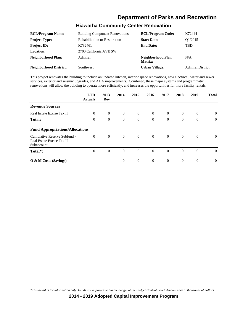#### **Hiawatha Community Center Renovation**

| <b>BCL/Program Name:</b>      | <b>Building Component Renovations</b> | <b>BCL/Program Code:</b>     | K72444                  |
|-------------------------------|---------------------------------------|------------------------------|-------------------------|
| <b>Project Type:</b>          | <b>Rehabilitation or Restoration</b>  | <b>Start Date:</b>           | O <sub>1</sub> /2015    |
| <b>Project ID:</b>            | K732461                               | <b>End Date:</b>             | TBD                     |
| Location:                     | 2700 California AVE SW                |                              |                         |
| <b>Neighborhood Plan:</b>     | Admiral                               | Neighborhood Plan<br>Matrix: | N/A                     |
| <b>Neighborhood District:</b> | Southwest                             | <b>Urban Village:</b>        | <b>Admiral District</b> |

This project renovates the building to include an updated kitchen, interior space renovations, new electrical, water and sewer services, exterior and seismic upgrades, and ADA improvements. Combined, these major systems and programmatic renovations will allow the building to operate more efficiently, and increases the opportunities for more facility rentals.

|                                                                         | <b>LTD</b><br><b>Actuals</b> | 2013<br>Rev    | 2014           | 2015           | 2016           | 2017           | 2018           | 2019           | <b>Total</b> |
|-------------------------------------------------------------------------|------------------------------|----------------|----------------|----------------|----------------|----------------|----------------|----------------|--------------|
| <b>Revenue Sources</b>                                                  |                              |                |                |                |                |                |                |                |              |
| Real Estate Excise Tax II                                               | $\overline{0}$               | $\overline{0}$ | $\overline{0}$ | $\overline{0}$ | $\overline{0}$ | $\overline{0}$ | $\overline{0}$ | $\overline{0}$ | $\theta$     |
| <b>Total:</b>                                                           | $\boldsymbol{0}$             | $\mathbf{0}$   | $\theta$       | $\mathbf{0}$   | $\overline{0}$ | $\theta$       | $\mathbf{0}$   | $\theta$       | $\theta$     |
| <b>Fund Appropriations/Allocations</b>                                  |                              |                |                |                |                |                |                |                |              |
| Cumulative Reserve Subfund -<br>Real Estate Excise Tax II<br>Subaccount | $\overline{0}$               | $\overline{0}$ | $\theta$       | $\overline{0}$ | $\overline{0}$ | $\overline{0}$ | $\overline{0}$ | $\theta$       | $\theta$     |
| Total*:                                                                 | $\overline{0}$               | $\theta$       | $\theta$       | $\mathbf{0}$   | $\overline{0}$ | $\overline{0}$ | $\overline{0}$ | $\mathbf{0}$   | $\theta$     |
| $\overline{O}$ & M Costs (Savings)                                      |                              |                | $\theta$       | $\overline{0}$ | $\overline{0}$ | $\overline{0}$ | $\overline{0}$ | $\overline{0}$ | $\Omega$     |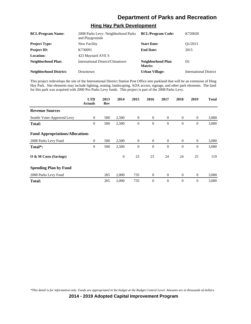#### **Hing Hay Park Development**

| <b>BCL/Program Name:</b>      | 2008 Parks Levy- Neighborhood Parks<br>and Playgrounds | <b>BCL/Program Code:</b>     | K720020                       |
|-------------------------------|--------------------------------------------------------|------------------------------|-------------------------------|
| <b>Project Type:</b>          | New Facility                                           | <b>Start Date:</b>           | O1/2013                       |
| <b>Project ID:</b>            | K730091                                                | <b>End Date:</b>             | 2015                          |
| <b>Location:</b>              | 423 Maynard AVE S                                      |                              |                               |
| Neighborhood Plan:            | International District/Chinatown                       | Neighborhood Plan<br>Matrix: | D1                            |
| <b>Neighborhood District:</b> | Downtown                                               | <b>Urban Village:</b>        | <b>International District</b> |

This project redevelops the site of the International District Station Post Office into parkland that will be an extension of Hing Hay Park. Site elements may include lighting, seating, landscaping, ADA access, signage, and other park elements. The land for this park was acquired with 2000 Pro Parks Levy funds. This project is part of the 2008 Parks Levy.

|                                        | <b>LTD</b><br><b>Actuals</b> | 2013<br><b>Rev</b> | 2014         | 2015             | 2016           | 2017           | 2018           | 2019             | <b>Total</b> |
|----------------------------------------|------------------------------|--------------------|--------------|------------------|----------------|----------------|----------------|------------------|--------------|
| <b>Revenue Sources</b>                 |                              |                    |              |                  |                |                |                |                  |              |
| Seattle Voter-Approved Levy            | $\mathbf{0}$                 | 500                | 2,500        | $\mathbf{0}$     | $\overline{0}$ | $\overline{0}$ | $\overline{0}$ | $\theta$         | 3,000        |
| <b>Total:</b>                          | 0                            | 500                | 2,500        | $\boldsymbol{0}$ | $\theta$       | $\theta$       | $\theta$       | $\boldsymbol{0}$ | 3,000        |
| <b>Fund Appropriations/Allocations</b> |                              |                    |              |                  |                |                |                |                  |              |
| 2008 Parks Levy Fund                   | $\mathbf{0}$                 | 500                | 2,500        | $\overline{0}$   | $\overline{0}$ | $\overline{0}$ | $\overline{0}$ | $\boldsymbol{0}$ | 3,000        |
| Total*:                                | $\mathbf{0}$                 | 500                | 2,500        | $\overline{0}$   | $\theta$       | $\Omega$       | $\theta$       | $\mathbf{0}$     | 3,000        |
| O & M Costs (Savings)                  |                              |                    | $\mathbf{0}$ | 23               | 23             | 24             | 24             | 25               | 119          |
| <b>Spending Plan by Fund</b>           |                              |                    |              |                  |                |                |                |                  |              |
| 2008 Parks Levy Fund                   |                              | 265                | 2,000        | 735              | $\theta$       | $\overline{0}$ | $\mathbf{0}$   | $\theta$         | 3,000        |
| <b>Total:</b>                          |                              | 265                | 2,000        | 735              | $\theta$       | $\theta$       | $\theta$       | $\theta$         | 3,000        |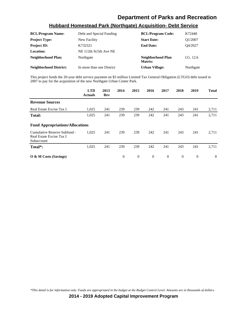#### **Hubbard Homestead Park (Northgate) Acquisition- Debt Service**

| <b>BCL/Program Name:</b>      | Debt and Special Funding  | <b>BCL/Program Code:</b>     | K72440      |
|-------------------------------|---------------------------|------------------------------|-------------|
| <b>Project Type:</b>          | New Facility              | <b>Start Date:</b>           | O1/2007     |
| <b>Project ID:</b>            | K732321                   | <b>End Date:</b>             | O4/2027     |
| Location:                     | NE 112th St/5th Ave NE    |                              |             |
| <b>Neighborhood Plan:</b>     | Northgate                 | Neighborhood Plan<br>Matrix: | I.G. $12.6$ |
| <b>Neighborhood District:</b> | In more than one District | <b>Urban Village:</b>        | Northgate   |

This project funds the 20-year debt service payment on \$3 million Limited Tax General Obligation (LTGO) debt issued in 2007 to pay for the acquisition of the new Northgate Urban Center Park.

|                                                                        | <b>LTD</b><br><b>Actuals</b> | 2013<br>Rev | 2014     | 2015           | 2016     | 2017     | 2018           | 2019     | <b>Total</b> |
|------------------------------------------------------------------------|------------------------------|-------------|----------|----------------|----------|----------|----------------|----------|--------------|
| <b>Revenue Sources</b>                                                 |                              |             |          |                |          |          |                |          |              |
| Real Estate Excise Tax I                                               | 1,025                        | 241         | 239      | 239            | 242      | 241      | 243            | 241      | 2,711        |
| <b>Total:</b>                                                          | 1,025                        | 241         | 239      | 239            | 242      | 241      | 243            | 241      | 2,711        |
| <b>Fund Appropriations/Allocations</b>                                 |                              |             |          |                |          |          |                |          |              |
| Cumulative Reserve Subfund -<br>Real Estate Excise Tax I<br>Subaccount | 1,025                        | 241         | 239      | 239            | 242      | 241      | 243            | 241      | 2,711        |
| Total <sup>*</sup> :                                                   | 1,025                        | 241         | 239      | 239            | 242      | 241      | 243            | 241      | 2,711        |
| $\overline{O}$ & M Costs (Savings)                                     |                              |             | $\Omega$ | $\overline{0}$ | $\Omega$ | $\Omega$ | $\overline{0}$ | $\theta$ | $\Omega$     |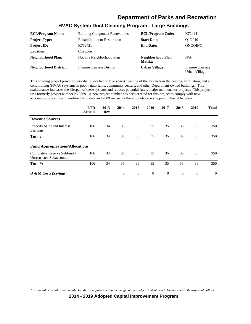| <b>BCL/Program Name:</b>      | <b>Building Component Renovations</b> | <b>BCL/Program Code:</b>     | K72444                            |
|-------------------------------|---------------------------------------|------------------------------|-----------------------------------|
| <b>Project Type:</b>          | <b>Rehabilitation or Restoration</b>  | <b>Start Date:</b>           | O1/2010                           |
| <b>Project ID:</b>            | K732421                               | <b>End Date:</b>             | ONGOING                           |
| <b>Location:</b>              | Citywide                              |                              |                                   |
| <b>Neighborhood Plan:</b>     | Not in a Neighborhood Plan            | Neighborhood Plan<br>Matrix: | N/A                               |
| <b>Neighborhood District:</b> | In more than one District             | <b>Urban Village:</b>        | In more than one<br>Urban Village |

#### **HVAC System Duct Cleaning Program - Large Buildings**

This ongoing project provides periodic (every two to five years) cleaning of the air ducts in the heating, ventilation, and air conditioning (HVAC) systems in pool natatoriums, community centers, and other Department-owned buildings. This maintenance increases the lifespan of these systems and reduces potential future major maintenance projects. This project was formerly project number K73669. A new project number has been created for this project to comply with new accounting procedures, therefore life to date and 2009 revised dollar amounts do not appear in the table below.

|                                                                | <b>LTD</b><br><b>Actuals</b> | 2013<br>Rev | 2014     | 2015           | 2016     | 2017     | 2018     | 2019           | <b>Total</b> |
|----------------------------------------------------------------|------------------------------|-------------|----------|----------------|----------|----------|----------|----------------|--------------|
| <b>Revenue Sources</b>                                         |                              |             |          |                |          |          |          |                |              |
| Property Sales and Interest<br>Earnings                        | 106                          | 34          | 35       | 35             | 35       | 35       | 35       | 35             | 350          |
| <b>Total:</b>                                                  | 106                          | 34          | 35       | 35             | 35       | 35       | 35       | 35             | 350          |
| <b>Fund Appropriations/Allocations</b>                         |                              |             |          |                |          |          |          |                |              |
| Cumulative Reserve Subfund -<br><b>Unrestricted Subaccount</b> | 106                          | 34          | 35       | 35             | 35       | 35       | 35       | 35             | 350          |
| Total*:                                                        | 106                          | 34          | 35       | 35             | 35       | 35       | 35       | 35             | 350          |
| O & M Costs (Savings)                                          |                              |             | $\theta$ | $\overline{0}$ | $\theta$ | $\theta$ | $\theta$ | $\overline{0}$ | $\theta$     |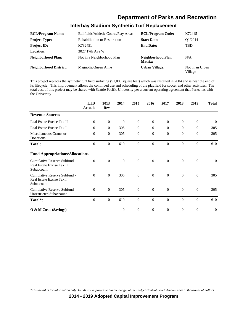#### **Interbay Stadium Synthetic Turf Replacement**

| <b>BCL/Program Name:</b>      | Ballfields/Athletic Courts/Play Areas | <b>BCL/Program Code:</b>     | K72445                     |
|-------------------------------|---------------------------------------|------------------------------|----------------------------|
| <b>Project Type:</b>          | <b>Rehabilitation or Restoration</b>  | <b>Start Date:</b>           | O1/2014                    |
| <b>Project ID:</b>            | K732451                               | <b>End Date:</b>             | <b>TBD</b>                 |
| Location:                     | 3027 17th Ave W                       |                              |                            |
| Neighborhood Plan:            | Not in a Neighborhood Plan            | Neighborhood Plan<br>Matrix: | N/A                        |
| <b>Neighborhood District:</b> | Magnolia/Oueen Anne                   | <b>Urban Village:</b>        | Not in an Urban<br>Village |

This project replaces the synthetic turf field surfacing (91,000 square feet) which was installed in 2004 and is near the end of its lifecycle. This improvement allows the continued use and scheduling of the playfield for soccer and other activities. The total cost of this project may be shared with Seattle Pacific University per a current operating agreement that Parks has with the University.

|                                                                         | <b>LTD</b><br><b>Actuals</b> | 2013<br><b>Rev</b> | 2014           | 2015             | 2016           | 2017           | 2018           | 2019             | <b>Total</b> |
|-------------------------------------------------------------------------|------------------------------|--------------------|----------------|------------------|----------------|----------------|----------------|------------------|--------------|
| <b>Revenue Sources</b>                                                  |                              |                    |                |                  |                |                |                |                  |              |
| Real Estate Excise Tax II                                               | $\theta$                     | $\mathbf{0}$       | $\theta$       | $\mathbf{0}$     | $\mathbf{0}$   | $\mathbf{0}$   | $\overline{0}$ | $\mathbf{0}$     | $\theta$     |
| Real Estate Excise Tax I                                                | $\Omega$                     | $\Omega$           | 305            | $\overline{0}$   | $\mathbf{0}$   | $\Omega$       | $\overline{0}$ | $\Omega$         | 305          |
| Miscellaneous Grants or<br>Donations                                    | $\theta$                     | $\mathbf{0}$       | 305            | $\boldsymbol{0}$ | $\mathbf{0}$   | $\theta$       | $\mathbf{0}$   | $\boldsymbol{0}$ | 305          |
| <b>Total:</b>                                                           | $\Omega$                     | $\Omega$           | 610            | $\theta$         | $\Omega$       | $\Omega$       | $\Omega$       | $\Omega$         | 610          |
| <b>Fund Appropriations/Allocations</b>                                  |                              |                    |                |                  |                |                |                |                  |              |
| Cumulative Reserve Subfund -<br>Real Estate Excise Tax II<br>Subaccount | $\overline{0}$               | $\theta$           | $\overline{0}$ | $\mathbf{0}$     | $\overline{0}$ | $\overline{0}$ | $\overline{0}$ | $\theta$         | $\theta$     |
| Cumulative Reserve Subfund -<br>Real Estate Excise Tax I<br>Subaccount  | $\Omega$                     | $\theta$           | 305            | $\mathbf{0}$     | $\mathbf{0}$   | $\theta$       | $\mathbf{0}$   | $\mathbf{0}$     | 305          |
| Cumulative Reserve Subfund -<br><b>Unrestricted Subaccount</b>          | $\Omega$                     | $\theta$           | 305            | $\mathbf{0}$     | $\Omega$       | $\theta$       | $\mathbf{0}$   | $\overline{0}$   | 305          |
| Total*:                                                                 | $\Omega$                     | $\mathbf{0}$       | 610            | $\boldsymbol{0}$ | $\mathbf{0}$   | $\theta$       | $\mathbf{0}$   | $\theta$         | 610          |
| O & M Costs (Savings)                                                   |                              |                    | $\theta$       | $\theta$         | $\mathbf{0}$   | $\theta$       | $\mathbf{0}$   | $\theta$         | $\theta$     |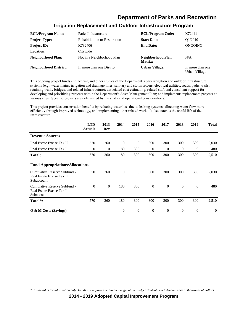| <b>BCL/Program Name:</b>      | Parks Infrastructure                 | <b>BCL/Program Code:</b>     | K72441                            |
|-------------------------------|--------------------------------------|------------------------------|-----------------------------------|
| <b>Project Type:</b>          | <b>Rehabilitation or Restoration</b> | <b>Start Date:</b>           | O1/2010                           |
| <b>Project ID:</b>            | K732406                              | <b>End Date:</b>             | ONGOING                           |
| Location:                     | Citywide                             |                              |                                   |
| Neighborhood Plan:            | Not in a Neighborhood Plan           | Neighborhood Plan<br>Matrix: | N/A                               |
| <b>Neighborhood District:</b> | In more than one District            | <b>Urban Village:</b>        | In more than one<br>Urban Village |

#### **Irrigation Replacement and Outdoor Infrastructure Program**

This ongoing project funds engineering and other studies of the Department's park irrigation and outdoor infrastructure systems (e.g., water mains, irrigation and drainage lines, sanitary and storm sewers, electrical utilities, roads, paths, trails, retaining walls, bridges, and related infrastructure); associated cost estimating; related staff and consultant support for developing and prioritizing projects within the Department's Asset Management Plan; and implements replacement projects at various sites. Specific projects are determined by the study and operational considerations.

This project provides conservation benefits by reducing water loss due to leaking systems, allocating water flow more efficiently through improved technology, and implementing other related work. It also extends the useful life of the infrastructure.

|                                                                         | <b>LTD</b><br><b>Actuals</b> | 2013<br>Rev  | 2014     | 2015           | 2016         | 2017           | 2018     | 2019             | <b>Total</b> |
|-------------------------------------------------------------------------|------------------------------|--------------|----------|----------------|--------------|----------------|----------|------------------|--------------|
| <b>Revenue Sources</b>                                                  |                              |              |          |                |              |                |          |                  |              |
| Real Estate Excise Tax II                                               | 570                          | 260          | $\theta$ | $\overline{0}$ | 300          | 300            | 300      | 300              | 2,030        |
| Real Estate Excise Tax I                                                | $\boldsymbol{0}$             | 0            | 180      | 300            | $\mathbf{0}$ | $\theta$       | $\theta$ | $\boldsymbol{0}$ | 480          |
| <b>Total:</b>                                                           | 570                          | 260          | 180      | 300            | 300          | 300            | 300      | 300              | 2,510        |
| <b>Fund Appropriations/Allocations</b>                                  |                              |              |          |                |              |                |          |                  |              |
| Cumulative Reserve Subfund -<br>Real Estate Excise Tax II<br>Subaccount | 570                          | 260          | $\theta$ | $\mathbf{0}$   | 300          | 300            | 300      | 300              | 2,030        |
| Cumulative Reserve Subfund -<br>Real Estate Excise Tax I<br>Subaccount  | $\theta$                     | $\mathbf{0}$ | 180      | 300            | $\mathbf{0}$ | $\overline{0}$ | $\theta$ | $\mathbf{0}$     | 480          |
| Total*:                                                                 | 570                          | 260          | 180      | 300            | 300          | 300            | 300      | 300              | 2,510        |
| $\overline{O}$ & M Costs (Savings)                                      |                              |              | $\theta$ | $\overline{0}$ | $\theta$     | $\theta$       | $\theta$ | $\theta$         | $\theta$     |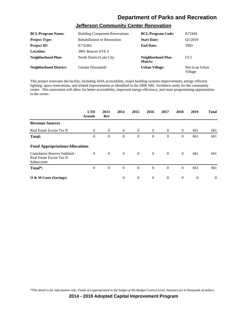# **Jefferson Community Center Renovation**

| <b>BCL/Program Name:</b>      | <b>Building Component Renovations</b> | <b>BCL/Program Code:</b>     | K72444                     |
|-------------------------------|---------------------------------------|------------------------------|----------------------------|
| <b>Project Type:</b>          | <b>Rehabilitation or Restoration</b>  | <b>Start Date:</b>           | O1/2019                    |
| <b>Project ID:</b>            | K732462                               | <b>End Date:</b>             | <b>TBD</b>                 |
| Location:                     | 3801 Beacon AVE S                     |                              |                            |
| <b>Neighborhood Plan:</b>     | North District/Lake City              | Neighborhood Plan<br>Matrix: | CC <sub>1</sub>            |
| <b>Neighborhood District:</b> | <b>Greater Duwamish</b>               | <b>Urban Village:</b>        | Not in an Urban<br>Village |

This project renovates the facility, including ADA accessibility, major building systems improvements, energy efficient lighting, space renovations, and related improvements as identified in the 2008 ARC Architects study for the community center. This renovation will allow for better accessibility, improved energy efficiency, and more programming opportunities in the center.

|                                                                         | <b>LTD</b><br><b>Actuals</b> | 2013<br>Rev  | 2014           | 2015           | 2016           | 2017           | 2018           | 2019     | <b>Total</b> |
|-------------------------------------------------------------------------|------------------------------|--------------|----------------|----------------|----------------|----------------|----------------|----------|--------------|
| <b>Revenue Sources</b>                                                  |                              |              |                |                |                |                |                |          |              |
| Real Estate Excise Tax II                                               | $\Omega$                     | $\theta$     | $\theta$       | $\overline{0}$ | $\overline{0}$ | $\overline{0}$ | $\overline{0}$ | 661      | 661          |
| <b>Total:</b>                                                           | $\overline{0}$               | $\mathbf{0}$ | $\theta$       | $\overline{0}$ | $\mathbf{0}$   | $\mathbf{0}$   | $\mathbf{0}$   | 661      | 661          |
| <b>Fund Appropriations/Allocations</b>                                  |                              |              |                |                |                |                |                |          |              |
| Cumulative Reserve Subfund -<br>Real Estate Excise Tax II<br>Subaccount | $\Omega$                     | $\theta$     | $\theta$       | $\overline{0}$ | $\overline{0}$ | $\overline{0}$ | $\Omega$       | 661      | 661          |
| Total*:                                                                 | $\overline{0}$               | $\theta$     | $\overline{0}$ | $\overline{0}$ | $\mathbf{0}$   | $\overline{0}$ | $\overline{0}$ | 661      | 661          |
| $\overline{O}$ & M Costs (Savings)                                      |                              |              | $\Omega$       | $\theta$       | $\overline{0}$ | $\theta$       | $\theta$       | $\theta$ | $\Omega$     |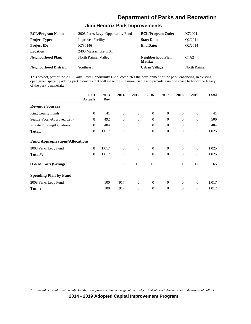#### **Jimi Hendrix Park Improvements**

| <b>BCL/Program Name:</b>      | 2008 Parks Levy- Opportunity Fund | <b>BCL/Program Code:</b>     | K720041                       |
|-------------------------------|-----------------------------------|------------------------------|-------------------------------|
| <b>Project Type:</b>          | <b>Improved Facility</b>          | <b>Start Date:</b>           | O2/2011                       |
| <b>Project ID:</b>            | K730146                           | <b>End Date:</b>             | O <sub>2</sub> /2014          |
| <b>Location:</b>              | 2400 Massachusetts ST             |                              |                               |
| <b>Neighborhood Plan:</b>     | North Rainier Valley              | Neighborhood Plan<br>Matrix: | C <sub>4</sub> A <sub>2</sub> |
| <b>Neighborhood District:</b> | Southeast                         | <b>Urban Village:</b>        | North Rainier                 |

This project, part of the 2008 Parks Levy Opportunity Fund, completes the development of the park, enhancing an existing open green space by adding park elements that will make the site more usable and provide a unique space to honor the legacy of the park's namesake.

|                                        | <b>LTD</b><br><b>Actuals</b> | 2013<br><b>Rev</b> | 2014           | 2015             | 2016           | 2017           | 2018             | 2019           | <b>Total</b> |
|----------------------------------------|------------------------------|--------------------|----------------|------------------|----------------|----------------|------------------|----------------|--------------|
| <b>Revenue Sources</b>                 |                              |                    |                |                  |                |                |                  |                |              |
| <b>King County Funds</b>               | $\overline{0}$               | 41                 | $\mathbf{0}$   | $\boldsymbol{0}$ | $\overline{0}$ | $\theta$       | $\mathbf{0}$     | $\theta$       | 41           |
| Seattle Voter-Approved Levy            | 8                            | 492                | $\theta$       | $\mathbf{0}$     | $\overline{0}$ | $\overline{0}$ | $\mathbf{0}$     | $\overline{0}$ | 500          |
| Private Funding/Donations              | $\Omega$                     | 484                | $\overline{0}$ | $\overline{0}$   | $\overline{0}$ | $\overline{0}$ | $\overline{0}$   | $\mathbf{0}$   | 484          |
| Total:                                 | 8                            | 1,017              | $\overline{0}$ | $\overline{0}$   | $\theta$       | $\overline{0}$ | $\boldsymbol{0}$ | $\mathbf{0}$   | 1,025        |
| <b>Fund Appropriations/Allocations</b> |                              |                    |                |                  |                |                |                  |                |              |
| 2008 Parks Levy Fund                   | 8                            | 1,017              | $\overline{0}$ | $\theta$         | $\overline{0}$ | $\theta$       | $\mathbf{0}$     | $\mathbf{0}$   | 1,025        |
| Total*:                                | 8                            | 1,017              | $\theta$       | $\overline{0}$   | $\theta$       | $\theta$       | $\mathbf{0}$     | $\overline{0}$ | 1,025        |
| O & M Costs (Savings)                  |                              |                    | 10             | 10               | 11             | 11             | 11               | 12             | 65           |
| <b>Spending Plan by Fund</b>           |                              |                    |                |                  |                |                |                  |                |              |
| 2008 Parks Levy Fund                   |                              | 100                | 917            | $\theta$         | $\Omega$       | $\Omega$       | $\Omega$         | $\mathbf{0}$   | 1,017        |
| <b>Total:</b>                          |                              | 100                | 917            | $\overline{0}$   | $\theta$       | $\theta$       | $\mathbf{0}$     | $\overline{0}$ | 1,017        |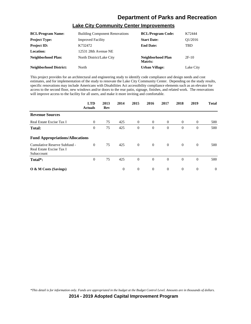#### **Lake City Community Center Improvements**

| <b>BCL/Program Name:</b>      | <b>Building Component Renovations</b> | <b>BCL/Program Code:</b>     | K72444               |
|-------------------------------|---------------------------------------|------------------------------|----------------------|
| <b>Project Type:</b>          | <b>Improved Facility</b>              | <b>Start Date:</b>           | O <sub>1</sub> /2016 |
| <b>Project ID:</b>            | K732472                               | <b>End Date:</b>             | TBD                  |
| <b>Location:</b>              | 12531 28th Avenue NE                  |                              |                      |
| <b>Neighborhood Plan:</b>     | North District/Lake City              | Neighborhood Plan<br>Matrix: | $2F-10$              |
| <b>Neighborhood District:</b> | North                                 | <b>Urban Village:</b>        | Lake City            |

This project provides for an architectural and engineering study to identify code compliance and design needs and cost estimates, and for implementation of the study to renovate the Lake City Community Center. Depending on the study results, specific renovations may include Americans with Disabilities Act accessibility compliance elements such as an elevator for access to the second floor, new windows and/or doors to the rear patio, signage, finishes, and related work. The renovations will improve access to the facility for all users, and make it more inviting and comfortable.

|                                                                        | <b>LTD</b><br><b>Actuals</b> | 2013<br>Rev | 2014     | 2015           | 2016           | 2017           | 2018           | 2019           | <b>Total</b> |
|------------------------------------------------------------------------|------------------------------|-------------|----------|----------------|----------------|----------------|----------------|----------------|--------------|
| <b>Revenue Sources</b>                                                 |                              |             |          |                |                |                |                |                |              |
| Real Estate Excise Tax I                                               | $\theta$                     | 75          | 425      | $\overline{0}$ | $\overline{0}$ | $\overline{0}$ | $\overline{0}$ | $\theta$       | 500          |
| <b>Total:</b>                                                          | $\overline{0}$               | 75          | 425      | $\overline{0}$ | $\theta$       | $\theta$       | $\mathbf{0}$   | $\overline{0}$ | 500          |
| <b>Fund Appropriations/Allocations</b>                                 |                              |             |          |                |                |                |                |                |              |
| Cumulative Reserve Subfund -<br>Real Estate Excise Tax I<br>Subaccount | $\Omega$                     | 75          | 425      | $\overline{0}$ | $\overline{0}$ | $\overline{0}$ | $\overline{0}$ | $\theta$       | 500          |
| Total*:                                                                | $\mathbf{0}$                 | 75          | 425      | $\mathbf{0}$   | $\theta$       | $\overline{0}$ | $\overline{0}$ | $\theta$       | 500          |
| $\overline{O}$ & M Costs (Savings)                                     |                              |             | $\theta$ | $\overline{0}$ | $\overline{0}$ | $\overline{0}$ | $\overline{0}$ | $\theta$       | $\theta$     |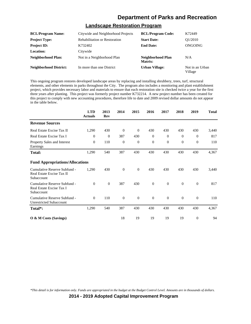#### **Landscape Restoration Program**

| <b>BCL/Program Name:</b>      | Citywide and Neighborhood Projects   | <b>BCL/Program Code:</b>     | K72449                     |
|-------------------------------|--------------------------------------|------------------------------|----------------------------|
| <b>Project Type:</b>          | <b>Rehabilitation or Restoration</b> | <b>Start Date:</b>           | O <sub>1</sub> /2010       |
| <b>Project ID:</b>            | K732402                              | <b>End Date:</b>             | ONGOING                    |
| Location:                     | Citywide                             |                              |                            |
| <b>Neighborhood Plan:</b>     | Not in a Neighborhood Plan           | Neighborhood Plan<br>Matrix: | N/A                        |
| <b>Neighborhood District:</b> | In more than one District            | <b>Urban Village:</b>        | Not in an Urban<br>Village |

This ongoing program restores developed landscape areas by replacing and installing shrubbery, trees, turf, structural elements, and other elements in parks throughout the City. The program also includes a monitoring and plant establishment project, which provides necessary labor and materials to ensure that each restoration site is checked twice a year for the first three years after planting. This project was formerly project number K732214. A new project number has been created for this project to comply with new accounting procedures, therefore life to date and 2009 revised dollar amounts do not appear in the table below.

|                                                                         | <b>LTD</b><br><b>Actuals</b> | 2013<br>Rev      | 2014         | 2015             | 2016         | 2017         | 2018         | 2019             | <b>Total</b> |
|-------------------------------------------------------------------------|------------------------------|------------------|--------------|------------------|--------------|--------------|--------------|------------------|--------------|
| <b>Revenue Sources</b>                                                  |                              |                  |              |                  |              |              |              |                  |              |
| Real Estate Excise Tax II                                               | 1,290                        | 430              | $\mathbf{0}$ | $\mathbf{0}$     | 430          | 430          | 430          | 430              | 3,440        |
| Real Estate Excise Tax I                                                | $\theta$                     | $\boldsymbol{0}$ | 387          | 430              | $\theta$     | $\theta$     | $\mathbf{0}$ | $\mathbf{0}$     | 817          |
| Property Sales and Interest<br>Earnings                                 | $\theta$                     | 110              | $\mathbf{0}$ | $\boldsymbol{0}$ | $\mathbf{0}$ | $\theta$     | $\theta$     | $\boldsymbol{0}$ | 110          |
| <b>Total:</b>                                                           | 1,290                        | 540              | 387          | 430              | 430          | 430          | 430          | 430              | 4,367        |
| <b>Fund Appropriations/Allocations</b>                                  |                              |                  |              |                  |              |              |              |                  |              |
| Cumulative Reserve Subfund -<br>Real Estate Excise Tax II<br>Subaccount | 1,290                        | 430              | $\mathbf{0}$ | $\overline{0}$   | 430          | 430          | 430          | 430              | 3,440        |
| Cumulative Reserve Subfund -<br>Real Estate Excise Tax I<br>Subaccount  | $\theta$                     | $\overline{0}$   | 387          | 430              | $\mathbf{0}$ | $\mathbf{0}$ | $\mathbf{0}$ | $\mathbf{0}$     | 817          |
| Cumulative Reserve Subfund -<br><b>Unrestricted Subaccount</b>          | $\theta$                     | 110              | $\mathbf{0}$ | $\mathbf{0}$     | $\theta$     | $\theta$     | $\mathbf{0}$ | $\boldsymbol{0}$ | 110          |
| Total <sup>*</sup> :                                                    | 1,290                        | 540              | 387          | 430              | 430          | 430          | 430          | 430              | 4,367        |
| O & M Costs (Savings)                                                   |                              |                  | 18           | 19               | 19           | 19           | 19           | $\mathbf{0}$     | 94           |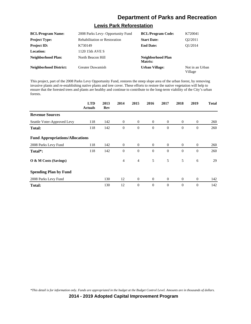#### **Lewis Park Reforestation**

| <b>BCL/Program Name:</b>      | 2008 Parks Levy- Opportunity Fund    | <b>BCL/Program Code:</b>     | K720041                    |
|-------------------------------|--------------------------------------|------------------------------|----------------------------|
| <b>Project Type:</b>          | <b>Rehabilitation or Restoration</b> | <b>Start Date:</b>           | O2/2011                    |
| <b>Project ID:</b>            | K730149                              | <b>End Date:</b>             | O1/2014                    |
| Location:                     | 1120 15th AVE S                      |                              |                            |
| Neighborhood Plan:            | North Beacon Hill                    | Neighborhood Plan<br>Matrix: |                            |
| <b>Neighborhood District:</b> | <b>Greater Duwamish</b>              | <b>Urban Village:</b>        | Not in an Urban<br>Village |

This project, part of the 2008 Parks Levy Opportunity Fund, restores the steep slope area of the urban forest, by removing invasive plants and re-establishing native plants and tree cover. These efforts to restore the native vegetation will help to ensure that the forested trees and plants are healthy and continue to contribute to the long-term viability of the City's urban forests.

|                                        | <b>LTD</b><br><b>Actuals</b> | 2013<br>Rev | 2014           | 2015             | 2016           | 2017           | 2018             | 2019             | <b>Total</b> |
|----------------------------------------|------------------------------|-------------|----------------|------------------|----------------|----------------|------------------|------------------|--------------|
| <b>Revenue Sources</b>                 |                              |             |                |                  |                |                |                  |                  |              |
| Seattle Voter-Approved Levy            | 118                          | 142         | $\overline{0}$ | $\overline{0}$   | $\theta$       | $\overline{0}$ | $\overline{0}$   | $\theta$         | 260          |
| <b>Total:</b>                          | 118                          | 142         | $\mathbf{0}$   | $\boldsymbol{0}$ | $\mathbf{0}$   | $\theta$       | $\boldsymbol{0}$ | $\boldsymbol{0}$ | 260          |
| <b>Fund Appropriations/Allocations</b> |                              |             |                |                  |                |                |                  |                  |              |
| 2008 Parks Levy Fund                   | 118                          | 142         | $\overline{0}$ | $\overline{0}$   | $\overline{0}$ | $\overline{0}$ | $\overline{0}$   | $\theta$         | 260          |
| Total*:                                | 118                          | 142         | $\mathbf{0}$   | $\mathbf{0}$     | $\theta$       | $\Omega$       | $\mathbf{0}$     | $\overline{0}$   | 260          |
| O & M Costs (Savings)                  |                              |             | $\overline{4}$ | $\overline{4}$   | 5              | 5              | 5                | 6                | 29           |
| <b>Spending Plan by Fund</b>           |                              |             |                |                  |                |                |                  |                  |              |
| 2008 Parks Levy Fund                   |                              | 130         | 12             | $\overline{0}$   | $\overline{0}$ | $\overline{0}$ | $\overline{0}$   | $\theta$         | 142          |
| Total:                                 |                              | 130         | 12             | $\mathbf{0}$     | $\theta$       | $\theta$       | $\mathbf{0}$     | $\overline{0}$   | 142          |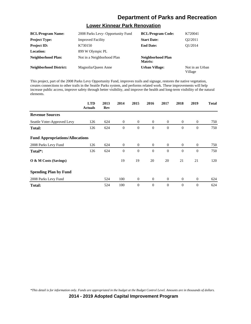#### **Lower Kinnear Park Renovation**

| <b>BCL/Program Name:</b>      | 2008 Parks Levy- Opportunity Fund | <b>BCL/Program Code:</b>     | K720041                    |
|-------------------------------|-----------------------------------|------------------------------|----------------------------|
| <b>Project Type:</b>          | <b>Improved Facility</b>          | <b>Start Date:</b>           | O2/2011                    |
| <b>Project ID:</b>            | K730150                           | <b>End Date:</b>             | O1/2014                    |
| <b>Location:</b>              | 899 W Olympic PL                  |                              |                            |
| Neighborhood Plan:            | Not in a Neighborhood Plan        | Neighborhood Plan<br>Matrix: |                            |
| <b>Neighborhood District:</b> | Magnolia/Oueen Anne               | <b>Urban Village:</b>        | Not in an Urban<br>Village |

This project, part of the 2008 Parks Levy Opportunity Fund, improves trails and signage, restores the native vegetation, creates connections to other trails in the Seattle Parks system, and performs related work. These improvements will help increase public access, improve safety through better visibility, and improve the health and long-term visibility of the natural elements.

|                                        | <b>LTD</b><br><b>Actuals</b> | 2013<br>Rev | 2014         | 2015           | 2016           | 2017           | 2018             | 2019           | <b>Total</b> |
|----------------------------------------|------------------------------|-------------|--------------|----------------|----------------|----------------|------------------|----------------|--------------|
| <b>Revenue Sources</b>                 |                              |             |              |                |                |                |                  |                |              |
| Seattle Voter-Approved Levy            | 126                          | 624         | $\theta$     | $\overline{0}$ | $\overline{0}$ | $\theta$       | $\overline{0}$   | $\overline{0}$ | 750          |
| <b>Total:</b>                          | 126                          | 624         | $\mathbf{0}$ | $\mathbf{0}$   | $\theta$       | $\theta$       | $\boldsymbol{0}$ | $\mathbf{0}$   | 750          |
| <b>Fund Appropriations/Allocations</b> |                              |             |              |                |                |                |                  |                |              |
| 2008 Parks Levy Fund                   | 126                          | 624         | $\theta$     | $\overline{0}$ | $\overline{0}$ | $\overline{0}$ | $\overline{0}$   | $\overline{0}$ | 750          |
| Total*:                                | 126                          | 624         | $\theta$     | $\theta$       | $\theta$       | $\theta$       | $\theta$         | $\mathbf{0}$   | 750          |
| O & M Costs (Savings)                  |                              |             | 19           | 19             | 20             | 20             | 21               | 21             | 120          |
| <b>Spending Plan by Fund</b>           |                              |             |              |                |                |                |                  |                |              |
| 2008 Parks Levy Fund                   |                              | 524         | 100          | $\overline{0}$ | $\overline{0}$ | $\overline{0}$ | $\mathbf{0}$     | $\overline{0}$ | 624          |
| Total:                                 |                              | 524         | 100          | $\mathbf{0}$   | $\theta$       | $\theta$       | $\theta$         | $\mathbf{0}$   | 624          |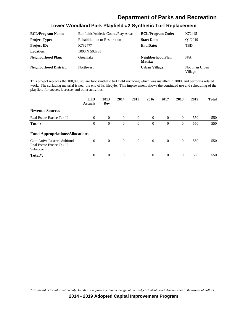#### **Lower Woodland Park Playfield #2 Synthetic Turf Replacement**

| <b>BCL/Program Name:</b>      | Ballfields/Athletic Courts/Play Areas | <b>BCL/Program Code:</b>     | K72445                     |
|-------------------------------|---------------------------------------|------------------------------|----------------------------|
| <b>Project Type:</b>          | <b>Rehabilitation or Restoration</b>  | <b>Start Date:</b>           | O1/2019                    |
| <b>Project ID:</b>            | K732477                               | <b>End Date:</b>             | TBD                        |
| <b>Location:</b>              | 1000 N 50th ST                        |                              |                            |
| Neighborhood Plan:            | Greenlake                             | Neighborhood Plan<br>Matrix: | N/A                        |
| <b>Neighborhood District:</b> | Northwest                             | <b>Urban Village:</b>        | Not in an Urban<br>Village |

This project replaces the 100,800 square foot synthetic turf field surfacing which was installed in 2009, and performs related work. The surfacing material is near the end of its lifecyle. This improvement allows the continued use and scheduling of the playfield for soccer, lacrosse, and other activities.

|                                                                         | <b>LTD</b><br><b>Actuals</b> | 2013<br>Rev    | 2014           | 2015           | 2016           | 2017           | 2018           | 2019 | <b>Total</b> |
|-------------------------------------------------------------------------|------------------------------|----------------|----------------|----------------|----------------|----------------|----------------|------|--------------|
| <b>Revenue Sources</b>                                                  |                              |                |                |                |                |                |                |      |              |
| Real Estate Excise Tax II                                               | $\Omega$                     | $\theta$       | $\overline{0}$ | $\overline{0}$ | $\overline{0}$ | $\Omega$       | $\overline{0}$ | 550  | 550          |
| Total:                                                                  | $\boldsymbol{0}$             | $\overline{0}$ | $\theta$       | $\overline{0}$ | $\theta$       | $\overline{0}$ | $\mathbf{0}$   | 550  | 550          |
| <b>Fund Appropriations/Allocations</b>                                  |                              |                |                |                |                |                |                |      |              |
| Cumulative Reserve Subfund -<br>Real Estate Excise Tax II<br>Subaccount | $\Omega$                     | $\theta$       | $\overline{0}$ | $\overline{0}$ | $\overline{0}$ | $\overline{0}$ | $\overline{0}$ | 550  | 550          |
| Total*:                                                                 | $\Omega$                     | $\overline{0}$ | $\theta$       | $\overline{0}$ | $\theta$       | $\theta$       | $\theta$       | 550  | 550          |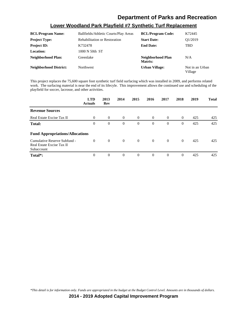#### **Lower Woodland Park Playfield #7 Synthetic Turf Replacement**

| <b>BCL/Program Name:</b>      | Ballfields/Athletic Courts/Play Areas | <b>BCL/Program Code:</b>     | K72445                     |
|-------------------------------|---------------------------------------|------------------------------|----------------------------|
| <b>Project Type:</b>          | <b>Rehabilitation or Restoration</b>  | <b>Start Date:</b>           | O1/2019                    |
| <b>Project ID:</b>            | K732478                               | <b>End Date:</b>             | <b>TBD</b>                 |
| <b>Location:</b>              | 1000 N 50th ST                        |                              |                            |
| Neighborhood Plan:            | Greenlake                             | Neighborhood Plan<br>Matrix: | N/A                        |
| <b>Neighborhood District:</b> | Northwest                             | <b>Urban Village:</b>        | Not in an Urban<br>Village |

This project replaces the 75,600 square foot synthetic turf field surfacing which was installed in 2009, and performs related work. The surfacing material is near the end of its lifecyle. This improvement allows the continued use and scheduling of the playfield for soccer, lacrosse, and other activities.

|                                                                         | <b>LTD</b><br><b>Actuals</b> | 2013<br>Rev    | 2014     | 2015           | 2016           | 2017     | 2018           | 2019 | <b>Total</b> |
|-------------------------------------------------------------------------|------------------------------|----------------|----------|----------------|----------------|----------|----------------|------|--------------|
| <b>Revenue Sources</b>                                                  |                              |                |          |                |                |          |                |      |              |
| Real Estate Excise Tax II                                               | $\Omega$                     | $\theta$       | $\theta$ | $\overline{0}$ | $\Omega$       | $\Omega$ | $\overline{0}$ | 425  | 425          |
| Total:                                                                  | $\theta$                     | $\overline{0}$ | $\theta$ | $\theta$       | $\theta$       | $\Omega$ | $\overline{0}$ | 425  | 425          |
| <b>Fund Appropriations/Allocations</b>                                  |                              |                |          |                |                |          |                |      |              |
| Cumulative Reserve Subfund -<br>Real Estate Excise Tax II<br>Subaccount | $\Omega$                     | $\overline{0}$ | $\theta$ | $\overline{0}$ | $\overline{0}$ | $\Omega$ | $\overline{0}$ | 425  | 425          |
| Total*:                                                                 | $\mathbf{0}$                 | $\Omega$       | $\theta$ | $\theta$       | $\theta$       | $\Omega$ | $\overline{0}$ | 425  | 425          |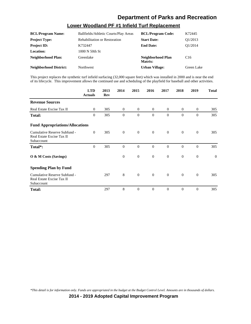#### **Lower Woodland PF #1 Infield Turf Replacement**

| <b>BCL/Program Name:</b>      | Ballfields/Athletic Courts/Play Areas | <b>BCL/Program Code:</b>     | K72445               |
|-------------------------------|---------------------------------------|------------------------------|----------------------|
| <b>Project Type:</b>          | <b>Rehabilitation or Restoration</b>  | <b>Start Date:</b>           | O <sub>1</sub> /2013 |
| <b>Project ID:</b>            | K732447                               | <b>End Date:</b>             | O1/2014              |
| <b>Location:</b>              | 1000 N 50th St                        |                              |                      |
| Neighborhood Plan:            | Greenlake                             | Neighborhood Plan<br>Matrix: | C <sub>16</sub>      |
| <b>Neighborhood District:</b> | <b>Northwest</b>                      | <b>Urban Village:</b>        | Green Lake           |

This project replaces the synthetic turf infield surfacing (32,000 square feet) which was installed in 2000 and is near the end of its lifecycle. This improvement allows the continued use and scheduling of the playfield for baseball and other activities.

|                                                                         | <b>LTD</b><br><b>Actuals</b> | 2013<br>Rev | 2014             | 2015           | 2016           | 2017           | 2018           | 2019         | <b>Total</b> |
|-------------------------------------------------------------------------|------------------------------|-------------|------------------|----------------|----------------|----------------|----------------|--------------|--------------|
| <b>Revenue Sources</b>                                                  |                              |             |                  |                |                |                |                |              |              |
| Real Estate Excise Tax II                                               | $\Omega$                     | 305         | $\Omega$         | $\Omega$       | $\Omega$       | $\overline{0}$ | $\overline{0}$ | $\mathbf{0}$ | 305          |
| <b>Total:</b>                                                           | $\Omega$                     | 305         | $\overline{0}$   | $\mathbf{0}$   | $\mathbf{0}$   | $\Omega$       | $\mathbf{0}$   | $\theta$     | 305          |
| <b>Fund Appropriations/Allocations</b>                                  |                              |             |                  |                |                |                |                |              |              |
| Cumulative Reserve Subfund -<br>Real Estate Excise Tax II<br>Subaccount | $\mathbf{0}$                 | 305         | $\boldsymbol{0}$ | $\mathbf{0}$   | $\overline{0}$ | $\overline{0}$ | $\overline{0}$ | $\mathbf{0}$ | 305          |
| Total*:                                                                 | $\overline{0}$               | 305         | $\theta$         | $\mathbf{0}$   | $\overline{0}$ | $\theta$       | $\mathbf{0}$   | $\theta$     | 305          |
| O & M Costs (Savings)                                                   |                              |             | $\theta$         | $\mathbf{0}$   | $\overline{0}$ | $\overline{0}$ | $\overline{0}$ | $\theta$     | $\theta$     |
| <b>Spending Plan by Fund</b>                                            |                              |             |                  |                |                |                |                |              |              |
| Cumulative Reserve Subfund -<br>Real Estate Excise Tax II<br>Subaccount |                              | 297         | 8                | $\overline{0}$ | $\overline{0}$ | $\overline{0}$ | $\overline{0}$ | $\mathbf{0}$ | 305          |
| <b>Total:</b>                                                           |                              | 297         | 8                | $\theta$       | $\theta$       | $\theta$       | $\mathbf{0}$   | $\theta$     | 305          |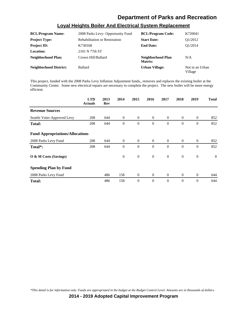|                          | <b>Loval Heights Boiler And Electrical System Replacement</b> |                          |                                    |
|--------------------------|---------------------------------------------------------------|--------------------------|------------------------------------|
| <b>BCL/Program Name:</b> | 2008 Parks Levy- Opportunity Fund                             | <b>BCL/Program Code:</b> | K720041                            |
| - -                      | - - - - - -                                                   |                          | $\sim$ $\sim$ $\sim$ $\sim$ $\sim$ |

| <b>BCL/Program Name:</b> | 2008 Parks Levy- Opportunity Fund    | <b>BCL/Program Code:</b>     | K720041                    |
|--------------------------|--------------------------------------|------------------------------|----------------------------|
| <b>Project Type:</b>     | <b>Rehabilitation or Restoration</b> | <b>Start Date:</b>           | O1/2012                    |
| <b>Project ID:</b>       | K730168                              | <b>End Date:</b>             | O1/2014                    |
| <b>Location:</b>         | 2101 N 77th ST                       |                              |                            |
| Neighborhood Plan:       | Crown Hill/Ballard                   | Neighborhood Plan<br>Matrix: | N/A                        |
| Neighborhood District:   | Ballard                              | <b>Urban Village:</b>        | Not in an Urban<br>Village |

This project, funded with the 2008 Parks Levy Inflation Adjustment funds,, removes and replaces the existing boiler at the Community Center. Some new electrical repairs are necessary to complete the project. The new boiler will be more energy efficient.

|                                        | <b>LTD</b><br><b>Actuals</b> | 2013<br>Rev | 2014         | 2015           | 2016           | 2017           | 2018           | 2019           | <b>Total</b> |
|----------------------------------------|------------------------------|-------------|--------------|----------------|----------------|----------------|----------------|----------------|--------------|
| <b>Revenue Sources</b>                 |                              |             |              |                |                |                |                |                |              |
| Seattle Voter-Approved Levy            | 208                          | 644         | $\mathbf{0}$ | $\overline{0}$ | $\overline{0}$ | $\overline{0}$ | $\overline{0}$ | $\theta$       | 852          |
| <b>Total:</b>                          | 208                          | 644         | $\theta$     | $\overline{0}$ | $\theta$       | $\theta$       | $\mathbf{0}$   | $\overline{0}$ | 852          |
| <b>Fund Appropriations/Allocations</b> |                              |             |              |                |                |                |                |                |              |
| 2008 Parks Levy Fund                   | 208                          | 644         | $\Omega$     | $\overline{0}$ | $\overline{0}$ | $\Omega$       | $\overline{0}$ | $\mathbf{0}$   | 852          |
| Total*:                                | 208                          | 644         | $\theta$     | $\overline{0}$ | $\theta$       | $\Omega$       | $\mathbf{0}$   | $\theta$       | 852          |
| O & M Costs (Savings)                  |                              |             | $\mathbf{0}$ | $\mathbf{0}$   | $\overline{0}$ | $\theta$       | $\mathbf{0}$   | $\mathbf{0}$   | $\theta$     |
| <b>Spending Plan by Fund</b>           |                              |             |              |                |                |                |                |                |              |
| 2008 Parks Levy Fund                   |                              | 486         | 158          | $\overline{0}$ | $\overline{0}$ | $\overline{0}$ | $\overline{0}$ | $\mathbf{0}$   | 644          |
| <b>Total:</b>                          |                              | 486         | 158          | $\mathbf{0}$   | $\theta$       | $\theta$       | $\mathbf{0}$   | $\overline{0}$ | 644          |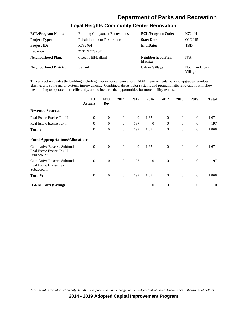| <b>BCL/Program Name:</b>      | <b>Building Component Renovations</b> | <b>BCL/Program Code:</b>     | K72444                     |
|-------------------------------|---------------------------------------|------------------------------|----------------------------|
| <b>Project Type:</b>          | <b>Rehabilitation or Restoration</b>  | <b>Start Date:</b>           | O1/2015                    |
| <b>Project ID:</b>            | K732464                               | <b>End Date:</b>             | <b>TBD</b>                 |
| <b>Location:</b>              | 2101 N 77th ST                        |                              |                            |
| <b>Neighborhood Plan:</b>     | Crown Hill/Ballard                    | Neighborhood Plan<br>Matrix: | N/A                        |
| <b>Neighborhood District:</b> | Ballard                               | <b>Urban Village:</b>        | Not in an Urban<br>Village |

#### **Loyal Heights Community Center Renovation**

This project renovates the building including interior space renovations, ADA improvements, seismic upgrades, window glazing, and some major systems improvements. Combined, these major systems and programmatic renovations will allow the building to operate more efficiently, and to increase the opportunities for more facility rentals.

|                                                                         | <b>LTD</b><br><b>Actuals</b> | 2013<br>Rev  | 2014           | 2015           | 2016             | 2017             | 2018           | 2019             | <b>Total</b>     |
|-------------------------------------------------------------------------|------------------------------|--------------|----------------|----------------|------------------|------------------|----------------|------------------|------------------|
| <b>Revenue Sources</b>                                                  |                              |              |                |                |                  |                  |                |                  |                  |
| Real Estate Excise Tax II                                               | $\mathbf{0}$                 | $\mathbf{0}$ | $\mathbf{0}$   | $\mathbf{0}$   | 1,671            | $\overline{0}$   | $\mathbf{0}$   | $\mathbf{0}$     | 1,671            |
| Real Estate Excise Tax I                                                | $\overline{0}$               | $\theta$     | $\overline{0}$ | 197            | $\theta$         | $\overline{0}$   | $\mathbf{0}$   | $\mathbf{0}$     | 197              |
| <b>Total:</b>                                                           | $\boldsymbol{0}$             | $\theta$     | $\theta$       | 197            | 1,671            | $\theta$         | $\Omega$       | $\mathbf{0}$     | 1,868            |
| <b>Fund Appropriations/Allocations</b>                                  |                              |              |                |                |                  |                  |                |                  |                  |
| Cumulative Reserve Subfund -<br>Real Estate Excise Tax II<br>Subaccount | $\theta$                     | $\mathbf{0}$ | $\mathbf{0}$   | $\overline{0}$ | 1,671            | $\overline{0}$   | $\overline{0}$ | $\mathbf{0}$     | 1,671            |
| Cumulative Reserve Subfund -<br>Real Estate Excise Tax I<br>Subaccount  | $\theta$                     | $\theta$     | $\overline{0}$ | 197            | $\theta$         | $\overline{0}$   | $\mathbf{0}$   | $\theta$         | 197              |
| Total*:                                                                 | $\Omega$                     | $\theta$     | $\theta$       | 197            | 1,671            | $\theta$         | $\Omega$       | $\mathbf{0}$     | 1,868            |
| $\overline{O}$ & M Costs (Savings)                                      |                              |              | $\theta$       | $\mathbf{0}$   | $\boldsymbol{0}$ | $\boldsymbol{0}$ | $\mathbf{0}$   | $\boldsymbol{0}$ | $\boldsymbol{0}$ |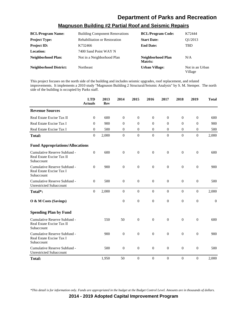## **Magnuson Building #2 Partial Roof and Seismic Repairs**

| <b>BCL/Program Name:</b>      | <b>Building Component Renovations</b> | <b>BCL/Program Code:</b>     | K72444                     |
|-------------------------------|---------------------------------------|------------------------------|----------------------------|
| <b>Project Type:</b>          | <b>Rehabilitation or Restoration</b>  | <b>Start Date:</b>           | Q1/2013                    |
| <b>Project ID:</b>            | K732466                               | <b>End Date:</b>             | <b>TBD</b>                 |
| Location:                     | 7400 Sand Point WAY N                 |                              |                            |
| Neighborhood Plan:            | Not in a Neighborhood Plan            | Neighborhood Plan<br>Matrix: | N/A                        |
| <b>Neighborhood District:</b> | <b>Northeast</b>                      | <b>Urban Village:</b>        | Not in an Urban<br>Village |

This project focuses on the north side of the building and includes seismic upgrades, roof replacement, and related improvements. It implements a 2010 study "Magnuson Building 2 Structural/Seismic Analysis" by S. M. Stemper. The north side of the building is occupied by Parks staff.

|                                                                         | <b>LTD</b><br><b>Actuals</b> | 2013<br><b>Rev</b> | 2014             | 2015             | 2016             | 2017             | 2018             | 2019             | <b>Total</b> |
|-------------------------------------------------------------------------|------------------------------|--------------------|------------------|------------------|------------------|------------------|------------------|------------------|--------------|
| <b>Revenue Sources</b>                                                  |                              |                    |                  |                  |                  |                  |                  |                  |              |
| Real Estate Excise Tax II                                               | $\Omega$                     | 600                | $\overline{0}$   | $\mathbf{0}$     | $\theta$         | $\theta$         | $\mathbf{0}$     | $\theta$         | 600          |
| Real Estate Excise Tax I                                                | $\theta$                     | 900                | $\overline{0}$   | $\mathbf{0}$     | $\overline{0}$   | $\theta$         | $\mathbf{0}$     | $\overline{0}$   | 900          |
| Real Estate Excise Tax I                                                | $\Omega$                     | 500                | $\overline{0}$   | $\overline{0}$   | $\mathbf{0}$     | $\overline{0}$   | $\overline{0}$   | $\overline{0}$   | 500          |
| <b>Total:</b>                                                           | $\overline{0}$               | 2,000              | $\boldsymbol{0}$ | $\boldsymbol{0}$ | $\boldsymbol{0}$ | $\boldsymbol{0}$ | $\overline{0}$   | $\overline{0}$   | 2,000        |
| <b>Fund Appropriations/Allocations</b>                                  |                              |                    |                  |                  |                  |                  |                  |                  |              |
| Cumulative Reserve Subfund -<br>Real Estate Excise Tax II<br>Subaccount | $\theta$                     | 600                | $\boldsymbol{0}$ | $\boldsymbol{0}$ | $\boldsymbol{0}$ | $\mathbf{0}$     | $\mathbf{0}$     | $\boldsymbol{0}$ | 600          |
| Cumulative Reserve Subfund -<br>Real Estate Excise Tax I<br>Subaccount  | $\theta$                     | 900                | $\boldsymbol{0}$ | $\boldsymbol{0}$ | $\boldsymbol{0}$ | $\boldsymbol{0}$ | $\boldsymbol{0}$ | $\boldsymbol{0}$ | 900          |
| Cumulative Reserve Subfund -<br><b>Unrestricted Subaccount</b>          | $\theta$                     | 500                | $\boldsymbol{0}$ | $\boldsymbol{0}$ | $\mathbf{0}$     | $\mathbf{0}$     | $\mathbf{0}$     | $\overline{0}$   | 500          |
| Total*:                                                                 | $\Omega$                     | 2,000              | $\theta$         | $\Omega$         | $\mathbf{0}$     | $\Omega$         | $\Omega$         | $\theta$         | 2,000        |
| O & M Costs (Savings)                                                   |                              |                    | $\boldsymbol{0}$ | $\boldsymbol{0}$ | $\boldsymbol{0}$ | $\mathbf{0}$     | $\mathbf{0}$     | $\boldsymbol{0}$ | $\mathbf{0}$ |
| <b>Spending Plan by Fund</b>                                            |                              |                    |                  |                  |                  |                  |                  |                  |              |
| Cumulative Reserve Subfund -<br>Real Estate Excise Tax II<br>Subaccount |                              | 550                | 50               | $\boldsymbol{0}$ | $\boldsymbol{0}$ | $\overline{0}$   | $\boldsymbol{0}$ | $\boldsymbol{0}$ | 600          |
| Cumulative Reserve Subfund -<br>Real Estate Excise Tax I<br>Subaccount  |                              | 900                | $\boldsymbol{0}$ | $\overline{0}$   | $\mathbf{0}$     | $\overline{0}$   | $\overline{0}$   | $\overline{0}$   | 900          |
| Cumulative Reserve Subfund -<br><b>Unrestricted Subaccount</b>          |                              | 500                | $\overline{0}$   | $\overline{0}$   | $\theta$         | $\theta$         | $\mathbf{0}$     | $\overline{0}$   | 500          |
| <b>Total:</b>                                                           |                              | 1,950              | 50               | $\mathbf{0}$     | $\mathbf{0}$     | $\overline{0}$   | $\mathbf{0}$     | $\overline{0}$   | 2,000        |

*\*This detail is for information only. Funds are appropriated in the budget at the Budget Control Level. Amounts are in thousands of dollars.*

**2014 - 2019 Adopted Capital Improvement Program**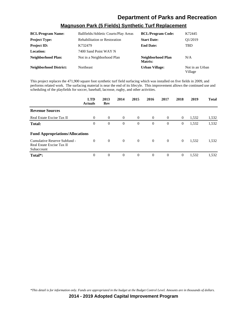### **Magnuson Park (5 Fields) Synthetic Turf Replacement**

| <b>BCL/Program Name:</b>      | Ballfields/Athletic Courts/Play Areas | <b>BCL/Program Code:</b>     | K72445                     |
|-------------------------------|---------------------------------------|------------------------------|----------------------------|
| <b>Project Type:</b>          | <b>Rehabilitation or Restoration</b>  | <b>Start Date:</b>           | O1/2019                    |
| <b>Project ID:</b>            | K732479                               | <b>End Date:</b>             | <b>TBD</b>                 |
| <b>Location:</b>              | 7400 Sand Point WAY N                 |                              |                            |
| <b>Neighborhood Plan:</b>     | Not in a Neighborhood Plan            | Neighborhood Plan<br>Matrix: | N/A                        |
| <b>Neighborhood District:</b> | <b>Northeast</b>                      | <b>Urban Village:</b>        | Not in an Urban<br>Village |

This project replaces the 471,900 square foot synthetic turf field surfacing which was installed on five fields in 2009, and performs related work. The surfacing material is near the end of its lifecyle. This improvement allows the continued use and scheduling of the playfields for soccer, baseball, lacrosse, rugby, and other activities.

|                                                                         | <b>LTD</b><br><b>Actuals</b> | 2013<br>Rev    | 2014     | 2015           | 2016           | 2017           | 2018           | 2019  | <b>Total</b> |
|-------------------------------------------------------------------------|------------------------------|----------------|----------|----------------|----------------|----------------|----------------|-------|--------------|
| <b>Revenue Sources</b>                                                  |                              |                |          |                |                |                |                |       |              |
| Real Estate Excise Tax II                                               | $\Omega$                     | $\overline{0}$ | $\theta$ | $\overline{0}$ | $\overline{0}$ | $\overline{0}$ | $\overline{0}$ | 1,532 | 1,532        |
| <b>Total:</b>                                                           | $\mathbf{0}$                 | $\mathbf{0}$   | $\theta$ | $\overline{0}$ | $\overline{0}$ | $\overline{0}$ | $\overline{0}$ | 1,532 | 1,532        |
| <b>Fund Appropriations/Allocations</b>                                  |                              |                |          |                |                |                |                |       |              |
| Cumulative Reserve Subfund -<br>Real Estate Excise Tax II<br>Subaccount | $\Omega$                     | $\theta$       | $\theta$ | $\overline{0}$ | $\overline{0}$ | $\overline{0}$ | $\overline{0}$ | 1,532 | 1,532        |
| Total <sup>*</sup> :                                                    | $\Omega$                     | $\overline{0}$ | $\theta$ | $\overline{0}$ | $\overline{0}$ | $\overline{0}$ | $\overline{0}$ | 1,532 | 1,532        |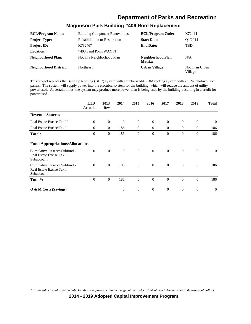# **Magnuson Park Building #406 Roof Replacement**

| <b>BCL/Program Name:</b>      | <b>Building Component Renovations</b> | <b>BCL/Program Code:</b>     | K72444                     |
|-------------------------------|---------------------------------------|------------------------------|----------------------------|
| <b>Project Type:</b>          | <b>Rehabilitation or Restoration</b>  | <b>Start Date:</b>           | O1/2014                    |
| <b>Project ID:</b>            | K732467                               | <b>End Date:</b>             | <b>TBD</b>                 |
| Location:                     | 7400 Sand Point WAY N                 |                              |                            |
| <b>Neighborhood Plan:</b>     | Not in a Neighborhood Plan            | Neighborhood Plan<br>Matrix: | N/A                        |
| <b>Neighborhood District:</b> | <b>Northeast</b>                      | <b>Urban Village:</b>        | Not in an Urban<br>Village |

This project replaces the Built Up Roofing (BUR) system with a rubberized/EPDM roofing system with 20KW photovoltaic panels. The system will supply power into the electrical system for the building, which will reduce the amount of utility power used. At certain times, the system may produce more power than is being used by the building, resulting in a credit for power used.

|                                                                         | <b>LTD</b><br><b>Actuals</b> | 2013<br>Rev  | 2014           | 2015           | 2016           | 2017             | 2018             | 2019             | <b>Total</b>   |
|-------------------------------------------------------------------------|------------------------------|--------------|----------------|----------------|----------------|------------------|------------------|------------------|----------------|
| <b>Revenue Sources</b>                                                  |                              |              |                |                |                |                  |                  |                  |                |
| Real Estate Excise Tax II                                               | $\theta$                     | $\mathbf{0}$ | $\mathbf{0}$   | $\mathbf{0}$   | $\overline{0}$ | $\boldsymbol{0}$ | $\boldsymbol{0}$ | $\boldsymbol{0}$ | $\overline{0}$ |
| Real Estate Excise Tax I                                                | $\overline{0}$               | $\theta$     | 186            | $\overline{0}$ | $\overline{0}$ | $\overline{0}$   | $\mathbf{0}$     | $\mathbf{0}$     | 186            |
| <b>Total:</b>                                                           | $\theta$                     | $\theta$     | 186            | $\theta$       | $\theta$       | $\theta$         | $\mathbf{0}$     | $\overline{0}$   | 186            |
| <b>Fund Appropriations/Allocations</b>                                  |                              |              |                |                |                |                  |                  |                  |                |
| Cumulative Reserve Subfund -<br>Real Estate Excise Tax II<br>Subaccount | $\Omega$                     | $\theta$     | $\overline{0}$ | $\mathbf{0}$   | $\theta$       | $\Omega$         | $\overline{0}$   | $\theta$         | $\Omega$       |
| Cumulative Reserve Subfund -<br>Real Estate Excise Tax I<br>Subaccount  | $\Omega$                     | $\theta$     | 186            | $\mathbf{0}$   | $\overline{0}$ | $\theta$         | $\mathbf{0}$     | $\theta$         | 186            |
| Total*:                                                                 | $\theta$                     | $\theta$     | 186            | $\theta$       | $\Omega$       | $\Omega$         | $\mathbf{0}$     | $\theta$         | 186            |
| $\overline{O}$ & M Costs (Savings)                                      |                              |              | $\overline{0}$ | $\theta$       | $\overline{0}$ | $\theta$         | $\overline{0}$   | $\theta$         | $\Omega$       |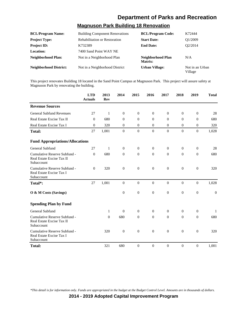#### **Magnuson Park Building 18 Renovation**

| <b>BCL/Program Name:</b>      | <b>Building Component Renovations</b> | <b>BCL/Program Code:</b>     | K72444                     |
|-------------------------------|---------------------------------------|------------------------------|----------------------------|
| <b>Project Type:</b>          | <b>Rehabilitation or Restoration</b>  | <b>Start Date:</b>           | O1/2009                    |
| <b>Project ID:</b>            | K732389                               | <b>End Date:</b>             | O <sub>2</sub> /2014       |
| Location:                     | 7400 Sand Point WAY NE                |                              |                            |
| Neighborhood Plan:            | Not in a Neighborhood Plan            | Neighborhood Plan<br>Matrix: | N/A                        |
| <b>Neighborhood District:</b> | Not in a Neighborhood District        | <b>Urban Village:</b>        | Not in an Urban<br>Village |

This project renovates Building 18 located in the Sand Point Campus at Magnuson Park. This project will assure safety at Magnuson Park by renovating the building.

|                                                                         | <b>LTD</b><br><b>Actuals</b> | 2013<br>Rev  | 2014         | 2015           | 2016           | 2017             | 2018             | 2019             | <b>Total</b>   |
|-------------------------------------------------------------------------|------------------------------|--------------|--------------|----------------|----------------|------------------|------------------|------------------|----------------|
| <b>Revenue Sources</b>                                                  |                              |              |              |                |                |                  |                  |                  |                |
| <b>General Subfund Revenues</b>                                         | 27                           | $\mathbf{1}$ | $\mathbf{0}$ | $\overline{0}$ | $\overline{0}$ | $\theta$         | $\theta$         | $\overline{0}$   | 28             |
| Real Estate Excise Tax II                                               | $\Omega$                     | 680          | $\Omega$     | $\Omega$       | $\Omega$       | $\Omega$         | $\Omega$         | $\theta$         | 680            |
| Real Estate Excise Tax I                                                | $\Omega$                     | 320          | $\Omega$     | $\Omega$       | $\Omega$       | $\Omega$         | $\Omega$         | $\Omega$         | 320            |
| <b>Total:</b>                                                           | 27                           | 1,001        | $\mathbf{0}$ | $\mathbf{0}$   | $\mathbf{0}$   | $\overline{0}$   | $\mathbf{0}$     | $\theta$         | 1,028          |
| <b>Fund Appropriations/Allocations</b>                                  |                              |              |              |                |                |                  |                  |                  |                |
| General Subfund                                                         | 27                           | $\mathbf{1}$ | $\theta$     | $\mathbf{0}$   | $\mathbf{0}$   | $\theta$         | $\overline{0}$   | $\theta$         | 28             |
| Cumulative Reserve Subfund -<br>Real Estate Excise Tax II<br>Subaccount | $\Omega$                     | 680          | $\theta$     | $\mathbf{0}$   | $\theta$       | $\theta$         | $\mathbf{0}$     | $\theta$         | 680            |
| Cumulative Reserve Subfund -<br>Real Estate Excise Tax I<br>Subaccount  | $\Omega$                     | 320          | $\mathbf{0}$ | $\overline{0}$ | $\overline{0}$ | $\overline{0}$   | $\mathbf{0}$     | $\overline{0}$   | 320            |
| Total*:                                                                 | 27                           | 1,001        | $\mathbf{0}$ | $\mathbf{0}$   | $\overline{0}$ | $\overline{0}$   | $\overline{0}$   | $\theta$         | 1,028          |
| O & M Costs (Savings)                                                   |                              |              | $\mathbf{0}$ | $\mathbf{0}$   | $\mathbf{0}$   | $\boldsymbol{0}$ | $\boldsymbol{0}$ | $\overline{0}$   | $\overline{0}$ |
| <b>Spending Plan by Fund</b>                                            |                              |              |              |                |                |                  |                  |                  |                |
| General Subfund                                                         |                              | $\mathbf{1}$ | $\theta$     | $\mathbf{0}$   | $\mathbf{0}$   | $\theta$         | $\mathbf{0}$     | $\theta$         | 1              |
| Cumulative Reserve Subfund -<br>Real Estate Excise Tax II<br>Subaccount |                              | $\theta$     | 680          | $\mathbf{0}$   | $\Omega$       | $\theta$         | $\mathbf{0}$     | $\theta$         | 680            |
| Cumulative Reserve Subfund -<br>Real Estate Excise Tax I<br>Subaccount  |                              | 320          | $\mathbf{0}$ | $\mathbf{0}$   | $\mathbf{0}$   | $\theta$         | $\theta$         | $\boldsymbol{0}$ | 320            |
| Total:                                                                  |                              | 321          | 680          | $\Omega$       | $\Omega$       | $\Omega$         | $\Omega$         | $\theta$         | 1,001          |

*\*This detail is for information only. Funds are appropriated in the budget at the Budget Control Level. Amounts are in thousands of dollars.*

**2014 - 2019 Adopted Capital Improvement Program**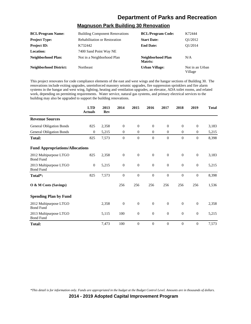#### **Magnuson Park Building 30 Renovation**

| <b>BCL/Program Name:</b>      | <b>Building Component Renovations</b> | <b>BCL/Program Code:</b>     | K72444                     |
|-------------------------------|---------------------------------------|------------------------------|----------------------------|
| <b>Project Type:</b>          | <b>Rehabilitation or Restoration</b>  | <b>Start Date:</b>           | O1/2012                    |
| <b>Project ID:</b>            | K732442                               | <b>End Date:</b>             | O1/2014                    |
| Location:                     | 7400 Sand Point Way NE                |                              |                            |
| Neighborhood Plan:            | Not in a Neighborhood Plan            | Neighborhood Plan<br>Matrix: | N/A                        |
| <b>Neighborhood District:</b> | <b>Northeast</b>                      | <b>Urban Village:</b>        | Not in an Urban<br>Village |

This project renovates for code compliance elements of the east and west wings and the hangar sections of Building 30. The renovations include exiting upgrades, unreinforced masonry seismic upgrades, fire suppression sprinklers and fire alarm systems in the hangar and west wing, lighting, heating and ventilation upgrades, an elevator, ADA toilet rooms, and related work, depending on permitting requirements. Water service, natural gas systems, and primary electrical services to the building may also be upgraded to support the building renovations.

|                                            | <b>LTD</b><br><b>Actuals</b> | 2013<br><b>Rev</b> | 2014           | 2015             | 2016           | 2017           | 2018           | 2019             | <b>Total</b> |
|--------------------------------------------|------------------------------|--------------------|----------------|------------------|----------------|----------------|----------------|------------------|--------------|
| <b>Revenue Sources</b>                     |                              |                    |                |                  |                |                |                |                  |              |
| General Obligation Bonds                   | 825                          | 2,358              | $\theta$       | $\overline{0}$   | $\mathbf{0}$   | $\mathbf{0}$   | $\Omega$       | $\mathbf{0}$     | 3,183        |
| <b>General Obligation Bonds</b>            | $\theta$                     | 5,215              | $\theta$       | $\overline{0}$   | $\overline{0}$ | $\overline{0}$ | $\mathbf{0}$   | $\mathbf{0}$     | 5,215        |
| <b>Total:</b>                              | 825                          | 7,573              | $\theta$       | $\mathbf{0}$     | $\theta$       | $\theta$       | $\theta$       | $\mathbf{0}$     | 8,398        |
| <b>Fund Appropriations/Allocations</b>     |                              |                    |                |                  |                |                |                |                  |              |
| 2012 Multipurpose LTGO<br><b>Bond Fund</b> | 825                          | 2,358              | $\overline{0}$ | $\mathbf{0}$     | $\overline{0}$ | $\Omega$       | $\theta$       | $\mathbf{0}$     | 3,183        |
| 2013 Multipurpose LTGO<br><b>Bond Fund</b> | $\mathbf{0}$                 | 5,215              | $\overline{0}$ | $\boldsymbol{0}$ | $\mathbf{0}$   | $\mathbf{0}$   | $\theta$       | $\mathbf{0}$     | 5,215        |
| Total*:                                    | 825                          | 7,573              | $\overline{0}$ | $\boldsymbol{0}$ | $\overline{0}$ | $\overline{0}$ | $\overline{0}$ | $\mathbf{0}$     | 8,398        |
| O & M Costs (Savings)                      |                              |                    | 256            | 256              | 256            | 256            | 256            | 256              | 1,536        |
| <b>Spending Plan by Fund</b>               |                              |                    |                |                  |                |                |                |                  |              |
| 2012 Multipurpose LTGO<br><b>Bond Fund</b> |                              | 2,358              | $\overline{0}$ | $\overline{0}$   | $\mathbf{0}$   | $\theta$       | $\mathbf{0}$   | $\mathbf{0}$     | 2,358        |
| 2013 Multipurpose LTGO<br><b>Bond Fund</b> |                              | 5,115              | 100            | $\boldsymbol{0}$ | $\mathbf{0}$   | $\theta$       | $\theta$       | $\mathbf{0}$     | 5,215        |
| <b>Total:</b>                              |                              | 7,473              | 100            | $\mathbf{0}$     | $\overline{0}$ | $\overline{0}$ | $\overline{0}$ | $\boldsymbol{0}$ | 7,573        |

*\*This detail is for information only. Funds are appropriated in the budget at the Budget Control Level. Amounts are in thousands of dollars.*

**2014 - 2019 Adopted Capital Improvement Program**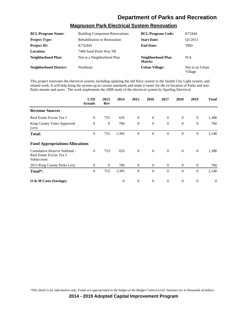## **Magnuson Park Electrical System Renovation**

| <b>BCL/Program Name:</b>      | <b>Building Component Renovations</b> | <b>BCL/Program Code:</b>     | K72444                     |
|-------------------------------|---------------------------------------|------------------------------|----------------------------|
| <b>Project Type:</b>          | <b>Rehabilitation or Restoration</b>  | <b>Start Date:</b>           | O1/2013                    |
| <b>Project ID:</b>            | K732445                               | <b>End Date:</b>             | <b>TBD</b>                 |
| <b>Location:</b>              | 7400 Sand Point Way NE                |                              |                            |
| Neighborhood Plan:            | Not in a Neighborhood Plan            | Neighborhood Plan<br>Matrix: | N/A                        |
| <b>Neighborhood District:</b> | <b>Northeast</b>                      | <b>Urban Village:</b>        | Not in an Urban<br>Village |

This project renovates the electrical system, including updating the old Navy system to the Seattle City Light system, and related work. It will help bring the system up to current standards and make it easier for the co-location of Parks and non-Parks tenants and users. The work implements the 2008 study of the electrical system by Sparling Electrical.

|                                                                        | <b>LTD</b><br><b>Actuals</b> | 2013<br>Rev    | 2014         | 2015         | 2016           | 2017     | 2018           | 2019             | <b>Total</b> |
|------------------------------------------------------------------------|------------------------------|----------------|--------------|--------------|----------------|----------|----------------|------------------|--------------|
| <b>Revenue Sources</b>                                                 |                              |                |              |              |                |          |                |                  |              |
| Real Estate Excise Tax I                                               | $\theta$                     | 753            | 635          | $\mathbf{0}$ | $\theta$       | $\theta$ | $\overline{0}$ | $\theta$         | 1,388        |
| King County Voter-Approved<br>Levy                                     | $\theta$                     | $\overline{0}$ | 760          | $\mathbf{0}$ | $\theta$       | $\theta$ | $\mathbf{0}$   | $\boldsymbol{0}$ | 760          |
| <b>Total:</b>                                                          | $\theta$                     | 753            | 1,395        | $\mathbf{0}$ | $\overline{0}$ | $\theta$ | $\mathbf{0}$   | $\mathbf{0}$     | 2,148        |
| <b>Fund Appropriations/Allocations</b>                                 |                              |                |              |              |                |          |                |                  |              |
| Cumulative Reserve Subfund -<br>Real Estate Excise Tax I<br>Subaccount | $\theta$                     | 753            | 635          | $\mathbf{0}$ | $\mathbf{0}$   | $\theta$ | $\overline{0}$ | $\mathbf{0}$     | 1,388        |
| 2013 King County Parks Levy                                            | $\mathbf{0}$                 | $\overline{0}$ | 760          | $\theta$     | $\theta$       | $\theta$ | $\overline{0}$ | $\overline{0}$   | 760          |
| Total*:                                                                | $\theta$                     | 753            | 1,395        | $\mathbf{0}$ | $\theta$       | $\Omega$ | $\theta$       | $\overline{0}$   | 2,148        |
| O & M Costs (Savings)                                                  |                              |                | $\mathbf{0}$ | $\mathbf{0}$ | $\theta$       | $\theta$ | $\mathbf{0}$   | $\boldsymbol{0}$ | $\mathbf{0}$ |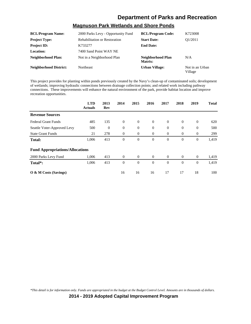## **Magnuson Park Wetlands and Shore Ponds**

| <b>BCL/Program Name:</b>      | 2000 Parks Levy - Opportunity Fund   | <b>BCL/Program Code:</b>     | K723008                    |
|-------------------------------|--------------------------------------|------------------------------|----------------------------|
| <b>Project Type:</b>          | <b>Rehabilitation or Restoration</b> | <b>Start Date:</b>           | O1/2011                    |
| <b>Project ID:</b>            | K733277                              | <b>End Date:</b>             |                            |
| Location:                     | 7400 Sand Point WAY NE               |                              |                            |
| Neighborhood Plan:            | Not in a Neighborhood Plan           | Neighborhood Plan<br>Matrix: | N/A                        |
| <b>Neighborhood District:</b> | <b>Northeast</b>                     | <b>Urban Village:</b>        | Not in an Urban<br>Village |

This project provides for planting within ponds previously created by the Navy's clean-up of contaminated soils; development of wetlands; improving hydraulic connections between drainage collection points; and related work including pathway connections. These improvements will enhance the natural environment of the park, provide habitat location and improve recreation opportunities.

|                                        | <b>LTD</b><br><b>Actuals</b> | 2013<br>Rev    | 2014         | 2015           | 2016           | 2017           | 2018           | 2019             | <b>Total</b> |
|----------------------------------------|------------------------------|----------------|--------------|----------------|----------------|----------------|----------------|------------------|--------------|
| <b>Revenue Sources</b>                 |                              |                |              |                |                |                |                |                  |              |
| <b>Federal Grant Funds</b>             | 485                          | 135            | $\theta$     | $\overline{0}$ | $\overline{0}$ | $\overline{0}$ | $\theta$       | $\theta$         | 620          |
| Seattle Voter-Approved Levy            | 500                          | $\overline{0}$ | $\theta$     | $\theta$       | $\theta$       | $\theta$       | $\overline{0}$ | $\mathbf{0}$     | 500          |
| <b>State Grant Funds</b>               | 21                           | 278            | $\theta$     | $\theta$       | $\theta$       | $\mathbf{0}$   | $\mathbf{0}$   | $\mathbf{0}$     | 299          |
| <b>Total:</b>                          | 1,006                        | 413            | $\mathbf{0}$ | $\mathbf{0}$   | $\theta$       | $\theta$       | $\theta$       | $\boldsymbol{0}$ | 1,419        |
| <b>Fund Appropriations/Allocations</b> |                              |                |              |                |                |                |                |                  |              |
| 2000 Parks Levy Fund                   | 1,006                        | 413            | $\theta$     | $\overline{0}$ | $\overline{0}$ | $\overline{0}$ | $\theta$       | $\overline{0}$   | 1,419        |
| Total*:                                | 1,006                        | 413            | $\theta$     | $\mathbf{0}$   | $\theta$       | $\Omega$       | $\Omega$       | $\mathbf{0}$     | 1,419        |
| O & M Costs (Savings)                  |                              |                | 16           | 16             | 16             | 17             | 17             | 18               | 100          |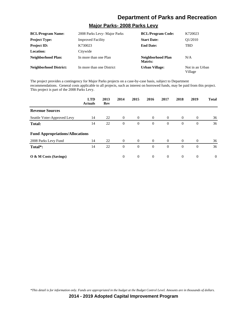#### **Major Parks- 2008 Parks Levy**

| <b>BCL/Program Name:</b>      | 2008 Parks Levy- Major Parks | <b>BCL/Program Code:</b>     | K720023                    |
|-------------------------------|------------------------------|------------------------------|----------------------------|
| <b>Project Type:</b>          | <b>Improved Facility</b>     | <b>Start Date:</b>           | O <sub>1</sub> /2010       |
| <b>Project ID:</b>            | K730023                      | <b>End Date:</b>             | <b>TBD</b>                 |
| Location:                     | Citywide                     |                              |                            |
| <b>Neighborhood Plan:</b>     | In more than one Plan        | Neighborhood Plan<br>Matrix: | N/A                        |
| <b>Neighborhood District:</b> | In more than one District    | <b>Urban Village:</b>        | Not in an Urban<br>Village |

The project provides a contingency for Major Parks projects on a case-by-case basis, subject to Department recommendations. General costs applicable to all projects, such as interest on borrowed funds, may be paid from this project. This project is part of the 2008 Parks Levy.

|                                        | <b>LTD</b><br><b>Actuals</b> | 2013<br>Rev | 2014     | 2015           | 2016           | 2017           | 2018           | 2019           | <b>Total</b> |
|----------------------------------------|------------------------------|-------------|----------|----------------|----------------|----------------|----------------|----------------|--------------|
| <b>Revenue Sources</b>                 |                              |             |          |                |                |                |                |                |              |
| Seattle Voter-Approved Levy            | 14                           | 22          | $\theta$ | $\overline{0}$ | $\overline{0}$ | $\overline{0}$ | $\overline{0}$ | $\overline{0}$ | 36           |
| Total:                                 | 14                           | 22          | $\theta$ | $\overline{0}$ | $\theta$       | $\theta$       | $\theta$       | $\overline{0}$ | 36           |
| <b>Fund Appropriations/Allocations</b> |                              |             |          |                |                |                |                |                |              |
| 2008 Parks Levy Fund                   | 14                           | 22          | $\theta$ | $\overline{0}$ | $\theta$       | $\theta$       | $\Omega$       | $\Omega$       | 36           |
| Total <sup>*</sup> :                   | 14                           | 22          | $\theta$ | $\mathbf{0}$   | $\overline{0}$ | $\theta$       | $\theta$       | $\mathbf{0}$   | 36           |
| O & M Costs (Savings)                  |                              |             | $\Omega$ | $\overline{0}$ | $\overline{0}$ | $\overline{0}$ | $\theta$       | $\theta$       | $\theta$     |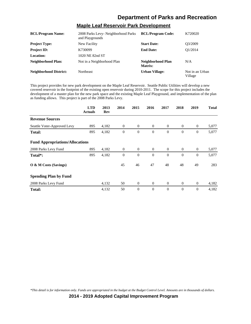#### **Maple Leaf Reservoir Park Development**

| <b>BCL/Program Name:</b>      | 2008 Parks Levy- Neighborhood Parks<br>and Playgrounds | <b>BCL/Program Code:</b>     | K720020                    |
|-------------------------------|--------------------------------------------------------|------------------------------|----------------------------|
| <b>Project Type:</b>          | New Facility                                           | <b>Start Date:</b>           | O3/2009                    |
| <b>Project ID:</b>            | K730099                                                | <b>End Date:</b>             | O1/2014                    |
| <b>Location:</b>              | 1020 NE 82nd ST                                        |                              |                            |
| Neighborhood Plan:            | Not in a Neighborhood Plan                             | Neighborhood Plan<br>Matrix: | N/A                        |
| <b>Neighborhood District:</b> | <b>Northeast</b>                                       | Urban Village:               | Not in an Urban<br>Village |

This project provides for new park development on the Maple Leaf Reservoir. Seattle Public Utilities will develop a new covered reservoir in the footprint of the existing open reservoir during 2010-2011. The scope for this project includes the development of a master plan for the new park space and the existing Maple Leaf Playground, and implementation of the plan as funding allows. This project is part of the 2008 Parks Levy.

|                                        | <b>LTD</b><br><b>Actuals</b> | 2013<br>Rev | 2014           | 2015           | 2016           | 2017           | 2018           | 2019             | <b>Total</b> |
|----------------------------------------|------------------------------|-------------|----------------|----------------|----------------|----------------|----------------|------------------|--------------|
| <b>Revenue Sources</b>                 |                              |             |                |                |                |                |                |                  |              |
| Seattle Voter-Approved Levy            | 895                          | 4,182       | $\overline{0}$ | $\overline{0}$ | $\theta$       | $\overline{0}$ | $\theta$       | $\overline{0}$   | 5,077        |
| <b>Total:</b>                          | 895                          | 4,182       | $\theta$       | $\theta$       | $\theta$       | $\theta$       | $\theta$       | $\boldsymbol{0}$ | 5,077        |
| <b>Fund Appropriations/Allocations</b> |                              |             |                |                |                |                |                |                  |              |
| 2008 Parks Levy Fund                   | 895                          | 4,182       | $\overline{0}$ | $\overline{0}$ | $\theta$       | $\overline{0}$ | $\overline{0}$ | $\overline{0}$   | 5,077        |
| Total*:                                | 895                          | 4,182       | $\theta$       | $\mathbf{0}$   | $\theta$       | $\Omega$       | $\theta$       | $\mathbf{0}$     | 5,077        |
| O & M Costs (Savings)                  |                              |             | 45             | 46             | 47             | 48             | 48             | 49               | 283          |
| <b>Spending Plan by Fund</b>           |                              |             |                |                |                |                |                |                  |              |
| 2008 Parks Levy Fund                   |                              | 4,132       | 50             | $\overline{0}$ | $\theta$       | $\overline{0}$ | $\overline{0}$ | $\overline{0}$   | 4,182        |
| <b>Total:</b>                          |                              | 4,132       | 50             | $\theta$       | $\overline{0}$ | $\theta$       | $\theta$       | $\mathbf{0}$     | 4,182        |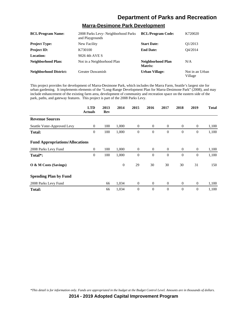# **Marra-Desimone Park Development**

| <b>BCL/Program Name:</b>      | 2008 Parks Levy- Neighborhood Parks<br>and Playgrounds | <b>BCL/Program Code:</b>     | K720020                    |
|-------------------------------|--------------------------------------------------------|------------------------------|----------------------------|
| <b>Project Type:</b>          | New Facility                                           | <b>Start Date:</b>           | O <sub>1</sub> /2013       |
| <b>Project ID:</b>            | K730100                                                | <b>End Date:</b>             | O4/2014                    |
| <b>Location:</b>              | 9026 4th AVE S                                         |                              |                            |
| Neighborhood Plan:            | Not in a Neighborhood Plan                             | Neighborhood Plan<br>Matrix: | N/A                        |
| <b>Neighborhood District:</b> | Greater Duwamish                                       | Urban Village:               | Not in an Urban<br>Village |

This project provides for development of Marra-Desimone Park, which includes the Marra Farm, Seattle's largest site for urban gardening. It implements elements of the "Long-Range Development Plan for Marra-Desimone Park" (2008), and may include enhancement of the existing farm area, development of community and recreation space on the eastern side of the park, paths, and gateway features. This project is part of the 2008 Parks Levy.

|                                        | <b>LTD</b><br><b>Actuals</b> | 2013<br>Rev | 2014         | 2015             | 2016           | 2017           | 2018           | 2019             | <b>Total</b> |
|----------------------------------------|------------------------------|-------------|--------------|------------------|----------------|----------------|----------------|------------------|--------------|
| <b>Revenue Sources</b>                 |                              |             |              |                  |                |                |                |                  |              |
| Seattle Voter-Approved Levy            | $\overline{0}$               | 100         | 1,000        | $\mathbf{0}$     | $\theta$       | $\overline{0}$ | $\overline{0}$ | $\theta$         | 1,100        |
| <b>Total:</b>                          | $\boldsymbol{0}$             | 100         | 1,000        | $\theta$         | $\theta$       | $\theta$       | $\theta$       | $\mathbf{0}$     | 1,100        |
| <b>Fund Appropriations/Allocations</b> |                              |             |              |                  |                |                |                |                  |              |
| 2008 Parks Levy Fund                   | $\mathbf{0}$                 | 100         | 1,000        | $\theta$         | $\overline{0}$ | $\overline{0}$ | $\overline{0}$ | $\theta$         | 1,100        |
| Total*:                                | $\boldsymbol{0}$             | 100         | 1,000        | $\boldsymbol{0}$ | $\theta$       | $\theta$       | $\mathbf{0}$   | $\boldsymbol{0}$ | 1,100        |
| O & M Costs (Savings)                  |                              |             | $\mathbf{0}$ | 29               | 30             | 30             | 30             | 31               | 150          |
| <b>Spending Plan by Fund</b>           |                              |             |              |                  |                |                |                |                  |              |
| 2008 Parks Levy Fund                   |                              | 66          | 1,034        | $\mathbf{0}$     | $\mathbf{0}$   | $\mathbf{0}$   | $\overline{0}$ | $\mathbf{0}$     | 1,100        |
| <b>Total:</b>                          |                              | 66          | 1,034        | $\theta$         | $\theta$       | $\theta$       | $\overline{0}$ | $\overline{0}$   | 1,100        |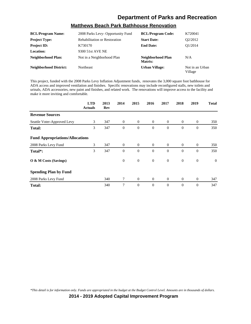#### **Matthews Beach Park Bathhouse Renovation**

| <b>BCL/Program Name:</b>      | 2008 Parks Levy- Opportunity Fund    | <b>BCL/Program Code:</b>     | K720041                    |
|-------------------------------|--------------------------------------|------------------------------|----------------------------|
| <b>Project Type:</b>          | <b>Rehabilitation or Restoration</b> | <b>Start Date:</b>           | O2/2012                    |
| <b>Project ID:</b>            | K730170                              | <b>End Date:</b>             | O1/2014                    |
| <b>Location:</b>              | 9300 51st AVE NE                     |                              |                            |
| <b>Neighborhood Plan:</b>     | Not in a Neighborhood Plan           | Neighborhood Plan<br>Matrix: | N/A                        |
| <b>Neighborhood District:</b> | <b>Northeast</b>                     | <b>Urban Village:</b>        | Not in an Urban<br>Village |

This project, funded with the 2008 Parks Levy Inflation Adjustment funds, renovates the 3,000 square foot bathhouse for ADA access and improved ventilation and finishes. Specific renovations may include reconfigured stalls, new toilets and urinals, ADA accessories, new paint and finishes, and related work. The renovations will improve access to the facility and make it more inviting and comfortable.

|                                        | <b>LTD</b><br><b>Actuals</b> | 2013<br>Rev | 2014     | 2015           | 2016           | 2017           | 2018           | 2019             | <b>Total</b>   |
|----------------------------------------|------------------------------|-------------|----------|----------------|----------------|----------------|----------------|------------------|----------------|
| <b>Revenue Sources</b>                 |                              |             |          |                |                |                |                |                  |                |
| Seattle Voter-Approved Levy            | 3                            | 347         | $\theta$ | $\overline{0}$ | $\theta$       | $\theta$       | $\overline{0}$ | $\theta$         | 350            |
| <b>Total:</b>                          | 3                            | 347         | $\theta$ | $\theta$       | $\theta$       | $\Omega$       | $\mathbf{0}$   | $\overline{0}$   | 350            |
| <b>Fund Appropriations/Allocations</b> |                              |             |          |                |                |                |                |                  |                |
| 2008 Parks Levy Fund                   | 3                            | 347         | $\theta$ | $\overline{0}$ | $\overline{0}$ | $\overline{0}$ | $\overline{0}$ | $\theta$         | 350            |
| Total*:                                | 3                            | 347         | $\theta$ | $\theta$       | $\theta$       | $\Omega$       | $\mathbf{0}$   | $\overline{0}$   | 350            |
| O & M Costs (Savings)                  |                              |             | $\theta$ | $\mathbf{0}$   | $\mathbf{0}$   | $\theta$       | $\overline{0}$ | $\boldsymbol{0}$ | $\overline{0}$ |
| <b>Spending Plan by Fund</b>           |                              |             |          |                |                |                |                |                  |                |
| 2008 Parks Levy Fund                   |                              | 340         | $\tau$   | $\overline{0}$ | $\overline{0}$ | $\theta$       | $\overline{0}$ | $\mathbf{0}$     | 347            |
| <b>Total:</b>                          |                              | 340         | 7        | $\theta$       | $\overline{0}$ | $\theta$       | $\mathbf{0}$   | $\overline{0}$   | 347            |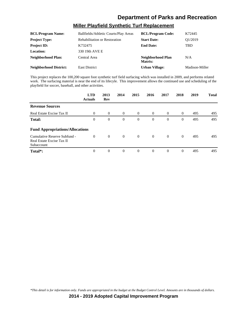#### **Miller Playfield Synthetic Turf Replacement**

| <b>BCL/Program Name:</b>      | Ballfields/Athletic Courts/Play Areas | <b>BCL/Program Code:</b>     | K72445         |
|-------------------------------|---------------------------------------|------------------------------|----------------|
| <b>Project Type:</b>          | <b>Rehabilitation or Restoration</b>  | <b>Start Date:</b>           | O1/2019        |
| <b>Project ID:</b>            | K732475                               | <b>End Date:</b>             | TBD            |
| <b>Location:</b>              | 330 19th AVE E                        |                              |                |
| Neighborhood Plan:            | Central Area                          | Neighborhood Plan<br>Matrix: | N/A            |
| <b>Neighborhood District:</b> | <b>East District</b>                  | Urban Village:               | Madison-Miller |

This project replaces the 100,200 square foot synthetic turf field surfacing which was installed in 2009, and performs related work. The surfacing material is near the end of its lifecyle. This improvement allows the continued use and scheduling of the playfield for soccer, baseball, and other activities.

|                                                                         | <b>LTD</b><br><b>Actuals</b> | 2013<br>Rev    | 2014           | 2015           | 2016           | 2017           | 2018           | 2019 | <b>Total</b> |
|-------------------------------------------------------------------------|------------------------------|----------------|----------------|----------------|----------------|----------------|----------------|------|--------------|
| <b>Revenue Sources</b>                                                  |                              |                |                |                |                |                |                |      |              |
| Real Estate Excise Tax II                                               | $\theta$                     | $\theta$       | $\overline{0}$ | $\overline{0}$ | $\overline{0}$ | $\overline{0}$ | $\overline{0}$ | 495  | 495          |
| <b>Total:</b>                                                           | 0                            | $\theta$       | $\theta$       | $\theta$       | $\Omega$       | $\Omega$       | $\overline{0}$ | 495  | 495          |
| <b>Fund Appropriations/Allocations</b>                                  |                              |                |                |                |                |                |                |      |              |
| Cumulative Reserve Subfund -<br>Real Estate Excise Tax II<br>Subaccount | $\Omega$                     | $\theta$       | $\overline{0}$ | $\overline{0}$ | $\overline{0}$ | $\Omega$       | $\theta$       | 495  | 495          |
| Total <sup>*</sup> :                                                    | $\mathbf{0}$                 | $\overline{0}$ | $\theta$       | $\overline{0}$ | $\theta$       | $\Omega$       | $\theta$       | 495  | 495          |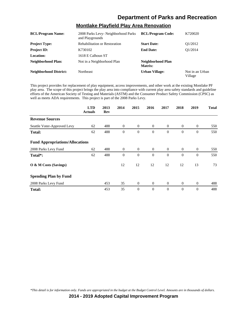#### **Montlake Playfield Play Area Renovation**

| <b>BCL/Program Name:</b>      | 2008 Parks Levy- Neighborhood Parks<br>and Playgrounds | <b>BCL/Program Code:</b>     | K720020                    |
|-------------------------------|--------------------------------------------------------|------------------------------|----------------------------|
| <b>Project Type:</b>          | <b>Rehabilitation or Restoration</b>                   | <b>Start Date:</b>           | O <sub>1</sub> /2012       |
| <b>Project ID:</b>            | K730102                                                | <b>End Date:</b>             | O1/2014                    |
| Location:                     | 1618 E Calhoun ST                                      |                              |                            |
| <b>Neighborhood Plan:</b>     | Not in a Neighborhood Plan                             | Neighborhood Plan<br>Matrix: |                            |
| <b>Neighborhood District:</b> | Northeast                                              | Urban Village:               | Not in an Urban<br>Village |

This project provides for replacement of play equipment, access improvements, and other work at the existing Montlake PF play area. The scope of this project brings the play area into compliance with current play area safety standards and guideline efforts of the American Society of Testing and Materials (ASTM) and the Consumer Product Safety Commission (CPSC) as well as meets ADA requirements. This project is part of the 2008 Parks Levy.

|                                        | <b>LTD</b><br><b>Actuals</b> | 2013<br>Rev | 2014           | 2015           | 2016           | 2017           | 2018           | 2019           | <b>Total</b> |
|----------------------------------------|------------------------------|-------------|----------------|----------------|----------------|----------------|----------------|----------------|--------------|
| <b>Revenue Sources</b>                 |                              |             |                |                |                |                |                |                |              |
| Seattle Voter-Approved Levy            | 62                           | 488         | $\overline{0}$ | $\overline{0}$ | $\overline{0}$ | $\overline{0}$ | $\theta$       | $\mathbf{0}$   | 550          |
| <b>Total:</b>                          | 62                           | 488         | $\theta$       | $\mathbf{0}$   | $\theta$       | $\theta$       | $\theta$       | $\theta$       | 550          |
| <b>Fund Appropriations/Allocations</b> |                              |             |                |                |                |                |                |                |              |
| 2008 Parks Levy Fund                   | 62                           | 488         | $\overline{0}$ | $\overline{0}$ | $\overline{0}$ | $\overline{0}$ | $\overline{0}$ | $\overline{0}$ | 550          |
| Total*:                                | 62                           | 488         | $\theta$       | $\mathbf{0}$   | $\theta$       | $\theta$       | $\mathbf{0}$   | $\mathbf{0}$   | 550          |
| O & M Costs (Savings)                  |                              |             | 12             | 12             | 12             | 12             | 12             | 13             | 73           |
| <b>Spending Plan by Fund</b>           |                              |             |                |                |                |                |                |                |              |
| 2008 Parks Levy Fund                   |                              | 453         | 35             | $\mathbf{0}$   | $\mathbf{0}$   | $\overline{0}$ | $\overline{0}$ | $\overline{0}$ | 488          |
| <b>Total:</b>                          |                              | 453         | 35             | $\mathbf{0}$   | $\overline{0}$ | $\Omega$       | $\theta$       | $\mathbf{0}$   | 488          |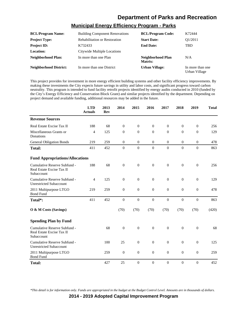## **Municipal Energy Efficiency Program - Parks**

| <b>BCL/Program Name:</b>      | <b>Building Component Renovations</b> | <b>BCL/Program Code:</b>     | K72444                            |
|-------------------------------|---------------------------------------|------------------------------|-----------------------------------|
| <b>Project Type:</b>          | <b>Rehabilitation or Restoration</b>  | <b>Start Date:</b>           | O1/2011                           |
| <b>Project ID:</b>            | K732433                               | <b>End Date:</b>             | <b>TBD</b>                        |
| Location:                     | Citywide Multiple Locations           |                              |                                   |
| Neighborhood Plan:            | In more than one Plan                 | Neighborhood Plan<br>Matrix: | N/A                               |
| <b>Neighborhood District:</b> | In more than one District             | <b>Urban Village:</b>        | In more than one<br>Urban Village |

This project provides for investment in more energy efficient building systems and other facility efficiency improvements. By making these investments the City expects future savings in utility and labor costs, and significant progress toward carbon neutrality. This program is intended to fund facility retrofit projects identified by energy audits conducted in 2010 (funded by the City's Energy Efficiency and Conservation Block Grant) and similar projects identified by the department. Depending on project demand and available funding, additional resources may be added in the future.

|                                                                         | <b>LTD</b><br><b>Actuals</b> | 2013<br>Rev | 2014             | 2015             | 2016             | 2017             | 2018             | 2019             | <b>Total</b> |
|-------------------------------------------------------------------------|------------------------------|-------------|------------------|------------------|------------------|------------------|------------------|------------------|--------------|
| <b>Revenue Sources</b>                                                  |                              |             |                  |                  |                  |                  |                  |                  |              |
| Real Estate Excise Tax II                                               | 188                          | 68          | $\mathbf{0}$     | $\theta$         | $\overline{0}$   | $\mathbf{0}$     | $\mathbf{0}$     | $\mathbf{0}$     | 256          |
| Miscellaneous Grants or<br>Donations                                    | 4                            | 125         | $\overline{0}$   | $\overline{0}$   | $\overline{0}$   | $\theta$         | $\mathbf{0}$     | $\overline{0}$   | 129          |
| <b>General Obligation Bonds</b>                                         | 219                          | 259         | $\mathbf{0}$     | $\boldsymbol{0}$ | $\mathbf{0}$     | $\mathbf{0}$     | $\boldsymbol{0}$ | $\mathbf{0}$     | 478          |
| <b>Total:</b>                                                           | 411                          | 452         | $\boldsymbol{0}$ | $\mathbf{0}$     | $\boldsymbol{0}$ | $\mathbf{0}$     | $\boldsymbol{0}$ | $\overline{0}$   | 863          |
| <b>Fund Appropriations/Allocations</b>                                  |                              |             |                  |                  |                  |                  |                  |                  |              |
| Cumulative Reserve Subfund -<br>Real Estate Excise Tax II<br>Subaccount | 188                          | 68          | $\overline{0}$   | $\boldsymbol{0}$ | $\theta$         | $\overline{0}$   | $\mathbf{0}$     | $\mathbf{0}$     | 256          |
| Cumulative Reserve Subfund -<br><b>Unrestricted Subaccount</b>          | $\overline{4}$               | 125         | $\mathbf{0}$     | $\mathbf{0}$     | $\theta$         | $\mathbf{0}$     | $\mathbf{0}$     | $\mathbf{0}$     | 129          |
| 2011 Multipurpose LTGO<br><b>Bond Fund</b>                              | 219                          | 259         | $\boldsymbol{0}$ | $\boldsymbol{0}$ | $\boldsymbol{0}$ | $\mathbf{0}$     | $\mathbf{0}$     | $\boldsymbol{0}$ | 478          |
| Total*:                                                                 | 411                          | 452         | $\overline{0}$   | $\overline{0}$   | $\overline{0}$   | $\overline{0}$   | $\mathbf{0}$     | $\overline{0}$   | 863          |
| O & M Costs (Savings)                                                   |                              |             | (70)             | (70)             | (70)             | (70)             | (70)             | (70)             | (420)        |
| <b>Spending Plan by Fund</b>                                            |                              |             |                  |                  |                  |                  |                  |                  |              |
| Cumulative Reserve Subfund -<br>Real Estate Excise Tax II<br>Subaccount |                              | 68          | $\overline{0}$   | $\mathbf{0}$     | $\overline{0}$   | $\mathbf{0}$     | $\mathbf{0}$     | $\overline{0}$   | 68           |
| Cumulative Reserve Subfund -<br><b>Unrestricted Subaccount</b>          |                              | 100         | 25               | $\boldsymbol{0}$ | $\theta$         | $\theta$         | $\mathbf{0}$     | $\mathbf{0}$     | 125          |
| 2011 Multipurpose LTGO<br><b>Bond Fund</b>                              |                              | 259         | $\overline{0}$   | $\mathbf{0}$     | $\overline{0}$   | $\mathbf{0}$     | $\mathbf{0}$     | $\overline{0}$   | 259          |
| <b>Total:</b>                                                           |                              | 427         | 25               | $\overline{0}$   | $\boldsymbol{0}$ | $\boldsymbol{0}$ | $\boldsymbol{0}$ | $\boldsymbol{0}$ | 452          |

*\*This detail is for information only. Funds are appropriated in the budget at the Budget Control Level. Amounts are in thousands of dollars.*

**2014 - 2019 Adopted Capital Improvement Program**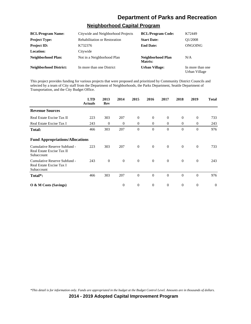#### **Neighborhood Capital Program**

| <b>BCL/Program Name:</b>      | Citywide and Neighborhood Projects   | <b>BCL/Program Code:</b>     | K72449                            |
|-------------------------------|--------------------------------------|------------------------------|-----------------------------------|
| <b>Project Type:</b>          | <b>Rehabilitation or Restoration</b> | <b>Start Date:</b>           | O1/2008                           |
| <b>Project ID:</b>            | K732376                              | <b>End Date:</b>             | ONGOING                           |
| <b>Location:</b>              | Citywide                             |                              |                                   |
| Neighborhood Plan:            | Not in a Neighborhood Plan           | Neighborhood Plan<br>Matrix: | N/A                               |
| <b>Neighborhood District:</b> | In more than one District            | <b>Urban Village:</b>        | In more than one<br>Urban Village |

This project provides funding for various projects that were proposed and prioritized by Community District Councils and selected by a team of City staff from the Department of Neighborhoods, the Parks Department, Seattle Department of Transportation, and the City Budget Office.

|                                                                         | <b>LTD</b><br><b>Actuals</b> | 2013<br>Rev  | 2014         | 2015           | 2016           | 2017             | 2018           | 2019             | <b>Total</b>     |
|-------------------------------------------------------------------------|------------------------------|--------------|--------------|----------------|----------------|------------------|----------------|------------------|------------------|
| <b>Revenue Sources</b>                                                  |                              |              |              |                |                |                  |                |                  |                  |
| Real Estate Excise Tax II                                               | 223                          | 303          | 207          | $\theta$       | $\theta$       | $\overline{0}$   | $\mathbf{0}$   | $\theta$         | 733              |
| Real Estate Excise Tax I                                                | 243                          | $\theta$     | $\Omega$     | $\theta$       | $\Omega$       | $\Omega$         | $\mathbf{0}$   | $\mathbf{0}$     | 243              |
| <b>Total:</b>                                                           | 466                          | 303          | 207          | $\overline{0}$ | $\theta$       | $\Omega$         | $\theta$       | $\overline{0}$   | 976              |
| <b>Fund Appropriations/Allocations</b>                                  |                              |              |              |                |                |                  |                |                  |                  |
| Cumulative Reserve Subfund -<br>Real Estate Excise Tax II<br>Subaccount | 223                          | 303          | 207          | $\mathbf{0}$   | $\theta$       | $\overline{0}$   | $\overline{0}$ | $\theta$         | 733              |
| Cumulative Reserve Subfund -<br>Real Estate Excise Tax I<br>Subaccount  | 243                          | $\mathbf{0}$ | $\mathbf{0}$ | $\mathbf{0}$   | $\overline{0}$ | $\overline{0}$   | $\mathbf{0}$   | $\mathbf{0}$     | 243              |
| Total*:                                                                 | 466                          | 303          | 207          | $\overline{0}$ | $\Omega$       | $\Omega$         | $\theta$       | $\theta$         | 976              |
| $\overline{O}$ & M Costs (Savings)                                      |                              |              | $\theta$     | $\mathbf{0}$   | $\mathbf{0}$   | $\boldsymbol{0}$ | $\mathbf{0}$   | $\boldsymbol{0}$ | $\boldsymbol{0}$ |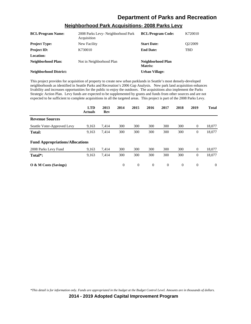| <b>BCL/Program Name:</b>      | 2008 Parks Levy- Neighborhood Park<br>Acquisition | <b>BCL/Program Code:</b>     | K720010              |
|-------------------------------|---------------------------------------------------|------------------------------|----------------------|
| <b>Project Type:</b>          | New Facility                                      | <b>Start Date:</b>           | O <sub>2</sub> /2009 |
| <b>Project ID:</b>            | K730010                                           | <b>End Date:</b>             | <b>TBD</b>           |
| <b>Location:</b>              |                                                   |                              |                      |
| Neighborhood Plan:            | Not in Neighborhood Plan                          | Neighborhood Plan<br>Matrix: |                      |
| <b>Neighborhood District:</b> |                                                   | <b>Urban Village:</b>        |                      |

#### **Neighborhood Park Acquisitions- 2008 Parks Levy**

This project provides for acquisition of property to create new urban parklands in Seattle's most densely-developed neighborhoods as identified in Seattle Parks and Recreation's 2006 Gap Analysis. New park land acquisition enhances livability and increases opportunities for the public to enjoy the outdoors. The acquisitions also implement the Parks Strategic Action Plan. Levy funds are expected to be supplemented by grants and funds from other sources and are not expected to be sufficient to complete acquisitions in all the targeted areas. This project is part of the 2008 Parks Levy.

|                                        | <b>LTD</b><br><b>Actuals</b> | 2013<br>Rev | 2014     | 2015     | 2016         | 2017           | 2018     | 2019           | <b>Total</b> |
|----------------------------------------|------------------------------|-------------|----------|----------|--------------|----------------|----------|----------------|--------------|
| <b>Revenue Sources</b>                 |                              |             |          |          |              |                |          |                |              |
| Seattle Voter-Approved Levy            | 9,163                        | 7,414       | 300      | 300      | 300          | 300            | 300      | $\mathbf{0}$   | 18,077       |
| <b>Total:</b>                          | 9,163                        | 7,414       | 300      | 300      | 300          | 300            | 300      | $\overline{0}$ | 18,077       |
| <b>Fund Appropriations/Allocations</b> |                              |             |          |          |              |                |          |                |              |
| 2008 Parks Levy Fund                   | 9,163                        | 7,414       | 300      | 300      | 300          | 300            | 300      | $\overline{0}$ | 18,077       |
| Total <sup>*</sup> :                   | 9,163                        | 7,414       | 300      | 300      | 300          | 300            | 300      | $\mathbf{0}$   | 18,077       |
| O & M Costs (Savings)                  |                              |             | $\theta$ | $\theta$ | $\mathbf{0}$ | $\overline{0}$ | $\theta$ | $\theta$       | $\Omega$     |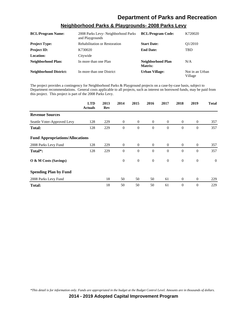| <b>BCL/Program Name:</b>      | 2008 Parks Levy- Neighborhood Parks<br>and Playgrounds | <b>BCL/Program Code:</b>     | K720020                    |
|-------------------------------|--------------------------------------------------------|------------------------------|----------------------------|
| <b>Project Type:</b>          | <b>Rehabilitation or Restoration</b>                   | <b>Start Date:</b>           | O <sub>1</sub> /2010       |
| <b>Project ID:</b>            | K730020                                                | <b>End Date:</b>             | <b>TBD</b>                 |
| Location:                     | Citywide                                               |                              |                            |
| <b>Neighborhood Plan:</b>     | In more than one Plan                                  | Neighborhood Plan<br>Matrix: | N/A                        |
| <b>Neighborhood District:</b> | In more than one District                              | Urban Village:               | Not in an Urban<br>Village |

#### **Neighborhood Parks & Playgrounds- 2008 Parks Levy**

The project provides a contingency for Neighborhood Parks & Playground projects on a case-by-case basis, subject to Department recommendations. General costs applicable to all projects, such as interest on borrowed funds, may be paid from this project. This project is part of the 2008 Parks Levy.

|                                        | <b>LTD</b><br><b>Actuals</b> | 2013<br>Rev | 2014           | 2015           | 2016           | 2017           | 2018           | 2019           | <b>Total</b> |
|----------------------------------------|------------------------------|-------------|----------------|----------------|----------------|----------------|----------------|----------------|--------------|
| <b>Revenue Sources</b>                 |                              |             |                |                |                |                |                |                |              |
| Seattle Voter-Approved Levy            | 128                          | 229         | $\mathbf{0}$   | $\overline{0}$ | $\overline{0}$ | $\overline{0}$ | $\overline{0}$ | $\mathbf{0}$   | 357          |
| <b>Total:</b>                          | 128                          | 229         | $\theta$       | $\theta$       | $\theta$       | $\theta$       | $\theta$       | $\overline{0}$ | 357          |
| <b>Fund Appropriations/Allocations</b> |                              |             |                |                |                |                |                |                |              |
| 2008 Parks Levy Fund                   | 128                          | 229         | $\overline{0}$ | $\overline{0}$ | $\overline{0}$ | $\overline{0}$ | $\overline{0}$ | $\theta$       | 357          |
| Total <sup>*</sup> :                   | 128                          | 229         | $\theta$       | $\overline{0}$ | $\theta$       | $\Omega$       | $\theta$       | $\theta$       | 357          |
| O & M Costs (Savings)                  |                              |             | $\mathbf{0}$   | $\mathbf{0}$   | $\mathbf{0}$   | $\overline{0}$ | $\mathbf{0}$   | $\mathbf{0}$   | $\mathbf{0}$ |
| <b>Spending Plan by Fund</b>           |                              |             |                |                |                |                |                |                |              |
| 2008 Parks Levy Fund                   |                              | 18          | 50             | 50             | 50             | 61             | $\mathbf{0}$   | $\theta$       | 229          |
| <b>Total:</b>                          |                              | 18          | 50             | 50             | 50             | 61             | $\theta$       | $\theta$       | 229          |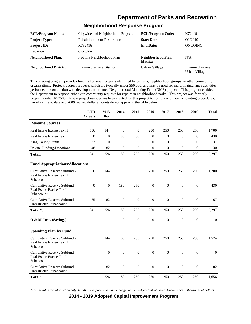#### **Neighborhood Response Program**

| <b>BCL/Program Name:</b>      | Citywide and Neighborhood Projects   | <b>BCL/Program Code:</b>     | K72449                            |
|-------------------------------|--------------------------------------|------------------------------|-----------------------------------|
| <b>Project Type:</b>          | <b>Rehabilitation or Restoration</b> | <b>Start Date:</b>           | O1/2010                           |
| <b>Project ID:</b>            | K732416                              | <b>End Date:</b>             | ONGOING                           |
| <b>Location:</b>              | Citywide                             |                              |                                   |
| Neighborhood Plan:            | Not in a Neighborhood Plan           | Neighborhood Plan<br>Matrix: | N/A                               |
| <b>Neighborhood District:</b> | In more than one District            | <b>Urban Village:</b>        | In more than one<br>Urban Village |

This ongoing program provides funding for small projects identified by citizens, neighborhood groups, or other community organizations. Projects address requests which are typically under \$50,000, and may be used for major maintenance activities performed in conjunction with development-oriented Neighborhood Matching Fund (NMF) projects. This program enables the Department to respond quickly to community requests for repairs in neighborhood parks. This project was formerly project number K73508. A new project number has been created for this project to comply with new accounting procedures, therefore life to date and 2009 revised dollar amounts do not appear in the table below.

|                                                                         | <b>LTD</b><br><b>Actuals</b> | 2013<br><b>Rev</b> | 2014             | 2015             | 2016             | 2017             | 2018             | 2019             | <b>Total</b>   |
|-------------------------------------------------------------------------|------------------------------|--------------------|------------------|------------------|------------------|------------------|------------------|------------------|----------------|
| <b>Revenue Sources</b>                                                  |                              |                    |                  |                  |                  |                  |                  |                  |                |
| Real Estate Excise Tax II                                               | 556                          | 144                | $\theta$         | $\theta$         | 250              | 250              | 250              | 250              | 1,700          |
| Real Estate Excise Tax I                                                | $\Omega$                     | $\theta$           | 180              | 250              | $\theta$         | $\overline{0}$   | $\Omega$         | $\Omega$         | 430            |
| <b>King County Funds</b>                                                | 37                           | $\Omega$           | $\overline{0}$   | $\theta$         | $\Omega$         | $\overline{0}$   | $\Omega$         | $\mathbf{0}$     | 37             |
| Private Funding/Donations                                               | 48                           | 82                 | $\theta$         | $\mathbf{0}$     | $\theta$         | $\theta$         | $\overline{0}$   | $\mathbf{0}$     | 130            |
| <b>Total:</b>                                                           | 641                          | 226                | 180              | 250              | 250              | 250              | 250              | 250              | 2,297          |
| <b>Fund Appropriations/Allocations</b>                                  |                              |                    |                  |                  |                  |                  |                  |                  |                |
| Cumulative Reserve Subfund -<br>Real Estate Excise Tax II<br>Subaccount | 556                          | 144                | $\overline{0}$   | $\boldsymbol{0}$ | 250              | 250              | 250              | 250              | 1,700          |
| Cumulative Reserve Subfund -<br>Real Estate Excise Tax I<br>Subaccount  | $\theta$                     | $\theta$           | 180              | 250              | $\mathbf{0}$     | $\boldsymbol{0}$ | $\mathbf{0}$     | $\mathbf{0}$     | 430            |
| Cumulative Reserve Subfund -<br><b>Unrestricted Subaccount</b>          | 85                           | 82                 | $\boldsymbol{0}$ | $\boldsymbol{0}$ | $\mathbf{0}$     | $\theta$         | $\mathbf{0}$     | $\mathbf{0}$     | 167            |
| Total*:                                                                 | 641                          | 226                | 180              | 250              | 250              | 250              | 250              | 250              | 2,297          |
| O & M Costs (Savings)                                                   |                              |                    | $\boldsymbol{0}$ | $\boldsymbol{0}$ | $\mathbf{0}$     | $\theta$         | $\mathbf{0}$     | $\overline{0}$   | $\overline{0}$ |
| <b>Spending Plan by Fund</b>                                            |                              |                    |                  |                  |                  |                  |                  |                  |                |
| Cumulative Reserve Subfund -<br>Real Estate Excise Tax II<br>Subaccount |                              | 144                | 180              | 250              | 250              | 250              | 250              | 250              | 1,574          |
| Cumulative Reserve Subfund -<br>Real Estate Excise Tax I<br>Subaccount  |                              | $\theta$           | $\boldsymbol{0}$ | $\boldsymbol{0}$ | $\mathbf{0}$     | $\boldsymbol{0}$ | $\mathbf{0}$     | $\mathbf{0}$     | $\mathbf{0}$   |
| Cumulative Reserve Subfund -<br><b>Unrestricted Subaccount</b>          |                              | 82                 | $\boldsymbol{0}$ | $\boldsymbol{0}$ | $\boldsymbol{0}$ | $\boldsymbol{0}$ | $\boldsymbol{0}$ | $\boldsymbol{0}$ | 82             |
| <b>Total:</b>                                                           |                              | 226                | 180              | 250              | 250              | 250              | 250              | 250              | 1,656          |

*\*This detail is for information only. Funds are appropriated in the budget at the Budget Control Level. Amounts are in thousands of dollars.*

**2014 - 2019 Adopted Capital Improvement Program**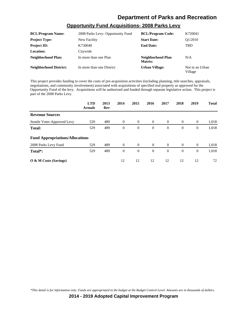## **Opportunity Fund Acquisitions- 2008 Parks Levy**

| <b>BCL/Program Name:</b>      | 2008 Parks Levy- Opportunity Fund | <b>BCL/Program Code:</b>     | K720041                    |
|-------------------------------|-----------------------------------|------------------------------|----------------------------|
| <b>Project Type:</b>          | New Facility                      | <b>Start Date:</b>           | O1/2010                    |
| <b>Project ID:</b>            | K730040                           | <b>End Date:</b>             | <b>TBD</b>                 |
| <b>Location:</b>              | Citywide                          |                              |                            |
| Neighborhood Plan:            | In more than one Plan             | Neighborhood Plan<br>Matrix: | N/A                        |
| <b>Neighborhood District:</b> | In more than one District         | <b>Urban Village:</b>        | Not in an Urban<br>Village |

This project provides funding to cover the costs of pre-acquisition activities (including planning, title searches, appraisals, negotiations, and community involvement) associated with acquisitions of specified real property as approved for the Opportunity Fund of the levy. Acquisitions will be authorized and funded through separate legislative action. This project is part of the 2008 Parks Levy.

|                                        | <b>LTD</b><br><b>Actuals</b> | 2013<br>Rev | 2014     | 2015           | 2016           | 2017           | 2018     | 2019           | <b>Total</b> |
|----------------------------------------|------------------------------|-------------|----------|----------------|----------------|----------------|----------|----------------|--------------|
| <b>Revenue Sources</b>                 |                              |             |          |                |                |                |          |                |              |
| Seattle Voter-Approved Levy            | 529                          | 489         | $\theta$ | $\overline{0}$ | $\overline{0}$ | $\overline{0}$ | $\theta$ | $\overline{0}$ | 1,018        |
| Total:                                 | 529                          | 489         | $\theta$ | $\overline{0}$ | $\theta$       | $\Omega$       | $\Omega$ | $\mathbf{0}$   | 1,018        |
| <b>Fund Appropriations/Allocations</b> |                              |             |          |                |                |                |          |                |              |
| 2008 Parks Levy Fund                   | 529                          | 489         | $\Omega$ | $\theta$       | $\theta$       | $\theta$       | $\theta$ | $\overline{0}$ | 1,018        |
| Total*:                                | 529                          | 489         | $\theta$ | $\overline{0}$ | $\Omega$       | $\Omega$       | $\Omega$ | $\mathbf{0}$   | 1,018        |
| $\overline{O}$ & M Costs (Savings)     |                              |             | 12       | 12             | 12             | 12             | 12       | 12             | 72           |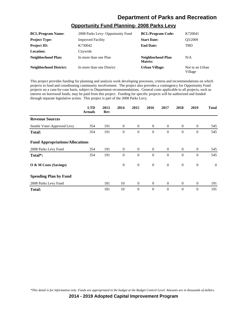#### **Opportunity Fund Planning- 2008 Parks Levy**

| <b>BCL/Program Name:</b>      | 2008 Parks Levy- Opportunity Fund | <b>BCL/Program Code:</b>     | K720041                    |
|-------------------------------|-----------------------------------|------------------------------|----------------------------|
| <b>Project Type:</b>          | <b>Improved Facility</b>          | <b>Start Date:</b>           | O3/2009                    |
| <b>Project ID:</b>            | K730042                           | <b>End Date:</b>             | <b>TBD</b>                 |
| Location:                     | Citywide                          |                              |                            |
| Neighborhood Plan:            | In more than one Plan             | Neighborhood Plan<br>Matrix: | N/A                        |
| <b>Neighborhood District:</b> | In more than one District         | <b>Urban Village:</b>        | Not in an Urban<br>Village |

This project provides funding for planning and analysis work developing processes, criteria and recommendations on which projects to fund and coordinating community involvement. The project also provides a contingency for Opportunity Fund projects on a case-by-case basis, subject to Department recommendations. General costs applicable to all projects, such as interest on borrowed funds, may be paid from this project. Funding for specific projects will be authorized and funded through separate legislative action. This project is part of the 2008 Parks Levy.

|                                        | <b>LTD</b><br><b>Actuals</b> | 2013<br>Rev | 2014           | 2015           | 2016           | 2017           | 2018           | 2019           | <b>Total</b>   |
|----------------------------------------|------------------------------|-------------|----------------|----------------|----------------|----------------|----------------|----------------|----------------|
| <b>Revenue Sources</b>                 |                              |             |                |                |                |                |                |                |                |
| Seattle Voter-Approved Levy            | 354                          | 191         | $\overline{0}$ | $\overline{0}$ | $\overline{0}$ | $\overline{0}$ | $\overline{0}$ | $\mathbf{0}$   | 545            |
| <b>Total:</b>                          | 354                          | 191         | $\theta$       | $\mathbf{0}$   | $\theta$       | $\theta$       | $\theta$       | $\mathbf{0}$   | 545            |
| <b>Fund Appropriations/Allocations</b> |                              |             |                |                |                |                |                |                |                |
| 2008 Parks Levy Fund                   | 354                          | 191         | $\overline{0}$ | $\overline{0}$ | $\overline{0}$ | $\overline{0}$ | $\overline{0}$ | $\overline{0}$ | 545            |
| Total*:                                | 354                          | 191         | $\theta$       | $\mathbf{0}$   | $\theta$       | $\theta$       | $\theta$       | $\mathbf{0}$   | 545            |
| O & M Costs (Savings)                  |                              |             | $\mathbf{0}$   | $\mathbf{0}$   | $\theta$       | $\theta$       | $\theta$       | $\mathbf{0}$   | $\overline{0}$ |
| <b>Spending Plan by Fund</b>           |                              |             |                |                |                |                |                |                |                |
| 2008 Parks Levy Fund                   |                              | 181         | 10             | $\overline{0}$ | $\theta$       | $\overline{0}$ | $\overline{0}$ | $\overline{0}$ | 191            |
| <b>Total:</b>                          |                              | 181         | 10             | $\theta$       | $\theta$       | $\theta$       | $\theta$       | $\mathbf{0}$   | 191            |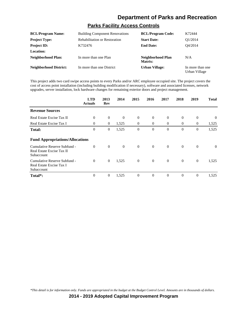#### **Parks Facility Access Controls**

| <b>BCL/Program Name:</b>      | <b>Building Component Renovations</b> | <b>BCL/Program Code:</b>     | K72444                            |
|-------------------------------|---------------------------------------|------------------------------|-----------------------------------|
| <b>Project Type:</b>          | <b>Rehabilitation or Restoration</b>  | <b>Start Date:</b>           | O1/2014                           |
| <b>Project ID:</b>            | K732476                               | <b>End Date:</b>             | O4/2014                           |
| <b>Location:</b>              |                                       |                              |                                   |
| <b>Neighborhood Plan:</b>     | In more than one Plan                 | Neighborhood Plan<br>Matrix: | N/A                               |
| <b>Neighborhood District:</b> | In more than one District             | <b>Urban Village:</b>        | In more than one<br>Urban Village |

This project adds two card swipe access points to every Parks and/or ARC employee occupied site. The project covers the cost of access point installation (including building modification if necessary), software and associated licenses, network upgrades, server installation, lock hardware changes for remaining exterior doors and project management.

|                                                                         | <b>LTD</b><br><b>Actuals</b> | 2013<br>Rev      | 2014     | 2015           | 2016           | 2017     | 2018           | 2019           | <b>Total</b> |
|-------------------------------------------------------------------------|------------------------------|------------------|----------|----------------|----------------|----------|----------------|----------------|--------------|
| <b>Revenue Sources</b>                                                  |                              |                  |          |                |                |          |                |                |              |
| Real Estate Excise Tax II                                               | $\theta$                     | $\overline{0}$   | $\theta$ | $\mathbf{0}$   | $\overline{0}$ | $\theta$ | $\overline{0}$ | $\overline{0}$ | $\Omega$     |
| Real Estate Excise Tax I                                                | $\Omega$                     | $\overline{0}$   | 1,525    | $\overline{0}$ | $\theta$       | $\Omega$ | $\overline{0}$ | $\mathbf{0}$   | 1,525        |
| <b>Total:</b>                                                           | $\mathbf{0}$                 | $\boldsymbol{0}$ | 1,525    | $\mathbf{0}$   | $\Omega$       | $\Omega$ | $\mathbf{0}$   | $\overline{0}$ | 1,525        |
| <b>Fund Appropriations/Allocations</b>                                  |                              |                  |          |                |                |          |                |                |              |
| Cumulative Reserve Subfund -<br>Real Estate Excise Tax II<br>Subaccount | $\Omega$                     | $\theta$         | $\theta$ | $\overline{0}$ | $\overline{0}$ | $\Omega$ | $\overline{0}$ | $\theta$       | $\theta$     |
| Cumulative Reserve Subfund -<br>Real Estate Excise Tax I<br>Subaccount  | $\theta$                     | $\overline{0}$   | 1,525    | $\overline{0}$ | $\overline{0}$ | $\theta$ | $\overline{0}$ | $\theta$       | 1,525        |
| Total*:                                                                 | $\theta$                     | $\overline{0}$   | 1,525    | $\theta$       | $\theta$       | $\theta$ | $\overline{0}$ | $\overline{0}$ | 1,525        |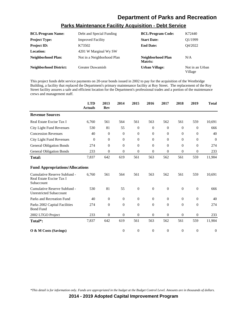## **Parks Maintenance Facility Acquisition - Debt Service**

| <b>BCL/Program Name:</b>      | Debt and Special Funding   | <b>BCL/Program Code:</b>     | K72440                     |
|-------------------------------|----------------------------|------------------------------|----------------------------|
| <b>Project Type:</b>          | <b>Improved Facility</b>   | <b>Start Date:</b>           | O1/1999                    |
| <b>Project ID:</b>            | K73502                     | <b>End Date:</b>             | O4/2022                    |
| Location:                     | 4201 W Marginal Wy SW      |                              |                            |
| Neighborhood Plan:            | Not in a Neighborhood Plan | Neighborhood Plan<br>Matrix: | N/A                        |
| <b>Neighborhood District:</b> | Greater Duwamish           | <b>Urban Village:</b>        | Not in an Urban<br>Village |

This project funds debt service payments on 20-year bonds issued in 2002 to pay for the acquisition of the Westbridge Building, a facility that replaced the Department's primary maintenance facility at Roy Street. The replacement of the Roy Street facility assures a safe and efficient location for the Department's professional trades and a portion of the maintenance crews and management staff.

|                                                                        | <b>LTD</b><br><b>Actuals</b> | 2013<br>Rev      | 2014             | 2015             | 2016             | 2017             | 2018             | 2019             | <b>Total</b>     |
|------------------------------------------------------------------------|------------------------------|------------------|------------------|------------------|------------------|------------------|------------------|------------------|------------------|
| <b>Revenue Sources</b>                                                 |                              |                  |                  |                  |                  |                  |                  |                  |                  |
| Real Estate Excise Tax I                                               | 6,760                        | 561              | 564              | 561              | 563              | 562              | 561              | 559              | 10,691           |
| City Light Fund Revenues                                               | 530                          | 81               | 55               | $\mathbf{0}$     | $\mathbf{0}$     | $\theta$         | 0                | $\overline{0}$   | 666              |
| <b>Concession Revenues</b>                                             | 40                           | $\theta$         | $\theta$         | 0                | $\mathbf{0}$     | $\theta$         | $\mathbf{0}$     | $\overline{0}$   | 40               |
| City Light Fund Revenues                                               | $\boldsymbol{0}$             | $\theta$         | $\mathbf{0}$     | $\overline{0}$   | $\overline{0}$   | $\theta$         | $\mathbf{0}$     | $\theta$         | $\overline{0}$   |
| <b>General Obligation Bonds</b>                                        | 274                          | $\theta$         | $\mathbf{0}$     | $\Omega$         | $\Omega$         | $\Omega$         | $\Omega$         | $\Omega$         | 274              |
| <b>General Obligation Bonds</b>                                        | 233                          | $\overline{0}$   | $\mathbf{0}$     | $\overline{0}$   | 0                | $\theta$         | $\theta$         | $\overline{0}$   | 233              |
| <b>Total:</b>                                                          | 7,837                        | 642              | 619              | 561              | 563              | 562              | 561              | 559              | 11,904           |
| <b>Fund Appropriations/Allocations</b>                                 |                              |                  |                  |                  |                  |                  |                  |                  |                  |
| Cumulative Reserve Subfund -<br>Real Estate Excise Tax I<br>Subaccount | 6,760                        | 561              | 564              | 561              | 563              | 562              | 561              | 559              | 10,691           |
| Cumulative Reserve Subfund -<br><b>Unrestricted Subaccount</b>         | 530                          | 81               | 55               | $\boldsymbol{0}$ | $\boldsymbol{0}$ | $\boldsymbol{0}$ | $\boldsymbol{0}$ | $\boldsymbol{0}$ | 666              |
| Parks and Recreation Fund                                              | 40                           | $\theta$         | $\mathbf{0}$     | $\overline{0}$   | $\Omega$         | $\Omega$         | $\Omega$         | $\Omega$         | 40               |
| Parks 2002 Capital Facilities<br><b>Bond Fund</b>                      | 274                          | $\theta$         | $\mathbf{0}$     | $\Omega$         | $\Omega$         | $\Omega$         | $\Omega$         | $\Omega$         | 274              |
| 2002 LTGO Project                                                      | 233                          | $\boldsymbol{0}$ | $\mathbf{0}$     | $\boldsymbol{0}$ | $\overline{0}$   | $\overline{0}$   | $\boldsymbol{0}$ | $\boldsymbol{0}$ | 233              |
| Total*:                                                                | 7,837                        | 642              | 619              | 561              | 563              | 562              | 561              | 559              | 11,904           |
| O & M Costs (Savings)                                                  |                              |                  | $\boldsymbol{0}$ | $\boldsymbol{0}$ | $\boldsymbol{0}$ | $\boldsymbol{0}$ | $\boldsymbol{0}$ | $\boldsymbol{0}$ | $\boldsymbol{0}$ |

*\*This detail is for information only. Funds are appropriated in the budget at the Budget Control Level. Amounts are in thousands of dollars.*

**2014 - 2019 Adopted Capital Improvement Program**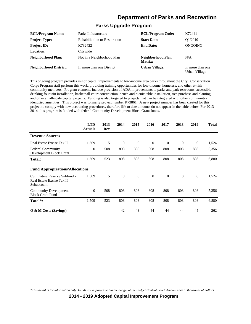#### **Parks Upgrade Program**

| <b>BCL/Program Name:</b>      | Parks Infrastructure                 | <b>BCL/Program Code:</b>     | K72441                            |
|-------------------------------|--------------------------------------|------------------------------|-----------------------------------|
| <b>Project Type:</b>          | <b>Rehabilitation or Restoration</b> | <b>Start Date:</b>           | O1/2010                           |
| <b>Project ID:</b>            | K732422                              | <b>End Date:</b>             | ONGOING                           |
| <b>Location:</b>              | Citywide                             |                              |                                   |
| Neighborhood Plan:            | Not in a Neighborhood Plan           | Neighborhood Plan<br>Matrix: | N/A                               |
| <b>Neighborhood District:</b> | In more than one District            | <b>Urban Village:</b>        | In more than one<br>Urban Village |

This ongoing program provides minor capital improvements to low-income area parks throughout the City. Conservation Corps Program staff perform this work, providing training opportunities for low-income, homeless, and other at-risk community members. Program elements include provision of ADA improvements to parks and park restrooms, accessible drinking fountain installation, basketball court construction, bench and picnic table installation, tree purchase and planting, and other small-scale capital projects. Funding is also targeted to projects that can be integrated with other communityidentified amenities. This project was formerly project number K73861. A new project number has been created for this project to comply with new accounting procedures, therefore life to date amounts do not appear in the table below. For 2013- 2014, this program is funded with federal Community Development Block Grant funds.

|                                                                         | <b>LTD</b><br><b>Actuals</b> | 2013<br>Rev | 2014         | 2015         | 2016           | 2017           | 2018     | 2019         | <b>Total</b> |
|-------------------------------------------------------------------------|------------------------------|-------------|--------------|--------------|----------------|----------------|----------|--------------|--------------|
| <b>Revenue Sources</b>                                                  |                              |             |              |              |                |                |          |              |              |
| Real Estate Excise Tax II                                               | 1,509                        | 15          | $\theta$     | $\theta$     | $\overline{0}$ | $\theta$       | $\theta$ | $\mathbf{0}$ | 1,524        |
| <b>Federal Community</b><br>Development Block Grant                     | $\theta$                     | 508         | 808          | 808          | 808            | 808            | 808      | 808          | 5,356        |
| Total:                                                                  | 1,509                        | 523         | 808          | 808          | 808            | 808            | 808      | 808          | 6,880        |
| <b>Fund Appropriations/Allocations</b>                                  |                              |             |              |              |                |                |          |              |              |
| Cumulative Reserve Subfund -<br>Real Estate Excise Tax II<br>Subaccount | 1,509                        | 15          | $\mathbf{0}$ | $\mathbf{0}$ | $\mathbf{0}$   | $\overline{0}$ | $\theta$ | $\mathbf{0}$ | 1,524        |
| <b>Community Development</b><br><b>Block Grant Fund</b>                 | $\theta$                     | 508         | 808          | 808          | 808            | 808            | 808      | 808          | 5,356        |
| Total*:                                                                 | 1,509                        | 523         | 808          | 808          | 808            | 808            | 808      | 808          | 6,880        |
| $\overline{O}$ & M Costs (Savings)                                      |                              |             | 42           | 43           | 44             | 44             | 44       | 45           | 262          |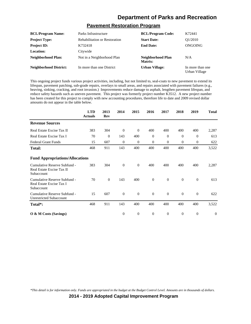#### **Pavement Restoration Program**

| <b>BCL/Program Name:</b>      | Parks Infrastructure                 | <b>BCL/Program Code:</b>     | K72441                            |
|-------------------------------|--------------------------------------|------------------------------|-----------------------------------|
| <b>Project Type:</b>          | <b>Rehabilitation or Restoration</b> | <b>Start Date:</b>           | O1/2010                           |
| <b>Project ID:</b>            | K732418                              | <b>End Date:</b>             | ONGOING                           |
| <b>Location:</b>              | Citywide                             |                              |                                   |
| Neighborhood Plan:            | Not in a Neighborhood Plan           | Neighborhood Plan<br>Matrix: | N/A                               |
| <b>Neighborhood District:</b> | In more than one District            | <b>Urban Village:</b>        | In more than one<br>Urban Village |

This ongoing project funds various project activities, including, but not limited to, seal-coats to new pavement to extend its lifespan, pavement patching, sub-grade repairs, overlays to small areas, and repairs associated with pavement failures (e.g., heaving, sinking, cracking, and root invasion.) Improvements reduce damage to asphalt, lengthen pavement lifespan, and reduce safety hazards such as uneven pavement. This project was formerly project number K3512. A new project number has been created for this project to comply with new accounting procedures, therefore life to date and 2009 revised dollar amounts do not appear in the table below.

|                                                                         | <b>LTD</b><br><b>Actuals</b> | 2013<br>Rev    | 2014     | 2015         | 2016           | 2017     | 2018         | 2019           | <b>Total</b> |
|-------------------------------------------------------------------------|------------------------------|----------------|----------|--------------|----------------|----------|--------------|----------------|--------------|
| <b>Revenue Sources</b>                                                  |                              |                |          |              |                |          |              |                |              |
| Real Estate Excise Tax II                                               | 383                          | 304            | $\theta$ | $\mathbf{0}$ | 400            | 400      | 400          | 400            | 2,287        |
| Real Estate Excise Tax I                                                | 70                           | $\overline{0}$ | 143      | 400          | $\overline{0}$ | $\theta$ | $\mathbf{0}$ | $\overline{0}$ | 613          |
| <b>Federal Grant Funds</b>                                              | 15                           | 607            | $\theta$ | $\mathbf{0}$ | $\mathbf{0}$   | $\theta$ | $\mathbf{0}$ | 0              | 622          |
| <b>Total:</b>                                                           | 468                          | 911            | 143      | 400          | 400            | 400      | 400          | 400            | 3,522        |
| <b>Fund Appropriations/Allocations</b>                                  |                              |                |          |              |                |          |              |                |              |
| Cumulative Reserve Subfund -<br>Real Estate Excise Tax II<br>Subaccount | 383                          | 304            | $\theta$ | $\theta$     | 400            | 400      | 400          | 400            | 2,287        |
| Cumulative Reserve Subfund -<br>Real Estate Excise Tax I<br>Subaccount  | 70                           | $\theta$       | 143      | 400          | $\theta$       | $\theta$ | $\Omega$     | $\theta$       | 613          |
| Cumulative Reserve Subfund -<br><b>Unrestricted Subaccount</b>          | 15                           | 607            | $\theta$ | $\mathbf{0}$ | $\theta$       | $\theta$ | $\theta$     | $\theta$       | 622          |
| Total <sup>*</sup> :                                                    | 468                          | 911            | 143      | 400          | 400            | 400      | 400          | 400            | 3,522        |
| $\overline{O}$ & M Costs (Savings)                                      |                              |                | $\Omega$ | $\mathbf{0}$ | $\theta$       | $\Omega$ | $\Omega$     | $\overline{0}$ | $\Omega$     |

*\*This detail is for information only. Funds are appropriated in the budget at the Budget Control Level. Amounts are in thousands of dollars.*

**2014 - 2019 Adopted Capital Improvement Program**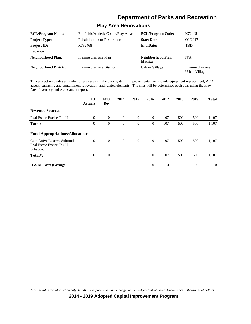#### **Play Area Renovations**

| <b>BCL/Program Name:</b>      | Ballfields/Athletic Courts/Play Areas | <b>BCL/Program Code:</b>     | K72445                            |
|-------------------------------|---------------------------------------|------------------------------|-----------------------------------|
| <b>Project Type:</b>          | <b>Rehabilitation or Restoration</b>  | <b>Start Date:</b>           | O1/2017                           |
| <b>Project ID:</b>            | K732468                               | <b>End Date:</b>             | TBD                               |
| Location:                     |                                       |                              |                                   |
| Neighborhood Plan:            | In more than one Plan                 | Neighborhood Plan<br>Matrix: | N/A                               |
| <b>Neighborhood District:</b> | In more than one District             | <b>Urban Village:</b>        | In more than one<br>Urban Village |

This project renovates a number of play areas in the park system. Improvements may include equipment replacement, ADA access, surfacing and containment renovation, and related elements. The sites will be determined each year using the Play Area Inventory and Assessment report.

|                                                                         | <b>LTD</b><br><b>Actuals</b> | 2013<br>Rev    | 2014     | 2015           | 2016           | 2017           | 2018     | 2019     | <b>Total</b> |
|-------------------------------------------------------------------------|------------------------------|----------------|----------|----------------|----------------|----------------|----------|----------|--------------|
| <b>Revenue Sources</b>                                                  |                              |                |          |                |                |                |          |          |              |
| Real Estate Excise Tax II                                               | $\theta$                     | $\overline{0}$ | $\theta$ | $\theta$       | $\overline{0}$ | 107            | 500      | 500      | 1,107        |
| <b>Total:</b>                                                           | $\overline{0}$               | $\theta$       | $\theta$ | $\mathbf{0}$   | $\theta$       | 107            | 500      | 500      | 1,107        |
| <b>Fund Appropriations/Allocations</b>                                  |                              |                |          |                |                |                |          |          |              |
| Cumulative Reserve Subfund -<br>Real Estate Excise Tax II<br>Subaccount | $\Omega$                     | $\overline{0}$ | $\theta$ | $\overline{0}$ | $\overline{0}$ | 107            | 500      | 500      | 1,107        |
| Total*:                                                                 | $\mathbf{0}$                 | $\theta$       | $\theta$ | $\mathbf{0}$   | $\theta$       | 107            | 500      | 500      | 1,107        |
| $\overline{O}$ & M Costs (Savings)                                      |                              |                | $\Omega$ | $\overline{0}$ | $\theta$       | $\overline{0}$ | $\theta$ | $\theta$ | $\Omega$     |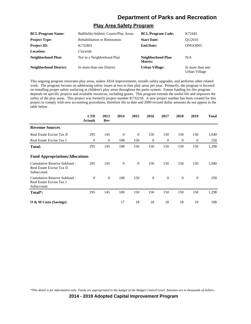#### **Play Area Safety Program**

| <b>BCL/Program Name:</b>      | Ballfields/Athletic Courts/Play Areas | <b>BCL/Program Code:</b>     | K72445                            |
|-------------------------------|---------------------------------------|------------------------------|-----------------------------------|
| <b>Project Type:</b>          | <b>Rehabilitation or Restoration</b>  | <b>Start Date:</b>           | O1/2010                           |
| <b>Project ID:</b>            | K732403                               | <b>End Date:</b>             | ONGOING                           |
| <b>Location:</b>              | Citywide                              |                              |                                   |
| Neighborhood Plan:            | Not in a Neighborhood Plan            | Neighborhood Plan<br>Matrix: | N/A                               |
| <b>Neighborhood District:</b> | In more than one District             | <b>Urban Village:</b>        | In more than one<br>Urban Village |

This ongoing program renovates play areas, makes ADA improvements, installs safety upgrades, and performs other related work. The program focuses on addressing safety issues at two to four play areas per year. Primarily, the program is focused on installing proper safety surfacing at children's play areas throughout the parks system. Future funding for this program depends on specific projects and available resources, including grants. This program extends the useful life and improves the safety of the play areas. This project was formerly project number K732218. A new project number has been created for this project to comply with new accounting procedures, therefore life to date and 2009 revised dollar amounts do not appear in the table below.

|                                                                         | <b>LTD</b><br><b>Actuals</b> | 2013<br>Rev  | 2014         | 2015           | 2016         | 2017             | 2018             | 2019             | <b>Total</b> |
|-------------------------------------------------------------------------|------------------------------|--------------|--------------|----------------|--------------|------------------|------------------|------------------|--------------|
| <b>Revenue Sources</b>                                                  |                              |              |              |                |              |                  |                  |                  |              |
| Real Estate Excise Tax II                                               | 295                          | 145          | $\theta$     | $\overline{0}$ | 150          | 150              | 150              | 150              | 1,040        |
| Real Estate Excise Tax I                                                | $\mathbf{0}$                 | $\mathbf{0}$ | 108          | 150            | $\mathbf{0}$ | $\boldsymbol{0}$ | $\boldsymbol{0}$ | $\boldsymbol{0}$ | 258          |
| Total:                                                                  | 295                          | 145          | 108          | 150            | 150          | 150              | 150              | 150              | 1,298        |
| <b>Fund Appropriations/Allocations</b>                                  |                              |              |              |                |              |                  |                  |                  |              |
| Cumulative Reserve Subfund -<br>Real Estate Excise Tax II<br>Subaccount | 295                          | 145          | $\mathbf{0}$ | $\mathbf{0}$   | 150          | 150              | 150              | 150              | 1,040        |
| Cumulative Reserve Subfund -<br>Real Estate Excise Tax I<br>Subaccount  | $\theta$                     | $\theta$     | 108          | 150            | $\mathbf{0}$ | $\overline{0}$   | $\theta$         | $\boldsymbol{0}$ | 258          |
| Total*:                                                                 | 295                          | 145          | 108          | 150            | 150          | 150              | 150              | 150              | 1,298        |
| <b>O</b> & M Costs (Savings)                                            |                              |              | 17           | 18             | 18           | 18               | 18               | 19               | 108          |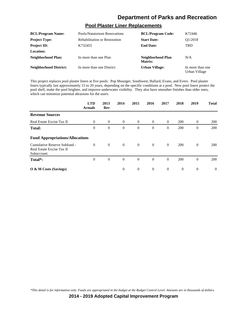# **Pool Plaster Liner Replacements**

| <b>BCL/Program Name:</b>      | Pools/Natatorium Renovations         | <b>BCL/Program Code:</b>     | K72446                            |
|-------------------------------|--------------------------------------|------------------------------|-----------------------------------|
| <b>Project Type:</b>          | <b>Rehabilitation or Restoration</b> | <b>Start Date:</b>           | O1/2018                           |
| <b>Project ID:</b>            | K732455                              | <b>End Date:</b>             | <b>TBD</b>                        |
| Location:                     |                                      |                              |                                   |
| Neighborhood Plan:            | In more than one Plan                | Neighborhood Plan<br>Matrix: | N/A                               |
| <b>Neighborhood District:</b> | In more than one District            | <b>Urban Village:</b>        | In more than one<br>Urban Village |

This project replaces pool plaster liners at five pools: Pop Mounger, Southwest, Ballard, Evans, and Evers. Pool plaster liners typically last approximately 15 to 20 years, depending on the specific conditions at a pool. New pool liners protect the pool shell, make the pool brighter, and improve underwater visibility. They also have smoother finishes than older ones, which can minimize potential abrasions for the users.

|                                                                         | <b>LTD</b><br><b>Actuals</b> | 2013<br>Rev | 2014           | 2015           | 2016           | 2017           | 2018     | 2019           | <b>Total</b> |
|-------------------------------------------------------------------------|------------------------------|-------------|----------------|----------------|----------------|----------------|----------|----------------|--------------|
| <b>Revenue Sources</b>                                                  |                              |             |                |                |                |                |          |                |              |
| Real Estate Excise Tax II                                               | $\Omega$                     | $\theta$    | $\theta$       | $\theta$       | $\theta$       | $\Omega$       | 200      | $\theta$       | <b>200</b>   |
| <b>Total:</b>                                                           | $\overline{0}$               | $\theta$    | $\theta$       | $\mathbf{0}$   | $\theta$       | $\Omega$       | 200      | $\overline{0}$ | <b>200</b>   |
| <b>Fund Appropriations/Allocations</b>                                  |                              |             |                |                |                |                |          |                |              |
| Cumulative Reserve Subfund -<br>Real Estate Excise Tax II<br>Subaccount | $\theta$                     | $\theta$    | $\overline{0}$ | $\overline{0}$ | $\overline{0}$ | $\Omega$       | 200      | $\theta$       | <b>200</b>   |
| Total*:                                                                 | $\boldsymbol{0}$             | $\theta$    | $\theta$       | $\mathbf{0}$   | $\theta$       | $\theta$       | 200      | $\overline{0}$ | 200          |
| $\overline{O}$ & M Costs (Savings)                                      |                              |             | $\theta$       | $\theta$       | $\theta$       | $\overline{0}$ | $\theta$ | $\theta$       | $\Omega$     |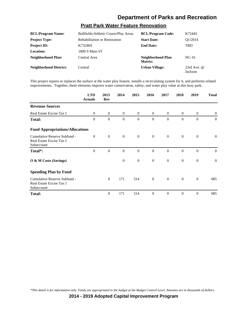### **Pratt Park Water Feature Renovation**

| <b>BCL/Program Name:</b>      | Ballfields/Athletic Courts/Play Areas | <b>BCL/Program Code:</b>     | K72445                   |
|-------------------------------|---------------------------------------|------------------------------|--------------------------|
| <b>Project Type:</b>          | <b>Rehabilitation or Restoration</b>  | <b>Start Date:</b>           | O1/2014                  |
| <b>Project ID:</b>            | K732469                               | <b>End Date:</b>             | TBD                      |
| Location:                     | 1800 S Main ST                        |                              |                          |
| <b>Neighborhood Plan:</b>     | Central Area                          | Neighborhood Plan<br>Matrix: | $NC-16$                  |
| <b>Neighborhood District:</b> | Central                               | <b>Urban Village:</b>        | 23rd Ave. $@$<br>Jackson |

This project repairs or replaces the surface at the water play feature, installs a recirculating system for it, and performs related improvements. Together, these elements improve water conservation, safety, and water play value at this busy park.

|                                                                        | <b>LTD</b><br><b>Actuals</b> | 2013<br><b>Rev</b> | 2014           | 2015           | 2016           | 2017           | 2018           | 2019           | <b>Total</b>   |
|------------------------------------------------------------------------|------------------------------|--------------------|----------------|----------------|----------------|----------------|----------------|----------------|----------------|
| <b>Revenue Sources</b>                                                 |                              |                    |                |                |                |                |                |                |                |
| Real Estate Excise Tax I                                               | $\overline{0}$               | $\overline{0}$     | $\mathbf{0}$   | $\overline{0}$ | $\overline{0}$ | $\overline{0}$ | $\overline{0}$ | $\mathbf{0}$   | $\overline{0}$ |
| <b>Total:</b>                                                          | $\theta$                     | $\theta$           | $\theta$       | $\theta$       | $\mathbf{0}$   | $\Omega$       | $\mathbf{0}$   | $\Omega$       | $\Omega$       |
| <b>Fund Appropriations/Allocations</b>                                 |                              |                    |                |                |                |                |                |                |                |
| Cumulative Reserve Subfund -<br>Real Estate Excise Tax I<br>Subaccount | $\mathbf{0}$                 | $\theta$           | $\overline{0}$ | $\mathbf{0}$   | $\overline{0}$ | $\mathbf{0}$   | $\mathbf{0}$   | $\mathbf{0}$   | $\overline{0}$ |
| Total*:                                                                | $\theta$                     | $\overline{0}$     | $\theta$       | $\overline{0}$ | $\overline{0}$ | $\theta$       | $\overline{0}$ | $\mathbf{0}$   | $\overline{0}$ |
| O & M Costs (Savings)                                                  |                              |                    | $\overline{0}$ | $\mathbf{0}$   | $\overline{0}$ | $\mathbf{0}$   | $\overline{0}$ | $\overline{0}$ | $\mathbf{0}$   |
| <b>Spending Plan by Fund</b>                                           |                              |                    |                |                |                |                |                |                |                |
| Cumulative Reserve Subfund -<br>Real Estate Excise Tax I<br>Subaccount |                              | $\theta$           | 171            | 514            | $\overline{0}$ | $\mathbf{0}$   | $\overline{0}$ | $\overline{0}$ | 685            |
| <b>Total:</b>                                                          |                              | $\Omega$           | 171            | 514            | $\overline{0}$ | $\Omega$       | $\mathbf{0}$   | $\Omega$       | 685            |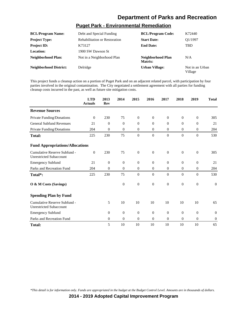### **Puget Park - Environmental Remediation**

| <b>BCL/Program Name:</b>      | Debt and Special Funding             | <b>BCL/Program Code:</b>     | K72440                     |
|-------------------------------|--------------------------------------|------------------------------|----------------------------|
| <b>Project Type:</b>          | <b>Rehabilitation or Restoration</b> | <b>Start Date:</b>           | O1/1997                    |
| <b>Project ID:</b>            | K73127                               | <b>End Date:</b>             | <b>TBD</b>                 |
| Location:                     | 1900 SW Dawson St                    |                              |                            |
| <b>Neighborhood Plan:</b>     | Not in a Neighborhood Plan           | Neighborhood Plan<br>Matrix: | N/A                        |
| <b>Neighborhood District:</b> | Delridge                             | <b>Urban Village:</b>        | Not in an Urban<br>Village |

This project funds a cleanup action on a portion of Puget Park and on an adjacent related parcel, with participation by four parties involved in the original contamination. The City negotiated a settlement agreement with all parties for funding cleanup costs incurred in the past, as well as future site mitigation costs.

|                                                                | <b>LTD</b><br><b>Actuals</b> | 2013<br>Rev  | 2014           | 2015             | 2016           | 2017             | 2018           | 2019             | <b>Total</b> |
|----------------------------------------------------------------|------------------------------|--------------|----------------|------------------|----------------|------------------|----------------|------------------|--------------|
| <b>Revenue Sources</b>                                         |                              |              |                |                  |                |                  |                |                  |              |
| Private Funding/Donations                                      | $\mathbf{0}$                 | 230          | 75             | 0                | $\overline{0}$ | $\boldsymbol{0}$ | $\mathbf{0}$   | $\boldsymbol{0}$ | 305          |
| <b>General Subfund Revenues</b>                                | 21                           | $\theta$     | $\theta$       | $\overline{0}$   | $\theta$       | $\mathbf{0}$     | $\mathbf{0}$   | $\overline{0}$   | 21           |
| Private Funding/Donations                                      | 204                          | $\theta$     | $\theta$       | $\overline{0}$   | $\overline{0}$ | $\overline{0}$   | $\overline{0}$ | $\theta$         | 204          |
| <b>Total:</b>                                                  | 225                          | 230          | 75             | $\overline{0}$   | $\mathbf{0}$   | $\theta$         | $\mathbf{0}$   | $\theta$         | 530          |
| <b>Fund Appropriations/Allocations</b>                         |                              |              |                |                  |                |                  |                |                  |              |
| Cumulative Reserve Subfund -<br><b>Unrestricted Subaccount</b> | $\theta$                     | 230          | 75             | $\boldsymbol{0}$ | $\mathbf{0}$   | $\theta$         | $\mathbf{0}$   | $\overline{0}$   | 305          |
| <b>Emergency Subfund</b>                                       | 21                           | $\theta$     | $\theta$       | $\overline{0}$   | $\mathbf{0}$   | $\mathbf{0}$     | $\mathbf{0}$   | $\theta$         | 21           |
| Parks and Recreation Fund                                      | 204                          | $\theta$     | $\theta$       | $\overline{0}$   | $\mathbf{0}$   | $\overline{0}$   | $\mathbf{0}$   | $\mathbf{0}$     | 204          |
| Total*:                                                        | 225                          | 230          | 75             | $\theta$         | $\Omega$       | $\Omega$         | $\Omega$       | $\theta$         | 530          |
| O & M Costs (Savings)                                          |                              |              | $\mathbf{0}$   | $\boldsymbol{0}$ | $\mathbf{0}$   | $\theta$         | $\mathbf{0}$   | $\overline{0}$   | $\theta$     |
| <b>Spending Plan by Fund</b>                                   |                              |              |                |                  |                |                  |                |                  |              |
| Cumulative Reserve Subfund -<br><b>Unrestricted Subaccount</b> |                              | 5            | 10             | 10               | 10             | 10               | 10             | 10               | 65           |
| <b>Emergency Subfund</b>                                       |                              | $\mathbf{0}$ | $\theta$       | $\boldsymbol{0}$ | $\mathbf{0}$   | $\theta$         | $\mathbf{0}$   | $\theta$         | $\theta$     |
| Parks and Recreation Fund                                      |                              | $\theta$     | $\overline{0}$ | $\theta$         | $\mathbf{0}$   | $\mathbf{0}$     | $\mathbf{0}$   | $\overline{0}$   | $\mathbf{0}$ |
| <b>Total:</b>                                                  |                              | 5            | 10             | 10               | 10             | 10               | 10             | 10               | 65           |

*\*This detail is for information only. Funds are appropriated in the budget at the Budget Control Level. Amounts are in thousands of dollars.*

**2014 - 2019 Adopted Capital Improvement Program**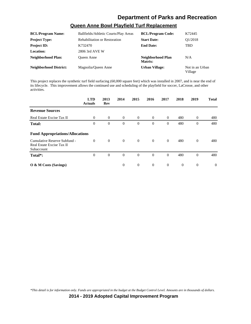### **Queen Anne Bowl Playfield Turf Replacement**

| <b>BCL/Program Name:</b>      | Ballfields/Athletic Courts/Play Areas | <b>BCL/Program Code:</b>     | K72445                     |
|-------------------------------|---------------------------------------|------------------------------|----------------------------|
| <b>Project Type:</b>          | <b>Rehabilitation or Restoration</b>  | <b>Start Date:</b>           | O1/2018                    |
| <b>Project ID:</b>            | K732470                               | <b>End Date:</b>             | <b>TBD</b>                 |
| Location:                     | 2806 3rd AVE W                        |                              |                            |
| <b>Neighborhood Plan:</b>     | <b>Oueen Anne</b>                     | Neighborhood Plan<br>Matrix: | N/A                        |
| <b>Neighborhood District:</b> | Magnolia/Oueen Anne                   | <b>Urban Village:</b>        | Not in an Urban<br>Village |

This project replaces the synthetic turf field surfacing (60,000 square feet) which was installed in 2007, and is near the end of its lifecycle. This improvement allows the continued use and scheduling of the playfield for soccer, LaCrosse, and other activities.

|                                                                         | <b>LTD</b><br><b>Actuals</b> | 2013<br>Rev | 2014     | 2015           | 2016           | 2017           | 2018           | 2019           | <b>Total</b> |
|-------------------------------------------------------------------------|------------------------------|-------------|----------|----------------|----------------|----------------|----------------|----------------|--------------|
| <b>Revenue Sources</b>                                                  |                              |             |          |                |                |                |                |                |              |
| Real Estate Excise Tax II                                               | $\theta$                     | $\theta$    | $\theta$ | $\overline{0}$ | $\overline{0}$ | $\overline{0}$ | 480            | $\mathbf{0}$   | 480          |
| <b>Total:</b>                                                           | $\theta$                     | $\theta$    | $\theta$ | $\mathbf{0}$   | $\Omega$       | $\Omega$       | 480            | $\overline{0}$ | 480          |
| <b>Fund Appropriations/Allocations</b>                                  |                              |             |          |                |                |                |                |                |              |
| Cumulative Reserve Subfund -<br>Real Estate Excise Tax II<br>Subaccount | $\Omega$                     | $\theta$    | $\theta$ | $\overline{0}$ | $\theta$       | $\Omega$       | 480            | $\mathbf{0}$   | 480          |
| Total*:                                                                 | $\theta$                     | $\theta$    | $\theta$ | $\overline{0}$ | $\theta$       | $\Omega$       | 480            | $\overline{0}$ | 480          |
| O & M Costs (Savings)                                                   |                              |             | $\theta$ | $\overline{0}$ | $\theta$       | $\overline{0}$ | $\overline{0}$ | $\theta$       | $\Omega$     |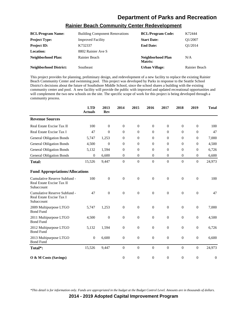|                               | <u>KANNOI DUUVII VUINNIAINIT VUIKUI KUUVTUIVIINII</u> |                              |               |
|-------------------------------|-------------------------------------------------------|------------------------------|---------------|
| <b>BCL/Program Name:</b>      | <b>Building Component Renovations</b>                 | <b>BCL/Program Code:</b>     | K72444        |
| <b>Project Type:</b>          | <b>Improved Facility</b>                              | <b>Start Date:</b>           | O1/2007       |
| <b>Project ID:</b>            | K732337                                               | <b>End Date:</b>             | O1/2014       |
| Location:                     | 8802 Rainier Ave S                                    |                              |               |
| <b>Neighborhood Plan:</b>     | Rainier Beach                                         | Neighborhood Plan<br>Matrix: | N/A           |
| <b>Neighborhood District:</b> | Southeast                                             | Urban Village:               | Rainier Beach |

#### **Rainier Beach Community Center Redevelopment**

This project provides for planning, preliminary design, and redevelopment of a new facility to replace the existing Rainier Beach Community Center and swimming pool. This project was developed by Parks in response to the Seattle School District's decisions about the future of Southshore Middle School, since the school shares a building with the existing community center and pool. A new facility will provide the public with improved and updated recreational opportunities and will complement the two new schools on the site. The specific scope of work for this project is being developed through a community process.

|                                                                         | <b>LTD</b><br><b>Actuals</b> | 2013<br><b>Rev</b> | 2014             | 2015             | 2016             | 2017           | 2018             | 2019             | <b>Total</b>     |
|-------------------------------------------------------------------------|------------------------------|--------------------|------------------|------------------|------------------|----------------|------------------|------------------|------------------|
| <b>Revenue Sources</b>                                                  |                              |                    |                  |                  |                  |                |                  |                  |                  |
| Real Estate Excise Tax II                                               | 100                          | $\theta$           | $\boldsymbol{0}$ | $\overline{0}$   | $\mathbf{0}$     | $\theta$       | $\mathbf{0}$     | $\mathbf{0}$     | 100              |
| Real Estate Excise Tax I                                                | 47                           | $\Omega$           | $\Omega$         | $\Omega$         | $\Omega$         | $\Omega$       | $\Omega$         | $\mathbf{0}$     | 47               |
| <b>General Obligation Bonds</b>                                         | 5,747                        | 1,253              | $\theta$         | $\Omega$         | $\Omega$         | $\Omega$       | $\mathbf{0}$     | $\mathbf{0}$     | 7,000            |
| <b>General Obligation Bonds</b>                                         | 4,500                        | $\theta$           | $\theta$         | $\theta$         | $\Omega$         | $\Omega$       | $\Omega$         | $\theta$         | 4,500            |
| <b>General Obligation Bonds</b>                                         | 5,132                        | 1,594              | $\overline{0}$   | $\Omega$         | $\theta$         | $\theta$       | $\mathbf{0}$     | $\boldsymbol{0}$ | 6,726            |
| <b>General Obligation Bonds</b>                                         | $\theta$                     | 6,600              | $\theta$         | $\overline{0}$   | $\theta$         | $\theta$       | $\mathbf{0}$     | $\overline{0}$   | 6,600            |
| <b>Total:</b>                                                           | 15,526                       | 9,447              | $\overline{0}$   | $\overline{0}$   | $\overline{0}$   | $\mathbf{0}$   | $\mathbf{0}$     | $\overline{0}$   | 24,973           |
| <b>Fund Appropriations/Allocations</b>                                  |                              |                    |                  |                  |                  |                |                  |                  |                  |
| Cumulative Reserve Subfund -<br>Real Estate Excise Tax II<br>Subaccount | 100                          | $\overline{0}$     | $\overline{0}$   | $\boldsymbol{0}$ | $\overline{0}$   | $\mathbf{0}$   | $\mathbf{0}$     | $\boldsymbol{0}$ | 100              |
| Cumulative Reserve Subfund -<br>Real Estate Excise Tax I<br>Subaccount  | 47                           | $\overline{0}$     | $\overline{0}$   | $\boldsymbol{0}$ | $\overline{0}$   | $\theta$       | $\mathbf{0}$     | $\overline{0}$   | 47               |
| 2009 Multipurpose LTGO<br><b>Bond Fund</b>                              | 5,747                        | 1,253              | $\boldsymbol{0}$ | $\boldsymbol{0}$ | $\boldsymbol{0}$ | $\mathbf{0}$   | $\boldsymbol{0}$ | $\boldsymbol{0}$ | 7,000            |
| 2011 Multipurpose LTGO<br><b>Bond Fund</b>                              | 4,500                        | $\boldsymbol{0}$   | $\overline{0}$   | $\boldsymbol{0}$ | $\overline{0}$   | $\theta$       | $\mathbf{0}$     | $\theta$         | 4,500            |
| 2012 Multipurpose LTGO<br><b>Bond Fund</b>                              | 5,132                        | 1,594              | $\boldsymbol{0}$ | $\boldsymbol{0}$ | $\mathbf{0}$     | $\theta$       | $\mathbf{0}$     | $\boldsymbol{0}$ | 6,726            |
| 2013 Multipurpose LTGO<br><b>Bond Fund</b>                              | $\mathbf{0}$                 | 6,600              | $\boldsymbol{0}$ | $\boldsymbol{0}$ | $\mathbf{0}$     | $\theta$       | $\mathbf{0}$     | $\theta$         | 6,600            |
| Total*:                                                                 | 15,526                       | 9,447              | $\overline{0}$   | $\Omega$         | $\overline{0}$   | $\overline{0}$ | $\Omega$         | $\overline{0}$   | 24,973           |
| O & M Costs (Savings)                                                   |                              |                    | $\theta$         | $\theta$         | $\mathbf{0}$     | $\overline{0}$ | $\mathbf{0}$     | $\theta$         | $\boldsymbol{0}$ |

*\*This detail is for information only. Funds are appropriated in the budget at the Budget Control Level. Amounts are in thousands of dollars.*

**2014 - 2019 Adopted Capital Improvement Program**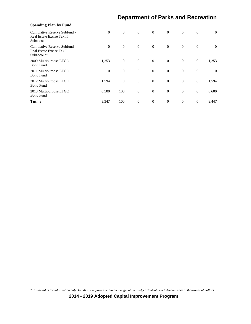| <b>Spending Plan by Fund</b>                                            |                |              |                |                |          |                |                |                |
|-------------------------------------------------------------------------|----------------|--------------|----------------|----------------|----------|----------------|----------------|----------------|
| Cumulative Reserve Subfund -<br>Real Estate Excise Tax II<br>Subaccount | $\overline{0}$ | $\mathbf{0}$ | $\overline{0}$ | $\overline{0}$ | $\theta$ | $\overline{0}$ | $\mathbf{0}$   | $\overline{0}$ |
| Cumulative Reserve Subfund -<br>Real Estate Excise Tax I<br>Subaccount  | $\theta$       | $\theta$     | $\overline{0}$ | $\overline{0}$ | $\theta$ | $\overline{0}$ | $\mathbf{0}$   | $\theta$       |
| 2009 Multipurpose LTGO<br><b>Bond Fund</b>                              | 1,253          | $\mathbf{0}$ | $\mathbf{0}$   | $\overline{0}$ | $\theta$ | $\overline{0}$ | $\theta$       | 1,253          |
| 2011 Multipurpose LTGO<br><b>Bond Fund</b>                              | $\overline{0}$ | $\theta$     | $\mathbf{0}$   | $\mathbf{0}$   | $\theta$ | $\overline{0}$ | $\mathbf{0}$   | $\theta$       |
| 2012 Multipurpose LTGO<br><b>Bond Fund</b>                              | 1,594          | $\theta$     | $\theta$       | $\mathbf{0}$   | $\theta$ | $\overline{0}$ | $\mathbf{0}$   | 1,594          |
| 2013 Multipurpose LTGO<br><b>Bond Fund</b>                              | 6,500          | 100          | $\mathbf{0}$   | $\mathbf{0}$   | $\theta$ | $\mathbf{0}$   | $\mathbf{0}$   | 6,600          |
| <b>Total:</b>                                                           | 9,347          | 100          | $\Omega$       | $\overline{0}$ | $\Omega$ | $\theta$       | $\overline{0}$ | 9,447          |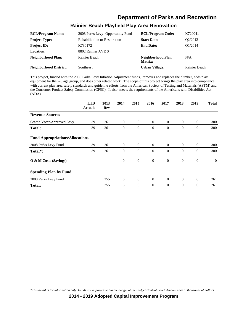## **Rainier Beach Playfield Play Area Renovation**

| <b>BCL/Program Name:</b>      | 2008 Parks Levy- Opportunity Fund    | <b>BCL/Program Code:</b>     | K720041              |
|-------------------------------|--------------------------------------|------------------------------|----------------------|
| <b>Project Type:</b>          | <b>Rehabilitation or Restoration</b> | <b>Start Date:</b>           | O <sub>2</sub> /2012 |
| <b>Project ID:</b>            | K730172                              | <b>End Date:</b>             | O1/2014              |
| <b>Location:</b>              | 8802 Rainier AVE S                   |                              |                      |
| Neighborhood Plan:            | Rainier Beach                        | Neighborhood Plan<br>Matrix: | N/A                  |
| <b>Neighborhood District:</b> | <b>Southeast</b>                     | <b>Urban Village:</b>        | Rainier Beach        |

This project, funded with the 2008 Parks Levy Inflation Adjustment funds, removes and replaces the climber, adds play equipment for the 2-5 age group, and does other related work. The scope of this project brings the play area into compliance with current play area safety standards and guideline efforts from the American Society of Testing and Materials (ASTM) and the Consumer Product Safety Commission (CPSC). It also meets the requirements of the Americans with Disabilities Act (ADA).

|                                        | <b>LTD</b><br><b>Actuals</b> | 2013<br>Rev | 2014     | 2015           | 2016           | 2017           | 2018           | 2019             | <b>Total</b>   |
|----------------------------------------|------------------------------|-------------|----------|----------------|----------------|----------------|----------------|------------------|----------------|
| <b>Revenue Sources</b>                 |                              |             |          |                |                |                |                |                  |                |
| Seattle Voter-Approved Levy            | 39                           | 261         | $\theta$ | $\overline{0}$ | $\overline{0}$ | $\theta$       | $\overline{0}$ | $\theta$         | 300            |
| Total:                                 | 39                           | 261         | $\theta$ | $\theta$       | $\mathbf{0}$   | $\theta$       | $\mathbf{0}$   | $\overline{0}$   | 300            |
| <b>Fund Appropriations/Allocations</b> |                              |             |          |                |                |                |                |                  |                |
| 2008 Parks Levy Fund                   | 39                           | 261         | $\theta$ | $\overline{0}$ | $\overline{0}$ | $\overline{0}$ | $\overline{0}$ | $\theta$         | 300            |
| Total*:                                | 39                           | 261         | $\theta$ | $\theta$       | $\Omega$       | $\Omega$       | $\mathbf{0}$   | $\overline{0}$   | 300            |
| O & M Costs (Savings)                  |                              |             | $\theta$ | $\mathbf{0}$   | $\mathbf{0}$   | $\theta$       | $\mathbf{0}$   | $\boldsymbol{0}$ | $\overline{0}$ |
| <b>Spending Plan by Fund</b>           |                              |             |          |                |                |                |                |                  |                |
| 2008 Parks Levy Fund                   |                              | 255         | 6        | $\mathbf{0}$   | $\mathbf{0}$   | $\theta$       | $\overline{0}$ | $\theta$         | 261            |
| <b>Total:</b>                          |                              | 255         | 6        | $\theta$       | $\mathbf{0}$   | $\theta$       | $\mathbf{0}$   | $\overline{0}$   | 261            |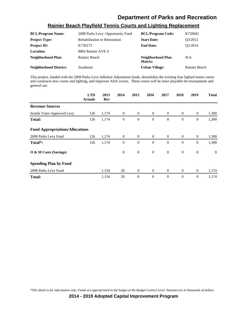### **Rainier Beach Playfield Tennis Courts and Lighting Replacement**

| <b>BCL/Program Name:</b>      | 2008 Parks Levy- Opportunity Fund    | <b>BCL/Program Code:</b>     | K720041       |
|-------------------------------|--------------------------------------|------------------------------|---------------|
| <b>Project Type:</b>          | <b>Rehabilitation or Restoration</b> | <b>Start Date:</b>           | O3/2012       |
| <b>Project ID:</b>            | K730173                              | <b>End Date:</b>             | O1/2014       |
| <b>Location:</b>              | 8802 Rainier AVE S                   |                              |               |
| Neighborhood Plan:            | Rainier Beach                        | Neighborhood Plan<br>Matrix: | N/A           |
| <b>Neighborhood District:</b> | <b>Southeast</b>                     | <b>Urban Village:</b>        | Rainier Beach |

This project, funded with the 2008 Parks Levy Inflation Adjustment funds, demolishes the existing four lighted tennis courts and constructs new courts and lighting, and improves ADA access. These courts will be more playable for tournaments and general use.

|                                        | <b>LTD</b><br><b>Actuals</b> | 2013<br>Rev | 2014             | 2015           | 2016           | 2017           | 2018           | 2019             | <b>Total</b>   |
|----------------------------------------|------------------------------|-------------|------------------|----------------|----------------|----------------|----------------|------------------|----------------|
| <b>Revenue Sources</b>                 |                              |             |                  |                |                |                |                |                  |                |
| Seattle Voter-Approved Levy            | 126                          | 1,174       | $\boldsymbol{0}$ | $\overline{0}$ | $\mathbf{0}$   | $\overline{0}$ | $\overline{0}$ | $\mathbf{0}$     | 1,300          |
| Total:                                 | 126                          | 1,174       | $\mathbf{0}$     | $\mathbf{0}$   | $\mathbf{0}$   | $\theta$       | $\mathbf{0}$   | $\overline{0}$   | 1,300          |
| <b>Fund Appropriations/Allocations</b> |                              |             |                  |                |                |                |                |                  |                |
| 2008 Parks Levy Fund                   | 126                          | 1,174       | $\theta$         | $\overline{0}$ | $\overline{0}$ | $\theta$       | $\overline{0}$ | $\theta$         | 1,300          |
| Total <sup>*</sup> :                   | 126                          | 1,174       | $\theta$         | $\theta$       | $\Omega$       | $\Omega$       | $\mathbf{0}$   | $\overline{0}$   | 1,300          |
| O & M Costs (Savings)                  |                              |             | $\mathbf{0}$     | $\mathbf{0}$   | $\mathbf{0}$   | $\theta$       | $\mathbf{0}$   | $\boldsymbol{0}$ | $\overline{0}$ |
| <b>Spending Plan by Fund</b>           |                              |             |                  |                |                |                |                |                  |                |
| 2008 Parks Levy Fund                   |                              | 1,154       | 20               | $\overline{0}$ | $\mathbf{0}$   | $\theta$       | $\mathbf{0}$   | $\boldsymbol{0}$ | 1,174          |
| <b>Total:</b>                          |                              | 1,154       | 20               | $\mathbf{0}$   | $\mathbf{0}$   | $\theta$       | $\mathbf{0}$   | $\overline{0}$   | 1,174          |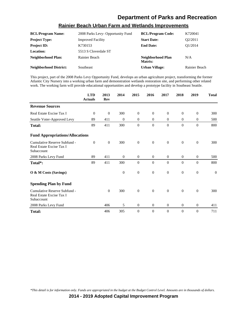| <b>BCL/Program Name:</b>      | 2008 Parks Levy- Opportunity Fund | <b>BCL/Program Code:</b>     | K720041              |
|-------------------------------|-----------------------------------|------------------------------|----------------------|
| <b>Project Type:</b>          | <b>Improved Facility</b>          | <b>Start Date:</b>           | O <sub>2</sub> /2011 |
| <b>Project ID:</b>            | K730153                           | <b>End Date:</b>             | O1/2014              |
| Location:                     | 5513 S Cloverdale ST              |                              |                      |
| <b>Neighborhood Plan:</b>     | Rainier Beach                     | Neighborhood Plan<br>Matrix: | N/A                  |
| <b>Neighborhood District:</b> | Southeast                         | <b>Urban Village:</b>        | Rainier Beach        |

#### **Rainier Beach Urban Farm and Wetlands Improvements**

This project, part of the 2008 Parks Levy Opportunity Fund, develops an urban agriculture project, transforming the former Atlantic City Nursery into a working urban farm and demonstration wetlands restoration site, and performing other related work. The working farm will provide educational opportunities and develop a prototype facility in Southeast Seattle.

|                                                                        | <b>LTD</b><br><b>Actuals</b> | 2013<br><b>Rev</b> | 2014         | 2015             | 2016             | 2017           | 2018             | 2019             | <b>Total</b> |
|------------------------------------------------------------------------|------------------------------|--------------------|--------------|------------------|------------------|----------------|------------------|------------------|--------------|
| <b>Revenue Sources</b>                                                 |                              |                    |              |                  |                  |                |                  |                  |              |
| Real Estate Excise Tax I                                               | $\theta$                     | $\mathbf{0}$       | 300          | $\overline{0}$   | $\mathbf{0}$     | $\theta$       | $\mathbf{0}$     | $\theta$         | 300          |
| Seattle Voter-Approved Levy                                            | 89                           | 411                | $\theta$     | $\overline{0}$   | $\mathbf{0}$     | $\theta$       | $\mathbf{0}$     | $\theta$         | 500          |
| <b>Total:</b>                                                          | 89                           | 411                | 300          | $\overline{0}$   | $\mathbf{0}$     | $\overline{0}$ | $\mathbf{0}$     | $\overline{0}$   | 800          |
| <b>Fund Appropriations/Allocations</b>                                 |                              |                    |              |                  |                  |                |                  |                  |              |
| Cumulative Reserve Subfund -<br>Real Estate Excise Tax I<br>Subaccount | $\theta$                     | $\theta$           | 300          | $\mathbf{0}$     | $\mathbf{0}$     | $\theta$       | $\mathbf{0}$     | $\overline{0}$   | 300          |
| 2008 Parks Levy Fund                                                   | 89                           | 411                | $\mathbf{0}$ | $\mathbf{0}$     | $\overline{0}$   | $\mathbf{0}$   | $\mathbf{0}$     | $\mathbf{0}$     | 500          |
| Total*:                                                                | 89                           | 411                | 300          | $\overline{0}$   | $\mathbf{0}$     | $\theta$       | $\mathbf{0}$     | $\theta$         | 800          |
| O & M Costs (Savings)                                                  |                              |                    | $\theta$     | $\boldsymbol{0}$ | $\mathbf{0}$     | $\theta$       | $\mathbf{0}$     | $\theta$         | $\theta$     |
| <b>Spending Plan by Fund</b>                                           |                              |                    |              |                  |                  |                |                  |                  |              |
| Cumulative Reserve Subfund -<br>Real Estate Excise Tax I<br>Subaccount |                              | $\mathbf{0}$       | 300          | $\boldsymbol{0}$ | $\overline{0}$   | $\theta$       | $\mathbf{0}$     | $\boldsymbol{0}$ | 300          |
| 2008 Parks Levy Fund                                                   |                              | 406                | 5            | $\mathbf{0}$     | $\overline{0}$   | $\overline{0}$ | $\mathbf{0}$     | $\mathbf{0}$     | 411          |
| <b>Total:</b>                                                          |                              | 406                | 305          | 0                | $\boldsymbol{0}$ | $\overline{0}$ | $\boldsymbol{0}$ | $\theta$         | 711          |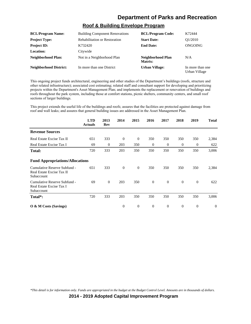### **Roof & Building Envelope Program**

| <b>BCL/Program Name:</b>      | <b>Building Component Renovations</b> | <b>BCL/Program Code:</b>     | K72444                            |
|-------------------------------|---------------------------------------|------------------------------|-----------------------------------|
| <b>Project Type:</b>          | <b>Rehabilitation or Restoration</b>  | <b>Start Date:</b>           | O <sub>1</sub> /2010              |
| <b>Project ID:</b>            | K732420                               | <b>End Date:</b>             | ONGOING                           |
| <b>Location:</b>              | Citywide                              |                              |                                   |
| Neighborhood Plan:            | Not in a Neighborhood Plan            | Neighborhood Plan<br>Matrix: | N/A                               |
| <b>Neighborhood District:</b> | In more than one District             | <b>Urban Village:</b>        | In more than one<br>Urban Village |

This ongoing project funds architectural, engineering and other studies of the Department's buildings (roofs, structure and other related infrastructure); associated cost estimating; related staff and consultant support for developing and prioritizing projects within the Department's Asset Management Plan; and implements the replacement or renovation of buildings and roofs throughout the park system, including those at comfort stations, picnic shelters, community centers, and small roof sections of larger buildings.

This project extends the useful life of the buildings and roofs; assures that the facilities are protected against damage from roof and wall leaks; and assures that general building issues are addressed in the Asset Management Plan.

|                                                                         | <b>LTD</b><br><b>Actuals</b> | 2013<br>Rev | 2014           | 2015           | 2016         | 2017     | 2018           | 2019           | <b>Total</b> |
|-------------------------------------------------------------------------|------------------------------|-------------|----------------|----------------|--------------|----------|----------------|----------------|--------------|
| <b>Revenue Sources</b>                                                  |                              |             |                |                |              |          |                |                |              |
| Real Estate Excise Tax II                                               | 651                          | 333         | $\theta$       | $\theta$       | 350          | 350      | 350            | 350            | 2,384        |
| Real Estate Excise Tax I                                                | 69                           | $\theta$    | 203            | 350            | $\mathbf{0}$ | $\theta$ | $\overline{0}$ | $\overline{0}$ | 622          |
| <b>Total:</b>                                                           | 720                          | 333         | 203            | 350            | 350          | 350      | 350            | 350            | 3,006        |
| <b>Fund Appropriations/Allocations</b>                                  |                              |             |                |                |              |          |                |                |              |
| Cumulative Reserve Subfund -<br>Real Estate Excise Tax II<br>Subaccount | 651                          | 333         | $\theta$       | $\overline{0}$ | 350          | 350      | 350            | 350            | 2,384        |
| Cumulative Reserve Subfund -<br>Real Estate Excise Tax I<br>Subaccount  | 69                           | $\theta$    | 203            | 350            | $\mathbf{0}$ | $\theta$ | $\overline{0}$ | $\mathbf{0}$   | 622          |
| Total*:                                                                 | 720                          | 333         | 203            | 350            | 350          | 350      | 350            | 350            | 3,006        |
| $\overline{O}$ & M Costs (Savings)                                      |                              |             | $\overline{0}$ | $\theta$       | $\theta$     | $\theta$ | $\overline{0}$ | $\theta$       | $\Omega$     |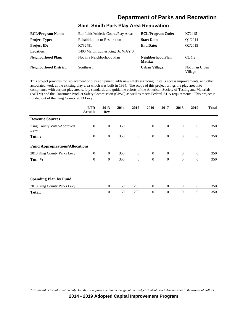### **Sam Smith Park Play Area Renovation**

| <b>BCL/Program Name:</b>      | Ballfields/Athletic Courts/Play Areas | <b>BCL/Program Code:</b>     | K72445                     |
|-------------------------------|---------------------------------------|------------------------------|----------------------------|
| <b>Project Type:</b>          | <b>Rehabilitation or Restoration</b>  | <b>Start Date:</b>           | O1/2014                    |
| <b>Project ID:</b>            | K732481                               | <b>End Date:</b>             | O <sub>2</sub> /2015       |
| Location:                     | 1400 Martin Luther King, Jr. WAY S    |                              |                            |
| <b>Neighborhood Plan:</b>     | Not in a Neighborhood Plan            | Neighborhood Plan<br>Matrix: | CL 1.2                     |
| <b>Neighborhood District:</b> | Southeast                             | <b>Urban Village:</b>        | Not in an Urban<br>Village |

This project provides for replacement of play equipment, adds new safety surfacing, installs access improvements, and other associated work at the existing play area which was built in 1994. The scope of this project brings the play area into compliance with current play area safety standards and guideline efforts of the American Society of Testing and Materials (ASTM) and the Consumer Product Safety Commission (CPSC) as well as meets Federal ADA requirements. This project is funded out of the King County 2013 Levy.

|                                        | <b>LTD</b><br><b>Actuals</b> | 2013<br>Rev  | 2014 | 2015             | 2016           | 2017           | 2018           | 2019           | <b>Total</b> |
|----------------------------------------|------------------------------|--------------|------|------------------|----------------|----------------|----------------|----------------|--------------|
| <b>Revenue Sources</b>                 |                              |              |      |                  |                |                |                |                |              |
| King County Voter-Approved<br>Levy     | $\mathbf{0}$                 | $\mathbf{0}$ | 350  | $\mathbf{0}$     | $\mathbf{0}$   | $\overline{0}$ | $\theta$       | $\mathbf{0}$   | 350          |
| <b>Total:</b>                          | $\overline{0}$               | $\mathbf{0}$ | 350  | $\mathbf{0}$     | $\mathbf{0}$   | $\theta$       | $\mathbf{0}$   | $\theta$       | 350          |
| <b>Fund Appropriations/Allocations</b> |                              |              |      |                  |                |                |                |                |              |
| 2013 King County Parks Levy            | $\overline{0}$               | $\theta$     | 350  | $\theta$         | $\overline{0}$ | $\overline{0}$ | $\overline{0}$ | $\overline{0}$ | 350          |
| Total*:                                | $\boldsymbol{0}$             | $\mathbf{0}$ | 350  | $\boldsymbol{0}$ | $\mathbf{0}$   | $\overline{0}$ | $\mathbf{0}$   | $\overline{0}$ | 350          |
| <b>Spending Plan by Fund</b>           |                              |              |      |                  |                |                |                |                |              |
| 2013 King County Parks Levy            |                              | $\theta$     | 150  | 200              | $\overline{0}$ | $\overline{0}$ | $\mathbf{0}$   | $\overline{0}$ | 350          |
| <b>Total:</b>                          |                              | $\theta$     | 150  | 200              | $\theta$       | $\theta$       | $\mathbf{0}$   | $\overline{0}$ | 350          |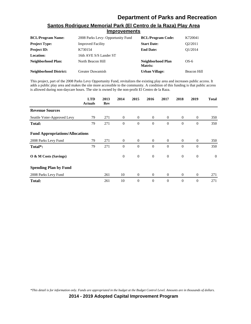| <b>IIIIDI OVEHICHIS</b>       |                                   |                              |             |  |  |  |  |
|-------------------------------|-----------------------------------|------------------------------|-------------|--|--|--|--|
| <b>BCL/Program Name:</b>      | 2008 Parks Levy- Opportunity Fund | <b>BCL/Program Code:</b>     | K720041     |  |  |  |  |
| <b>Project Type:</b>          | <b>Improved Facility</b>          | <b>Start Date:</b>           | O2/2011     |  |  |  |  |
| <b>Project ID:</b>            | K730154                           | <b>End Date:</b>             | O1/2014     |  |  |  |  |
| <b>Location:</b>              | 16th AVE S/S Lander ST            |                              |             |  |  |  |  |
| Neighborhood Plan:            | North Beacon Hill                 | Neighborhood Plan<br>Matrix: | $OS-6$      |  |  |  |  |
| <b>Neighborhood District:</b> | Greater Duwamish                  | <b>Urban Village:</b>        | Beacon Hill |  |  |  |  |

#### **Santos Rodriguez Memorial Park (El Centro de la Raza) Play Area Improvements**

This project, part of the 2008 Parks Levy Opportunity Fund, revitalizes the existing play area and increases public access. It adds a public play area and makes the site more accessible to the community. A condition of this funding is that public access is allowed during non-daycare hours. The site is owned by the non-profit El Centro de la Raza.

|                                        | <b>LTD</b><br><b>Actuals</b> | 2013<br>Rev | 2014           | 2015             | 2016           | 2017           | 2018             | 2019             | <b>Total</b>   |
|----------------------------------------|------------------------------|-------------|----------------|------------------|----------------|----------------|------------------|------------------|----------------|
| <b>Revenue Sources</b>                 |                              |             |                |                  |                |                |                  |                  |                |
| Seattle Voter-Approved Levy            | 79                           | 271         | $\overline{0}$ | $\overline{0}$   | $\overline{0}$ | $\theta$       | $\overline{0}$   | $\mathbf{0}$     | 350            |
| <b>Total:</b>                          | 79                           | 271         | $\mathbf{0}$   | $\boldsymbol{0}$ | $\theta$       | $\theta$       | $\boldsymbol{0}$ | $\mathbf{0}$     | 350            |
| <b>Fund Appropriations/Allocations</b> |                              |             |                |                  |                |                |                  |                  |                |
| 2008 Parks Levy Fund                   | 79                           | 271         | $\overline{0}$ | $\overline{0}$   | $\overline{0}$ | $\overline{0}$ | $\overline{0}$   | $\mathbf{0}$     | 350            |
| Total*:                                | 79                           | 271         | $\mathbf{0}$   | $\overline{0}$   | $\theta$       | $\Omega$       | $\mathbf{0}$     | $\overline{0}$   | 350            |
| O & M Costs (Savings)                  |                              |             | $\mathbf{0}$   | $\mathbf{0}$     | $\mathbf{0}$   | $\mathbf{0}$   | $\mathbf{0}$     | $\boldsymbol{0}$ | $\overline{0}$ |
| <b>Spending Plan by Fund</b>           |                              |             |                |                  |                |                |                  |                  |                |
| 2008 Parks Levy Fund                   |                              | 261         | 10             | $\mathbf{0}$     | $\overline{0}$ | $\overline{0}$ | $\mathbf{0}$     | $\boldsymbol{0}$ | 271            |
| <b>Total:</b>                          |                              | 261         | 10             | $\theta$         | $\theta$       | $\theta$       | $\mathbf{0}$     | $\overline{0}$   | 271            |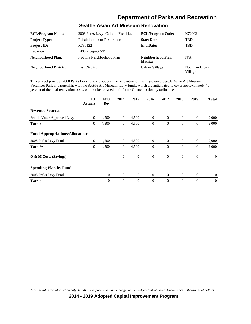## **Seattle Asian Art Museum Renovation**

| <b>BCL/Program Name:</b>      | 2008 Parks Levy- Cultural Facilities | <b>BCL/Program Code:</b>     | K720021                    |
|-------------------------------|--------------------------------------|------------------------------|----------------------------|
| <b>Project Type:</b>          | <b>Rehabilitation or Restoration</b> | <b>Start Date:</b>           | <b>TBD</b>                 |
| <b>Project ID:</b>            | K730122                              | <b>End Date:</b>             | <b>TBD</b>                 |
| Location:                     | 1400 Prospect ST                     |                              |                            |
| <b>Neighborhood Plan:</b>     | Not in a Neighborhood Plan           | Neighborhood Plan<br>Matrix: | N/A                        |
| <b>Neighborhood District:</b> | <b>East District</b>                 | <b>Urban Village:</b>        | Not in an Urban<br>Village |

This project provides 2008 Parks Levy funds to support the renovation of the city-owned Seattle Asian Art Museum in Volunteer Park in partnership with the Seattle Art Museum. Levy funds, which are anticipated to cover approximately 40 percent of the total renovation costs, will not be released until future Council action by ordinance

|                                        | <b>LTD</b><br><b>Actuals</b> | 2013<br>Rev    | 2014           | 2015           | 2016           | 2017           | 2018             | 2019             | <b>Total</b>   |
|----------------------------------------|------------------------------|----------------|----------------|----------------|----------------|----------------|------------------|------------------|----------------|
| <b>Revenue Sources</b>                 |                              |                |                |                |                |                |                  |                  |                |
| Seattle Voter-Approved Levy            | $\overline{0}$               | 4,500          | $\overline{0}$ | 4,500          | $\overline{0}$ | $\overline{0}$ | $\mathbf{0}$     | $\theta$         | 9,000          |
| <b>Total:</b>                          | $\boldsymbol{0}$             | 4,500          | $\mathbf{0}$   | 4,500          | $\mathbf{0}$   | $\theta$       | $\boldsymbol{0}$ | $\boldsymbol{0}$ | 9,000          |
| <b>Fund Appropriations/Allocations</b> |                              |                |                |                |                |                |                  |                  |                |
| 2008 Parks Levy Fund                   | $\overline{0}$               | 4,500          | $\overline{0}$ | 4,500          | $\overline{0}$ | $\overline{0}$ | $\overline{0}$   | $\overline{0}$   | 9,000          |
| Total*:                                | 0                            | 4,500          | $\mathbf{0}$   | 4,500          | $\mathbf{0}$   | $\theta$       | $\mathbf{0}$     | $\boldsymbol{0}$ | 9,000          |
| O & M Costs (Savings)                  |                              |                | $\theta$       | $\mathbf{0}$   | $\theta$       | $\overline{0}$ | $\mathbf{0}$     | $\mathbf{0}$     | $\overline{0}$ |
| <b>Spending Plan by Fund</b>           |                              |                |                |                |                |                |                  |                  |                |
| 2008 Parks Levy Fund                   |                              | $\theta$       | $\mathbf{0}$   | $\overline{0}$ | $\theta$       | $\overline{0}$ | $\mathbf{0}$     | $\mathbf{0}$     | $\mathbf{0}$   |
| <b>Total:</b>                          |                              | $\overline{0}$ | $\theta$       | $\theta$       | $\theta$       | $\Omega$       | $\overline{0}$   | $\overline{0}$   | $\overline{0}$ |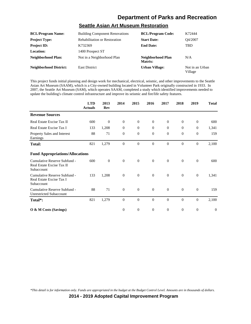### **Seattle Asian Art Museum Restoration**

| <b>BCL/Program Name:</b>      | <b>Building Component Renovations</b> | <b>BCL/Program Code:</b>     | K72444                     |
|-------------------------------|---------------------------------------|------------------------------|----------------------------|
| <b>Project Type:</b>          | <b>Rehabilitation or Restoration</b>  | <b>Start Date:</b>           | Q4/2007                    |
| <b>Project ID:</b>            | K732369                               | <b>End Date:</b>             | <b>TBD</b>                 |
| Location:                     | 1400 Prospect ST                      |                              |                            |
| <b>Neighborhood Plan:</b>     | Not in a Neighborhood Plan            | Neighborhood Plan<br>Matrix: | N/A                        |
| <b>Neighborhood District:</b> | <b>East District</b>                  | <b>Urban Village:</b>        | Not in an Urban<br>Village |

This project funds initial planning and design work for mechanical, electrical, seismic, and other improvements to the Seattle Asian Art Museum (SAAM), which is a City-owned building located in Volunteer Park originally constructed in 1933. In 2007, the Seattle Art Museum (SAM), which operates SAAM, completed a study which identified improvements needed to update the building's climate control infrastructure and improve its seismic and fire/life safety features.

|                                                                         | <b>LTD</b><br><b>Actuals</b> | 2013<br>Rev  | 2014             | 2015             | 2016         | 2017     | 2018           | 2019             | <b>Total</b> |
|-------------------------------------------------------------------------|------------------------------|--------------|------------------|------------------|--------------|----------|----------------|------------------|--------------|
| <b>Revenue Sources</b>                                                  |                              |              |                  |                  |              |          |                |                  |              |
| Real Estate Excise Tax II                                               | 600                          | $\theta$     | $\theta$         | $\mathbf{0}$     | $\theta$     | $\theta$ | $\mathbf{0}$   | $\theta$         | 600          |
| Real Estate Excise Tax I                                                | 133                          | 1,208        | $\theta$         | $\theta$         | $\theta$     | $\theta$ | $\overline{0}$ | $\theta$         | 1,341        |
| Property Sales and Interest<br>Earnings                                 | 88                           | 71           | $\overline{0}$   | $\mathbf{0}$     | $\theta$     | $\theta$ | $\mathbf{0}$   | $\mathbf{0}$     | 159          |
| <b>Total:</b>                                                           | 821                          | 1,279        | $\Omega$         | $\Omega$         | $\Omega$     | $\Omega$ | $\Omega$       | $\Omega$         | 2,100        |
| <b>Fund Appropriations/Allocations</b>                                  |                              |              |                  |                  |              |          |                |                  |              |
| Cumulative Reserve Subfund -<br>Real Estate Excise Tax II<br>Subaccount | 600                          | $\mathbf{0}$ | $\boldsymbol{0}$ | $\boldsymbol{0}$ | $\theta$     | $\theta$ | $\mathbf{0}$   | $\boldsymbol{0}$ | 600          |
| Cumulative Reserve Subfund -<br>Real Estate Excise Tax I<br>Subaccount  | 133                          | 1,208        | $\theta$         | $\mathbf{0}$     | $\theta$     | $\theta$ | $\mathbf{0}$   | $\mathbf{0}$     | 1,341        |
| Cumulative Reserve Subfund -<br><b>Unrestricted Subaccount</b>          | 88                           | 71           | $\overline{0}$   | $\overline{0}$   | $\mathbf{0}$ | $\Omega$ | $\overline{0}$ | $\boldsymbol{0}$ | 159          |
| Total*:                                                                 | 821                          | 1,279        | $\theta$         | $\theta$         | $\theta$     | $\theta$ | $\mathbf{0}$   | $\theta$         | 2,100        |
| O & M Costs (Savings)                                                   |                              |              | $\mathbf{0}$     | $\mathbf{0}$     | $\theta$     | $\theta$ | $\mathbf{0}$   | $\theta$         | $\theta$     |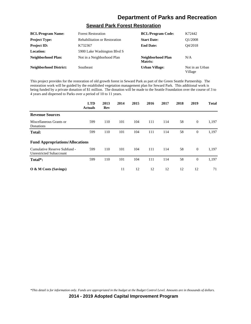### **Seward Park Forest Restoration**

| <b>BCL/Program Name:</b>      | <b>Forest Restoration</b>            | <b>BCL/Program Code:</b>     | K72442                     |
|-------------------------------|--------------------------------------|------------------------------|----------------------------|
| <b>Project Type:</b>          | <b>Rehabilitation or Restoration</b> | <b>Start Date:</b>           | O1/2008                    |
| <b>Project ID:</b>            | K732367                              | <b>End Date:</b>             | O4/2018                    |
| <b>Location:</b>              | 5900 Lake Washington Blvd S          |                              |                            |
| <b>Neighborhood Plan:</b>     | Not in a Neighborhood Plan           | Neighborhood Plan<br>Matrix: | N/A                        |
| <b>Neighborhood District:</b> | Southeast                            | <b>Urban Village:</b>        | Not in an Urban<br>Village |

This project provides for the restoration of old growth forest in Seward Park as part of the Green Seattle Partnership. The restoration work will be guided by the established vegetation management plan for Seward Park. This additional work is being funded by a private donation of \$1 million. The donation will be made to the Seattle Foundation over the course of 3 to 4 years and dispersed to Parks over a period of 10 to 11 years.

|                                                                | <b>LTD</b><br><b>Actuals</b> | 2013<br>Rev | 2014 | 2015 | 2016 | 2017 | 2018 | 2019           | <b>Total</b> |
|----------------------------------------------------------------|------------------------------|-------------|------|------|------|------|------|----------------|--------------|
| <b>Revenue Sources</b>                                         |                              |             |      |      |      |      |      |                |              |
| Miscellaneous Grants or<br>Donations                           | 599                          | 110         | 101  | 104  | 111  | 114  | 58   | $\overline{0}$ | 1,197        |
| <b>Total:</b>                                                  | 599                          | 110         | 101  | 104  | 111  | 114  | 58   | $\mathbf{0}$   | 1,197        |
| <b>Fund Appropriations/Allocations</b>                         |                              |             |      |      |      |      |      |                |              |
| Cumulative Reserve Subfund -<br><b>Unrestricted Subaccount</b> | 599                          | 110         | 101  | 104  | 111  | 114  | 58   | $\overline{0}$ | 1,197        |
| Total*:                                                        | 599                          | 110         | 101  | 104  | 111  | 114  | 58   | $\theta$       | 1,197        |
| O & M Costs (Savings)                                          |                              |             | 11   | 12   | 12   | 12   | 12   | 12             | 71           |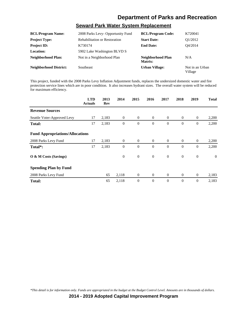### **Seward Park Water System Replacement**

| <b>BCL/Program Name:</b>      | 2008 Parks Levy- Opportunity Fund    | <b>BCL/Program Code:</b>     | K720041                    |
|-------------------------------|--------------------------------------|------------------------------|----------------------------|
| <b>Project Type:</b>          | <b>Rehabilitation or Restoration</b> | <b>Start Date:</b>           | O1/2012                    |
| <b>Project ID:</b>            | K730174                              | <b>End Date:</b>             | O4/2014                    |
| Location:                     | 5902 Lake Washington BLVD S          |                              |                            |
| <b>Neighborhood Plan:</b>     | Not in a Neighborhood Plan           | Neighborhood Plan<br>Matrix: | N/A                        |
| <b>Neighborhood District:</b> | <b>Southeast</b>                     | <b>Urban Village:</b>        | Not in an Urban<br>Village |

This project, funded with the 2008 Parks Levy Inflation Adjustment funds, replaces the undersized domestic water and fire protection service lines which are in poor condition. It also increases hydrant sizes. The overall water system will be reduced for maximum efficiency.

|                                        | <b>LTD</b><br><b>Actuals</b> | 2013<br>Rev | 2014           | 2015             | 2016           | 2017           | 2018           | 2019             | <b>Total</b> |
|----------------------------------------|------------------------------|-------------|----------------|------------------|----------------|----------------|----------------|------------------|--------------|
| <b>Revenue Sources</b>                 |                              |             |                |                  |                |                |                |                  |              |
| Seattle Voter-Approved Levy            | 17                           | 2,183       | $\mathbf{0}$   | $\mathbf{0}$     | $\overline{0}$ | $\overline{0}$ | $\overline{0}$ | $\mathbf{0}$     | 2,200        |
| Total:                                 | 17                           | 2,183       | $\theta$       | $\overline{0}$   | $\theta$       | $\theta$       | $\mathbf{0}$   | $\overline{0}$   | 2,200        |
| <b>Fund Appropriations/Allocations</b> |                              |             |                |                  |                |                |                |                  |              |
| 2008 Parks Levy Fund                   | 17                           | 2,183       | $\overline{0}$ | $\theta$         | $\overline{0}$ | $\overline{0}$ | $\overline{0}$ | $\overline{0}$   | 2,200        |
| Total <sup>*</sup> :                   | 17                           | 2,183       | $\theta$       | $\overline{0}$   | $\theta$       | $\Omega$       | $\mathbf{0}$   | $\overline{0}$   | 2,200        |
| O & M Costs (Savings)                  |                              |             | $\theta$       | $\boldsymbol{0}$ | $\overline{0}$ | $\theta$       | $\overline{0}$ | $\boldsymbol{0}$ | $\theta$     |
| <b>Spending Plan by Fund</b>           |                              |             |                |                  |                |                |                |                  |              |
| 2008 Parks Levy Fund                   |                              | 65          | 2,118          | $\theta$         | $\overline{0}$ | $\overline{0}$ | $\overline{0}$ | $\mathbf{0}$     | 2,183        |
| <b>Total:</b>                          |                              | 65          | 2,118          | $\boldsymbol{0}$ | $\theta$       | $\theta$       | $\mathbf{0}$   | $\overline{0}$   | 2,183        |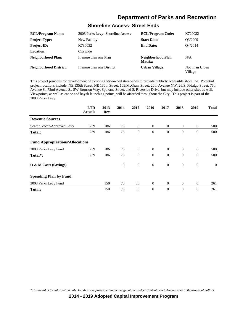#### **Shoreline Access- Street Ends**

| <b>BCL/Program Name:</b>      | 2008 Parks Levy- Shoreline Access | <b>BCL/Program Code:</b>     | K720032                    |
|-------------------------------|-----------------------------------|------------------------------|----------------------------|
| <b>Project Type:</b>          | New Facility                      | <b>Start Date:</b>           | O3/2009                    |
| <b>Project ID:</b>            | K730032                           | <b>End Date:</b>             | O4/2014                    |
| <b>Location:</b>              | Citywide                          |                              |                            |
| Neighborhood Plan:            | In more than one Plan             | Neighborhood Plan<br>Matrix: | N/A                        |
| <b>Neighborhood District:</b> | In more than one District         | <b>Urban Village:</b>        | Not in an Urban<br>Village |

This project provides for development of existing City-owned street-ends to provide publicly accessible shoreline. Potential project locations include: NE 135th Street, NE 130th Street, 109/McGraw Street, 20th Avenue NW, 26/S. Fidalgo Street, 75th Avenue S., 72nd Avenue S., SW Bronson Way, Spokane Street, and S. Riverside Drive, but may include other sites as well. Viewpoints, as well as canoe and kayak launching points, will be afforded throughout the City. This project is part of the 2008 Parks Levy.

|                                        | <b>LTD</b><br><b>Actuals</b> | 2013<br>Rev | 2014         | 2015           | 2016             | 2017           | 2018             | 2019             | <b>Total</b> |
|----------------------------------------|------------------------------|-------------|--------------|----------------|------------------|----------------|------------------|------------------|--------------|
| <b>Revenue Sources</b>                 |                              |             |              |                |                  |                |                  |                  |              |
| Seattle Voter-Approved Levy            | 239                          | 186         | 75           | $\overline{0}$ | $\theta$         | $\theta$       | $\theta$         | $\theta$         | 500          |
| <b>Total:</b>                          | 239                          | 186         | 75           | $\mathbf{0}$   | $\boldsymbol{0}$ | $\theta$       | $\boldsymbol{0}$ | $\boldsymbol{0}$ | 500          |
| <b>Fund Appropriations/Allocations</b> |                              |             |              |                |                  |                |                  |                  |              |
| 2008 Parks Levy Fund                   | 239                          | 186         | 75           | $\mathbf{0}$   | $\overline{0}$   | $\overline{0}$ | $\overline{0}$   | $\overline{0}$   | 500          |
| Total*:                                | 239                          | 186         | 75           | $\mathbf{0}$   | $\theta$         | $\theta$       | $\theta$         | $\mathbf{0}$     | 500          |
| O & M Costs (Savings)                  |                              |             | $\mathbf{0}$ | $\mathbf{0}$   | $\mathbf{0}$     | $\mathbf{0}$   | $\mathbf{0}$     | $\mathbf{0}$     | $\mathbf{0}$ |
| <b>Spending Plan by Fund</b>           |                              |             |              |                |                  |                |                  |                  |              |
| 2008 Parks Levy Fund                   |                              | 150         | 75           | 36             | $\mathbf{0}$     | $\overline{0}$ | $\mathbf{0}$     | $\mathbf{0}$     | 261          |
| <b>Total:</b>                          |                              | 150         | 75           | 36             | $\theta$         | $\theta$       | $\theta$         | $\mathbf{0}$     | 261          |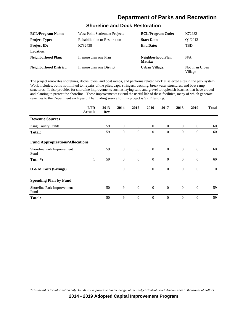### **Shoreline and Dock Restoration**

| <b>BCL/Program Name:</b>      | West Point Settlement Projects       | <b>BCL/Program Code:</b>     | K72982                     |
|-------------------------------|--------------------------------------|------------------------------|----------------------------|
| <b>Project Type:</b>          | <b>Rehabilitation or Restoration</b> | <b>Start Date:</b>           | O1/2012                    |
| <b>Project ID:</b>            | K732438                              | <b>End Date:</b>             | <b>TBD</b>                 |
| Location:                     |                                      |                              |                            |
| <b>Neighborhood Plan:</b>     | In more than one Plan                | Neighborhood Plan<br>Matrix: | N/A                        |
| <b>Neighborhood District:</b> | In more than one District            | <b>Urban Village:</b>        | Not in an Urban<br>Village |

The project renovates shorelines, docks, piers, and boat ramps, and performs related work at selected sites in the park system. Work includes, but is not limited to, repairs of the piles, caps, stringers, decking, breakwater structures, and boat ramp structures. It also provides for shoreline improvements such as laying sand and gravel to replenish beaches that have eroded and planting to protect the shoreline. These improvements extend the useful life of these facilities, many of which generate revenues to the Department each year. The funding source for this project is SPIF funding.

|                                        | <b>LTD</b><br><b>Actuals</b> | 2013<br>Rev | 2014             | 2015             | 2016             | 2017             | 2018             | 2019             | <b>Total</b> |
|----------------------------------------|------------------------------|-------------|------------------|------------------|------------------|------------------|------------------|------------------|--------------|
| <b>Revenue Sources</b>                 |                              |             |                  |                  |                  |                  |                  |                  |              |
| <b>King County Funds</b>               | 1                            | 59          | $\theta$         | $\overline{0}$   | $\theta$         | $\theta$         | $\overline{0}$   | $\boldsymbol{0}$ | 60           |
| <b>Total:</b>                          | 1                            | 59          | $\theta$         | $\theta$         | $\theta$         | $\theta$         | $\mathbf{0}$     | $\theta$         | 60           |
| <b>Fund Appropriations/Allocations</b> |                              |             |                  |                  |                  |                  |                  |                  |              |
| Shoreline Park Improvement<br>Fund     | 1                            | 59          | $\overline{0}$   | $\overline{0}$   | $\overline{0}$   | $\theta$         | $\overline{0}$   | $\theta$         | 60           |
| Total*:                                | 1                            | 59          | $\overline{0}$   | $\overline{0}$   | $\overline{0}$   | $\overline{0}$   | $\mathbf{0}$     | $\overline{0}$   | 60           |
| O & M Costs (Savings)                  |                              |             | $\boldsymbol{0}$ | $\boldsymbol{0}$ | $\boldsymbol{0}$ | $\boldsymbol{0}$ | $\boldsymbol{0}$ | $\boldsymbol{0}$ | $\mathbf{0}$ |
| <b>Spending Plan by Fund</b>           |                              |             |                  |                  |                  |                  |                  |                  |              |
| Shoreline Park Improvement<br>Fund     |                              | 50          | 9                | $\mathbf{0}$     | $\overline{0}$   | $\theta$         | $\overline{0}$   | $\overline{0}$   | 59           |
| <b>Total:</b>                          |                              | 50          | 9                | $\theta$         | $\mathbf{0}$     | $\theta$         | $\mathbf{0}$     | $\theta$         | 59           |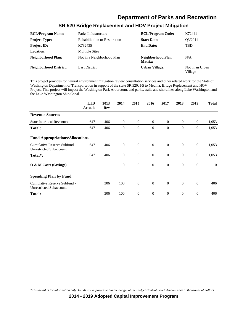| <b>BCL/Program Name:</b>      | Parks Infrastructure                 | <b>BCL/Program Code:</b>     | K72441                     |
|-------------------------------|--------------------------------------|------------------------------|----------------------------|
| <b>Project Type:</b>          | <b>Rehabilitation or Restoration</b> | <b>Start Date:</b>           | O3/2011                    |
| <b>Project ID:</b>            | K732435                              | <b>End Date:</b>             | TBD                        |
| <b>Location:</b>              | <b>Multiple Sites</b>                |                              |                            |
| <b>Neighborhood Plan:</b>     | Not in a Neighborhood Plan           | Neighborhood Plan<br>Matrix: | N/A                        |
| <b>Neighborhood District:</b> | <b>East District</b>                 | <b>Urban Village:</b>        | Not in an Urban<br>Village |

#### **SR 520 Bridge Replacement and HOV Project Mitigation**

This project provides for natural environment mitigation review,consultation services and other related work for the State of Washington Department of Transportation in support of the state SR 520, I-5 to Medina: Bridge Replacement and HOV Project. This project will impact the Washington Park Arboretum, and parks, trails and shorelines along Lake Washington and the Lake Washington Ship Canal.

|                                                                | <b>LTD</b><br><b>Actuals</b> | 2013<br>Rev | 2014           | 2015           | 2016         | 2017           | 2018         | 2019             | <b>Total</b>   |
|----------------------------------------------------------------|------------------------------|-------------|----------------|----------------|--------------|----------------|--------------|------------------|----------------|
| <b>Revenue Sources</b>                                         |                              |             |                |                |              |                |              |                  |                |
| <b>State Interlocal Revenues</b>                               | 647                          | 406         | $\theta$       | $\theta$       | $\theta$     | $\overline{0}$ | $\mathbf{0}$ | $\mathbf{0}$     | 1,053          |
| <b>Total:</b>                                                  | 647                          | 406         | $\theta$       | $\mathbf{0}$   | $\theta$     | $\Omega$       | $\Omega$     | $\boldsymbol{0}$ | 1,053          |
| <b>Fund Appropriations/Allocations</b>                         |                              |             |                |                |              |                |              |                  |                |
| Cumulative Reserve Subfund -<br><b>Unrestricted Subaccount</b> | 647                          | 406         | $\overline{0}$ | $\mathbf{0}$   | $\theta$     | $\overline{0}$ | $\mathbf{0}$ | $\overline{0}$   | 1,053          |
| Total*:                                                        | 647                          | 406         | $\theta$       | $\overline{0}$ | $\theta$     | $\Omega$       | $\Omega$     | $\theta$         | 1,053          |
| $\overline{O}$ & M Costs (Savings)                             |                              |             | $\mathbf{0}$   | $\mathbf{0}$   | $\mathbf{0}$ | $\mathbf{0}$   | $\mathbf{0}$ | $\mathbf{0}$     | $\overline{0}$ |
| <b>Spending Plan by Fund</b>                                   |                              |             |                |                |              |                |              |                  |                |
| Cumulative Reserve Subfund -<br>Unrestricted Subaccount        |                              | 306         | 100            | $\mathbf{0}$   | $\theta$     | $\Omega$       | $\theta$     | $\theta$         | 406            |
| <b>Total:</b>                                                  |                              | 306         | 100            | $\Omega$       | $\Omega$     | $\Omega$       | $\Omega$     | $\Omega$         | 406            |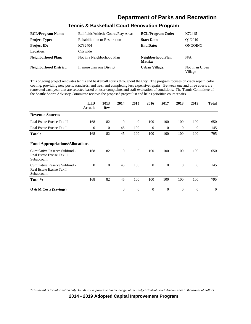| <b>BCL/Program Name:</b>      | Ballfields/Athletic Courts/Play Areas | <b>BCL/Program Code:</b>     | K72445                     |
|-------------------------------|---------------------------------------|------------------------------|----------------------------|
| <b>Project Type:</b>          | <b>Rehabilitation or Restoration</b>  | <b>Start Date:</b>           | O1/2010                    |
| <b>Project ID:</b>            | K732404                               | <b>End Date:</b>             | ONGOING                    |
| Location:                     | Citywide                              |                              |                            |
| <b>Neighborhood Plan:</b>     | Not in a Neighborhood Plan            | Neighborhood Plan<br>Matrix: | N/A                        |
| <b>Neighborhood District:</b> | In more than one District             | <b>Urban Village:</b>        | Not in an Urban<br>Village |

### **Tennis & Basketball Court Renovation Program**

This ongoing project renovates tennis and basketball courts throughout the City. The program focuses on crack repair, color coating, providing new posts, standards, and nets, and completing less expensive repairs. Between one and three courts are renovated each year that are selected based on user complaints and staff evaluation of conditions. The Tennis Committee of the Seattle Sports Advisory Committee reviews the proposed project list and helps prioritize court repairs.

|                                                                         | <b>LTD</b><br><b>Actuals</b> | 2013<br>Rev | 2014     | 2015           | 2016     | 2017           | 2018         | 2019           | <b>Total</b>   |
|-------------------------------------------------------------------------|------------------------------|-------------|----------|----------------|----------|----------------|--------------|----------------|----------------|
| <b>Revenue Sources</b>                                                  |                              |             |          |                |          |                |              |                |                |
| Real Estate Excise Tax II                                               | 168                          | 82          | $\theta$ | $\mathbf{0}$   | 100      | 100            | 100          | 100            | 650            |
| Real Estate Excise Tax I                                                | $\overline{0}$               | $\theta$    | 45       | 100            | $\theta$ | $\overline{0}$ | $\mathbf{0}$ | $\mathbf{0}$   | 145            |
| <b>Total:</b>                                                           | 168                          | 82          | 45       | 100            | 100      | 100            | 100          | 100            | 795            |
| <b>Fund Appropriations/Allocations</b>                                  |                              |             |          |                |          |                |              |                |                |
| Cumulative Reserve Subfund -<br>Real Estate Excise Tax II<br>Subaccount | 168                          | 82          | $\theta$ | $\overline{0}$ | 100      | 100            | 100          | 100            | 650            |
| Cumulative Reserve Subfund -<br>Real Estate Excise Tax I<br>Subaccount  | $\theta$                     | $\theta$    | 45       | 100            | $\theta$ | $\overline{0}$ | $\mathbf{0}$ | $\theta$       | 145            |
| Total*:                                                                 | 168                          | 82          | 45       | 100            | 100      | 100            | 100          | 100            | 795            |
| $\overline{O}$ & M Costs (Savings)                                      |                              |             | $\theta$ | $\mathbf{0}$   | $\theta$ | $\overline{0}$ | $\theta$     | $\overline{0}$ | $\overline{0}$ |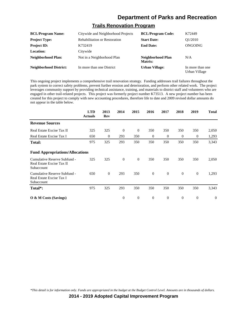#### **Trails Renovation Program**

| <b>BCL/Program Name:</b>      | Citywide and Neighborhood Projects   | <b>BCL/Program Code:</b>     | K72449                            |
|-------------------------------|--------------------------------------|------------------------------|-----------------------------------|
| <b>Project Type:</b>          | <b>Rehabilitation or Restoration</b> | <b>Start Date:</b>           | O1/2010                           |
| <b>Project ID:</b>            | K732419                              | <b>End Date:</b>             | ONGOING                           |
| Location:                     | Citywide                             |                              |                                   |
| Neighborhood Plan:            | Not in a Neighborhood Plan           | Neighborhood Plan<br>Matrix: | N/A                               |
| <b>Neighborhood District:</b> | In more than one District            | <b>Urban Village:</b>        | In more than one<br>Urban Village |

This ongoing project implements a comprehensive trail renovation strategy. Funding addresses trail failures throughout the park system to correct safety problems, prevent further erosion and deterioration, and perform other related work. The project leverages community support by providing technical assistance, training, and materials to district staff and volunteers who are engaged in other trail-related projects. This project was formerly project number K73513. A new project number has been created for this project to comply with new accounting procedures, therefore life to date and 2009 revised dollar amounts do not appear in the table below.

|                                                                         | <b>LTD</b><br><b>Actuals</b> | 2013<br>Rev    | 2014     | 2015           | 2016         | 2017           | 2018     | 2019           | <b>Total</b>   |
|-------------------------------------------------------------------------|------------------------------|----------------|----------|----------------|--------------|----------------|----------|----------------|----------------|
| <b>Revenue Sources</b>                                                  |                              |                |          |                |              |                |          |                |                |
| Real Estate Excise Tax II                                               | 325                          | 325            | $\theta$ | $\overline{0}$ | 350          | 350            | 350      | 350            | 2,050          |
| Real Estate Excise Tax I                                                | 650                          | $\mathbf{0}$   | 293      | 350            | $\theta$     | $\theta$       | $\theta$ | $\mathbf{0}$   | 1,293          |
| <b>Total:</b>                                                           | 975                          | 325            | 293      | 350            | 350          | 350            | 350      | 350            | 3,343          |
| <b>Fund Appropriations/Allocations</b>                                  |                              |                |          |                |              |                |          |                |                |
| Cumulative Reserve Subfund -<br>Real Estate Excise Tax II<br>Subaccount | 325                          | 325            | $\theta$ | $\overline{0}$ | 350          | 350            | 350      | 350            | 2,050          |
| Cumulative Reserve Subfund -<br>Real Estate Excise Tax I<br>Subaccount  | 650                          | $\overline{0}$ | 293      | 350            | $\mathbf{0}$ | $\overline{0}$ | $\theta$ | $\overline{0}$ | 1,293          |
| Total*:                                                                 | 975                          | 325            | 293      | 350            | 350          | 350            | 350      | 350            | 3,343          |
| $\overline{O}$ & M Costs (Savings)                                      |                              |                | $\theta$ | $\mathbf{0}$   | $\theta$     | $\theta$       | $\theta$ | $\theta$       | $\overline{0}$ |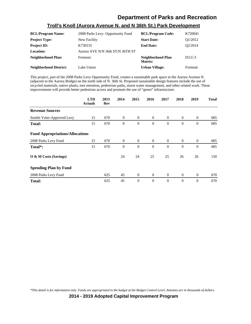### **Troll's Knoll (Aurora Avenue N. and N 36th St.) Park Development**

| <b>BCL/Program Name:</b>      | 2008 Parks Levy- Opportunity Fund | <b>BCL/Program Code:</b>     | K720041                         |
|-------------------------------|-----------------------------------|------------------------------|---------------------------------|
| <b>Project Type:</b>          | New Facility                      | <b>Start Date:</b>           | O1/2012                         |
| <b>Project ID:</b>            | K730155                           | <b>End Date:</b>             | O <sub>2</sub> /2014            |
| Location:                     | Aurora AVE N/N 36th ST/N 36TH ST  |                              |                                 |
| Neighborhood Plan:            | Fremont                           | Neighborhood Plan<br>Matrix: | D <sub>3</sub> .U <sub>.3</sub> |
| <b>Neighborhood District:</b> | Lake Union                        | Urban Village:               | Fremont                         |

This project, part of the 2008 Parks Levy Opportunity Fund, creates a sustainable park space in the Aurora Avenue N. (adjacent to the Aurora Bridge) on the north side of N. 36th St. Proposed sustainable design features include the use of recycled materials, native plants, tree retention, pedestrian paths, storm water management, and other related work. These improvements will provide better pedestrian access and promote the use of "green" infrastructure.

|                                        | <b>LTD</b><br><b>Actuals</b> | 2013<br>Rev | 2014           | 2015           | 2016           | 2017           | 2018           | 2019           | <b>Total</b> |
|----------------------------------------|------------------------------|-------------|----------------|----------------|----------------|----------------|----------------|----------------|--------------|
| <b>Revenue Sources</b>                 |                              |             |                |                |                |                |                |                |              |
| Seattle Voter-Approved Levy            | 15                           | 670         | $\overline{0}$ | $\mathbf{0}$   | $\mathbf{0}$   | $\overline{0}$ | $\overline{0}$ | $\overline{0}$ | 685          |
| <b>Total:</b>                          | 15                           | 670         | $\theta$       | $\overline{0}$ | $\theta$       | $\theta$       | $\theta$       | $\overline{0}$ | 685          |
| <b>Fund Appropriations/Allocations</b> |                              |             |                |                |                |                |                |                |              |
| 2008 Parks Levy Fund                   | 15                           | 670         | $\overline{0}$ | $\theta$       | $\overline{0}$ | $\overline{0}$ | $\overline{0}$ | $\overline{0}$ | 685          |
| Total*:                                | 15                           | 670         | $\theta$       | $\overline{0}$ | $\theta$       | $\Omega$       | $\theta$       | $\overline{0}$ | 685          |
| O & M Costs (Savings)                  |                              |             | 24             | 24             | 25             | 25             | 26             | 26             | 150          |
| <b>Spending Plan by Fund</b>           |                              |             |                |                |                |                |                |                |              |
| 2008 Parks Levy Fund                   |                              | 625         | 45             | $\mathbf{0}$   | $\mathbf{0}$   | $\overline{0}$ | $\mathbf{0}$   | $\overline{0}$ | 670          |
| <b>Total:</b>                          |                              | 625         | 45             | $\overline{0}$ | $\Omega$       | $\Omega$       | $\Omega$       | $\overline{0}$ | 670          |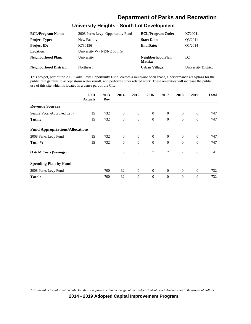### **University Heights - South Lot Development**

| <b>BCL/Program Name:</b>      | 2008 Parks Levy- Opportunity Fund | <b>BCL/Program Code:</b>            | K720041             |
|-------------------------------|-----------------------------------|-------------------------------------|---------------------|
| <b>Project Type:</b>          | New Facility                      | <b>Start Date:</b>                  | O3/2011             |
| <b>Project ID:</b>            | K730156                           | <b>End Date:</b>                    | O1/2014             |
| <b>Location:</b>              | University Wy NE/NE 50th St       |                                     |                     |
| <b>Neighborhood Plan:</b>     | University                        | Neighborhood Plan<br><b>Matrix:</b> | D <sub>2</sub>      |
| <b>Neighborhood District:</b> | Northeast                         | <b>Urban Village:</b>               | University District |

This project, part of the 2008 Parks Levy Opportunity Fund, creates a multi-use open space, a performance area/plaza for the public rain gardens to accept storm water runoff, and performs other related work. These amenities will increase the public use of this site which is located in a dense part of the City.

|                                        | <b>LTD</b><br><b>Actuals</b> | 2013<br>Rev | 2014           | 2015           | 2016           | 2017           | 2018           | 2019           | <b>Total</b> |
|----------------------------------------|------------------------------|-------------|----------------|----------------|----------------|----------------|----------------|----------------|--------------|
| <b>Revenue Sources</b>                 |                              |             |                |                |                |                |                |                |              |
| Seattle Voter-Approved Levy            | 15                           | 732         | $\overline{0}$ | $\overline{0}$ | $\overline{0}$ | $\overline{0}$ | $\overline{0}$ | $\mathbf{0}$   | 747          |
| <b>Total:</b>                          | 15                           | 732         | $\theta$       | $\overline{0}$ | $\theta$       | $\theta$       | $\mathbf{0}$   | $\theta$       | 747          |
| <b>Fund Appropriations/Allocations</b> |                              |             |                |                |                |                |                |                |              |
| 2008 Parks Levy Fund                   | 15                           | 732         | $\overline{0}$ | $\mathbf{0}$   | $\overline{0}$ | $\overline{0}$ | $\overline{0}$ | $\theta$       | 747          |
| Total <sup>*</sup> :                   | 15                           | 732         | $\theta$       | $\overline{0}$ | $\Omega$       | $\Omega$       | $\Omega$       | $\theta$       | 747          |
| O & M Costs (Savings)                  |                              |             | 6              | 6              | $\tau$         | $\tau$         | 7              | 8              | 41           |
| <b>Spending Plan by Fund</b>           |                              |             |                |                |                |                |                |                |              |
| 2008 Parks Levy Fund                   |                              | 700         | 32             | $\mathbf{0}$   | $\overline{0}$ | $\overline{0}$ | $\mathbf{0}$   | $\mathbf{0}$   | 732          |
| <b>Total:</b>                          |                              | 700         | 32             | $\theta$       | $\theta$       | $\Omega$       | $\mathbf{0}$   | $\overline{0}$ | 732          |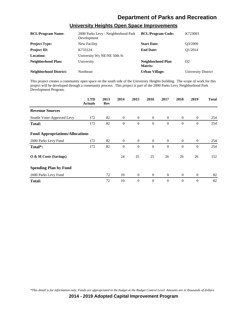| <b>BCL/Program Name:</b>      | 2000 Parks Levy - Neighborhood Park<br>Development | <b>BCL/Program Code:</b>            | K723003                    |
|-------------------------------|----------------------------------------------------|-------------------------------------|----------------------------|
| <b>Project Type:</b>          | New Facility                                       | <b>Start Date:</b>                  | O3/2009                    |
| <b>Project ID:</b>            | K733124                                            | <b>End Date:</b>                    | O1/2014                    |
| <b>Location:</b>              | University Wy NE/NE 50th St                        |                                     |                            |
| <b>Neighborhood Plan:</b>     | University                                         | Neighborhood Plan<br><b>Matrix:</b> | D <sub>2</sub>             |
| <b>Neighborhood District:</b> | Northeast                                          | <b>Urban Village:</b>               | <b>University District</b> |

### **University Heights Open Space Improvements**

This project creates a community open space on the south side of the University Heights building. The scope of work for this project will be developed through a community process. This project is part of the 2000 Parks Levy Neighborhood Park Development Program.

|                                        | <b>LTD</b><br><b>Actuals</b> | 2013<br>Rev | 2014           | 2015             | 2016           | 2017           | 2018           | 2019           | <b>Total</b> |
|----------------------------------------|------------------------------|-------------|----------------|------------------|----------------|----------------|----------------|----------------|--------------|
| <b>Revenue Sources</b>                 |                              |             |                |                  |                |                |                |                |              |
| Seattle Voter-Approved Levy            | 172                          | 82          | $\mathbf{0}$   | $\overline{0}$   | $\overline{0}$ | $\overline{0}$ | $\overline{0}$ | $\theta$       | 254          |
| <b>Total:</b>                          | 172                          | 82          | $\mathbf{0}$   | $\boldsymbol{0}$ | $\theta$       | $\theta$       | $\mathbf{0}$   | $\mathbf{0}$   | 254          |
| <b>Fund Appropriations/Allocations</b> |                              |             |                |                  |                |                |                |                |              |
| 2000 Parks Levy Fund                   | 172                          | 82          | $\overline{0}$ | $\overline{0}$   | $\overline{0}$ | $\overline{0}$ | $\overline{0}$ | $\overline{0}$ | 254          |
| Total*:                                | 172                          | 82          | $\theta$       | $\overline{0}$   | $\theta$       | $\theta$       | $\mathbf{0}$   | $\theta$       | 254          |
| O & M Costs (Savings)                  |                              |             | 24             | 25               | 25             | 26             | 26             | 26             | 152          |
| <b>Spending Plan by Fund</b>           |                              |             |                |                  |                |                |                |                |              |
| 2000 Parks Levy Fund                   |                              | 72          | 10             | $\overline{0}$   | $\overline{0}$ | $\overline{0}$ | $\overline{0}$ | $\theta$       | 82           |
| <b>Total:</b>                          |                              | 72          | 10             | $\overline{0}$   | $\theta$       | $\Omega$       | $\mathbf{0}$   | $\overline{0}$ | 82           |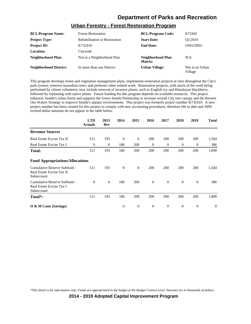| <b>BCL/Program Name:</b>      | <b>Forest Restoration</b>            | <b>BCL/Program Code:</b>     | K72442                     |
|-------------------------------|--------------------------------------|------------------------------|----------------------------|
| <b>Project Type:</b>          | <b>Rehabilitation or Restoration</b> | <b>Start Date:</b>           | O1/2010                    |
| <b>Project ID:</b>            | K732410                              | <b>End Date:</b>             | ONGOING                    |
| <b>Location:</b>              | Citywide                             |                              |                            |
| <b>Neighborhood Plan:</b>     | Not in a Neighborhood Plan           | Neighborhood Plan<br>Matrix: | N/A                        |
| <b>Neighborhood District:</b> | In more than one District            | <b>Urban Village:</b>        | Not in an Urban<br>Village |

#### **Urban Forestry - Forest Restoration Program**

This program develops forest and vegetation management plans, implements restoration projects at sites throughout the City's park system, removes hazardous trees, and performs other related work. Restoration projects, with much of the work being performed by citizen volunteers, may include removal of invasive plants, such as English ivy and Himalayan blackberry, followed by replanting with native plants. Future funding for this program depends on available resources. This project enhances Seattle's urban forest and supports the Green Seattle Partnership to increase overall City tree canopy and the Restore Our Waters Strategy to improve Seattle's aquatic environments. This project was formerly project number K732410. A new project number has been created for this project to comply with new accounting procedures, therefore life to date and 2009 revised dollar amounts do not appear in the table below.

|                                                                         | <b>LTD</b><br><b>Actuals</b> | 2013<br>Rev | 2014     | 2015           | 2016     | 2017           | 2018           | 2019           | <b>Total</b> |
|-------------------------------------------------------------------------|------------------------------|-------------|----------|----------------|----------|----------------|----------------|----------------|--------------|
| <b>Revenue Sources</b>                                                  |                              |             |          |                |          |                |                |                |              |
| Real Estate Excise Tax II                                               | 511                          | 193         | $\theta$ | $\mathbf{0}$   | 200      | 200            | 200            | 200            | 1,504        |
| Real Estate Excise Tax I                                                | $\theta$                     | $\theta$    | 186      | 200            | $\theta$ | $\overline{0}$ | $\overline{0}$ | $\theta$       | 386          |
| <b>Total:</b>                                                           | 511                          | 193         | 186      | 200            | 200      | 200            | 200            | 200            | 1,890        |
| <b>Fund Appropriations/Allocations</b>                                  |                              |             |          |                |          |                |                |                |              |
| Cumulative Reserve Subfund -<br>Real Estate Excise Tax II<br>Subaccount | 511                          | 193         | $\theta$ | $\overline{0}$ | 200      | 200            | 200            | 200            | 1,504        |
| Cumulative Reserve Subfund -<br>Real Estate Excise Tax I<br>Subaccount  | $\mathbf{0}$                 | $\theta$    | 186      | 200            | $\theta$ | $\overline{0}$ | $\theta$       | $\theta$       | 386          |
| Total <sup>*</sup> :                                                    | 511                          | 193         | 186      | 200            | 200      | 200            | 200            | 200            | 1,890        |
| $\overline{O}$ & M Costs (Savings)                                      |                              |             | $\theta$ | $\mathbf{0}$   | $\theta$ | $\overline{0}$ | $\mathbf{0}$   | $\overline{0}$ | $\theta$     |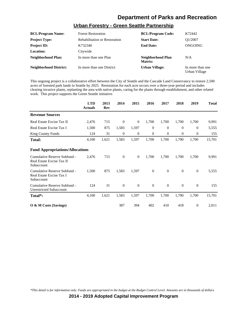### **Urban Forestry - Green Seattle Partnership**

| <b>BCL/Program Name:</b>      | <b>Forest Restoration</b>            | <b>BCL/Program Code:</b>     | K72442                            |
|-------------------------------|--------------------------------------|------------------------------|-----------------------------------|
| <b>Project Type:</b>          | <b>Rehabilitation or Restoration</b> | <b>Start Date:</b>           | O1/2007                           |
| <b>Project ID:</b>            | K732340                              | <b>End Date:</b>             | ONGOING                           |
| Location:                     | Citywide                             |                              |                                   |
| Neighborhood Plan:            | In more than one Plan                | Neighborhood Plan<br>Matrix: | N/A                               |
| <b>Neighborhood District:</b> | In more than one District            | <b>Urban Village:</b>        | In more than one<br>Urban Village |

This ongoing project is a collaborative effort between the City of Seattle and the Cascade Land Conservancy to restore 2,500 acres of forested park lands in Seattle by 2025. Restoration for each acre occurs over a three-year period and includes clearing invasive plants, replanting the area with native plants, caring for the plants through establishment, and other related work. This project supports the Green Seattle initiative.

|                                                                         | <b>LTD</b><br><b>Actuals</b> | 2013<br>Rev | 2014     | 2015           | 2016           | 2017     | 2018     | 2019         | <b>Total</b> |
|-------------------------------------------------------------------------|------------------------------|-------------|----------|----------------|----------------|----------|----------|--------------|--------------|
| <b>Revenue Sources</b>                                                  |                              |             |          |                |                |          |          |              |              |
| Real Estate Excise Tax II                                               | 2,476                        | 715         | $\theta$ | $\overline{0}$ | 1,700          | 1,700    | 1,700    | 1,700        | 9,991        |
| Real Estate Excise Tax I                                                | 1,500                        | 875         | 1,583    | 1,597          | $\mathbf{0}$   | $\Omega$ | $\Omega$ | $\Omega$     | 5,555        |
| <b>King County Funds</b>                                                | 124                          | 31          | $\theta$ | $\overline{0}$ | $\overline{0}$ | $\Omega$ | $\Omega$ | $\Omega$     | 155          |
| <b>Total:</b>                                                           | 4,100                        | 1,621       | 1,583    | 1,597          | 1,700          | 1,700    | 1,700    | 1,700        | 15,701       |
| <b>Fund Appropriations/Allocations</b>                                  |                              |             |          |                |                |          |          |              |              |
| Cumulative Reserve Subfund -<br>Real Estate Excise Tax II<br>Subaccount | 2,476                        | 715         | $\theta$ | $\mathbf{0}$   | 1,700          | 1,700    | 1,700    | 1,700        | 9,991        |
| Cumulative Reserve Subfund -<br>Real Estate Excise Tax I<br>Subaccount  | 1,500                        | 875         | 1,583    | 1,597          | $\mathbf{0}$   | $\Omega$ | $\Omega$ | $\mathbf{0}$ | 5,555        |
| Cumulative Reserve Subfund -<br><b>Unrestricted Subaccount</b>          | 124                          | 31          | $\Omega$ | $\Omega$       | $\Omega$       | $\Omega$ | $\Omega$ | $\Omega$     | 155          |
| Total*:                                                                 | 4,100                        | 1,621       | 1,583    | 1,597          | 1,700          | 1,700    | 1,700    | 1,700        | 15,701       |
| $\overline{O}$ & M Costs (Savings)                                      |                              |             | 387      | 394            | 402            | 410      | 418      | $\mathbf{0}$ | 2,011        |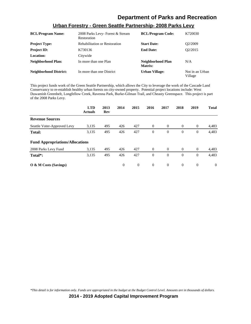| <b>BCL/Program Name:</b>      | 2008 Parks Levy-Forest & Stream<br>Restoration | <b>BCL/Program Code:</b>     | K720030                    |
|-------------------------------|------------------------------------------------|------------------------------|----------------------------|
| <b>Project Type:</b>          | <b>Rehabilitation or Restoration</b>           | <b>Start Date:</b>           | O <sub>2</sub> /2009       |
| <b>Project ID:</b>            | K730136                                        | <b>End Date:</b>             | O <sub>2</sub> /2015       |
| Location:                     | Citywide                                       |                              |                            |
| Neighborhood Plan:            | In more than one Plan                          | Neighborhood Plan<br>Matrix: | N/A                        |
| <b>Neighborhood District:</b> | In more than one District                      | Urban Village:               | Not in an Urban<br>Village |

#### **Urban Forestry - Green Seattle Partnership- 2008 Parks Levy**

This project funds work of the Green Seattle Partnership, which allows the City to leverage the work of the Cascade Land Conservancy to re-establish healthy urban forests on city-owned property. Potential project locations include: West Duwamish Greenbelt, Longfellow Creek, Ravenna Park, Burke-Gilman Trail, and Cheasty Greenspace. This project is part of the 2008 Parks Levy.

|                                        | <b>LTD</b><br><b>Actuals</b> | 2013<br>Rev | 2014     | 2015           | 2016     | 2017     | 2018     | 2019           | <b>Total</b> |
|----------------------------------------|------------------------------|-------------|----------|----------------|----------|----------|----------|----------------|--------------|
| <b>Revenue Sources</b>                 |                              |             |          |                |          |          |          |                |              |
| Seattle Voter-Approved Levy            | 3,135                        | 495         | 426      | 427            | $\theta$ | $\theta$ | $\theta$ | $\overline{0}$ | 4,483        |
| Total:                                 | 3,135                        | 495         | 426      | 427            | $\theta$ | $\Omega$ | $\theta$ | $\mathbf{0}$   | 4,483        |
| <b>Fund Appropriations/Allocations</b> |                              |             |          |                |          |          |          |                |              |
| 2008 Parks Levy Fund                   | 3,135                        | 495         | 426      | 427            | $\theta$ | $\theta$ | $\theta$ | $\overline{0}$ | 4,483        |
| Total <sup>*</sup> :                   | 3,135                        | 495         | 426      | 427            | $\Omega$ | $\Omega$ | $\Omega$ | $\mathbf{0}$   | 4,483        |
| $\overline{O}$ & M Costs (Savings)     |                              |             | $\Omega$ | $\overline{0}$ | $\Omega$ | $\Omega$ | $\Omega$ | $\overline{0}$ | $\Omega$     |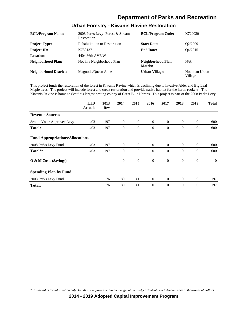| <b>BCL/Program Name:</b>      | 2008 Parks Levy-Forest & Stream<br>Restoration | <b>BCL/Program Code:</b>     | K720030                    |
|-------------------------------|------------------------------------------------|------------------------------|----------------------------|
| <b>Project Type:</b>          | <b>Rehabilitation or Restoration</b>           | <b>Start Date:</b>           | O <sub>2</sub> /2009       |
| <b>Project ID:</b>            | K730137                                        | <b>End Date:</b>             | O <sub>4</sub> /2015       |
| Location:                     | 4404 36th AVE W                                |                              |                            |
| <b>Neighborhood Plan:</b>     | Not in a Neighborhood Plan                     | Neighborhood Plan<br>Matrix: | N/A                        |
| <b>Neighborhood District:</b> | Magnolia/Queen Anne                            | Urban Village:               | Not in an Urban<br>Village |

#### **Urban Forestry - Kiwanis Ravine Restoration**

This project funds the restoration of the forest in Kiwanis Ravine which is declining due to invasive Alder and Big Leaf Maple trees. The project will include forest and creek restoration and provide native habitat for the heron rookery. The Kiwanis Ravine is home to Seattle's largest nesting colony of Great Blue Herons. This project is part of the 2008 Parks Levy.

|                                        | <b>LTD</b><br><b>Actuals</b> | 2013<br>Rev | 2014           | 2015             | 2016           | 2017           | 2018           | 2019           | <b>Total</b> |
|----------------------------------------|------------------------------|-------------|----------------|------------------|----------------|----------------|----------------|----------------|--------------|
| <b>Revenue Sources</b>                 |                              |             |                |                  |                |                |                |                |              |
| Seattle Voter-Approved Levy            | 403                          | 197         | $\overline{0}$ | $\overline{0}$   | $\overline{0}$ | $\overline{0}$ | $\overline{0}$ | $\mathbf{0}$   | 600          |
| Total:                                 | 403                          | 197         | $\theta$       | $\mathbf{0}$     | $\theta$       | $\theta$       | $\mathbf{0}$   | $\overline{0}$ | 600          |
| <b>Fund Appropriations/Allocations</b> |                              |             |                |                  |                |                |                |                |              |
| 2008 Parks Levy Fund                   | 403                          | 197         | $\overline{0}$ | $\mathbf{0}$     | $\overline{0}$ | $\overline{0}$ | $\overline{0}$ | $\theta$       | 600          |
| Total <sup>*</sup> :                   | 403                          | 197         | $\theta$       | $\mathbf{0}$     | $\Omega$       | $\Omega$       | $\mathbf{0}$   | $\theta$       | 600          |
| O & M Costs (Savings)                  |                              |             | $\theta$       | $\boldsymbol{0}$ | $\overline{0}$ | $\theta$       | $\overline{0}$ | $\mathbf{0}$   | $\theta$     |
| <b>Spending Plan by Fund</b>           |                              |             |                |                  |                |                |                |                |              |
| 2008 Parks Levy Fund                   |                              | 76          | 80             | 41               | $\overline{0}$ | $\overline{0}$ | $\overline{0}$ | $\theta$       | 197          |
| <b>Total:</b>                          |                              | 76          | 80             | 41               | $\theta$       | $\theta$       | $\mathbf{0}$   | $\overline{0}$ | 197          |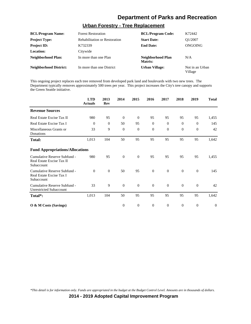### **Urban Forestry - Tree Replacement**

| <b>BCL/Program Name:</b>      | <b>Forest Restoration</b>            | <b>BCL/Program Code:</b>     | K72442                     |
|-------------------------------|--------------------------------------|------------------------------|----------------------------|
| <b>Project Type:</b>          | <b>Rehabilitation or Restoration</b> | <b>Start Date:</b>           | O1/2007                    |
| <b>Project ID:</b>            | K732339                              | <b>End Date:</b>             | ONGOING                    |
| <b>Location:</b>              | Citywide                             |                              |                            |
| <b>Neighborhood Plan:</b>     | In more than one Plan                | Neighborhood Plan<br>Matrix: | N/A                        |
| <b>Neighborhood District:</b> | In more than one District            | <b>Urban Village:</b>        | Not in an Urban<br>Village |

This ongoing project replaces each tree removed from developed park land and boulevards with two new trees. The Department typically removes approximately 500 trees per year. This project increases the City's tree canopy and supports the Green Seattle initiative.

|                                                                         | <b>LTD</b><br><b>Actuals</b> | 2013<br>Rev | 2014           | 2015           | 2016           | 2017     | 2018         | 2019           | <b>Total</b> |
|-------------------------------------------------------------------------|------------------------------|-------------|----------------|----------------|----------------|----------|--------------|----------------|--------------|
| <b>Revenue Sources</b>                                                  |                              |             |                |                |                |          |              |                |              |
| Real Estate Excise Tax II                                               | 980                          | 95          | $\theta$       | $\mathbf{0}$   | 95             | 95       | 95           | 95             | 1,455        |
| Real Estate Excise Tax I                                                | $\theta$                     | $\theta$    | 50             | 95             | $\mathbf{0}$   | $\theta$ | $\mathbf{0}$ | $\Omega$       | 145          |
| Miscellaneous Grants or<br>Donations                                    | 33                           | 9           | $\theta$       | $\theta$       | $\mathbf{0}$   | $\theta$ | $\mathbf{0}$ | $\overline{0}$ | 42           |
| Total:                                                                  | 1,013                        | 104         | 50             | 95             | 95             | 95       | 95           | 95             | 1,642        |
| <b>Fund Appropriations/Allocations</b>                                  |                              |             |                |                |                |          |              |                |              |
| Cumulative Reserve Subfund -<br>Real Estate Excise Tax II<br>Subaccount | 980                          | 95          | $\overline{0}$ | $\theta$       | 95             | 95       | 95           | 95             | 1,455        |
| Cumulative Reserve Subfund -<br>Real Estate Excise Tax I<br>Subaccount  | $\theta$                     | $\theta$    | 50             | 95             | $\overline{0}$ | $\theta$ | $\mathbf{0}$ | $\theta$       | 145          |
| Cumulative Reserve Subfund -<br><b>Unrestricted Subaccount</b>          | 33                           | 9           | $\overline{0}$ | $\overline{0}$ | $\mathbf{0}$   | $\theta$ | $\mathbf{0}$ | $\theta$       | 42           |
| Total <sup>*</sup> :                                                    | 1,013                        | 104         | 50             | 95             | 95             | 95       | 95           | 95             | 1,642        |
| $\overline{O}$ & M Costs (Savings)                                      |                              |             | $\Omega$       | $\overline{0}$ | $\theta$       | $\theta$ | $\mathbf{0}$ | $\overline{0}$ | $\Omega$     |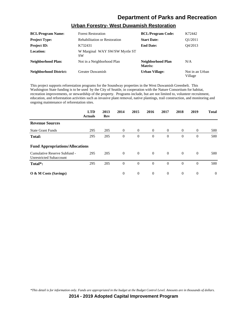| <b>BCL/Program Name:</b>      | <b>Forest Restoration</b>                   | <b>BCL/Program Code:</b>     | K72442                     |
|-------------------------------|---------------------------------------------|------------------------------|----------------------------|
| <b>Project Type:</b>          | <b>Rehabilitation or Restoration</b>        | <b>Start Date:</b>           | O <sub>1</sub> /2011       |
| <b>Project ID:</b>            | K732431                                     | <b>End Date:</b>             | O4/2013                    |
| Location:                     | W Marginal WAY SW/SW Myrtle ST<br><b>SW</b> |                              |                            |
| <b>Neighborhood Plan:</b>     | Not in a Neighborhood Plan                  | Neighborhood Plan<br>Matrix: | N/A                        |
| <b>Neighborhood District:</b> | <b>Greater Duwamish</b>                     | <b>Urban Village:</b>        | Not in an Urban<br>Village |

#### **Urban Forestry- West Duwamish Restoration**

This project supports reforestation programs for the Soundway properties in the West Duwamish Greenbelt. This Washington State funding is to be used by the City of Seattle, in cooperation with the Nature Consortium for habitat, recreation improvements, or stewardship of the property. Programs include, but are not limited to, volunteer recruitment, education, and reforestation activities such as invasive plant removal, native plantings, trail construction, and monitoring and ongoing maintenance of reforestation sites.

|                                                                | <b>LTD</b><br><b>Actuals</b> | 2013<br>Rev | 2014     | 2015           | 2016           | 2017           | 2018           | 2019           | <b>Total</b> |
|----------------------------------------------------------------|------------------------------|-------------|----------|----------------|----------------|----------------|----------------|----------------|--------------|
| <b>Revenue Sources</b>                                         |                              |             |          |                |                |                |                |                |              |
| <b>State Grant Funds</b>                                       | 295                          | 205         | $\theta$ | $\overline{0}$ | $\overline{0}$ | $\overline{0}$ | $\overline{0}$ | $\overline{0}$ | 500          |
| <b>Total:</b>                                                  | 295                          | 205         | $\theta$ | $\theta$       | $\mathbf{0}$   | $\theta$       | $\Omega$       | $\overline{0}$ | 500          |
| <b>Fund Appropriations/Allocations</b>                         |                              |             |          |                |                |                |                |                |              |
| Cumulative Reserve Subfund -<br><b>Unrestricted Subaccount</b> | 295                          | 205         | $\theta$ | $\overline{0}$ | $\overline{0}$ | $\overline{0}$ | $\overline{0}$ | $\theta$       | 500          |
| Total <sup>*</sup> :                                           | 295                          | 205         | $\theta$ | $\theta$       | $\overline{0}$ | $\Omega$       | $\theta$       | $\Omega$       | 500          |
| O & M Costs (Savings)                                          |                              |             | $\Omega$ | $\overline{0}$ | $\theta$       | $\overline{0}$ | $\theta$       | $\overline{0}$ | $\Omega$     |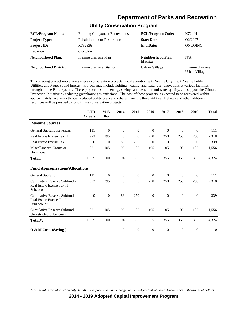#### **Utility Conservation Program**

| <b>BCL/Program Name:</b>      | <b>Building Component Renovations</b> | <b>BCL/Program Code:</b>     | K72444                            |
|-------------------------------|---------------------------------------|------------------------------|-----------------------------------|
| <b>Project Type:</b>          | <b>Rehabilitation or Restoration</b>  | <b>Start Date:</b>           | Q2/2007                           |
| <b>Project ID:</b>            | K732336                               | <b>End Date:</b>             | ONGOING                           |
| Location:                     | Citywide                              |                              |                                   |
| Neighborhood Plan:            | In more than one Plan                 | Neighborhood Plan<br>Matrix: | N/A                               |
| <b>Neighborhood District:</b> | In more than one District             | <b>Urban Village:</b>        | In more than one<br>Urban Village |

This ongoing project implements energy conservation projects in collaboration with Seattle City Light, Seattle Public Utilities, and Puget Sound Energy. Projects may include lighting, heating, and water use renovations at various facilities throughout the Parks system. These projects result in energy savings and better air and water quality, and support the Climate Protection Initiative by reducing greenhouse gas emissions. The cost of these projects is expected to be recovered within approximately five years through reduced utility costs and rebates from the three utilities. Rebates and other additional resources will be pursued to fund future conservation projects.

|                                                                         | <b>LTD</b><br><b>Actuals</b> | 2013<br>Rev    | 2014           | 2015           | 2016           | 2017         | 2018           | 2019         | <b>Total</b> |
|-------------------------------------------------------------------------|------------------------------|----------------|----------------|----------------|----------------|--------------|----------------|--------------|--------------|
| <b>Revenue Sources</b>                                                  |                              |                |                |                |                |              |                |              |              |
| <b>General Subfund Revenues</b>                                         | 111                          | $\theta$       | $\theta$       | $\overline{0}$ | $\mathbf{0}$   | $\theta$     | $\overline{0}$ | $\theta$     | 111          |
| Real Estate Excise Tax II                                               | 923                          | 395            | $\theta$       | $\mathbf{0}$   | 250            | 250          | 250            | 250          | 2,318        |
| Real Estate Excise Tax I                                                | $\theta$                     | $\overline{0}$ | 89             | 250            | $\mathbf{0}$   | $\theta$     | $\overline{0}$ | $\theta$     | 339          |
| Miscellaneous Grants or<br>Donations                                    | 821                          | 105            | 105            | 105            | 105            | 105          | 105            | 105          | 1,556        |
| Total:                                                                  | 1,855                        | 500            | 194            | 355            | 355            | 355          | 355            | 355          | 4,324        |
| <b>Fund Appropriations/Allocations</b>                                  |                              |                |                |                |                |              |                |              |              |
| General Subfund                                                         | 111                          | $\mathbf{0}$   | $\overline{0}$ | $\overline{0}$ | $\mathbf{0}$   | $\theta$     | $\theta$       | $\theta$     | 111          |
| Cumulative Reserve Subfund -<br>Real Estate Excise Tax II<br>Subaccount | 923                          | 395            | $\theta$       | $\overline{0}$ | 250            | 250          | 250            | 250          | 2,318        |
| Cumulative Reserve Subfund -<br>Real Estate Excise Tax I<br>Subaccount  | $\Omega$                     | $\theta$       | 89             | 250            | $\overline{0}$ | $\mathbf{0}$ | $\mathbf{0}$   | $\mathbf{0}$ | 339          |
| Cumulative Reserve Subfund -<br><b>Unrestricted Subaccount</b>          | 821                          | 105            | 105            | 105            | 105            | 105          | 105            | 105          | 1,556        |
| Total <sup>*</sup> :                                                    | 1,855                        | 500            | 194            | 355            | 355            | 355          | 355            | 355          | 4,324        |
| O & M Costs (Savings)                                                   |                              |                | $\Omega$       | $\mathbf{0}$   | $\overline{0}$ | $\theta$     | $\theta$       | $\mathbf{0}$ | $\theta$     |

*\*This detail is for information only. Funds are appropriated in the budget at the Budget Control Level. Amounts are in thousands of dollars.*

**2014 - 2019 Adopted Capital Improvement Program**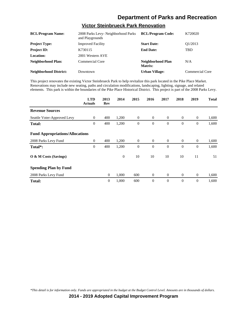### **Victor Steinbrueck Park Renovation**

| <b>BCL/Program Name:</b>      | 2008 Parks Levy- Neighborhood Parks<br>and Playgrounds | <b>BCL/Program Code:</b>     | K720020         |
|-------------------------------|--------------------------------------------------------|------------------------------|-----------------|
| <b>Project Type:</b>          | <b>Improved Facility</b>                               | <b>Start Date:</b>           | O1/2013         |
| <b>Project ID:</b>            | K730115                                                | <b>End Date:</b>             | TBD             |
| <b>Location:</b>              | 2001 Western AVE                                       |                              |                 |
| <b>Neighborhood Plan:</b>     | <b>Commercial Core</b>                                 | Neighborhood Plan<br>Matrix: | N/A             |
| <b>Neighborhood District:</b> | Downtown                                               | <b>Urban Village:</b>        | Commercial Core |

This project renovates the existing Victor Steinbrueck Park to help revitalize this park located in the Pike Place Market. Renovations may include new seating, paths and circulation modifications, landscaping, lighting, signage, and related elements. This park is within the boundaries of the Pike Place Historical District. This project is part of the 2008 Parks Levy.

|                                        | <b>LTD</b><br><b>Actuals</b> | 2013<br>Rev    | 2014         | 2015           | 2016           | 2017           | 2018           | 2019           | <b>Total</b> |
|----------------------------------------|------------------------------|----------------|--------------|----------------|----------------|----------------|----------------|----------------|--------------|
| <b>Revenue Sources</b>                 |                              |                |              |                |                |                |                |                |              |
| Seattle Voter-Approved Levy            | $\theta$                     | 400            | 1,200        | $\mathbf{0}$   | $\overline{0}$ | $\overline{0}$ | $\overline{0}$ | $\mathbf{0}$   | 1,600        |
| Total:                                 | $\overline{0}$               | 400            | 1,200        | $\overline{0}$ | $\theta$       | $\theta$       | $\mathbf{0}$   | $\overline{0}$ | 1,600        |
| <b>Fund Appropriations/Allocations</b> |                              |                |              |                |                |                |                |                |              |
| 2008 Parks Levy Fund                   | $\overline{0}$               | 400            | 1,200        | $\theta$       | $\overline{0}$ | $\overline{0}$ | $\overline{0}$ | $\theta$       | 1,600        |
| Total*:                                | $\overline{0}$               | 400            | 1,200        | $\theta$       | $\theta$       | $\theta$       | $\mathbf{0}$   | $\mathbf{0}$   | 1,600        |
| O & M Costs (Savings)                  |                              |                | $\mathbf{0}$ | 10             | 10             | 10             | 10             | 11             | 51           |
| <b>Spending Plan by Fund</b>           |                              |                |              |                |                |                |                |                |              |
| 2008 Parks Levy Fund                   |                              | $\overline{0}$ | 1,000        | 600            | $\overline{0}$ | $\overline{0}$ | $\overline{0}$ | $\mathbf{0}$   | 1,600        |
| <b>Total:</b>                          |                              | $\mathbf{0}$   | 1,000        | 600            | $\theta$       | $\theta$       | $\mathbf{0}$   | $\theta$       | 1,600        |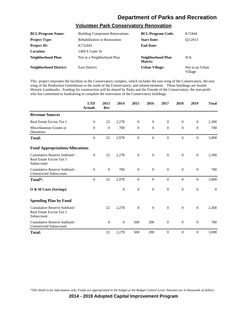# **Volunteer Park Conservatory Renovation**

| <b>BCL/Program Name:</b>      | <b>Building Component Renovations</b> | <b>BCL/Program Code:</b>     | K72444                     |
|-------------------------------|---------------------------------------|------------------------------|----------------------------|
| <b>Project Type:</b>          | <b>Rehabilitation or Restoration</b>  | <b>Start Date:</b>           | O1/2013                    |
| <b>Project ID:</b>            | K732443                               | <b>End Date:</b>             |                            |
| Location:                     | 1400 E Galer St                       |                              |                            |
| Neighborhood Plan:            | Not in a Neighborhood Plan            | Neighborhood Plan<br>Matrix: | N/A                        |
| <b>Neighborhood District:</b> | <b>East District</b>                  | <b>Urban Village:</b>        | Not in an Urban<br>Village |

This project renovates the facilities in the Conservatory complex, which includes the east wing of the Conservatory, the east wing of the Production Greenhouse to the north of the Conservatory, and related elements. These buildings are Seattle Historic Landmarks. Funding for construction will be shared by Parks and the Friends of the Conservatory, the non-profit who has committed to fundraising to complete the renovation of the Conservatory buildings.

|                                                                        | <b>LTD</b><br><b>Actuals</b> | 2013<br>Rev | 2014           | 2015             | 2016           | 2017           | 2018             | 2019             | <b>Total</b>   |
|------------------------------------------------------------------------|------------------------------|-------------|----------------|------------------|----------------|----------------|------------------|------------------|----------------|
| <b>Revenue Sources</b>                                                 |                              |             |                |                  |                |                |                  |                  |                |
| Real Estate Excise Tax I                                               | $\mathbf{0}$                 | 22          | 2,278          | $\overline{0}$   | $\theta$       | $\overline{0}$ | $\mathbf{0}$     | $\mathbf{0}$     | 2,300          |
| Miscellaneous Grants or<br>Donations                                   | $\theta$                     | $\theta$    | 700            | $\mathbf{0}$     | $\theta$       | $\overline{0}$ | $\mathbf{0}$     | $\overline{0}$   | 700            |
| <b>Total:</b>                                                          | $\theta$                     | 22          | 2,978          | $\overline{0}$   | $\overline{0}$ | $\theta$       | $\Omega$         | $\theta$         | 3,000          |
| <b>Fund Appropriations/Allocations</b>                                 |                              |             |                |                  |                |                |                  |                  |                |
| Cumulative Reserve Subfund -<br>Real Estate Excise Tax I<br>Subaccount | $\theta$                     | 22          | 2,278          | $\boldsymbol{0}$ | $\theta$       | $\overline{0}$ | $\mathbf{0}$     | $\mathbf{0}$     | 2,300          |
| Cumulative Reserve Subfund -<br><b>Unrestricted Subaccount</b>         | $\mathbf{0}$                 | $\theta$    | 700            | $\boldsymbol{0}$ | $\theta$       | $\overline{0}$ | $\mathbf{0}$     | $\overline{0}$   | 700            |
| Total*:                                                                | $\boldsymbol{0}$             | 22          | 2,978          | $\mathbf{0}$     | $\mathbf{0}$   | $\mathbf{0}$   | $\mathbf{0}$     | $\boldsymbol{0}$ | 3,000          |
| O & M Costs (Savings)                                                  |                              |             | $\overline{0}$ | $\mathbf{0}$     | $\theta$       | $\overline{0}$ | $\mathbf{0}$     | $\mathbf{0}$     | $\overline{0}$ |
| <b>Spending Plan by Fund</b>                                           |                              |             |                |                  |                |                |                  |                  |                |
| Cumulative Reserve Subfund -<br>Real Estate Excise Tax I<br>Subaccount |                              | 22          | 2,278          | $\boldsymbol{0}$ | $\theta$       | $\overline{0}$ | $\mathbf{0}$     | $\mathbf{0}$     | 2,300          |
| Cumulative Reserve Subfund -<br><b>Unrestricted Subaccount</b>         |                              | $\theta$    | $\theta$       | 500              | 200            | $\theta$       | $\mathbf{0}$     | $\boldsymbol{0}$ | 700            |
| <b>Total:</b>                                                          |                              | 22          | 2,278          | 500              | 200            | $\mathbf{0}$   | $\boldsymbol{0}$ | $\boldsymbol{0}$ | 3,000          |

*\*This detail is for information only. Funds are appropriated in the budget at the Budget Control Level. Amounts are in thousands of dollars.*

**2014 - 2019 Adopted Capital Improvement Program**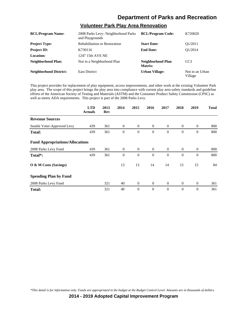# **Volunteer Park Play Area Renovation**

| <b>BCL/Program Name:</b>      | 2008 Parks Levy- Neighborhood Parks<br>and Playgrounds | <b>BCL/Program Code:</b>     | K720020                    |
|-------------------------------|--------------------------------------------------------|------------------------------|----------------------------|
| <b>Project Type:</b>          | <b>Rehabilitation or Restoration</b>                   | <b>Start Date:</b>           | O <sub>1</sub> /2011       |
| <b>Project ID:</b>            | K730116                                                | <b>End Date:</b>             | O <sub>1</sub> /2014       |
| Location:                     | 1247 15th AVE NE                                       |                              |                            |
| Neighborhood Plan:            | Not in a Neighborhood Plan                             | Neighborhood Plan<br>Matrix: | CC <sub>3</sub>            |
| <b>Neighborhood District:</b> | <b>East District</b>                                   | Urban Village:               | Not in an Urban<br>Village |

This project provides for replacement of play equipment, access improvements, and other work at the existing Volunteer Park play area. The scope of this project brings the play area into compliance with current play area safety standards and guideline efforts of the American Society of Testing and Materials (ASTM) and the Consumer Product Safety Commission (CPSC) as well as meets ADA requirements. This project is part of the 2008 Parks Levy.

|                                        | <b>LTD</b><br><b>Actuals</b> | 2013<br>Rev | 2014           | 2015           | 2016           | 2017           | 2018           | 2019           | <b>Total</b> |
|----------------------------------------|------------------------------|-------------|----------------|----------------|----------------|----------------|----------------|----------------|--------------|
| <b>Revenue Sources</b>                 |                              |             |                |                |                |                |                |                |              |
| Seattle Voter-Approved Levy            | 439                          | 361         | $\overline{0}$ | $\overline{0}$ | $\overline{0}$ | $\overline{0}$ | $\theta$       | $\overline{0}$ | 800          |
| <b>Total:</b>                          | 439                          | 361         | $\theta$       | $\mathbf{0}$   | $\theta$       | $\theta$       | $\theta$       | $\mathbf{0}$   | 800          |
| <b>Fund Appropriations/Allocations</b> |                              |             |                |                |                |                |                |                |              |
| 2008 Parks Levy Fund                   | 439                          | 361         | $\overline{0}$ | $\overline{0}$ | $\overline{0}$ | $\overline{0}$ | $\overline{0}$ | $\overline{0}$ | 800          |
| Total <sup>*</sup> :                   | 439                          | 361         | $\theta$       | $\mathbf{0}$   | $\Omega$       | $\Omega$       | $\Omega$       | $\mathbf{0}$   | 800          |
| O & M Costs (Savings)                  |                              |             | 13             | 13             | 14             | 14             | 15             | 15             | 84           |
| <b>Spending Plan by Fund</b>           |                              |             |                |                |                |                |                |                |              |
| 2008 Parks Levy Fund                   |                              | 321         | 40             | $\mathbf{0}$   | $\theta$       | $\overline{0}$ | $\overline{0}$ | $\mathbf{0}$   | 361          |
| Total:                                 |                              | 321         | 40             | $\theta$       | $\theta$       | $\theta$       | $\theta$       | $\mathbf{0}$   | 361          |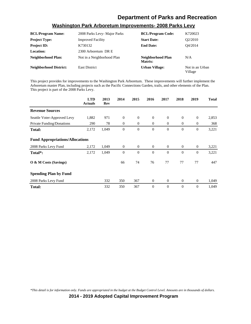| <b>BCL/Program Name:</b>      | 2008 Parks Levy- Major Parks | <b>BCL/Program Code:</b>     | K720023                    |
|-------------------------------|------------------------------|------------------------------|----------------------------|
| <b>Project Type:</b>          | <b>Improved Facility</b>     | <b>Start Date:</b>           | O <sub>2</sub> /2010       |
| <b>Project ID:</b>            | K730132                      | <b>End Date:</b>             | O4/2014                    |
| <b>Location:</b>              | 2300 Arboretum DR E          |                              |                            |
| Neighborhood Plan:            | Not in a Neighborhood Plan   | Neighborhood Plan<br>Matrix: | N/A                        |
| <b>Neighborhood District:</b> | <b>East District</b>         | <b>Urban Village:</b>        | Not in an Urban<br>Village |

#### **Washington Park Arboretum Improvements- 2008 Parks Levy**

This project provides for improvements to the Washington Park Arboretum. These improvements will further implement the Arboretum master Plan, including projects such as the Pacific Connections Garden, trails, and other elements of the Plan. This project is part of the 2008 Parks Levy.

|                                        | <b>LTD</b><br><b>Actuals</b> | 2013<br>Rev | 2014         | 2015           | 2016             | 2017           | 2018           | 2019             | <b>Total</b> |
|----------------------------------------|------------------------------|-------------|--------------|----------------|------------------|----------------|----------------|------------------|--------------|
| <b>Revenue Sources</b>                 |                              |             |              |                |                  |                |                |                  |              |
| Seattle Voter-Approved Levy            | 1,882                        | 971         | $\theta$     | $\theta$       | $\mathbf{0}$     | $\theta$       | $\mathbf{0}$   | $\theta$         | 2,853        |
| <b>Private Funding/Donations</b>       | 290                          | 78          | $\theta$     | $\theta$       | $\overline{0}$   | $\overline{0}$ | $\overline{0}$ | $\mathbf{0}$     | 368          |
| <b>Total:</b>                          | 2,172                        | 1,049       | $\theta$     | $\theta$       | $\Omega$         | $\Omega$       | $\mathbf{0}$   | $\overline{0}$   | 3,221        |
| <b>Fund Appropriations/Allocations</b> |                              |             |              |                |                  |                |                |                  |              |
| 2008 Parks Levy Fund                   | 2,172                        | 1,049       | $\mathbf{0}$ | $\overline{0}$ | $\mathbf{0}$     | $\overline{0}$ | $\overline{0}$ | $\boldsymbol{0}$ | 3,221        |
| Total*:                                | 2,172                        | 1,049       | $\theta$     | $\theta$       | $\mathbf{0}$     | $\theta$       | $\mathbf{0}$   | $\theta$         | 3,221        |
| O & M Costs (Savings)                  |                              |             | 66           | 74             | 76               | 77             | 77             | 77               | 447          |
| <b>Spending Plan by Fund</b>           |                              |             |              |                |                  |                |                |                  |              |
| 2008 Parks Levy Fund                   |                              | 332         | 350          | 367            | $\boldsymbol{0}$ | $\theta$       | $\mathbf{0}$   | $\boldsymbol{0}$ | 1,049        |
| <b>Total:</b>                          |                              | 332         | 350          | 367            | $\Omega$         | $\Omega$       | $\mathbf{0}$   | $\overline{0}$   | 1,049        |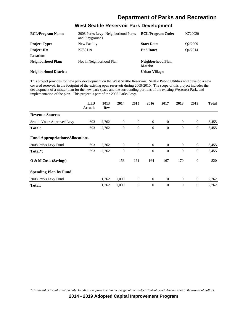| <b>BCL/Program Name:</b>      | 2008 Parks Levy- Neighborhood Parks<br>and Playgrounds | <b>BCL/Program Code:</b>     | K720020 |
|-------------------------------|--------------------------------------------------------|------------------------------|---------|
| <b>Project Type:</b>          | New Facility                                           | <b>Start Date:</b>           | Q2/2009 |
| <b>Project ID:</b>            | K730119                                                | <b>End Date:</b>             | O4/2014 |
| Location:                     |                                                        |                              |         |
| <b>Neighborhood Plan:</b>     | Not in Neighborhood Plan                               | Neighborhood Plan<br>Matrix: |         |
| <b>Neighborhood District:</b> |                                                        | <b>Urban Village:</b>        |         |

**West Seattle Reservoir Park Development**

This project provides for new park development on the West Seattle Reservoir. Seattle Public Utilities will develop a new covered reservoir in the footprint of the existing open reservoir during 2009-2010. The scope of this project includes the development of a master plan for the new park space and the surrounding portions of the existing Westcrest Park, and implementation of the plan. This project is part of the 2008 Parks Levy.

|                                        | <b>LTD</b><br><b>Actuals</b> | 2013<br>Rev | 2014             | 2015           | 2016             | 2017           | 2018         | 2019             | <b>Total</b> |
|----------------------------------------|------------------------------|-------------|------------------|----------------|------------------|----------------|--------------|------------------|--------------|
| <b>Revenue Sources</b>                 |                              |             |                  |                |                  |                |              |                  |              |
| Seattle Voter-Approved Levy            | 693                          | 2,762       | $\boldsymbol{0}$ | $\overline{0}$ | $\boldsymbol{0}$ | $\overline{0}$ | $\mathbf{0}$ | $\overline{0}$   | 3,455        |
| <b>Total:</b>                          | 693                          | 2,762       | $\theta$         | $\mathbf{0}$   | $\theta$         | $\theta$       | $\theta$     | $\mathbf{0}$     | 3,455        |
| <b>Fund Appropriations/Allocations</b> |                              |             |                  |                |                  |                |              |                  |              |
| 2008 Parks Levy Fund                   | 693                          | 2,762       | $\mathbf{0}$     | $\overline{0}$ | $\overline{0}$   | $\overline{0}$ | $\theta$     | $\boldsymbol{0}$ | 3,455        |
| Total <sup>*</sup> :                   | 693                          | 2,762       | $\theta$         | $\theta$       | $\overline{0}$   | $\theta$       | $\theta$     | $\mathbf{0}$     | 3,455        |
| O & M Costs (Savings)                  |                              |             | 158              | 161            | 164              | 167            | 170          | $\mathbf{0}$     | 820          |
| <b>Spending Plan by Fund</b>           |                              |             |                  |                |                  |                |              |                  |              |
| 2008 Parks Levy Fund                   |                              | 1,762       | 1,000            | $\overline{0}$ | $\theta$         | $\theta$       | $\theta$     | $\mathbf{0}$     | 2,762        |
| <b>Total:</b>                          |                              | 1,762       | 1,000            | 0              | $\overline{0}$   | $\theta$       | $\theta$     | $\boldsymbol{0}$ | 2,762        |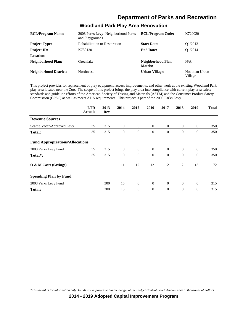### **Woodland Park Play Area Renovation**

| <b>BCL/Program Name:</b>      | 2008 Parks Levy- Neighborhood Parks<br>and Playgrounds | <b>BCL/Program Code:</b>     | K720020                    |
|-------------------------------|--------------------------------------------------------|------------------------------|----------------------------|
| <b>Project Type:</b>          | <b>Rehabilitation or Restoration</b>                   | <b>Start Date:</b>           | O <sub>1</sub> /2012       |
| <b>Project ID:</b>            | K730120                                                | <b>End Date:</b>             | O1/2014                    |
| Location:                     |                                                        |                              |                            |
| <b>Neighborhood Plan:</b>     | Greenlake                                              | Neighborhood Plan<br>Matrix: | N/A                        |
| <b>Neighborhood District:</b> | <b>Northwest</b>                                       | Urban Village:               | Not in an Urban<br>Village |

This project provides for replacement of play equipment, access improvements, and other work at the existing Woodland Park play area located near the Zoo. The scope of this project brings the play area into compliance with current play area safety standards and guideline efforts of the American Society of Testing and Materials (ASTM) and the Consumer Product Safety Commission (CPSC) as well as meets ADA requirements. This project is part of the 2008 Parks Levy.

|                                        | <b>LTD</b><br><b>Actuals</b> | 2013<br>Rev | 2014           | 2015           | 2016           | 2017           | 2018           | 2019           | <b>Total</b> |
|----------------------------------------|------------------------------|-------------|----------------|----------------|----------------|----------------|----------------|----------------|--------------|
| <b>Revenue Sources</b>                 |                              |             |                |                |                |                |                |                |              |
| Seattle Voter-Approved Levy            | 35                           | 315         | $\overline{0}$ | $\overline{0}$ | $\overline{0}$ | $\overline{0}$ | $\overline{0}$ | $\mathbf{0}$   | 350          |
| <b>Total:</b>                          | 35                           | 315         | $\theta$       | $\mathbf{0}$   | $\theta$       | $\theta$       | $\theta$       | $\mathbf{0}$   | 350          |
| <b>Fund Appropriations/Allocations</b> |                              |             |                |                |                |                |                |                |              |
| 2008 Parks Levy Fund                   | 35                           | 315         | $\overline{0}$ | $\overline{0}$ | $\overline{0}$ | $\overline{0}$ | $\overline{0}$ | $\overline{0}$ | 350          |
| Total*:                                | 35                           | 315         | $\theta$       | $\mathbf{0}$   | $\theta$       | $\Omega$       | $\mathbf{0}$   | $\mathbf{0}$   | 350          |
| O & M Costs (Savings)                  |                              |             | 11             | 12             | 12             | 12             | 12             | 13             | 72           |
| <b>Spending Plan by Fund</b>           |                              |             |                |                |                |                |                |                |              |
| 2008 Parks Levy Fund                   |                              | 300         | 15             | $\overline{0}$ | $\theta$       | $\overline{0}$ | $\overline{0}$ | $\overline{0}$ | 315          |
| <b>Total:</b>                          |                              | 300         | 15             | $\theta$       | $\mathbf{0}$   | $\theta$       | $\mathbf{0}$   | $\mathbf{0}$   | 315          |